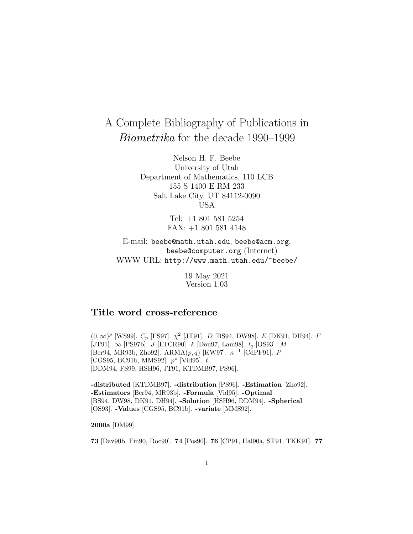# A Complete Bibliography of Publications in Biometrika for the decade 1990–1999

Nelson H. F. Beebe University of Utah Department of Mathematics, 110 LCB 155 S 1400 E RM 233 Salt Lake City, UT 84112-0090 USA

> Tel: +1 801 581 5254 FAX: +1 801 581 4148

E-mail: beebe@math.utah.edu, beebe@acm.org, beebe@computer.org (Internet) WWW URL: http://www.math.utah.edu/~beebe/

> 19 May 2021 Version 1.03

## **Title word cross-reference**

 $(0, \infty)^p$  [WS99].  $C_p$  [FS97].  $\chi^2$  [JT91]. D [BS94, DW98]. E [DK91, DH94]. F [JT91].  $\infty$  [PS97b]. *J* [LTCR90]. *k* [Dou97, Lam98]. *l<sub>q</sub>* [OS93]. *M* [Ber94, MR93b, Zho92]. ARMA(p, q) [KW97]. n−<sup>1</sup> [CdPF91]. P  $[CGS95, BC91b, MMS92]$ .  $p^*$  [Vid95]. t [DDM94, FS99, HSH96, JT91, KTDMB97, PS96].

**-distributed** [KTDMB97]. **-distribution** [PS96]. **-Estimation** [Zho92]. **-Estimators** [Ber94, MR93b]. **-Formula** [Vid95]. **-Optimal** [BS94, DW98, DK91, DH94]. **-Solution** [HSH96, DDM94]. **-Spherical** [OS93]. **-Values** [CGS95, BC91b]. **-variate** [MMS92].

**2000a** [DM99].

**73** [Dav90b, Fin90, Roc90]. **74** [Pos90]. **76** [CP91, Hal90a, ST91, TKK91]. **77**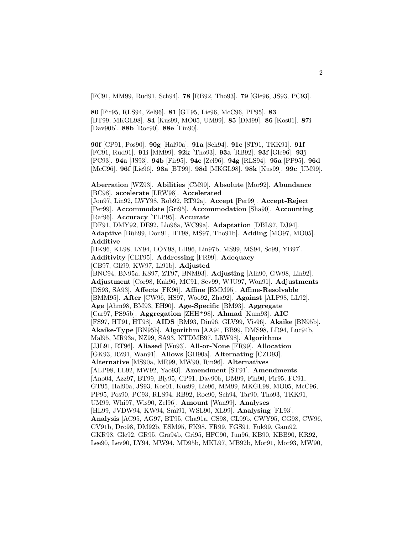[FC91, MM99, Rud91, Sch94]. **78** [RB92, Tho93]. **79** [Gle96, JS93, PC93].

**80** [Fir95, RLS94, Zel96]. **81** [GT95, Lie96, McC96, PP95]. **83** [BT99, MKGL98]. **84** [Kus99, MO05, UM99]. **85** [DM99]. **86** [Kos01]. **87i** [Dav90b]. **88b** [Roc90]. **88e** [Fin90].

**90f** [CP91, Pos90]. **90g** [Hal90a]. **91a** [Sch94]. **91c** [ST91, TKK91]. **91f** [FC91, Rud91]. **91i** [MM99]. **92k** [Tho93]. **93a** [RB92]. **93f** [Gle96]. **93j** [PC93]. **94a** [JS93]. **94b** [Fir95]. **94e** [Zel96]. **94g** [RLS94]. **95a** [PP95]. **96d** [McC96]. **96f** [Lie96]. **98a** [BT99]. **98d** [MKGL98]. **98k** [Kus99]. **99c** [UM99].

**Aberration** [WZ93]. **Abilities** [CM99]. **Absolute** [Mor92]. **Abundance** [BC98]. **accelerate** [LRW98]. **Accelerated** [Jon97, Lin92, LWY98, Rob92, RT92a]. **Accept** [Per99]. **Accept-Reject** [Per99]. **Accommodate** [Gri95]. **Accommodation** [Sha90]. **Accounting** [Raf96]. **Accuracy** [TLP95]. **Accurate** [DF91, DMY92, DE92, Llo96a, WC99a]. **Adaptation** [DBL97, DJ94]. **Adaptive** [B¨uh99, Don91, HT98, MS97, Tho91b]. **Adding** [MO97, MO05]. **Additive** [HK96, KL98, LY94, LOY98, LH96, Lin97b, MS99, MS94, So99, YB97]. **Additivity** [CLT95]. **Addressing** [FR99]. **Adequacy** [CB97, Gli99, KW97, Li91b]. **Adjusted** [BNC94, BN95a, KS97, ZT97, BNM93]. **Adjusting** [Alh90, GW98, Lin92]. **Adjustment** [Cor98, Kak96, MC91, Sev99, WJU97, Won91]. **Adjustments** [DS93, SA93]. **Affects** [FK96]. **Affine** [BMM95]. **Affine-Resolvable** [BMM95]. **After** [CW96, HS97, Woo92, Zha92]. **Against** [ALP98, LL92]. **Age** [Ahm98, BM93, EH90]. **Age-Specific** [BM93]. **Aggregate** [Car97, PS95b]. **Aggregation** [ZHH<sup>+</sup>98]. **Ahmad** [Kum93]. **AIC** [FS97, HT91, HT98]. **AIDS** [BM93, Din96, GLV99, Vis96]. **Akaike** [BN95b]. **Akaike-Type** [BN95b]. **Algorithm** [AA94, BB99, DMS98, LR94, Luc94b, Mal95, MR93a, NZ99, SA93, KTDMB97, LRW98]. **Algorithms** [JJL91, RT96]. **Aliased** [Wu93]. **All-or-None** [FR99]. **Allocation** [GK93, RZ91, Wan91]. **Allows** [GH90a]. **Alternating** [CZD93]. **Alternative** [MS90a, MR99, MW90, Rin96]. **Alternatives** [ALP98, LL92, MW92, Yao93]. **Amendment** [ST91]. **Amendments** [Ano04, Azz97, BT99, Bly95, CP91, Dav90b, DM99, Fin90, Fir95, FC91, GT95, Hal90a, JS93, Kos01, Kus99, Lie96, MM99, MKGL98, MO05, McC96, PP95, Pos90, PC93, RLS94, RB92, Roc90, Sch94, Tar90, Tho93, TKK91, UM99, Whi97, Wis90, Zel96]. **Amount** [Wan99]. **Analyses** [HL99, JVDW94, KW94, Smi91, WSL90, XL99]. **Analysing** [FL93]. **Analysis** [AC95, AG97, BT95, Cha91a, CS98, CL99b, CWY95, CG98, CW96, CV91b, Dro98, DM92b, ESM95, FK98, FR99, FGS91, Fuk99, Gam92, GKR98, Gle92, GR95, Gra94b, Gri95, HFC90, Jun96, KB90, KBB90, KR92, Lee90, Lev90, LY94, MW94, MD95b, MKL97, MB92b, Mor91, Mor93, MW90,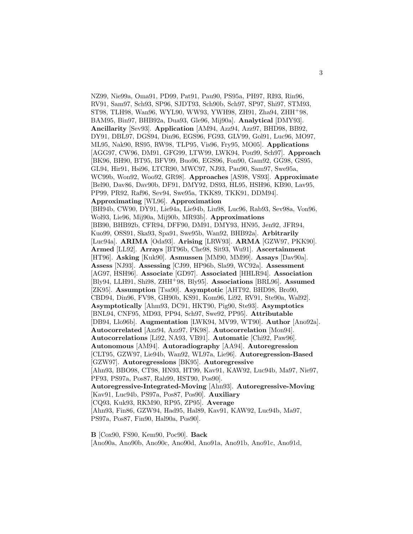NZ99, Nie99a, Oma91, PD99, Pat91, Pau90, PS95a, PH97, RI93, Rin96, RV91, Sam97, Sch93, SP96, SJDT93, Sch90b, Sch97, SP97, Shi97, STM93, ST98, TLH98, Wan96, WYL90, WW93, YWH98, ZH91, Zha94, ZHH<sup>+</sup>98, BAM95, Bin97, BHB92a, Dua93, Gle96, Mij90a]. **Analytical** [DMY93]. **Ancillarity** [Sev93]. **Application** [AM94, Azz94, Azz97, BHD98, BB92, DY91, DBL97, DGS94, Din96, EGS96, FG93, GLV99, Gol91, Luc96, MO97, ML95, Nak90, RS95, RW98, TLP95, Vis96, Fry95, MO05]. **Applications** [AGG97, CW96, DM91, GFG99, LTW99, LWK94, Pou99, Sch97]. **Approach** [BK96, BH90, BT95, BFV99, Buo96, EGS96, Fon90, Gam92, GG98, GS95, GL94, Hir91, Hsi96, LTCR90, MWC97, NJ93, Pau90, Sam97, Swe95a, WC99b, Won92, Woo92, GR98]. **Approaches** [AS98, VS93]. **Approximate** [Bel90, Dav86, Dav90b, DF91, DMY92, DS93, HL95, HSH96, KB90, Lav95, PP99, PR92, Raf96, Sev94, Swe95a, TKK89, TKK91, DDM94]. **Approximating** [WL96]. **Approximation** [BH94b, CW90, DY91, Lie94a, Lie94b, Liu98, Luc96, Rab93, Sev98a, Von96, Wol93, Lie96, Mij90a, Mij90b, MR93b]. **Approximations** [BB90, BHB92b, CFR94, DFF90, DM91, DMY93, HN95, Jen92, JFR94, Kuo99, OSS91, Ska93, Spa91, Swe95b, Wan92, BHB92a]. **Arbitrarily** [Luc94a]. **ARIMA** [Oda93]. **Arising** [LRW93]. **ARMA** [GZW97, PKK90]. **Armed** [LL92]. **Arrays** [BT96b, Che98, Sit93, Wu91]. **Ascertainment** [HT96]. **Asking** [Kuk90]. **Asmussen** [MM90, MM99]. **Assays** [Dav90a]. **Assess** [NJ93]. **Assessing** [CJ99, HP96b, Sla99, WC92a]. **Assessment** [AG97, HSH96]. **Associate** [GD97]. **Associated** [HHLR94]. **Association** [Bly94, LLH91, Shi98, ZHH<sup>+</sup>98, Bly95]. **Associations** [BRL96]. **Assumed** [ZK95]. **Assumption** [Tsa90]. **Asymptotic** [AHT92, BHD98, Bro90, CBD94, Din96, FV98, GH90b, KS91, Kom96, Li92, RV91, Ste90a, Wal92]. **Asymptotically** [Ahm93, DC91, HKT90, Pig90, Ste93]. **Asymptotics** [BNL94, CNF95, MD93, PP94, Sch97, Swe92, PP95]. **Attributable** [DB94, Llo96b]. **Augmentation** [LWK94, MV99, WT90]. **Author** [Ano92a]. **Autocorrelated** [Azz94, Azz97, PK98]. **Autocorrelation** [Mon94]. **Autocorrelations** [Li92, NA93, VB91]. **Automatic** [Chi92, Paw96]. **Autonomous** [AM94]. **Autoradiography** [AA94]. **Autoregression** [CLT95, GZW97, Lie94b, Wan92, WL97a, Lie96]. **Autoregression-Based** [GZW97]. **Autoregressions** [BK95]. **Autoregressive** [Ahn93, BBO98, CT98, HN93, HT99, Kav91, KAW92, Luc94b, Ma97, Nie97, PF93, PS97a, Pos87, Rah99, HST90, Pos90]. **Autoregressive-Integrated-Moving** [Ahn93]. **Autoregressive-Moving** [Kav91, Luc94b, PS97a, Pos87, Pos90]. **Auxiliary** [CQ93, Kuk93, RKM90, RP95, ZP95]. **Average** [Ahn93, Fin86, GZW94, Had95, Hal89, Kav91, KAW92, Luc94b, Ma97, PS97a, Pos87, Fin90, Hal90a, Pos90].

**B** [Cox90, FS90, Kem90, Poc90]. **Back** [Ano90a, Ano90b, Ano90c, Ano90d, Ano91a, Ano91b, Ano91c, Ano91d,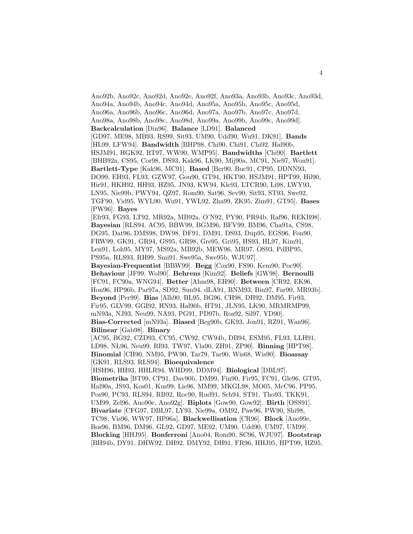Ano92b, Ano92c, Ano92d, Ano92e, Ano92f, Ano93a, Ano93b, Ano93c, Ano93d, Ano94a, Ano94b, Ano94c, Ano94d, Ano95a, Ano95b, Ano95c, Ano95d, Ano96a, Ano96b, Ano96c, Ano96d, Ano97a, Ano97b, Ano97c, Ano97d, Ano98a, Ano98b, Ano98c, Ano98d, Ano99a, Ano99b, Ano99c, Ano99d]. **Backcalculation** [Din96]. **Balance** [LD91]. **Balanced** [GD97, ME98, MB93, RS99, Sit93, UM90, Udd90, Wu91, DK91]. **Bands** [HL99, LFW94]. **Bandwidth** [BHP98, Chi90, Chi91, Chi92, Hal90b, HSJM91, HGK92, RT97, WW90, WMP95]. **Bandwidths** [Chi90]. **Bartlett** [BHB92a, CS95, Cor98, DS93, Kak96, LK90, Mij90a, MC91, Nie97, Won91]. **Bartlett-Type** [Kak96, MC91]. **Based** [Ber90, Buc91, CP95, DDNN93, DO99, EH93, FL93, GZW97, Gou90, GT94, HKT90, HSJM91, HPT99, Hil90, Hir91, HKH92, HH93, HZ95, JN93, KW94, Kle93, LTCR90, Li98, LWY93, LN95, Nie99b, PWY94, QZ97, Rom90, Sat96, Sev90, Sit93, ST93, Swe92, TGF90, Vid95, WYL90, Wu91, YWL92, Zha99, ZK95, Zim91, GT95]. **Bases** [PW96]. **Bayes** [Efr93, FG93, LT92, MR92a, MB92a, O'N92, PY90, PR94b, Raf96, REKB98]. **Bayesian** [RLS94, AC95, BBW99, BGM96, BFV99, BM96, Cha91a, CS98, DG95, Dat96, DMS98, DW98, DF91, DM91, DS93, Dup95, EGS96, Fon90, FRW99, GK91, GR94, GS95, GR98, Gre95, Gri95, HS93, HL97, Kim91, Len91, Loh95, MY97, MS92a, MB92b, MEW96, MR97, OS93, PdBP95, PS95a, RLS93, RH99, Smi91, Swe95a, Swe95b, WJU97]. **Bayesian-Frequentist** [BBW99]. **Begg** [Cox90, FS90, Kem90, Poc90]. **Behaviour** [JF99, Wol90]. **Behrens** [Kim92]. **Beliefs** [GW98]. **Bernoulli** [FC91, FC90a, WNG94]. **Better** [Ahm98, EH90]. **Between** [CR92, EK96, Hon96, HP96b, Par97a, SD92, Sun94, dLA91, BNM93, Bin97, Far90, MR93b]. **Beyond** [Per99]. **Bias** [Alh90, BL95, BG96, CH98, DH92, DM95, Fir93, Fir95, GLV99, GGI92, HN93, Hal90b, HT91, JLN95, LK90, MRMRMP99, mN93a, NJ93, Neu99, NA93, PG91, PD97b, Ros92, Sil97, YD90]. **Bias-Corrected** [mN93a]. **Biased** [Beg90b, GK93, Jon91, RZ91, Wan96]. **Bilinear** [Gab98]. **Binary** [AC95, BG92, CZD93, CC95, CW92, CW94b, DB94, ESM95, FL93, LLH91, LD98, NL96, Neu99, RI93, TW97, Vla90, ZH91, ZP90]. **Binning** [HPT98]. **Binomial** [CH90, NM95, PW90, Tar79, Tar90, Wis68, Wis90]. **Bioassay** [GK91, RLS93, RLS94]. **Bioequivalence** [HSH96, HH93, HHLR94, WHD99, DDM94]. **Biological** [DBL97]. **Biometrika** [BT99, CP91, Dav90b, DM99, Fin90, Fir95, FC91, Gle96, GT95, Hal90a, JS93, Kos01, Kus99, Lie96, MM99, MKGL98, MO05, McC96, PP95, Pos90, PC93, RLS94, RB92, Roc90, Rud91, Sch94, ST91, Tho93, TKK91, UM99, Zel96, Ano90e, Ano92g]. **Biplots** [Gow90, Gow92]. **Birth** [OSS91]. **Bivariate** [CFG97, DBL97, LY93, Nie99a, OM92, Paw96, PW90, Shi98, TC98, Vis96, WW97, HP96a]. **Blackwellisation** [CR96]. **Block** [Ano99e, Bos96, BM96, DM96, GL92, GD97, ME92, UM90, Udd90, UM97, UM99]. **Blocking** [HHJ95]. **Bonferroni** [Ano04, Rom90, SC96, WJU97]. **Bootstrap** [BH94b, DY91, DHW92, DH92, DMY92, DH91, FR96, HHJ95, HPT99, HZ95,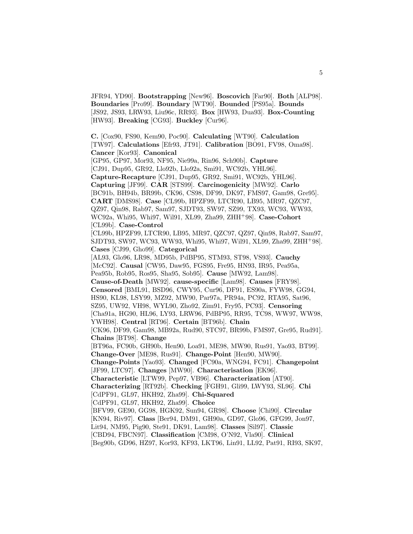JFR94, YD90]. **Bootstrapping** [New96]. **Boscovich** [Far90]. **Both** [ALP98]. **Boundaries** [Pro99]. **Boundary** [WT90]. **Bounded** [PS95a]. **Bounds** [JS92, JS93, LRW93, Liu96c, RR93]. **Box** [HW93, Dua93]. **Box-Counting** [HW93]. **Breaking** [CG93]. **Buckley** [Cur96].

**C.** [Cox90, FS90, Kem90, Poc90]. **Calculating** [WT90]. **Calculation** [TW97]. **Calculations** [Efr93, JT91]. **Calibration** [BO91, FV98, Oma98]. **Cancer** [Kor93]. **Canonical** [GP95, GP97, Mor93, NF95, Nie99a, Rin96, Sch90b]. **Capture** [CJ91, Dup95, GR92, Llo92b, Llo92a, Smi91, WC92b, YHL96]. **Capture-Recapture** [CJ91, Dup95, GR92, Smi91, WC92b, YHL96]. **Capturing** [JF99]. **CAR** [STS99]. **Carcinogenicity** [MW92]. **Carlo** [BC91b, BH94b, BR99b, CK96, CS98, DF99, DK97, FMS97, Gam98, Gre95]. **CART** [DMS98]. **Case** [CL99b, HPZF99, LTCR90, LB95, MR97, QZC97, QZ97, Qin98, Rab97, Sam97, SJDT93, SW97, SZ99, TX93, WC93, WW93, WC92a, Whi95, Whi97, Wil91, XL99, Zha99, ZHH<sup>+</sup>98]. **Case-Cohort** [CL99b]. **Case-Control** [CL99b, HPZF99, LTCR90, LB95, MR97, QZC97, QZ97, Qin98, Rab97, Sam97, SJDT93, SW97, WC93, WW93, Whi95, Whi97, Wil91, XL99, Zha99, ZHH<sup>+</sup>98]. **Cases** [CJ99, Gho99]. **Categorical** [AL93, Glo96, LR98, MD95b, PdBP95, STM93, ST98, VS93]. **Cauchy** [McC92]. **Causal** [CW95, Daw95, FGS95, Fre95, HN93, IR95, Pea95a, Pea95b, Rob95, Ros95, Sha95, Sob95]. **Cause** [MW92, Lam98]. **Cause-of-Death** [MW92]. **cause-specific** [Lam98]. **Causes** [FRY98]. **Censored** [BML91, BSD96, CWY95, Cur96, DF91, ES90a, FYW98, GG94, HS90, KL98, LSY99, MZ92, MW90, Par97a, PR94a, PC92, RTA95, Sat96, SZ95, UW92, VH98, WYL90, Zho92, Zim91, Fry95, PC93]. **Censoring** [Cha91a, HG90, HL96, LY93, LRW96, PdBP95, RR95, TC98, WW97, WW98, YWH98]. **Central** [RT96]. **Certain** [BT96b]. **Chain** [CK96, DF99, Gam98, MB92a, Rud90, STC97, BR99b, FMS97, Gre95, Rud91]. **Chains** [BT98]. **Change** [BT96a, FC90b, GH90b, Hen90, Loa91, ME98, MW90, Rus91, Yao93, BT99]. **Change-Over** [ME98, Rus91]. **Change-Point** [Hen90, MW90]. **Change-Points** [Yao93]. **Changed** [FC90a, WNG94, FC91]. **Changepoint** [JF99, LTC97]. **Changes** [MW90]. **Characterisation** [EK96]. **Characteristic** [LTW99, Pep97, VB96]. **Characterization** [AT90]. **Characterizing** [RT92b]. **Checking** [FGH91, Gli99, LWY93, SL96]. **Chi** [CdPF91, GL97, HKH92, Zha99]. **Chi-Squared** [CdPF91, GL97, HKH92, Zha99]. **Choice** [BFV99, GE90, GG98, HGK92, Sun94, GR98]. **Choose** [Chi90]. **Circular** [KN94, Riv97]. **Class** [Ber94, DM91, GH90a, GD97, Glo96, GFG99, Jon97, Lit94, NM95, Pig90, Ste91, DK91, Lam98]. **Classes** [Sil97]. **Classic** [CBD94, FBCN97]. **Classification** [CM98, O'N92, Vla90]. **Clinical**

[Beg90b, GD96, HZ97, Kor93, KF93, LKT96, Lin91, LL92, Pat91, RI93, SK97,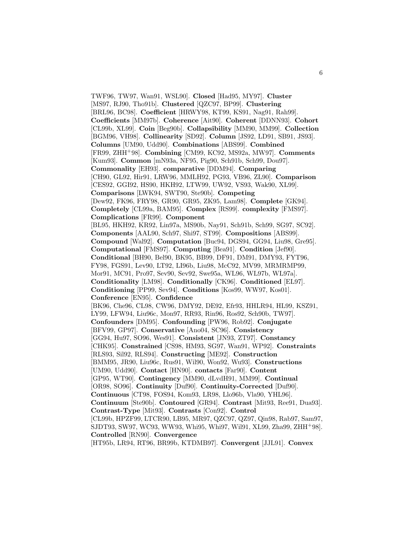TWF96, TW97, Wan91, WSL90]. **Closed** [Had95, MY97]. **Cluster** [MS97, RJ90, Tho91b]. **Clustered** [QZC97, BP99]. **Clustering** [BRL96, BC98]. **Coefficient** [HRWY98, KT99, KS91, Nag91, Rah99]. **Coefficients** [MM97b]. **Coherence** [Ait90]. **Coherent** [DDNN93]. **Cohort** [CL99b, XL99]. **Coin** [Beg90b]. **Collapsibility** [MM90, MM99]. **Collection** [BGM96, VH98]. **Collinearity** [SD92]. **Column** [JS92, LD91, SB91, JS93]. **Columns** [UM90, Udd90]. **Combinations** [ABS99]. **Combined** [FR99, ZHH<sup>+</sup>98]. **Combining** [CM99, KC92, MS92a, MW97]. **Comments** [Kum93]. **Common** [mN93a, NF95, Pig90, Sch91b, Sch99, Dou97]. **Commonality** [EH93]. **comparative** [DDM94]. **Comparing** [CH90, GL92, Hir91, LRW96, MMLH92, PG93, VB96, ZL90]. **Comparison** [CES92, GGI92, HS90, HKH92, LTW99, UW92, VS93, Wak90, XL99]. **Comparisons** [LWK94, SWT90, Ste90b]. **Competing** [Dew92, FK96, FRY98, GR90, GR95, ZK95, Lam98]. **Complete** [GK94]. **Completely** [CL99a, BAM95]. **Complex** [RS99]. **complexity** [FMS97]. **Complications** [FR99]. **Component** [BL95, HKH92, KR92, Lin97a, MS90b, Nay91, Sch91b, Sch99, SG97, SC92]. **Components** [AAL90, Sch97, Shi97, ST99]. **Compositions** [ABS99]. **Compound** [Wal92]. **Computation** [Buc94, DGS94, GG94, Liu98, Gre95]. **Computational** [FMS97]. **Computing** [Bea91]. **Condition** [Jef90]. **Conditional** [BH90, Bel90, BK95, BB99, DF91, DM91, DMY93, FYT96, FY98, FGS91, Lev90, LT92, LI96b, Liu98, McC92, MV99, MRMRMP99, Mor91, MC91, Pro97, Sev90, Sev92, Swe95a, WL96, WL97b, WL97a]. **Conditionality** [LM98]. **Conditionally** [CK96]. **Conditioned** [EL97]. **Conditioning** [PP99, Sev94]. **Conditions** [Kos99, WW97, Kos01]. **Conference** [EN95]. **Confidence** [BK96, Che96, CL98, CW96, DMY92, DE92, Efr93, HHLR94, HL99, KSZ91, LY99, LFW94, Liu96c, Mon97, RR93, Rin96, Ros92, Sch90b, TW97]. **Confounders** [DM95]. **Confounding** [PW96, Rob92]. **Conjugate** [BFV99, GP97]. **Conservative** [Ano04, SC96]. **Consistency** [GG94, Hu97, SO96, Wes91]. **Consistent** [JN93, ZT97]. **Constancy** [CHK95]. **Constrained** [CS98, HM93, SG97, Wan91, WP92]. **Constraints** [RLS93, Sil92, RLS94]. **Constructing** [ME92]. **Construction** [BMM95, JR90, Liu96c, Rus91, Wil90, Won92, Wu93]. **Constructions** [UM90, Udd90]. **Contact** [HN90]. **contacts** [Far90]. **Content** [GP95, WT90]. **Contingency** [MM90, dLvdH91, MM99]. **Continual** [OR98, SO96]. **Continuity** [Duf90]. **Continuity-Corrected** [Duf90]. **Continuous** [CT98, FOS94, Kom93, LR98, Llo96b, Vla90, YHL96]. **Continuum** [Ste90b]. **Contoured** [GR94]. **Contrast** [Mit93, Ree91, Dua93]. **Contrast-Type** [Mit93]. **Contrasts** [Con92]. **Control** [CL99b, HPZF99, LTCR90, LB95, MR97, QZC97, QZ97, Qin98, Rab97, Sam97, SJDT93, SW97, WC93, WW93, Whi95, Whi97, Wil91, XL99, Zha99, ZHH<sup>+</sup>98]. **Controlled** [RN90]. **Convergence**

[HT95b, LR94, RT96, BR99b, KTDMB97]. **Convergent** [JJL91]. **Convex**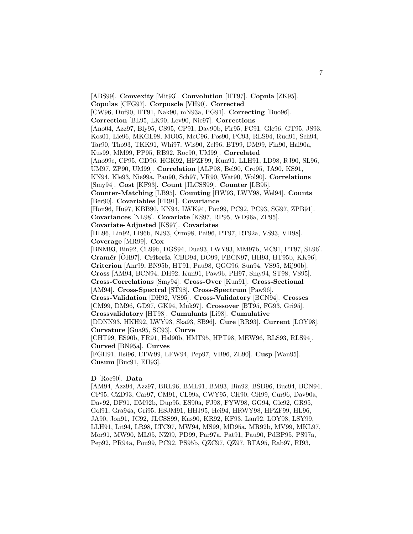[ABS99]. **Convexity** [Mit93]. **Convolution** [HT97]. **Copula** [ZK95]. **Copulas** [CFG97]. **Corpuscle** [VH90]. **Corrected** [CW96, Duf90, HT91, Nak90, mN93a, PG91]. **Correcting** [Buo96]. **Correction** [BL95, LK90, Lev90, Nie97]. **Corrections** [Ano04, Azz97, Bly95, CS95, CP91, Dav90b, Fir95, FC91, Gle96, GT95, JS93, Kos01, Lie96, MKGL98, MO05, McC96, Pos90, PC93, RLS94, Rud91, Sch94, Tar90, Tho93, TKK91, Whi97, Wis90, Zel96, BT99, DM99, Fin90, Hal90a, Kus99, MM99, PP95, RB92, Roc90, UM99]. **Correlated** [Ano99e, CP95, GD96, HGK92, HPZF99, Kun91, LLH91, LD98, RJ90, SL96, UM97, ZP90, UM99]. **Correlation** [ALP98, Bel90, Cro95, JA90, KS91, KN94, Kle93, Nie99a, Pau90, Sch97, VR90, Wat90, Wol90]. **Correlations** [Smy94]. **Cost** [KF93]. **Count** [JLCSS99]. **Counter** [LB95]. **Counter-Matching** [LB95]. **Counting** [HW93, LWY98, Wel94]. **Counts** [Ber90]. **Covariables** [FR91]. **Covariance** [Hon96, Hu97, KBB90, KN94, LWK94, Pou99, PC92, PC93, SG97, ZPB91]. **Covariances** [NL98]. **Covariate** [KS97, RP95, WD96a, ZP95]. **Covariate-Adjusted** [KS97]. **Covariates** [HL96, Lin92, LI96b, NJ93, Orm98, Pai96, PT97, RT92a, VS93, VH98]. **Coverage** [MR99]. **Cox** [BNM93, Bin92, CL99b, DGS94, Dua93, LWY93, MM97b, MC91, PT97, SL96]. **Cramér** [ÖH97]. **Criteria** [CBD94, DO99, FBCN97, HH93, HT95b, KK96]. **Criterion** [Anr99, BN95b, HT91, Pau98, QGG96, Sun94, VS95, Mij90b]. **Cross** [AM94, BCN94, DH92, Kun91, Paw96, PH97, Smy94, ST98, VS95]. **Cross-Correlations** [Smy94]. **Cross-Over** [Kun91]. **Cross-Sectional** [AM94]. **Cross-Spectral** [ST98]. **Cross-Spectrum** [Paw96]. **Cross-Validation** [DH92, VS95]. **Cross-Validatory** [BCN94]. **Crosses** [CM99, DM96, GD97, GK94, Muk97]. **Crossover** [BT95, FG93, Gri95]. **Crossvalidatory** [HT98]. **Cumulants** [Li98]. **Cumulative** [DDNN93, HKH92, LWY93, Ska93, SB96]. **Cure** [RR93]. **Current** [LOY98]. **Curvature** [Gua95, SC93]. **Curve** [CHT99, ES90b, FR91, Hal90b, HMT95, HPT98, MEW96, RLS93, RLS94]. **Curved** [BN95a]. **Curves** [FGH91, Hsi96, LTW99, LFW94, Pep97, VB96, ZL90]. **Cusp** [Wan95]. **Cusum** [Buc91, EH93].

#### **D** [Roc90]. **Data**

[AM94, Azz94, Azz97, BRL96, BML91, BM93, Bin92, BSD96, Buc94, BCN94, CP95, CZD93, Car97, CM91, CL99a, CWY95, CH90, CH99, Cur96, Dav90a, Dav92, DF91, DM92b, Dup95, ES90a, FJ98, FYW98, GG94, Gle92, GR95, Gol91, Gra94a, Gri95, HSJM91, HHJ95, Hei94, HRWY98, HPZF99, HL96, JA90, Jon91, JC92, JLCSS99, Kas90, KR92, KF93, Lan92, LOY98, LSY99, LLH91, Lit94, LR98, LTC97, MW94, MS99, MD95a, MR92b, MV99, MKL97, Mor91, MW90, ML95, NZ99, PD99, Par97a, Pat91, Pau90, PdBP95, PS97a, Pep92, PR94a, Pou99, PC92, PS95b, QZC97, QZ97, RTA95, Rab97, RI93,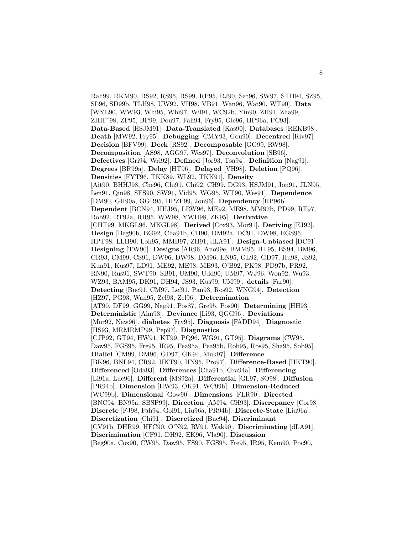Rah99, RKM90, RS92, RS95, RS99, RP95, RJ90, Sat96, SW97, STH94, SZ95, SL96, SD99b, TLH98, UW92, VH98, VB91, Wan96, Wat90, WT90]. **Data** [WYL90, WW93, Whi95, Whi97, Wil91, WC92b, Yin90, ZH91, Zha99, ZHH<sup>+</sup>98, ZP95, BP99, Dou97, Fah94, Fry95, Gle96, HP96a, PC93]. **Data-Based** [HSJM91]. **Data-Translated** [Kas90]. **Databases** [REKB98]. **Death** [MW92, Fry95]. **Debugging** [CMY93, Gou90]. **Decentred** [Riv97]. **Decision** [BFV99]. **Deck** [RS92]. **Decomposable** [GG99, RW98]. **Decomposition** [AS98, AGG97, Wes97]. **Deconvolution** [SB96]. **Defectives** [Gri94, Wri92]. **Defined** [Jor93, Tsa94]. **Definition** [Nag91]. **Degrees** [BR99a]. **Delay** [HT96]. **Delayed** [VH98]. **Deletion** [PQ96]. **Densities** [FYT96, TKK89, WL92, TKK91]. **Density** [Ait90, BHHJ98, Che96, Chi91, Chi92, CH99, DG93, HSJM91, Jon91, JLN95, Len91, Qin98, SES90, SW91, Vid95, WG95, WT90, Wes91]. **Dependence** [DM90, GH90a, GGR95, HPZF99, Jon96]. **Dependency** [HP96b]. **Dependent** [BCN94, HHJ95, LRW96, ME92, ME98, MM97b, PD99, RT97, Rob92, RT92a, RR95, WW98, YWH98, ZK95]. **Derivative** [CHT99, MKGL96, MKGL98]. **Derived** [Cox93, Mor91]. **Deriving** [EJ92]. **Design** [Beg90b, BG92, Cha91b, CH90, DM92a, DC91, DW98, EGS96, HPT98, LLH90, Loh95, MMB97, ZH91, dLA91]. **Design-Unbiased** [DC91]. **Designing** [TW90]. **Designs** [AR96, Ano99e, BMM95, BT95, BS94, BM96, CR93, CM99, CS91, DW96, DW98, DM96, EN95, GL92, GD97, Hu98, JS92, Kun91, Kus97, LD91, ME92, ME98, MB93, O'B92, PK98, PD97b, PR92, RN90, Rus91, SWT90, SB91, UM90, Udd90, UM97, WJ96, Won92, Wu93, WZ93, BAM95, DK91, DH94, JS93, Kus99, UM99]. **details** [Far90]. **Detecting** [Buc91, CM97, Lef91, Pan93, Ros92, WNG94]. **Detection** [HZ97, PG93, Wan95, Zel93, Zel96]. **Determination** [AT90, DF99, GG99, Nag91, Pos87, Gre95, Pos90]. **Determining** [HH93]. **Deterministic** [Ahn93]. **Deviance** [Li93, QGG96]. **Deviations** [Mor92, New96]. **diabetes** [Fry95]. **Diagnosis** [FADD94]. **Diagnostic** [HS93, MRMRMP99, Pep97]. **Diagnostics** [CJP92, GT94, HW91, KT99, PQ96, WG91, GT95]. **Diagrams** [CW95, Daw95, FGS95, Fre95, IR95, Pea95a, Pea95b, Rob95, Ros95, Sha95, Sob95]. **Diallel** [CM99, DM96, GD97, GK94, Muk97]. **Difference** [BK96, BNL94, CR92, HKT90, HN95, Pro97]. **Difference-Based** [HKT90]. **Differenced** [Oda93]. **Differences** [Cha91b, Gra94a]. **Differencing** [Li91a, Luc96]. **Different** [MS92a]. **Differential** [GL97, SO98]. **Diffusion** [PR94b]. **Dimension** [HW93, OK91, WC99b]. **Dimension-Reduced** [WC99b]. **Dimensional** [Gow90]. **Dimensions** [FLR90]. **Directed** [BNC94, BN95a, SBSP99]. **Direction** [AM94, CH93]. **Discrepancy** [Cor98]. **Discrete** [FJ98, Fah94, Gol91, Liu96a, PR94b]. **Discrete-State** [Liu96a]. **Discretization** [Chi91]. **Discretized** [Buc94]. **Discriminant** [CV91b, DHR99, HFC90, O'N92, RV91, Wak90]. **Discriminating** [dLA91]. **Discrimination** [CF91, DH92, EK96, Vla90]. **Discussion** [Beg90a, Cox90, CW95, Daw95, FS90, FGS95, Fre95, IR95, Kem90, Poc90,

8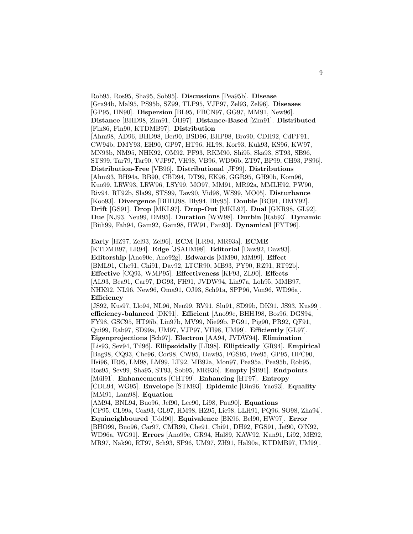Rob95, Ros95, Sha95, Sob95]. **Discussions** [Pea95b]. **Disease** [Gra94b, Mal95, PS95b, SZ99, TLP95, VJP97, Zel93, Zel96]. **Diseases** [GP95, HN90]. **Dispersion** [BL95, FBCN97, GG97, MM91, New96]. **Distance** [BHD98, Zim91, OH97]. ¨ **Distance-Based** [Zim91]. **Distributed** [Fin86, Fin90, KTDMB97]. **Distribution** [Ahm98, AD96, BHD98, Ber90, BSD96, BHP98, Bro90, CDH92, CdPF91, CW94b, DMY93, EH90, GP97, HT96, HL98, Kor93, Kuk93, KS96, KW97, MN93b, NM95, NHK92, OM92, PF93, RKM90, Shi95, Ska93, ST93, SB96, STS99, Tar79, Tar90, VJP97, VH98, VB96, WD96b, ZT97, BP99, CH93, PS96]. **Distribution-Free** [VB96]. **Distributional** [JF99]. **Distributions** [Ahm93, BH94a, BB90, CBD94, DT99, EK96, GGR95, GH90b, Kom96, Kuo99, LRW93, LRW96, LSY99, MO97, MM91, MR92a, MMLH92, PW90, Riv94, RT92b, Sla99, STS99, Taw90, Vid98, WS99, MO05]. **Disturbance** [Koo93]. **Divergence** [BHHJ98, Bly94, Bly95]. **Double** [BO91, DMY92]. **Drift** [GS91]. **Drop** [MKL97]. **Drop-Out** [MKL97]. **Dual** [GKR98, GL92]. **Due** [NJ93, Neu99, DM95]. **Duration** [WW98]. **Durbin** [Rab93]. **Dynamic** [B¨uh99, Fah94, Gam92, Gam98, HW91, Pan93]. **Dynamical** [FYT96].

**Early** [HZ97, Zel93, Zel96]. **ECM** [LR94, MR93a]. **ECME** [KTDMB97, LR94]. **Edge** [JSAHM98]. **Editorial** [Daw92, Daw93]. **Editorship** [Ano90e, Ano92g]. **Edwards** [MM90, MM99]. **Effect** [BML91, Che91, Chi91, Dav92, LTCR90, MB93, PY90, RZ91, RT92b]. **Effective** [CQ93, WMP95]. **Effectiveness** [KF93, ZL90]. **Effects** [AL93, Bea91, Car97, DG93, FH91, JVDW94, Lin97a, Loh95, MMB97, NHK92, NL96, New96, Oma91, OJ93, Sch91a, SPP96, Von96, WD96a]. **Efficiency**

[JS92, Kus97, Llo94, NL96, Neu99, RV91, Slu91, SD99b, DK91, JS93, Kus99]. **efficiency-balanced** [DK91]. **Efficient** [Ano99e, BHHJ98, Bos96, DGS94, FY98, GSC95, HT95b, Lin97b, MV99, Nie99b, PG91, Pig90, PR92, QF91, Qui99, Rab97, SD99a, UM97, VJP97, VH98, UM99]. **Efficiently** [GL97]. **Eigenprojections** [Sch97]. **Electron** [AA94, JVDW94]. **Elimination** [Lis93, Sev94, Til96]. **Ellipsoidally** [LR98]. **Elliptically** [GR94]. **Empirical** [Bag98, CQ93, Che96, Cor98, CW95, Daw95, FGS95, Fre95, GP95, HFC90, Hsi96, IR95, LM98, LM99, LT92, MB92a, Mon97, Pea95a, Pea95b, Rob95, Ros95, Sev99, Sha95, ST93, Sob95, MR93b]. **Empty** [SB91]. **Endpoints** [M¨ul91]. **Enhancements** [CHT99]. **Enhancing** [HT97]. **Entropy** [CDL94, WG95]. **Envelope** [STM93]. **Epidemic** [Din96, Yao93]. **Equality** [MM91, Lam98]. **Equation** [AM94, BNL94, Buo96, Jef90, Lee90, Li98, Pau90]. **Equations**

[CP95, CL99a, Cox93, GL97, HM98, HZ95, Lie98, LLH91, PQ96, SO98, Zha94]. **Equineighboured** [Udd90]. **Equivalence** [BK96, Bel90, HW97]. **Error** [BHO99, Buo96, Car97, CMR99, Che91, Chi91, DH92, FGS91, Jef90, O'N92, WD96a, WG91]. **Errors** [Ano99e, GR94, Hal89, KAW92, Kun91, Li92, ME92, MR97, Nak90, RT97, Sch93, SP96, UM97, ZH91, Hal90a, KTDMB97, UM99].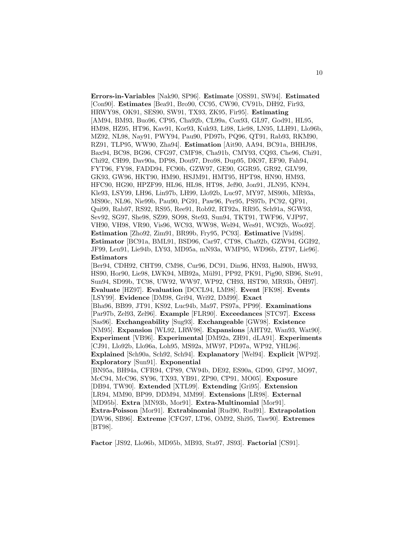**Errors-in-Variables** [Nak90, SP96]. **Estimate** [OSS91, SW94]. **Estimated** [Con90]. **Estimates** [Bea91, Bro90, CC95, CW90, CV91b, DH92, Fir93, HRWY98, OK91, SES90, SW91, TX93, ZK95, Fir95]. **Estimating** [AM94, BM93, Buo96, CP95, Cha92b, CL99a, Cox93, GL97, God91, HL95, HM98, HZ95, HT96, Kav91, Kor93, Kuk93, Li98, Lie98, LN95, LLH91, Llo96b, MZ92, NL98, Nay91, PWY94, Pau90, PD97b, PQ96, QT91, Rab93, RKM90, RZ91, TLP95, WW90, Zha94]. **Estimation** [Ait90, AA94, BC91a, BHHJ98, Bax94, BC98, BG96, CFG97, CMF98, Cha91b, CMY93, CQ93, Che96, Chi91, Chi92, CH99, Dav90a, DP98, Dou97, Dro98, Dup95, DK97, EF90, Fah94, FYT96, FY98, FADD94, FC90b, GZW97, GE90, GGR95, GR92, GLV99, GK93, GW96, HKT90, HM90, HSJM91, HMT95, HPT98, HN90, HM93, HFC90, HG90, HPZF99, HL96, HL98, HT98, Jef90, Jon91, JLN95, KN94, Kle93, LSY99, LH96, Lin97b, LH99, Llo92b, Luc97, MY97, MS90b, MR93a, MS90c, NL96, Nie99b, Pau90, PG91, Paw96, Per95, PS97b, PC92, QF91, Qui99, Rab97, RS92, RS95, Ree91, Rob92, RT92a, RR95, Sch91a, SGW93, Sev92, SG97, She98, SZ99, SO98, Ste93, Sun94, TKT91, TWF96, VJP97, VH90, VH98, VR90, Vis96, WC93, WW98, Wel94, Wes91, WC92b, Woo92]. **Estimation** [Zho92, Zim91, BR99b, Fry95, PC93]. **Estimative** [Vid98]. **Estimator** [BC91a, BML91, BSD96, Car97, CT98, Cha92b, GZW94, GGI92, JF99, Len91, Lie94b, LY93, MD95a, mN93a, WMP95, WD96b, ZT97, Lie96]. **Estimators** [Ber94, CDH92, CHT99, CM98, Cur96, DC91, Din96, HN93, Hal90b, HW93, HS90, Hor90, Lie98, LWK94, MB92a, Mül91, PP92, PK91, Pig90, SB96, Ste91, Sun94, SD99b, TC98, UW92, WW97, WP92, CH93, HST90, MR93b, OH97]. ¨ **Evaluate** [HZ97]. **Evaluation** [DCCL94, LM98]. **Event** [FK98]. **Events** [LSY99]. **Evidence** [DM98, Gri94, Wri92, DM99]. **Exact** [Bha96, BB99, JT91, KS92, Luc94b, Ma97, PS97a, PP99]. **Examinations** [Par97b, Zel93, Zel96]. **Example** [FLR90]. **Exceedances** [STC97]. **Excess** [Sas96]. **Exchangeability** [Sug93]. **Exchangeable** [GW98]. **Existence** [NM95]. **Expansion** [WL92, LRW98]. **Expansions** [AHT92, Wan93, Wat90]. **Experiment** [VB96]. **Experimental** [DM92a, ZH91, dLA91]. **Experiments** [CJ91, Llo92b, Llo96a, Loh95, MS92a, MW97, PD97a, WP92, YHL96]. **Explained** [Sch90a, Sch92, Sch94]. **Explanatory** [Wel94]. **Explicit** [WP92]. **Exploratory** [Sun91]. **Exponential** [BN95a, BH94a, CFR94, CP89, CW94b, DE92, ES90a, GD90, GP97, MO97, McC94, McC96, SY96, TX93, YB91, ZP90, CP91, MO05]. **Exposure** [DB94, TW90]. **Extended** [XTL99]. **Extending** [Gri95]. **Extension** [LR94, MM90, BP99, DDM94, MM99]. **Extensions** [LR98]. **External** [MD95b]. **Extra** [MN93b, Mor91]. **Extra-Multinomial** [Mor91]. **Extra-Poisson** [Mor91]. **Extrabinomial** [Rud90, Rud91]. **Extrapolation** [DW96, SB96]. **Extreme** [CFG97, LT96, OM92, Shi95, Taw90]. **Extremes** [BT98].

**Factor** [JS92, Llo96b, MD95b, MB93, Sta97, JS93]. **Factorial** [CS91].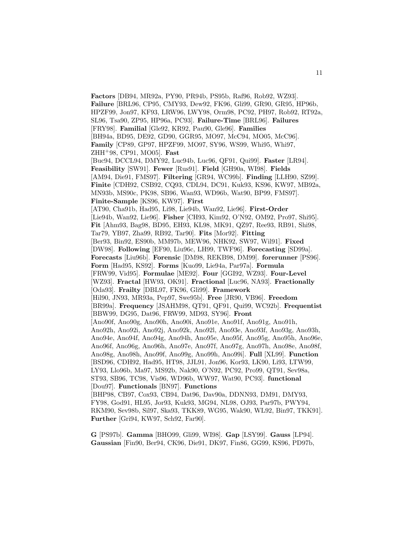**Factors** [DB94, MR92a, PY90, PR94b, PS95b, Raf96, Rob92, WZ93]. **Failure** [BRL96, CP95, CMY93, Dew92, FK96, Gli99, GR90, GR95, HP96b, HPZF99, Jon97, KF93, LRW96, LWY98, Orm98, PC92, PH97, Rob92, RT92a, SL96, Tsa90, ZP95, HP96a, PC93]. **Failure-Time** [BRL96]. **Failures** [FRY98]. **Familial** [Gle92, KR92, Pau90, Gle96]. **Families** [BH94a, BD95, DE92, GD90, GGR95, MO97, McC94, MO05, McC96]. **Family** [CP89, GP97, HPZF99, MO97, SY96, WS99, Whi95, Whi97, ZHH<sup>+</sup>98, CP91, MO05]. **Fast** [Buc94, DCCL94, DMY92, Luc94b, Luc96, QF91, Qui99]. **Faster** [LR94]. **Feasibility** [SW91]. **Fewer** [Rus91]. **Field** [GH90a, WI98]. **Fields** [AM94, Die91, FMS97]. **Filtering** [GR94, WC99b]. **Finding** [LLH90, SZ99]. **Finite** [CDH92, CSB92, CQ93, CDL94, DC91, Kuk93, KS96, KW97, MB92a, MN93b, MS90c, PK98, SB96, Wan93, WD96b, Wat90, BP99, FMS97]. **Finite-Sample** [KS96, KW97]. **First** [AT90, Cha91b, Had95, Li98, Lie94b, Wan92, Lie96]. **First-Order** [Lie94b, Wan92, Lie96]. **Fisher** [CH93, Kim92, O'N92, OM92, Pro97, Shi95]. **Fit** [Ahm93, Bag98, BD95, EH93, KL98, MK91, QZ97, Ree93, RB91, Shi98, Tar79, YB97, Zha99, RB92, Tar90]. **Fits** [Mor92]. **Fitting** [Ber93, Bin92, ES90b, MM97b, MEW96, NHK92, SW97, Wil91]. **Fixed** [DW98]. **Following** [EF90, Liu96c, LH99, TWF96]. **Forecasting** [SD99a]. **Forecasts** [Liu96b]. **Forensic** [DM98, REKB98, DM99]. **forerunner** [PS96]. **Form** [Had95, KS92]. **Forms** [Kuo99, Lie94a, Par97a]. **Formula** [FRW99, Vid95]. **Formulae** [ME92]. **Four** [GGI92, WZ93]. **Four-Level** [WZ93]. **Fractal** [HW93, OK91]. **Fractional** [Luc96, NA93]. **Fractionally** [Oda93]. **Frailty** [DBL97, FK96, Gli99]. **Framework** [Hil90, JN93, MR93a, Pep97, Swe95b]. **Free** [JR90, VB96]. **Freedom** [BR99a]. **Frequency** [JSAHM98, QT91, QF91, Qui99, WC92b]. **Frequentist** [BBW99, DG95, Dat96, FRW99, MD93, SY96]. **Front** [Ano90f, Ano90g, Ano90h, Ano90i, Ano91e, Ano91f, Ano91g, Ano91h, Ano92h, Ano92i, Ano92j, Ano92k, Ano92l, Ano93e, Ano93f, Ano93g, Ano93h, Ano94e, Ano94f, Ano94g, Ano94h, Ano95e, Ano95f, Ano95g, Ano95h, Ano96e, Ano96f, Ano96g, Ano96h, Ano97e, Ano97f, Ano97g, Ano97h, Ano98e, Ano98f, Ano98g, Ano98h, Ano99f, Ano99g, Ano99h, Ano99i]. **Full** [XL99]. **Function** [BSD96, CDH92, Had95, HT98, JJL91, Jon96, Kor93, LK90, Li93, LTW99, LY93, Llo96b, Ma97, MS92b, Nak90, O'N92, PC92, Pro99, QT91, Sev98a, ST93, SB96, TC98, Vis96, WD96b, WW97, Wat90, PC93]. **functional** [Dou97]. **Functionals** [BN97]. **Functions** [BHP98, CB97, Cox93, CB94, Dat96, Dav90a, DDNN93, DM91, DMY93, FY98, God91, HL95, Jor93, Kuk93, MG94, NL98, OJ93, Par97b, PWY94, RKM90, Sev98b, Sil97, Ska93, TKK89, WG95, Wak90, WL92, Bin97, TKK91]. **Further** [Gri94, KW97, Sch92, Far90].

**G** [PS97b]. **Gamma** [BHO99, Gli99, WI98]. **Gap** [LSY99]. **Gauss** [LP94]. **Gaussian** [Fin90, Ber94, CK96, Die91, DK97, Fin86, GG99, KS96, PD97b,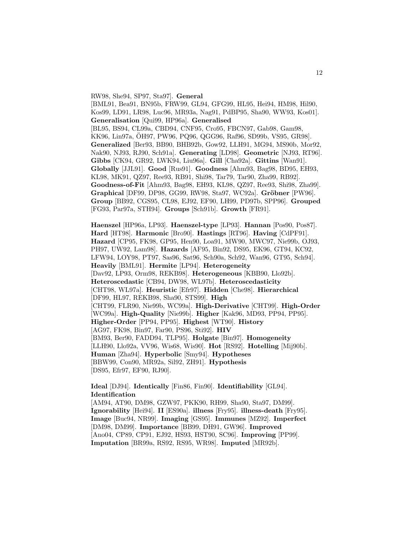RW98, She94, SP97, Sta97]. **General** [BML91, Bea91, BN95b, FRW99, GL94, GFG99, HL95, Hei94, HM98, Hil90, Kos99, LD91, LR98, Luc96, MR93a, Nag91, PdBP95, Sha90, WW93, Kos01]. **Generalisation** [Qui99, HP96a]. **Generalised** [BL95, BS94, CL99a, CBD94, CNF95, Cro95, FBCN97, Gab98, Gam98, KK96, Lin97a, OH97, PW96, PQ96, QGG96, Raf96, SD99b, VS95, GR98]. ¨ **Generalized** [Ber93, BB90, BHB92b, Gow92, LLH91, MG94, MS90b, Mor92, Nak90, NJ93, RJ90, Sch91a]. **Generating** [LD98]. **Geometric** [NJ93, RT96]. **Gibbs** [CK94, GR92, LWK94, Liu96a]. **Gill** [Cha92a]. **Gittins** [Wan91]. **Globally** [JJL91]. **Good** [Rus91]. **Goodness** [Ahm93, Bag98, BD95, EH93, KL98, MK91, QZ97, Ree93, RB91, Shi98, Tar79, Tar90, Zha99, RB92]. **Goodness-of-Fit** [Ahm93, Bag98, EH93, KL98, QZ97, Ree93, Shi98, Zha99]. **Graphical** [DF99, DP98, GG99, RW98, Sta97, WC92a]. **Gröbner** [PW96]. **Group** [BB92, CGS95, CL98, EJ92, EF90, LH99, PD97b, SPP96]. **Grouped** [FG93, Par97a, STH94]. **Groups** [Sch91b]. **Growth** [FR91].

**Haenszel** [HP96a, LP93]. **Haenszel-type** [LP93]. **Hannan** [Pos90, Pos87]. **Hard** [HT98]. **Harmonic** [Bro90]. **Hastings** [RT96]. **Having** [CdPF91]. **Hazard** [CP95, FK98, GP95, Hen90, Loa91, MW90, MWC97, Nie99b, OJ93, PH97, UW92, Lam98]. **Hazards** [AF95, Bin92, DS95, EK96, GT94, KC92, LFW94, LOY98, PT97, Sas96, Sat96, Sch90a, Sch92, Wan96, GT95, Sch94]. **Heavily** [BML91]. **Hermite** [LP94]. **Heterogeneity** [Dav92, LP93, Orm98, REKB98]. **Heterogeneous** [KBB90, Llo92b]. **Heteroscedastic** [CB94, DW98, WL97b]. **Heteroscedasticity** [CHT98, WL97a]. **Heuristic** [Efr97]. **Hidden** [Che98]. **Hierarchical** [DF99, HL97, REKB98, Sha90, STS99]. **High** [CHT99, FLR90, Nie99b, WC99a]. **High-Derivative** [CHT99]. **High-Order** [WC99a]. **High-Quality** [Nie99b]. **Higher** [Kak96, MD93, PP94, PP95]. **Higher-Order** [PP94, PP95]. **Highest** [WT90]. **History** [AG97, FK98, Bin97, Far90, PS96, Sti92]. **HIV** [BM93, Ber90, FADD94, TLP95]. **Holgate** [Bin97]. **Homogeneity** [LLH90, Llo92a, VV96, Wis68, Wis90]. **Hot** [RS92]. **Hotelling** [Mij90b]. **Human** [Zha94]. **Hyperbolic** [Smy94]. **Hypotheses** [BBW99, Con90, MR92a, Sil92, ZH91]. **Hypothesis** [DS95, Efr97, EF90, RJ90].

**Ideal** [DJ94]. **Identically** [Fin86, Fin90]. **Identifiability** [GL94]. **Identification** [AM94, AT90, DM98, GZW97, PKK90, RH99, Sha90, Sta97, DM99]. **Ignorability** [Hei94]. **II** [ES90a]. **illness** [Fry95]. **illness-death** [Fry95]. **Image** [Buc94, NR99]. **Imaging** [GS95]. **Immunes** [MZ92]. **Imperfect** [DM98, DM99]. **Importance** [BB99, DH91, GW96]. **Improved**

[Ano04, CP89, CP91, EJ92, HS93, HST90, SC96]. **Improving** [PP99].

**Imputation** [BR99a, RS92, RS95, WR98]. **Imputed** [MR92b].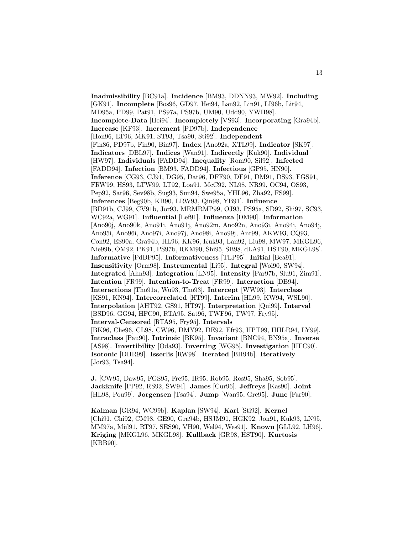**Inadmissibility** [BC91a]. **Incidence** [BM93, DDNN93, MW92]. **Including** [GK91]. **Incomplete** [Bos96, GD97, Hei94, Lan92, Lin91, LI96b, Lit94, MD95a, PD99, Pat91, PS97a, PS97b, UM90, Udd90, YWH98]. **Incomplete-Data** [Hei94]. **Incompletely** [VS93]. **Incorporating** [Gra94b]. **Increase** [KF93]. **Increment** [PD97b]. **Independence** [Hon96, LT96, MK91, ST93, Tsa90, Sti92]. **Independent** [Fin86, PD97b, Fin90, Bin97]. **Index** [Ano92a, XTL99]. **Indicator** [SK97]. **Indicators** [DBL97]. **Indices** [Wan91]. **Indirectly** [Kuk90]. **Individual** [HW97]. **Individuals** [FADD94]. **Inequality** [Rom90, Sil92]. **Infected** [FADD94]. **Infection** [BM93, FADD94]. **Infectious** [GP95, HN90]. **Inference** [CG93, CJ91, DG95, Dat96, DFF90, DF91, DM91, DS93, FGS91, FRW99, HS93, LTW99, LT92, Loa91, McC92, NL98, NR99, OC94, OS93, Pep92, Sat96, Sev98b, Sug93, Sun94, Swe95a, YHL96, Zha92, FS99]. **Inferences** [Beg90b, KB90, LRW93, Qin98, YB91]. **Influence** [BD91b, CJ99, CV91b, Jor93, MRMRMP99, OJ93, PS95a, SD92, Shi97, SC93, WC92a, WG91]. **Influential** [Lef91]. **Influenza** [DM90]. **Information** [Ano90j, Ano90k, Ano91i, Ano91j, Ano92m, Ano92n, Ano93i, Ano94i, Ano94j, Ano95i, Ano96i, Ano97i, Ano97j, Ano98i, Ano99j, Anr99, AKW93, CQ93, Con92, ES90a, Gra94b, HL96, KK96, Kuk93, Lan92, Liu98, MW97, MKGL96, Nie99b, OM92, PK91, PS97b, RKM90, Shi95, SB98, dLA91, HST90, MKGL98]. **Informative** [PdBP95]. **Informativeness** [TLP95]. **Initial** [Bea91]. **Insensitivity** [Orm98]. **Instrumental** [Li95]. **Integral** [Wol90, SW94]. **Integrated** [Ahn93]. **Integration** [LN95]. **Intensity** [Par97b, Slu91, Zim91]. **Intention** [FR99]. **Intention-to-Treat** [FR99]. **Interaction** [DB94]. **Interactions** [Tho91a, Wu93, Tho93]. **Intercept** [WW93]. **Interclass** [KS91, KN94]. **Intercorrelated** [HT99]. **Interim** [HL99, KW94, WSL90]. **Interpolation** [AHT92, GS91, HT97]. **Interpretation** [Qui99]. **Interval** [BSD96, GG94, HFC90, RTA95, Sat96, TWF96, TW97, Fry95]. **Interval-Censored** [RTA95, Fry95]. **Intervals** [BK96, Che96, CL98, CW96, DMY92, DE92, Efr93, HPT99, HHLR94, LY99]. **Intraclass** [Pau90]. **Intrinsic** [BK95]. **Invariant** [BNC94, BN95a]. **Inverse** [AS98]. **Invertibility** [Oda93]. **Inverting** [WG95]. **Investigation** [HFC90]. **Isotonic** [DHR99]. **Isserlis** [RW98]. **Iterated** [BH94b]. **Iteratively** [Jor93, Tsa94].

**J.** [CW95, Daw95, FGS95, Fre95, IR95, Rob95, Ros95, Sha95, Sob95]. **Jackknife** [PP92, RS92, SW94]. **James** [Cur96]. **Jeffreys** [Kas90]. **Joint** [HL98, Pou99]. **Jorgensen** [Tsa94]. **Jump** [Wan95, Gre95]. **June** [Far90].

**Kalman** [GR94, WC99b]. **Kaplan** [SW94]. **Karl** [Sti92]. **Kernel** [Chi91, Chi92, CM98, GE90, Gra94b, HSJM91, HGK92, Jon91, Kuk93, LN95, MM97a, M¨ul91, RT97, SES90, VH90, Wel94, Wes91]. **Known** [GLL92, LH96]. **Kriging** [MKGL96, MKGL98]. **Kullback** [GR98, HST90]. **Kurtosis** [KBB90].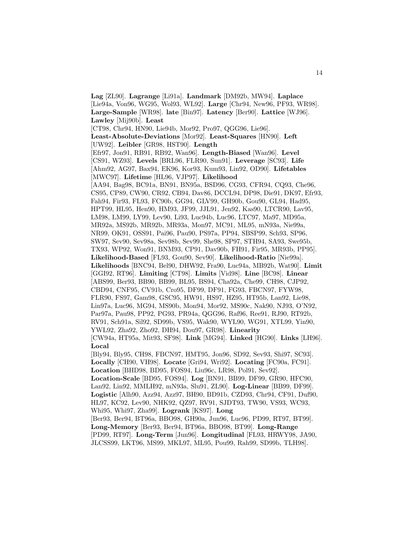**Lag** [ZL90]. **Lagrange** [Li91a]. **Landmark** [DM92b, MW94]. **Laplace** [Lie94a, Von96, WG95, Wol93, WL92]. **Large** [Chr94, New96, PF93, WR98]. **Large-Sample** [WR98]. **late** [Bin97]. **Latency** [Ber90]. **Lattice** [WJ96]. **Lawley** [Mij90b]. **Least** [CT98, Chr94, HN90, Lie94b, Mor92, Pro97, QGG96, Lie96]. **Least-Absolute-Deviations** [Mor92]. **Least-Squares** [HN90]. **Left** [UW92]. **Leibler** [GR98, HST90]. **Length** [Efr97, Jon91, RB91, RB92, Wan96]. **Length-Biased** [Wan96]. **Level** [CS91, WZ93]. **Levels** [BRL96, FLR90, Sun91]. **Leverage** [SC93]. **Life** [Ahm92, AG97, Bax94, EK96, Kor93, Kum93, Lin92, OD90]. **Lifetables** [MWC97]. **Lifetime** [HL96, VJP97]. **Likelihood** [AA94, Bag98, BC91a, BN91, BN95a, BSD96, CG93, CFR94, CQ93, Che96, CS95, CP89, CW90, CR92, CB94, Dav86, DCCL94, DP98, Die91, DK97, Efr93, Fah94, Fir93, FL93, FC90b, GG94, GLV99, GH90b, Gou90, GL94, Had95, HPT99, HL95, Hen90, HM93, JF99, JJL91, Jen92, Kas90, LTCR90, Lav95, LM98, LM99, LY99, Lev90, Li93, Luc94b, Luc96, LTC97, Ma97, MD95a, MR92a, MS92b, MR92b, MR93a, Mon97, MC91, ML95, mN93a, Nie99a, NR99, OK91, OSS91, Pai96, Pau90, PS97a, PP94, SBSP99, Sch93, SP96, SW97, Sev90, Sev98a, Sev98b, Sev99, She98, SP97, STH94, SA93, Swe95b, TX93, WP92, Won91, BNM93, CP91, Dav90b, FH91, Fir95, MR93b, PP95]. **Likelihood-Based** [FL93, Gou90, Sev90]. **Likelihood-Ratio** [Nie99a]. **Likelihoods** [BNC94, Bel90, DHW92, Fra90, Luc94a, MB92b, Wat90]. **Limit** [GGI92, RT96]. **Limiting** [CT98]. **Limits** [Vid98]. **Line** [BC98]. **Linear** [ABS99, Ber93, BB90, BB99, BL95, BS94, Cha92a, Che99, CH98, CJP92, CBD94, CNF95, CV91b, Cro95, DF99, DF91, FG93, FBCN97, FYW98, FLR90, FS97, Gam98, GSC95, HW91, HS97, HZ95, HT95b, Lan92, Lie98, Lin97a, Luc96, MG94, MS90b, Mon94, Mor92, MS90c, Nak90, NJ93, O'N92, Par97a, Pau98, PP92, PG93, PR94a, QGG96, Raf96, Ree91, RJ90, RT92b, RV91, Sch91a, Sil92, SD99b, VS95, Wak90, WYL90, WG91, XTL99, Yin90, YWL92, Zha92, Zho92, DH94, Dou97, GR98]. **Linearity** [CW94a, HT95a, Mit93, SF98]. **Link** [MG94]. **Linked** [HG90]. **Links** [LH96]. **Local** [Bly94, Bly95, CH98, FBCN97, HMT95, Jon96, SD92, Sev93, Shi97, SC93]. **Locally** [CH90, VH98]. **Locate** [Gri94, Wri92]. **Locating** [FC90a, FC91]. **Location** [BHD98, BD95, FOS94, Liu96c, LR98, Pol91, Sev92]. **Location-Scale** [BD95, FOS94]. **Log** [BN91, BB99, DF99, GR90, HFC90, Lan92, Lin92, MMLH92, mN93a, Slu91, ZL90]. **Log-Linear** [BB99, DF99]. **Logistic** [Alh90, Azz94, Azz97, BH90, BD91b, CZD93, Chr94, CF91, Duf90, HL97, KC92, Lev90, NHK92, QZ97, RV91, SJDT93, TW90, VS93, WC93, Whi95, Whi97, Zha99]. **Logrank** [KS97]. **Long** [Ber93, Ber94, BT96a, BBO98, GH90a, Jun96, Luc96, PD99, RT97, BT99]. **Long-Memory** [Ber93, Ber94, BT96a, BBO98, BT99]. **Long-Range** [PD99, RT97]. **Long-Term** [Jun96]. **Longitudinal** [FL93, HRWY98, JA90, JLCSS99, LKT96, MS99, MKL97, ML95, Pou99, Rah99, SD99b, TLH98].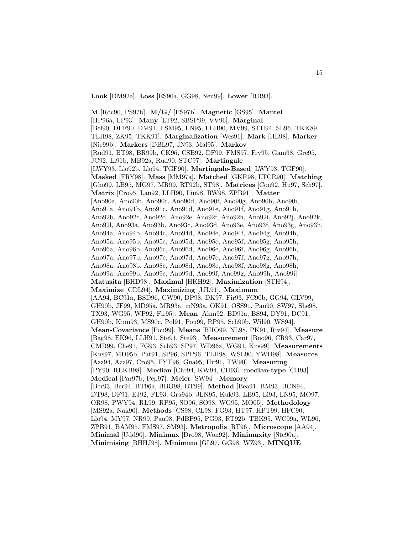**Look** [DM92a]. **Loss** [ES90a, GG98, Neu99]. **Lower** [RR93].

**M** [Roc90, PS97b]. **M/G/** [PS97b]. **Magnetic** [GS95]. **Mantel** [HP96a, LP93]. **Many** [LT92, SBSP99, VV96]. **Marginal** [Bel90, DFF90, DM91, ESM95, LN95, LLH90, MV99, STH94, SL96, TKK89, TLH98, ZK95, TKK91]. **Marginalization** [Wes91]. **Mark** [HL98]. **Marker** [Nie99b]. **Markers** [DBL97, JN93, Mal95]. **Markov** [Rud91, BT98, BR99b, CK96, CSB92, DF99, FMS97, Fry95, Gam98, Gre95, JC92, Li91b, MB92a, Rud90, STC97]. **Martingale** [LWY93, Llo92b, Llo94, TGF90]. **Martingale-Based** [LWY93, TGF90]. **Masked** [FRY98]. **Mass** [MM97a]. **Matched** [GKR98, LTCR90]. **Matching** [Gho99, LB95, MG97, MR99, RT92b, ST98]. **Matrices** [Con92, Hu97, Sch97]. **Matrix** [Cro95, Lan92, LLH90, Liu98, RW98, ZPB91]. **Matter** [Ano90a, Ano90b, Ano90c, Ano90d, Ano90f, Ano90g, Ano90h, Ano90i, Ano91a, Ano91b, Ano91c, Ano91d, Ano91e, Ano91f, Ano91g, Ano91h, Ano92b, Ano92c, Ano92d, Ano92e, Ano92f, Ano92h, Ano92i, Ano92j, Ano92k, Ano92l, Ano93a, Ano93b, Ano93c, Ano93d, Ano93e, Ano93f, Ano93g, Ano93h, Ano94a, Ano94b, Ano94c, Ano94d, Ano94e, Ano94f, Ano94g, Ano94h, Ano95a, Ano95b, Ano95c, Ano95d, Ano95e, Ano95f, Ano95g, Ano95h, Ano96a, Ano96b, Ano96c, Ano96d, Ano96e, Ano96f, Ano96g, Ano96h, Ano97a, Ano97b, Ano97c, Ano97d, Ano97e, Ano97f, Ano97g, Ano97h, Ano98a, Ano98b, Ano98c, Ano98d, Ano98e, Ano98f, Ano98g, Ano98h, Ano99a, Ano99b, Ano99c, Ano99d, Ano99f, Ano99g, Ano99h, Ano99i]. **Matusita** [BHD98]. **Maximal** [HKH92]. **Maximization** [STH94]. **Maximize** [CDL94]. **Maximizing** [JJL91]. **Maximum** [AA94, BC91a, BSD96, CW90, DP98, DK97, Fir93, FC90b, GG94, GLV99, GH90b, JF99, MD95a, MR93a, mN93a, OK91, OSS91, Pau90, SW97, She98, TX93, WG95, WP92, Fir95]. **Mean** [Ahm92, BD91a, BS94, DY91, DC91, GH90b, Kum93, MS90c, Pol91, Pou99, RP95, Sch90b, Wil90, WS94]. **Mean-Covariance** [Pou99]. **Means** [BHO99, NL98, PK91, Riv94]. **Measure** [Bag98, EK96, LLH91, Ste91, Ste93]. **Measurement** [Buo96, CR93, Car97, CMR99, Che91, FG93, Sch93, SP97, WD96a, WG91, Kus99]. **Measurements** [Kus97, MD95b, Pat91, SP96, SPP96, TLH98, WSL90, YWH98]. **Measures** [Azz94, Azz97, Cro95, FYT96, Gua95, Hir91, TW90]. **Measuring** [PY90, REKB98]. **Median** [Chr94, KW94, CH93]. **median-type** [CH93]. **Medical** [Par97b, Pep97]. **Meier** [SW94]. **Memory** [Ber93, Ber94, BT96a, BBO98, BT99]. **Method** [Bea91, BM93, BCN94, DT98, DF91, EJ92, FL93, Gra94b, JLN95, Kuk93, LB95, Li93, LN95, MO97, OR98, PWY94, RL99, RP95, SO96, SO98, WG95, MO05]. **Methodology** [MS92a, Nak90]. **Methods** [CS98, CL98, FG93, HT97, HPT99, HFC90, Llo94, MY97, NR99, Pau98, PdBP95, PG93, RT92b, TBK95, WC99a, WL96, ZPB91, BAM95, FMS97, SM93]. **Metropolis** [RT96]. **Microscope** [AA94]. **Minimal** [Udd90]. **Minimax** [Dro98, Won92]. **Minimaxity** [Ste90a]. **Minimising** [BHHJ98]. **Minimum** [GL97, GG98, WZ93]. **MINQUE**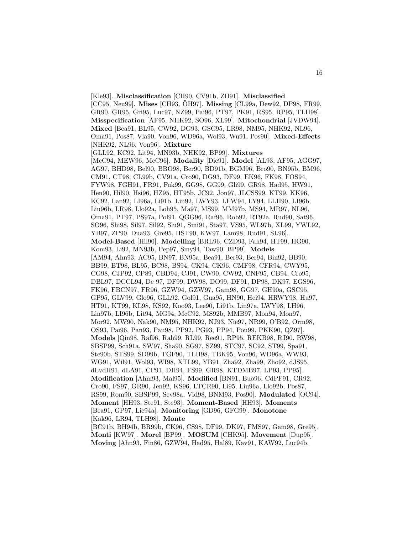[Kle93]. **Misclassification** [CH90, CV91b, ZH91]. **Misclassified** [CC95, Neu99]. **Mises** [CH93, ÖH97]. **Missing** [CL99a, Dew92, DP98, FR99, GR90, GR95, Gri95, Luc97, NZ99, Pai96, PT97, PK91, RS95, RP95, TLH98]. **Misspecification** [AF95, NHK92, SO96, XL99]. **Mitochondrial** [JVDW94]. **Mixed** [Bea91, BL95, CW92, DG93, GSC95, LR98, NM95, NHK92, NL96, Oma91, Pos87, Vla90, Von96, WD96a, Wol93, Wu91, Pos90]. **Mixed-Effects** [NHK92, NL96, Von96]. **Mixture** [GLL92, KC92, Lit94, MN93b, NHK92, BP99]. **Mixtures** [McC94, MEW96, McC96]. **Modality** [Die91]. **Model** [AL93, AF95, AGG97, AG97, BHD98, Bel90, BBO98, Ber90, BD91b, BGM96, Bro90, BN95b, BM96, CM91, CT98, CL99b, CV91a, Cro90, DG93, DF99, EK96, FK98, FOS94, FYW98, FGH91, FR91, Fuk99, GG98, GG99, Gli99, GR98, Had95, HW91, Hen90, Hil90, Hsi96, HZ95, HT95b, JC92, Jon97, JLCSS99, KT99, KK96, KC92, Lan92, LI96a, Li91b, Lin92, LWY93, LFW94, LY94, LLH90, LI96b, Liu96b, LR98, Llo92a, Loh95, Ma97, MS99, MM97b, MS94, MR97, NL96, Oma91, PT97, PS97a, Pol91, QGG96, Raf96, Rob92, RT92a, Rud90, Sat96, SO96, Shi98, Sil97, Sil92, Slu91, Smi91, Sta97, VS95, WL97b, XL99, YWL92, YB97, ZP90, Dua93, Gre95, HST90, KW97, Lam98, Rud91, SL96]. **Model-Based** [Hil90]. **Modelling** [BRL96, CZD93, Fah94, HT99, HG90, Kom93, Li92, MN93b, Pep97, Smy94, Taw90, BP99]. **Models** [AM94, Ahn93, AC95, BN97, BN95a, Bea91, Ber93, Ber94, Bin92, BB90, BB99, BT98, BL95, BC98, BS94, CK94, CK96, CMF98, CFR94, CWY95, CG98, CJP92, CP89, CBD94, CJ91, CW90, CW92, CNF95, CB94, Cro95, DBL97, DCCL94, De 97, DF99, DW98, DO99, DF91, DP98, DK97, EGS96, FK96, FBCN97, FR96, GZW94, GZW97, Gam98, GG97, GH90a, GSC95, GP95, GLV99, Glo96, GLL92, Gol91, Gua95, HN90, Hei94, HRWY98, Hu97, HT91, KT99, KL98, KS92, Koo93, Lee90, Li91b, Lin97a, LWY98, LH96, Lin97b, LI96b, Lit94, MG94, McC92, MS92b, MMB97, Mon94, Mon97, Mor92, MW90, Nak90, NM95, NHK92, NJ93, Nie97, NR99, O'B92, Orm98, OS93, Pai96, Pan93, Pau98, PP92, PG93, PP94, Pou99, PKK90, QZ97]. **Models** [Qin98, Raf96, Rah99, RL99, Ree91, RP95, REKB98, RJ90, RW98, SBSP99, Sch91a, SW97, Sha90, SG97, SZ99, STC97, SC92, ST99, Spa91, Ste90b, STS99, SD99b, TGF90, TLH98, TBK95, Von96, WD96a, WW93, WG91, Wil91, Wol93, WI98, XTL99, YB91, Zha92, Zha99, Zho92, dJS95, dLvdH91, dLA91, CP91, DH94, FS99, GR98, KTDMB97, LP93, PP95]. **Modification** [Ahm93, Mal95]. **Modified** [BN91, Buo96, CdPF91, CR92, Cro90, FS97, GR90, Jen92, KS96, LTCR90, Li95, Liu96a, Llo92b, Pos87, RS99, Rom90, SBSP99, Sev98a, Vid98, BNM93, Pos90]. **Modulated** [OC94]. **Moment** [HH93, Ste91, Ste93]. **Moment-Based** [HH93]. **Moments** [Bea91, GP97, Lie94a]. **Monitoring** [GD96, GFG99]. **Monotone** [Kak96, LR94, TLH98]. **Monte** [BC91b, BH94b, BR99b, CK96, CS98, DF99, DK97, FMS97, Gam98, Gre95]. **Monti** [KW97]. **Morel** [BP99]. **MOSUM** [CHK95]. **Movement** [Dup95].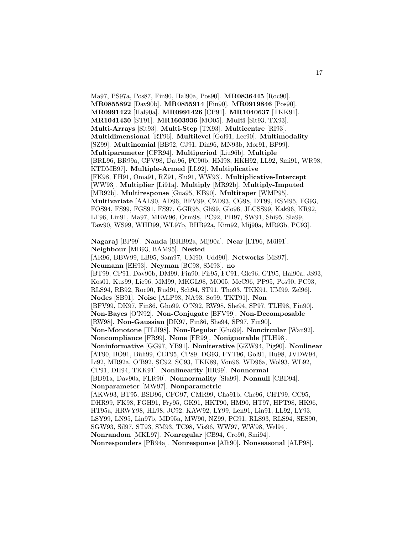Ma97, PS97a, Pos87, Fin90, Hal90a, Pos90]. **MR0836445** [Roc90]. **MR0855892** [Dav90b]. **MR0855914** [Fin90]. **MR0919846** [Pos90]. **MR0991422** [Hal90a]. **MR0991426** [CP91]. **MR1040637** [TKK91]. **MR1041430** [ST91]. **MR1603936** [MO05]. **Multi** [Sit93, TX93]. **Multi-Arrays** [Sit93]. **Multi-Step** [TX93]. **Multicentre** [RI93]. **Multidimensional** [RT96]. **Multilevel** [Gol91, Lee90]. **Multimodality** [SZ99]. **Multinomial** [BB92, CJ91, Din96, MN93b, Mor91, BP99]. **Multiparameter** [CFR94]. **Multiperiod** [Liu96b]. **Multiple** [BRL96, BR99a, CPV98, Dat96, FC90b, HM98, HKH92, LL92, Smi91, WR98, KTDMB97]. **Multiple-Armed** [LL92]. **Multiplicative** [FK98, FH91, Oma91, RZ91, Slu91, WW93]. **Multiplicative-Intercept** [WW93]. **Multiplier** [Li91a]. **Multiply** [MR92b]. **Multiply-Imputed** [MR92b]. **Multiresponse** [Gua95, KB90]. **Multitaper** [WMP95]. **Multivariate** [AAL90, AD96, BFV99, CZD93, CG98, DT99, ESM95, FG93, FOS94, FS99, FGS91, FS97, GGR95, Gli99, Glo96, JLCSS99, Kak96, KR92, LT96, Lin91, Ma97, MEW96, Orm98, PC92, PH97, SW91, Shi95, Sla99, Taw90, WS99, WHD99, WL97b, BHB92a, Kim92, Mij90a, MR93b, PC93]. **Nagaraj** [BP99]. **Nanda** [BHB92a, Mij90a]. **Near** [LT96, M¨ul91]. **Neighbour** [MB93, BAM95]. **Nested** [AR96, BBW99, LB95, Sam97, UM90, Udd90]. **Networks** [MS97]. **Neumann** [EH93]. **Neyman** [BC98, SM93]. **no** [BT99, CP91, Dav90b, DM99, Fin90, Fir95, FC91, Gle96, GT95, Hal90a, JS93, Kos01, Kus99, Lie96, MM99, MKGL98, MO05, McC96, PP95, Pos90, PC93, RLS94, RB92, Roc90, Rud91, Sch94, ST91, Tho93, TKK91, UM99, Zel96]. **Nodes** [SB91]. **Noise** [ALP98, NA93, So99, TKT91]. **Non** [BFV99, DK97, Fin86, Gho99, O'N92, RW98, She94, SP97, TLH98, Fin90]. **Non-Bayes** [O'N92]. **Non-Conjugate** [BFV99]. **Non-Decomposable** [RW98]. **Non-Gaussian** [DK97, Fin86, She94, SP97, Fin90]. **Non-Monotone** [TLH98]. **Non-Regular** [Gho99]. **Noncircular** [Wan92]. **Noncompliance** [FR99]. **None** [FR99]. **Nonignorable** [TLH98]. **Noninformative** [GG97, YB91]. **Noniterative** [GZW94, Pig90]. **Nonlinear** [AT90, BO91, Büh99, CLT95, CP89, DG93, FYT96, Gol91, Hu98, JVDW94, Li92, MR92a, O'B92, SC92, SC93, TKK89, Von96, WD96a, Wol93, WL92, CP91, DH94, TKK91]. **Nonlinearity** [HR99]. **Nonnormal** [BD91a, Dav90a, FLR90]. **Nonnormality** [Sla99]. **Nonnull** [CBD94]. **Nonparameter** [MW97]. **Nonparametric** [AKW93, BT95, BSD96, CFG97, CMR99, Cha91b, Che96, CHT99, CC95, DHR99, FK98, FGH91, Fry95, GK91, HKT90, HM90, HT97, HPT98, HK96, HT95a, HRWY98, HL98, JC92, KAW92, LY99, Len91, Lin91, LL92, LY93, LSY99, LN95, Lin97b, MD95a, MW90, NZ99, PG91, RLS93, RLS94, SES90, SGW93, Sil97, ST93, SM93, TC98, Vis96, WW97, WW98, Wel94]. **Nonrandom** [MKL97]. **Nonregular** [CB94, Cro90, Smi94]. **Nonresponders** [PR94a]. **Nonresponse** [Alh90]. **Nonseasonal** [ALP98].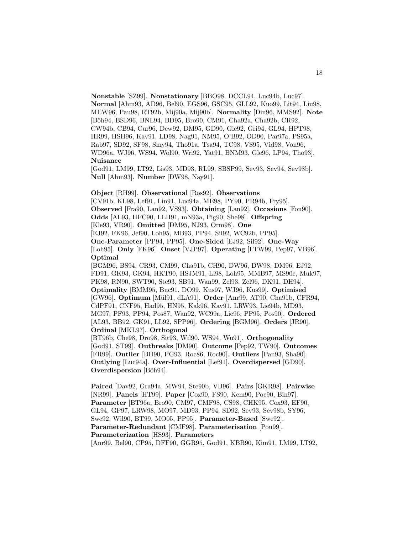**Nonstable** [SZ99]. **Nonstationary** [BBO98, DCCL94, Luc94b, Luc97]. **Normal** [Ahm93, AD96, Bel90, EGS96, GSC95, GLL92, Kuo99, Lit94, Liu98, MEW96, Pau98, RT92b, Mij90a, Mij90b]. **Normality** [Din96, MMS92]. **Note** [Böh94, BSD96, BNL94, BD95, Bro90, CM91, Cha92a, Cha92b, CR92, CW94b, CB94, Cur96, Dew92, DM95, GD90, Gle92, Gri94, GL94, HPT98, HR99, HSH96, Kav91, LD98, Nag91, NM95, O'B92, OD90, Par97a, PS95a, Rab97, SD92, SF98, Smy94, Tho91a, Tsa94, TC98, VS95, Vid98, Von96, WD96a, WJ96, WS94, Wol90, Wri92, Yat91, BNM93, Gle96, LP94, Tho93]. **Nuisance**

[God91, LM99, LT92, Lis93, MD93, RL99, SBSP99, Sev93, Sev94, Sev98b]. **Null** [Ahm93]. **Number** [DW98, Nay91].

**Object** [RH99]. **Observational** [Ros92]. **Observations** [CV91b, KL98, Lef91, Lin91, Luc94a, ME98, PY90, PR94b, Fry95]. **Observed** [Fra90, Lan92, VS93]. **Obtaining** [Lan92]. **Occasions** [Fon90]. **Odds** [AL93, HFC90, LLH91, mN93a, Pig90, She98]. **Offspring** [Kle93, VR90]. **Omitted** [DM95, NJ93, Orm98]. **One** [EJ92, FK96, Jef90, Loh95, MB93, PP94, Sil92, WC92b, PP95]. **One-Parameter** [PP94, PP95]. **One-Sided** [EJ92, Sil92]. **One-Way** [Loh95]. **Only** [FK96]. **Onset** [VJP97]. **Operating** [LTW99, Pep97, VB96]. **Optimal** [BGM96, BS94, CR93, CM99, Cha91b, CH90, DW96, DW98, DM96, EJ92, FD91, GK93, GK94, HKT90, HSJM91, Li98, Loh95, MMB97, MS90c, Muk97,

PK98, RN90, SWT90, Ste93, SB91, Wan99, Zel93, Zel96, DK91, DH94]. **Optimality** [BMM95, Buc91, DO99, Kus97, WJ96, Kus99]. **Optimised** [GW96]. **Optimum** [M¨ul91, dLA91]. **Order** [Anr99, AT90, Cha91b, CFR94, CdPF91, CNF95, Had95, HN95, Kak96, Kav91, LRW93, Lie94b, MD93, MG97, PF93, PP94, Pos87, Wan92, WC99a, Lie96, PP95, Pos90]. **Ordered** [AL93, BB92, GK91, LL92, SPP96]. **Ordering** [BGM96]. **Orders** [JR90]. **Ordinal** [MKL97]. **Orthogonal**

[BT96b, Che98, Dro98, Sit93, Wil90, WS94, Wu91]. **Orthogonality** [God91, ST99]. **Outbreaks** [DM90]. **Outcome** [Pep92, TW90]. **Outcomes** [FR99]. **Outlier** [BH90, PG93, Roc86, Roc90]. **Outliers** [Pan93, Sha90]. **Outlying** [Luc94a]. **Over-Influential** [Lef91]. **Overdispersed** [GD90]. **Overdispersion** [Böh94].

**Paired** [Dav92, Gra94a, MW94, Ste90b, VB96]. **Pairs** [GKR98]. **Pairwise** [NR99]. **Panels** [HT99]. **Paper** [Cox90, FS90, Kem90, Poc90, Bin97]. **Parameter** [BT96a, Bro90, CM97, CMF98, CS98, CHK95, Cox93, EF90, GL94, GP97, LRW98, MO97, MD93, PP94, SD92, Sev93, Sev98b, SY96, Swe92, Wil90, BT99, MO05, PP95]. **Parameter-Based** [Swe92]. **Parameter-Redundant** [CMF98]. **Parameterisation** [Pou99]. **Parameterization** [HS93]. **Parameters** [Anr99, Bel90, CP95, DFF90, GGR95, God91, KBB90, Kim91, LM99, LT92,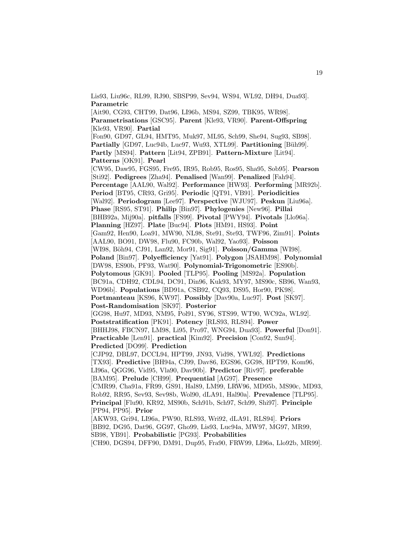Lis93, Liu96c, RL99, RJ90, SBSP99, Sev94, WS94, WL92, DH94, Dua93]. **Parametric**

[Ait90, CG93, CHT99, Dat96, LI96b, MS94, SZ99, TBK95, WR98]. **Parametrisations** [GSC95]. **Parent** [Kle93, VR90]. **Parent-Offspring** [Kle93, VR90]. **Partial** [Fon90, GD97, GL94, HMT95, Muk97, ML95, Sch99, She94, Sug93, SB98]. **Partially** [GD97, Luc94b, Luc97, Wu93, XTL99]. **Partitioning** [Büh99]. **Partly** [MS94]. **Pattern** [Lit94, ZPB91]. **Pattern-Mixture** [Lit94]. **Patterns** [OK91]. **Pearl** [CW95, Daw95, FGS95, Fre95, IR95, Rob95, Ros95, Sha95, Sob95]. **Pearson** [Sti92]. **Pedigrees** [Zha94]. **Penalised** [Wan99]. **Penalized** [Fah94]. **Percentage** [AAL90, Wal92]. **Performance** [HW93]. **Performing** [MR92b]. **Period** [BT95, CR93, Gri95]. **Periodic** [QT91, VB91]. **Periodicities** [Wal92]. **Periodogram** [Lee97]. **Perspective** [WJU97]. **Peskun** [Liu96a]. **Phase** [RS95, ST91]. **Philip** [Bin97]. **Phylogenies** [New96]. **Pillai** [BHB92a, Mij90a]. **pitfalls** [FS99]. **Pivotal** [PWY94]. **Pivotals** [Llo96a]. **Planning** [HZ97]. **Plate** [Buc94]. **Plots** [HM91, HS93]. **Point** [Gam92, Hen90, Loa91, MW90, NL98, Ste91, Ste93, TWF96, Zim91]. **Points** [AAL90, BO91, DW98, Flu90, FC90b, Wal92, Yao93]. **Poisson** [WI98, B¨oh94, CJ91, Lan92, Mor91, Sig91]. **Poisson/Gamma** [WI98]. **Poland** [Bin97]. **Polyefficiency** [Yat91]. **Polygon** [JSAHM98]. **Polynomial** [DW98, ES90b, PF93, Wat90]. **Polynomial-Trigonometric** [ES90b]. **Polytomous** [GK91]. **Pooled** [TLP95]. **Pooling** [MS92a]. **Population** [BC91a, CDH92, CDL94, DC91, Din96, Kuk93, MY97, MS90c, SB96, Wan93, WD96b]. **Populations** [BD91a, CSB92, CQ93, DS95, Hor90, PK98]. **Portmanteau** [KS96, KW97]. **Possibly** [Dav90a, Luc97]. **Post** [SK97]. **Post-Randomisation** [SK97]. **Posterior** [GG98, Hu97, MD93, NM95, Pol91, SY96, STS99, WT90, WC92a, WL92]. **Poststratification** [PK91]. **Potency** [RLS93, RLS94]. **Power** [BHHJ98, FBCN97, LM98, Li95, Pro97, WNG94, Dua93]. **Powerful** [Don91]. **Practicable** [Len91]. **practical** [Kim92]. **Precision** [Con92, Sun94]. **Predicted** [DO99]. **Prediction** [CJP92, DBL97, DCCL94, HPT99, JN93, Vid98, YWL92]. **Predictions** [TX93]. **Predictive** [BH94a, CJ99, Dav86, EGS96, GG98, HPT99, Kom96, LI96a, QGG96, Vid95, Vla90, Dav90b]. **Predictor** [Riv97]. **preferable** [BAM95]. **Prelude** [CH99]. **Prequential** [AG97]. **Presence** [CMR99, Cha91a, FR99, GS91, Hal89, LM99, LRW96, MD95b, MS90c, MD93, Rob92, RR95, Sev93, Sev98b, Wol90, dLA91, Hal90a]. **Prevalence** [TLP95]. **Principal** [Flu90, KR92, MS90b, Sch91b, Sch97, Sch99, Shi97]. **Principle** [PP94, PP95]. **Prior** [AKW93, Gri94, LI96a, PW90, RLS93, Wri92, dLA91, RLS94]. **Priors** [BB92, DG95, Dat96, GG97, Gho99, Lis93, Luc94a, MW97, MG97, MR99, SB98, YB91]. **Probabilistic** [PG93]. **Probabilities**

[CH90, DGS94, DFF90, DM91, Dup95, Fra90, FRW99, LI96a, Llo92b, MR99].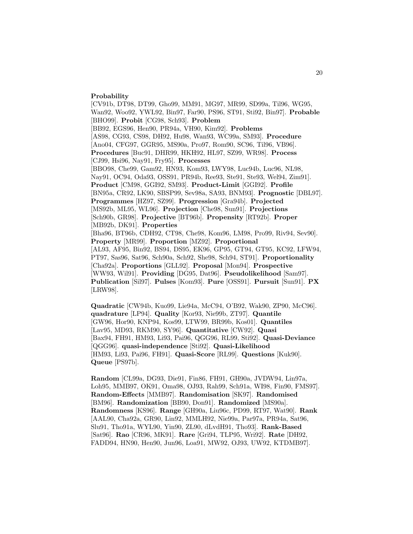#### **Probability**

[CV91b, DT98, DT99, Gho99, MM91, MG97, MR99, SD99a, Til96, WG95, Wan92, Woo92, YWL92, Bin97, Far90, PS96, ST91, Sti92, Bin97]. **Probable** [BHO99]. **Probit** [CG98, Sch93]. **Problem** [BB92, EGS96, Hen90, PR94a, VH90, Kim92]. **Problems** [AS98, CG93, CS98, DH92, Hu98, Wan93, WC99a, SM93]. **Procedure** [Ano04, CFG97, GGR95, MS90a, Pro97, Rom90, SC96, Til96, VB96]. **Procedures** [Buc91, DHR99, HKH92, HL97, SZ99, WR98]. **Process** [CJ99, Hsi96, Nay91, Fry95]. **Processes** [BBO98, Che99, Gam92, HN93, Kom93, LWY98, Luc94b, Luc96, NL98, Nay91, OC94, Oda93, OSS91, PR94b, Ree93, Ste91, Ste93, Wel94, Zim91]. **Product** [CM98, GGI92, SM93]. **Product-Limit** [GGI92]. **Profile** [BN95a, CR92, LK90, SBSP99, Sev98a, SA93, BNM93]. **Prognostic** [DBL97]. **Programmes** [HZ97, SZ99]. **Progression** [Gra94b]. **Projected** [MS92b, ML95, WL96]. **Projection** [Che98, Sun91]. **Projections** [Sch90b, GR98]. **Projective** [BT96b]. **Propensity** [RT92b]. **Proper** [MB92b, DK91]. **Properties** [Bha96, BT96b, CDH92, CT98, Che98, Kom96, LM98, Pro99, Riv94, Sev90]. **Property** [MR99]. **Proportion** [MZ92]. **Proportional** [AL93, AF95, Bin92, BS94, DS95, EK96, GP95, GT94, GT95, KC92, LFW94, PT97, Sas96, Sat96, Sch90a, Sch92, She98, Sch94, ST91]. **Proportionality** [Cha92a]. **Proportions** [GLL92]. **Proposal** [Mon94]. **Prospective** [WW93, Wil91]. **Providing** [DG95, Dat96]. **Pseudolikelihood** [Sam97]. **Publication** [Sil97]. **Pulses** [Kom93]. **Pure** [OSS91]. **Pursuit** [Sun91]. **PX** [LRW98].

**Quadratic** [CW94b, Kuo99, Lie94a, McC94, O'B92, Wak90, ZP90, McC96]. **quadrature** [LP94]. **Quality** [Kor93, Nie99b, ZT97]. **Quantile** [GW96, Hor90, KNP94, Kos99, LTW99, BR99b, Kos01]. **Quantiles** [Lav95, MD93, RKM90, SY96]. **Quantitative** [CW92]. **Quasi** [Bax94, FH91, HM93, Li93, Pai96, QGG96, RL99, Sti92]. **Quasi-Deviance** [QGG96]. **quasi-independence** [Sti92]. **Quasi-Likelihood** [HM93, Li93, Pai96, FH91]. **Quasi-Score** [RL99]. **Questions** [Kuk90]. **Queue** [PS97b].

**Random** [CL99a, DG93, Die91, Fin86, FH91, GH90a, JVDW94, Lin97a, Loh95, MMB97, OK91, Oma98, OJ93, Rah99, Sch91a, WI98, Fin90, FMS97]. **Random-Effects** [MMB97]. **Randomisation** [SK97]. **Randomised** [BM96]. **Randomization** [BB90, Don91]. **Randomized** [MS90a]. **Randomness** [KS96]. **Range** [GH90a, Liu96c, PD99, RT97, Wat90]. **Rank** [AAL90, Cha92a, GR90, Lin92, MMLH92, Nie99a, Par97a, PR94a, Sat96, Slu91, Tho91a, WYL90, Yin90, ZL90, dLvdH91, Tho93]. **Rank-Based** [Sat96]. **Rao** [CR96, MK91]. **Rare** [Gri94, TLP95, Wri92]. **Rate** [DH92, FADD94, HN90, Hen90, Jun96, Loa91, MW92, OJ93, UW92, KTDMB97].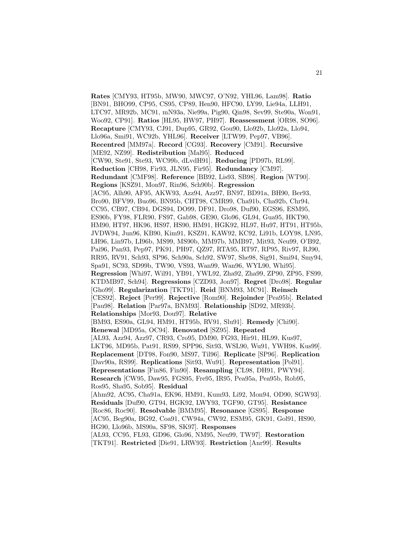**Rates** [CMY93, HT95b, MW90, MWC97, O'N92, YHL96, Lam98]. **Ratio** [BN91, BHO99, CP95, CS95, CP89, Hen90, HFC90, LY99, Lie94a, LLH91, LTC97, MR92b, MC91, mN93a, Nie99a, Pig90, Qin98, Sev99, Ste90a, Won91, Woo92, CP91]. **Ratios** [HL95, HW97, PH97]. **Reassessment** [OR98, SO96]. **Recapture** [CMY93, CJ91, Dup95, GR92, Gou90, Llo92b, Llo92a, Llo94, Llo96a, Smi91, WC92b, YHL96]. **Receiver** [LTW99, Pep97, VB96]. **Recentred** [MM97a]. **Record** [CG93]. **Recovery** [CM91]. **Recursive** [ME92, NZ99]. **Redistribution** [Mal95]. **Reduced** [CW90, Ste91, Ste93, WC99b, dLvdH91]. **Reducing** [PD97b, RL99]. **Reduction** [CH98, Fir93, JLN95, Fir95]. **Redundancy** [CM97]. **Redundant** [CMF98]. **Reference** [BB92, Lis93, SB98]. **Region** [WT90]. **Regions** [KSZ91, Mon97, Rin96, Sch90b]. **Regression** [AC95, Alh90, AF95, AKW93, Azz94, Azz97, BN97, BD91a, BH90, Ber93, Bro90, BFV99, Buo96, BN95b, CHT98, CMR99, Cha91b, Cha92b, Chr94, CC95, CB97, CB94, DGS94, DO99, DF91, Dro98, Duf90, EGS96, ESM95, ES90b, FY98, FLR90, FS97, Gab98, GE90, Glo96, GL94, Gua95, HKT90, HM90, HT97, HK96, HS97, HS90, HM91, HGK92, HL97, Hu97, HT91, HT95b, JVDW94, Jun96, KB90, Kim91, KSZ91, KAW92, KC92, Li91b, LOY98, LN95, LH96, Lin97b, LI96b, MS99, MS90b, MM97b, MMB97, Mit93, Neu99, O'B92, Pai96, Pan93, Pep97, PK91, PH97, QZ97, RTA95, RT97, RP95, Riv97, RJ90, RR95, RV91, Sch93, SP96, Sch90a, Sch92, SW97, She98, Sig91, Smi94, Smy94, Spa91, SC93, SD99b, TW90, VS93, Wan99, Wan96, WYL90, Whi95]. **Regression** [Whi97, Wil91, YB91, YWL92, Zha92, Zha99, ZP90, ZP95, FS99, KTDMB97, Sch94]. **Regressions** [CZD93, Jon97]. **Regret** [Dro98]. **Regular** [Gho99]. **Regularization** [TKT91]. **Reid** [BNM93, MC91]. **Reinsch** [CES92]. **Reject** [Per99]. **Rejective** [Rom90]. **Rejoinder** [Pea95b]. **Related** [Pau98]. **Relation** [Par97a, BNM93]. **Relationship** [SD92, MR93b]. **Relationships** [Mor93, Dou97]. **Relative** [BM93, ES90a, GL94, HM91, HT95b, RV91, Slu91]. **Remedy** [Chi90]. **Renewal** [MD95a, OC94]. **Renovated** [SZ95]. **Repeated** [AL93, Azz94, Azz97, CR93, Cro95, DM90, FG93, Hir91, HL99, Kus97, LKT96, MD95b, Pat91, RS99, SPP96, Sit93, WSL90, Wu91, YWH98, Kus99]. **Replacement** [DT98, Fon90, MS97, Til96]. **Replicate** [SP96]. **Replication** [Dav90a, RS99]. **Replications** [Sit93, Wu91]. **Representation** [Pol91]. **Representations** [Fin86, Fin90]. **Resampling** [CL98, DH91, PWY94]. **Research** [CW95, Daw95, FGS95, Fre95, IR95, Pea95a, Pea95b, Rob95, Ros95, Sha95, Sob95]. **Residual** [Ahm92, AC95, Cha91a, EK96, HM91, Kum93, Li92, Mon94, OD90, SGW93]. **Residuals** [Duf90, GT94, HGK92, LWY93, TGF90, GT95]. **Resistance** [Roc86, Roc90]. **Resolvable** [BMM95]. **Resonance** [GS95]. **Response** [AC95, Beg90a, BG92, Coa91, CW94a, CW92, ESM95, GK91, Gol91, HS90, HG90, Llo96b, MS90a, SF98, SK97]. **Responses** [AL93, CC95, FL93, GD96, Glo96, NM95, Neu99, TW97]. **Restoration** [TKT91]. **Restricted** [Die91, LRW93]. **Restriction** [Anr99]. **Results**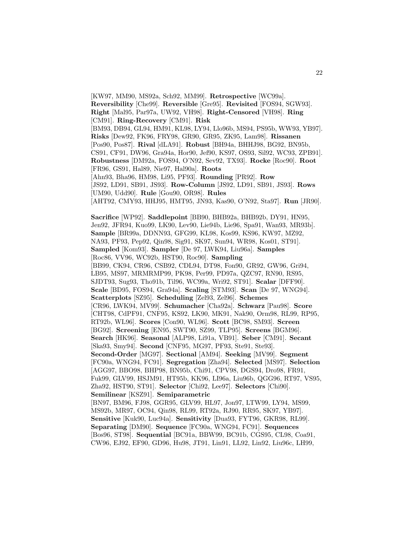[KW97, MM90, MS92a, Sch92, MM99]. **Retrospective** [WC99a]. **Reversibility** [Che99]. **Reversible** [Gre95]. **Revisited** [FOS94, SGW93]. **Right** [Mal95, Par97a, UW92, VH98]. **Right-Censored** [VH98]. **Ring** [CM91]. **Ring-Recovery** [CM91]. **Risk** [BM93, DB94, GL94, HM91, KL98, LY94, Llo96b, MS94, PS95b, WW93, YB97]. **Risks** [Dew92, FK96, FRY98, GR90, GR95, ZK95, Lam98]. **Rissanen** [Pos90, Pos87]. **Rival** [dLA91]. **Robust** [BH94a, BHHJ98, BG92, BN95b, CS91, CF91, DW96, Gra94a, Hor90, Jef90, KS97, OS93, Sil92, WC93, ZPB91]. **Robustness** [DM92a, FOS94, O'N92, Sev92, TX93]. **Rocke** [Roc90]. **Root** [FR96, GS91, Hal89, Nie97, Hal90a]. **Roots** [Ahn93, Bha96, HM98, Li95, PF93]. **Rounding** [PR92]. **Row** [JS92, LD91, SB91, JS93]. **Row-Column** [JS92, LD91, SB91, JS93]. **Rows** [UM90, Udd90]. **Rule** [Gou90, OR98]. **Rules** [AHT92, CMY93, HHJ95, HMT95, JN93, Kas90, O'N92, Sta97]. **Run** [JR90]. **Sacrifice** [WP92]. **Saddlepoint** [BB90, BHB92a, BHB92b, DY91, HN95, Jen92, JFR94, Kuo99, LK90, Lev90, Lie94b, Lie96, Spa91, Wan93, MR93b]. **Sample** [BR99a, DDNN93, GFG99, KL98, Kos99, KS96, KW97, MZ92, NA93, PF93, Pep92, Qin98, Sig91, SK97, Sun94, WR98, Kos01, ST91]. **Sampled** [Kom93]. **Sampler** [De 97, LWK94, Liu96a]. **Samples** [Roc86, VV96, WC92b, HST90, Roc90]. **Sampling** [BB99, CK94, CR96, CSB92, CDL94, DT98, Fon90, GR92, GW96, Gri94, LB95, MS97, MRMRMP99, PK98, Per99, PD97a, QZC97, RN90, RS95, SJDT93, Sug93, Tho91b, Til96, WC99a, Wri92, ST91]. **Scalar** [DFF90]. **Scale** [BD95, FOS94, Gra94a]. **Scaling** [STM93]. **Scan** [De 97, WNG94]. **Scatterplots** [SZ95]. **Scheduling** [Zel93, Zel96]. **Schemes** [CR96, LWK94, MV99]. **Schumacher** [Cha92a]. **Schwarz** [Pau98]. **Score** [CHT98, CdPF91, CNF95, KS92, LK90, MK91, Nak90, Orm98, RL99, RP95, RT92b, WL96]. **Scores** [Con90, WL96]. **Scott** [BC98, SM93]. **Screen** [BG92]. **Screening** [EN95, SWT90, SZ99, TLP95]. **Screens** [BGM96]. **Search** [HK96]. **Seasonal** [ALP98, Li91a, VB91]. **Seber** [CM91]. **Secant** [Ska93, Smy94]. **Second** [CNF95, MG97, PF93, Ste91, Ste93]. **Second-Order** [MG97]. **Sectional** [AM94]. **Seeking** [MV99]. **Segment** [FC90a, WNG94, FC91]. **Segregation** [Zha94]. **Selected** [MS97]. **Selection** [AGG97, BBO98, BHP98, BN95b, Chi91, CPV98, DGS94, Dro98, FR91, Fuk99, GLV99, HSJM91, HT95b, KK96, LI96a, Liu96b, QGG96, RT97, VS95, Zha92, HST90, ST91]. **Selector** [Chi92, Lee97]. **Selectors** [Chi90]. **Semilinear** [KSZ91]. **Semiparametric** [BN97, BM96, FJ98, GGR95, GLV99, HL97, Jon97, LTW99, LY94, MS99, MS92b, MR97, OC94, Qin98, RL99, RT92a, RJ90, RR95, SK97, YB97]. **Sensitive** [Kuk90, Luc94a]. **Sensitivity** [Dua93, FYT96, GKR98, RL99]. **Separating** [DM90]. **Sequence** [FC90a, WNG94, FC91]. **Sequences** [Bos96, ST98]. **Sequential** [BC91a, BBW99, BC91b, CGS95, CL98, Coa91, CW96, EJ92, EF90, GD96, Hu98, JT91, Lin91, LL92, Lin92, Liu96c, LH99,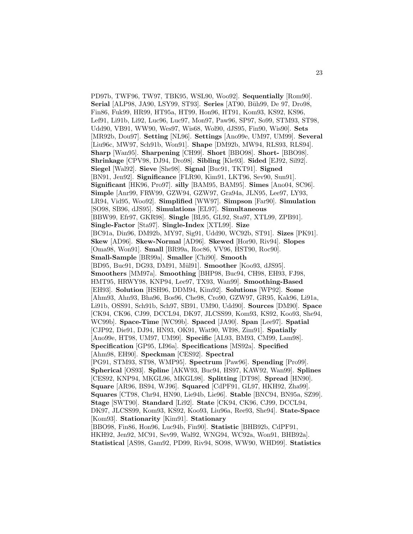PD97b, TWF96, TW97, TBK95, WSL90, Woo92]. **Sequentially** [Rom90]. **Serial** [ALP98, JA90, LSY99, ST93]. **Series** [AT90, Büh99, De 97, Dro98, Fin86, Fuk99, HR99, HT95a, HT99, Hon96, HT91, Kom93, KS92, KS96, Lef91, Li91b, Li92, Luc96, Luc97, Mon97, Paw96, SP97, So99, STM93, ST98, Udd90, VB91, WW90, Wes97, Wis68, Wol90, dJS95, Fin90, Wis90]. **Sets** [MR92b, Dou97]. **Setting** [NL96]. **Settings** [Ano99e, UM97, UM99]. **Several** [Liu96c, MW97, Sch91b, Won91]. **Shape** [DM92b, MW94, RLS93, RLS94]. **Sharp** [Wan95]. **Sharpening** [CH99]. **Short** [BBO98]. **Short-** [BBO98]. **Shrinkage** [CPV98, DJ94, Dro98]. **Sibling** [Kle93]. **Sided** [EJ92, Sil92]. **Siegel** [Wal92]. **Sieve** [She98]. **Signal** [Buc91, TKT91]. **Signed** [BN91, Jen92]. **Significance** [FLR90, Kim91, LKT96, Sev90, Sun91]. **Significant** [HK96, Pro97]. **silly** [BAM95, BAM95]. **Simes** [Ano04, SC96]. **Simple** [Anr99, FRW99, GZW94, GZW97, Gra94a, JLN95, Lee97, LY93, LR94, Vid95, Woo92]. **Simplified** [WW97]. **Simpson** [Far90]. **Simulation** [SO98, SB96, dJS95]. **Simulations** [EL97]. **Simultaneous** [BBW99, Efr97, GKR98]. **Single** [BL95, GL92, Sta97, XTL99, ZPB91]. **Single-Factor** [Sta97]. **Single-Index** [XTL99]. **Size** [BC91a, Din96, DM92b, MY97, Sig91, Udd90, WC92b, ST91]. **Sizes** [PK91]. **Skew** [AD96]. **Skew-Normal** [AD96]. **Skewed** [Hor90, Riv94]. **Slopes** [Oma98, Won91]. **Small** [BR99a, Roc86, VV96, HST90, Roc90]. **Small-Sample** [BR99a]. **Smaller** [Chi90]. **Smooth** [BD95, Buc91, DG93, DM91, Mül91]. **Smoother** [Koo93, dJS95]. **Smoothers** [MM97a]. **Smoothing** [BHP98, Buc94, CH98, EH93, FJ98, HMT95, HRWY98, KNP94, Lee97, TX93, Wan99]. **Smoothing-Based** [EH93]. **Solution** [HSH96, DDM94, Kim92]. **Solutions** [WP92]. **Some** [Ahm93, Ahn93, Bha96, Bos96, Che98, Cro90, GZW97, GR95, Kak96, Li91a, Li91b, OSS91, Sch91b, Sch97, SB91, UM90, Udd90]. **Sources** [DM90]. **Space** [CK94, CK96, CJ99, DCCL94, DK97, JLCSS99, Kom93, KS92, Koo93, She94, WC99b]. **Space-Time** [WC99b]. **Spaced** [JA90]. **Span** [Lee97]. **Spatial** [CJP92, Die91, DJ94, HN93, OK91, Wat90, WI98, Zim91]. **Spatially** [Ano99e, HT98, UM97, UM99]. **Specific** [AL93, BM93, CM99, Lam98]. **Specification** [GP95, LI96a]. **Specifications** [MS92a]. **Specified** [Ahm98, EH90]. **Speckman** [CES92]. **Spectral** [PG91, STM93, ST98, WMP95]. **Spectrum** [Paw96]. **Spending** [Pro99]. **Spherical** [OS93]. **Spline** [AKW93, Buc94, HS97, KAW92, Wan99]. **Splines** [CES92, KNP94, MKGL96, MKGL98]. **Splitting** [DT98]. **Spread** [HN90]. **Square** [AR96, BS94, WJ96]. **Squared** [CdPF91, GL97, HKH92, Zha99]. **Squares** [CT98, Chr94, HN90, Lie94b, Lie96]. **Stable** [BNC94, BN95a, SZ99]. **Stage** [SWT90]. **Standard** [Li92]. **State** [CK94, CK96, CJ99, DCCL94, DK97, JLCSS99, Kom93, KS92, Koo93, Liu96a, Ree93, She94]. **State-Space** [Kom93]. **Stationarity** [Kim91]. **Stationary** [BBO98, Fin86, Hon96, Luc94b, Fin90]. **Statistic** [BHB92b, CdPF91, HKH92, Jen92, MC91, Sev99, Wal92, WNG94, WC92a, Won91, BHB92a]. **Statistical** [AS98, Gam92, PD99, Riv94, SO98, WW90, WHD99]. **Statistics**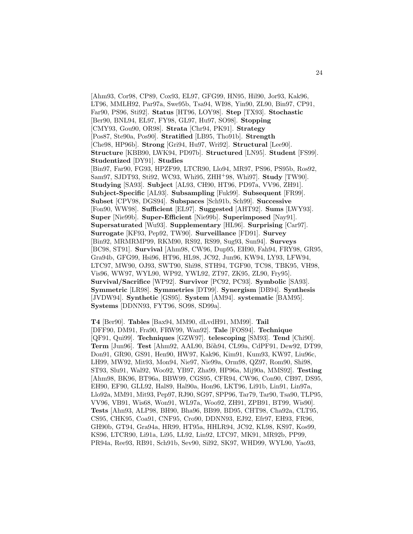[Ahm93, Cor98, CP89, Cox93, EL97, GFG99, HN95, Hil90, Jor93, Kak96, LT96, MMLH92, Par97a, Swe95b, Tsa94, WI98, Yin90, ZL90, Bin97, CP91, Far90, PS96, Sti92]. **Status** [HT96, LOY98]. **Step** [TX93]. **Stochastic** [Ber90, BNL94, EL97, FY98, GL97, Hu97, SO98]. **Stopping** [CMY93, Gou90, OR98]. **Strata** [Chr94, PK91]. **Strategy** [Pos87, Ste90a, Pos90]. **Stratified** [LB95, Tho91b]. **Strength** [Che98, HP96b]. **Strong** [Gri94, Hu97, Wri92]. **Structural** [Lee90]. **Structure** [KBB90, LWK94, PD97b]. **Structured** [LN95]. **Student** [FS99]. **Studentized** [DY91]. **Studies** [Bin97, Far90, FG93, HPZF99, LTCR90, Llo94, MR97, PS96, PS95b, Ros92, Sam97, SJDT93, Sti92, WC93, Whi95, ZHH<sup>+</sup>98, Whi97]. **Study** [TW90]. **Studying** [SA93]. **Subject** [AL93, CH90, HT96, PD97a, VV96, ZH91]. **Subject-Specific** [AL93]. **Subsampling** [Fuk99]. **Subsequent** [FR99]. **Subset** [CPV98, DGS94]. **Subspaces** [Sch91b, Sch99]. **Successive** [Fon90, WW98]. **Sufficient** [EL97]. **Suggested** [AHT92]. **Sums** [LWY93]. **Super** [Nie99b]. **Super-Efficient** [Nie99b]. **Superimposed** [Nay91]. **Supersaturated** [Wu93]. **Supplementary** [HL96]. **Surprising** [Car97]. **Surrogate** [KF93, Pep92, TW90]. **Surveillance** [FD91]. **Survey** [Bin92, MRMRMP99, RKM90, RS92, RS99, Sug93, Sun94]. **Surveys** [BC98, ST91]. **Survival** [Ahm98, CW96, Dup95, EH90, Fah94, FRY98, GR95, Gra94b, GFG99, Hsi96, HT96, HL98, JC92, Jun96, KW94, LY93, LFW94, LTC97, MW90, OJ93, SWT90, Shi98, STH94, TGF90, TC98, TBK95, VH98, Vis96, WW97, WYL90, WP92, YWL92, ZT97, ZK95, ZL90, Fry95]. **Survival/Sacrifice** [WP92]. **Survivor** [PC92, PC93]. **Symbolic** [SA93]. **Symmetric** [LR98]. **Symmetries** [DT99]. **Synergism** [DB94]. **Synthesis** [JVDW94]. **Synthetic** [GS95]. **System** [AM94]. **systematic** [BAM95]. **Systems** [DDNN93, FYT96, SO98, SD99a].

**T4** [Ber90]. **Tables** [Bax94, MM90, dLvdH91, MM99]. **Tail** [DFF90, DM91, Fra90, FRW99, Wan92]. **Tale** [FOS94]. **Technique** [QF91, Qui99]. **Techniques** [GZW97]. **telescoping** [SM93]. **Tend** [Chi90]. **Term** [Jun96]. **Test** [Ahm92, AAL90, Böh94, CL99a, CdPF91, Dew92, DT99, Don91, GR90, GS91, Hen90, HW97, Kak96, Kim91, Kum93, KW97, Liu96c, LH99, MW92, Mit93, Mon94, Nie97, Nie99a, Orm98, QZ97, Rom90, Shi98, ST93, Slu91, Wal92, Woo92, YB97, Zha99, HP96a, Mij90a, MMS92]. **Testing** [Ahm98, BK96, BT96a, BBW99, CGS95, CFR94, CW96, Con90, CB97, DS95, EH90, EF90, GLL92, Hal89, Hal90a, Hon96, LKT96, Li91b, Lin91, Lin97a, Llo92a, MM91, Mit93, Pep97, RJ90, SG97, SPP96, Tar79, Tar90, Tsa90, TLP95, VV96, VB91, Wis68, Won91, WL97a, Woo92, ZH91, ZPB91, BT99, Wis90]. **Tests** [Ahn93, ALP98, BH90, Bha96, BB99, BD95, CHT98, Cha92a, CLT95, CS95, CHK95, Coa91, CNF95, Cro90, DDNN93, EJ92, Efr97, EH93, FR96, GH90b, GT94, Gra94a, HR99, HT95a, HHLR94, JC92, KL98, KS97, Kos99, KS96, LTCR90, Li91a, Li95, LL92, Lin92, LTC97, MK91, MR92b, PP99, PR94a, Ree93, RB91, Sch91b, Sev90, Sil92, SK97, WHD99, WYL90, Yao93,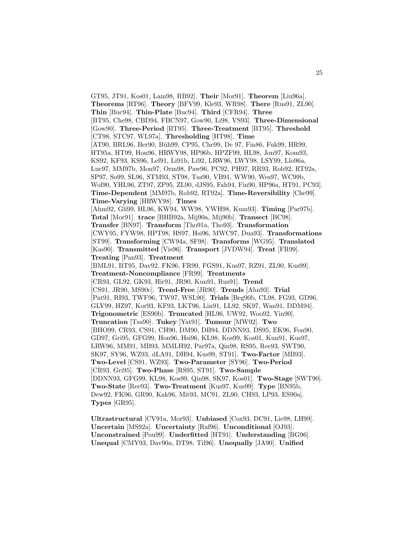GT95, JT91, Kos01, Lam98, RB92]. **Their** [Mor91]. **Theorem** [Liu96a]. **Theorems** [RT96]. **Theory** [BFV99, Kle93, WR98]. **There** [Rus91, ZL90]. **Thin** [Buc94]. **Thin-Plate** [Buc94]. **Third** [CFR94]. **Three** [BT95, Che98, CBD94, FBCN97, Gow90, Li98, VS93]. **Three-Dimensional** [Gow90]. **Three-Period** [BT95]. **Three-Treatment** [BT95]. **Threshold** [CT98, STC97, WL97a]. **Thresholding** [HT98]. **Time** [AT90, BRL96, Ber90, Büh99, CP95, Che99, De 97, Fin86, Fuk99, HR99, HT95a, HT99, Hon96, HRWY98, HP96b, HPZF99, HL98, Jon97, Kom93, KS92, KF93, KS96, Lef91, Li91b, Li92, LRW96, LWY98, LSY99, Llo96a, Luc97, MM97b, Mon97, Orm98, Paw96, PC92, PH97, RR93, Rob92, RT92a, SP97, So99, SL96, STM93, ST98, Tsa90, VB91, WW90, Wes97, WC99b, Wol90, YHL96, ZT97, ZP95, ZL90, dJS95, Fah94, Fin90, HP96a, HT91, PC93]. **Time-Dependent** [MM97b, Rob92, RT92a]. **Time-Reversibility** [Che99]. **Time-Varying** [HRWY98]. **Times** [Ahm92, Gli99, HL96, KW94, WW98, YWH98, Kum93]. **Timing** [Par97b]. **Total** [Mor91]. **trace** [BHB92a, Mij90a, Mij90b]. **Transect** [BC98]. **Transfer** [BN97]. **Transform** [Tho91a, Tho93]. **Transformation** [CWY95, FYW98, HPT98, HS97, Hsi96, MWC97, Dua93]. **Transformations** [ST99]. **Transforming** [CW94a, SF98]. **Transforms** [WG95]. **Translated** [Kas90]. **Transmitted** [Vis96]. **Transport** [JVDW94]. **Treat** [FR99]. **Treating** [Pan93]. **Treatment** [BML91, BT95, Dav92, FK96, FR99, FGS91, Kus97, RZ91, ZL90, Kus99]. **Treatment-Noncompliance** [FR99]. **Treatments** [CR93, GL92, GK93, Hir91, JR90, Kun91, Rus91]. **Trend** [CS91, JR90, MS90c]. **Trend-Free** [JR90]. **Trends** [Ahn93]. **Trial** [Pat91, RI93, TWF96, TW97, WSL90]. **Trials** [Beg90b, CL98, FG93, GD96, GLV99, HZ97, Kor93, KF93, LKT96, Lin91, LL92, SK97, Wan91, DDM94]. **Trigonometric** [ES90b]. **Truncated** [HL96, UW92, Woo92, Yin90]. **Truncation** [Tsa90]. **Tukey** [Yat91]. **Tumour** [MW92]. **Two** [BHO99, CR93, CS91, CH90, DM90, DB94, DDNN93, DS95, EK96, Fon90, GD97, Gri95, GFG99, Hon96, Hsi96, KL98, Kos99, Kos01, Kun91, Kus97, LRW96, MM91, MB93, MMLH92, Par97a, Qin98, RS95, Ree93, SWT90, SK97, SY96, WZ93, dLA91, DH94, Kus99, ST91]. **Two-Factor** [MB93]. **Two-Level** [CS91, WZ93]. **Two-Parameter** [SY96]. **Two-Period** [CR93, Gri95]. **Two-Phase** [RS95, ST91]. **Two-Sample** [DDNN93, GFG99, KL98, Kos99, Qin98, SK97, Kos01]. **Two-Stage** [SWT90]. **Two-State** [Ree93]. **Two-Treatment** [Kus97, Kus99]. **Type** [BN95b, Dew92, FK96, GR90, Kak96, Mit93, MC91, ZL90, CH93, LP93, ES90a]. **Types** [GR95].

**Ultrastructural** [CV91a, Mor93]. **Unbiased** [Cox93, DC91, Lie98, LH99]. **Uncertain** [MS92a]. **Uncertainty** [Raf96]. **Unconditional** [OJ93]. **Unconstrained** [Pou99]. **Underfitted** [HT91]. **Understanding** [BG96]. **Unequal** [CMY93, Dav90a, DT98, Til96]. **Unequally** [JA90]. **Unified**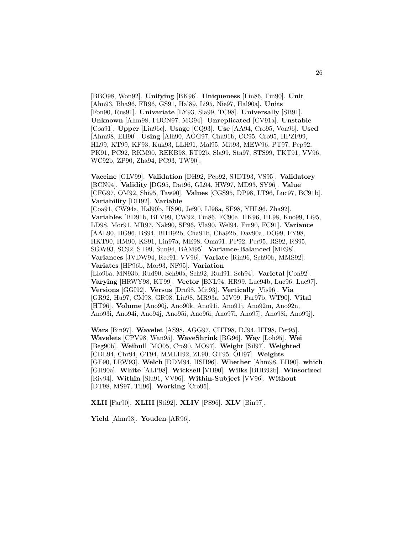[BBO98, Won92]. **Unifying** [BK96]. **Uniqueness** [Fin86, Fin90]. **Unit** [Ahn93, Bha96, FR96, GS91, Hal89, Li95, Nie97, Hal90a]. **Units** [Fon90, Rus91]. **Univariate** [LY93, Sla99, TC98]. **Universally** [SB91]. **Unknown** [Ahm98, FBCN97, MG94]. **Unreplicated** [CV91a]. **Unstable** [Coa91]. **Upper** [Liu96c]. **Usage** [CQ93]. **Use** [AA94, Cro95, Von96]. **Used** [Ahm98, EH90]. **Using** [Alh90, AGG97, Cha91b, CC95, Cro95, HPZF99, HL99, KT99, KF93, Kuk93, LLH91, Mal95, Mit93, MEW96, PT97, Pep92, PK91, PC92, RKM90, REKB98, RT92b, Sla99, Sta97, STS99, TKT91, VV96, WC92b, ZP90, Zha94, PC93, TW90].

**Vaccine** [GLV99]. **Validation** [DH92, Pep92, SJDT93, VS95]. **Validatory** [BCN94]. **Validity** [DG95, Dat96, GL94, HW97, MD93, SY96]. **Value** [CFG97, OM92, Shi95, Taw90]. **Values** [CGS95, DP98, LT96, Luc97, BC91b]. **Variability** [DH92]. **Variable** [Coa91, CW94a, Hal90b, HS90, Jef90, LI96a, SF98, YHL96, Zha92]. **Variables** [BD91b, BFV99, CW92, Fin86, FC90a, HK96, HL98, Kuo99, Li95, LD98, Mor91, MR97, Nak90, SP96, Vla90, Wel94, Fin90, FC91]. **Variance** [AAL90, BG96, BS94, BHB92b, Cha91b, Cha92b, Dav90a, DO99, FY98, HKT90, HM90, KS91, Lin97a, ME98, Oma91, PP92, Per95, RS92, RS95, SGW93, SC92, ST99, Sun94, BAM95]. **Variance-Balanced** [ME98]. **Variances** [JVDW94, Ree91, VV96]. **Variate** [Rin96, Sch90b, MMS92]. **Variates** [HP96b, Mor93, NF95]. **Variation** [Llo96a, MN93b, Rud90, Sch90a, Sch92, Rud91, Sch94]. **Varietal** [Con92]. **Varying** [HRWY98, KT99]. **Vector** [BNL94, HR99, Luc94b, Luc96, Luc97]. **Versions** [GGI92]. **Versus** [Dro98, Mit93]. **Vertically** [Vis96]. **Via** [GR92, Hu97, CM98, GR98, Liu98, MR93a, MV99, Par97b, WT90]. **Vital** [HT96]. **Volume** [Ano90j, Ano90k, Ano91i, Ano91j, Ano92m, Ano92n, Ano93i, Ano94i, Ano94j, Ano95i, Ano96i, Ano97i, Ano97j, Ano98i, Ano99j].

**Wars** [Bin97]. **Wavelet** [AS98, AGG97, CHT98, DJ94, HT98, Per95]. **Wavelets** [CPV98, Wan95]. **WaveShrink** [BG96]. **Way** [Loh95]. **Wei** [Beg90b]. **Weibull** [MO05, Cro90, MO97]. **Weight** [Sil97]. **Weighted** [CDL94, Chr94, GT94, MMLH92, ZL90, GT95, OH97]. **Weights** [GE90, LRW93]. **Welch** [DDM94, HSH96]. **Whether** [Ahm98, EH90]. **which** [GH90a]. **White** [ALP98]. **Wicksell** [VH90]. **Wilks** [BHB92b]. **Winsorized** [Riv94]. **Within** [Slu91, VV96]. **Within-Subject** [VV96]. **Without** [DT98, MS97, Til96]. **Working** [Cro95].

**XLII** [Far90]. **XLIII** [Sti92]. **XLIV** [PS96]. **XLV** [Bin97].

**Yield** [Ahm93]. **Youden** [AR96].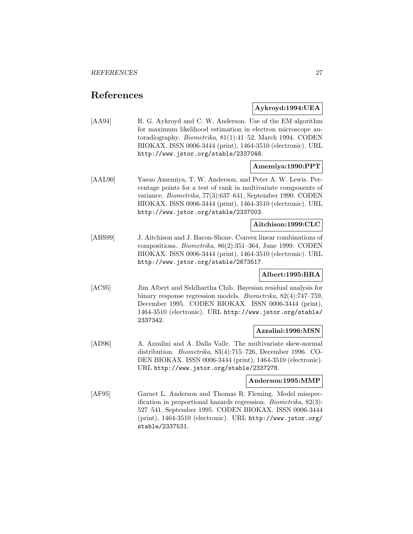## **References**

## **Aykroyd:1994:UEA**

[AA94] R. G. Aykroyd and C. W. Anderson. Use of the EM algorithm for maximum likelihood estimation in electron microscope autoradiography. Biometrika, 81(1):41–52, March 1994. CODEN BIOKAX. ISSN 0006-3444 (print), 1464-3510 (electronic). URL http://www.jstor.org/stable/2337048.

## **Amemiya:1990:PPT**

[AAL90] Yasuo Amemiya, T. W. Anderson, and Peter A. W. Lewis. Percentage points for a test of rank in multivariate components of variance. Biometrika, 77(3):637–641, September 1990. CODEN BIOKAX. ISSN 0006-3444 (print), 1464-3510 (electronic). URL http://www.jstor.org/stable/2337003.

## **Aitchison:1999:CLC**

[ABS99] J. Aitchison and J. Bacon-Shone. Convex linear combinations of compositions. Biometrika, 86(2):351–364, June 1999. CODEN BIOKAX. ISSN 0006-3444 (print), 1464-3510 (electronic). URL http://www.jstor.org/stable/2673517.

## **Albert:1995:BRA**

[AC95] Jim Albert and Siddhartha Chib. Bayesian residual analysis for binary response regression models. Biometrika, 82(4):747–759, December 1995. CODEN BIOKAX. ISSN 0006-3444 (print), 1464-3510 (electronic). URL http://www.jstor.org/stable/ 2337342.

## **Azzalini:1996:MSN**

[AD96] A. Azzalini and A. Dalla Valle. The multivariate skew-normal distribution. Biometrika, 83(4):715–726, December 1996. CO-DEN BIOKAX. ISSN 0006-3444 (print), 1464-3510 (electronic). URL http://www.jstor.org/stable/2337278.

## **Anderson:1995:MMP**

[AF95] Garnet L. Anderson and Thomas R. Fleming. Model misspecification in proportional hazards regression. Biometrika, 82(3): 527–541, September 1995. CODEN BIOKAX. ISSN 0006-3444 (print), 1464-3510 (electronic). URL http://www.jstor.org/ stable/2337531.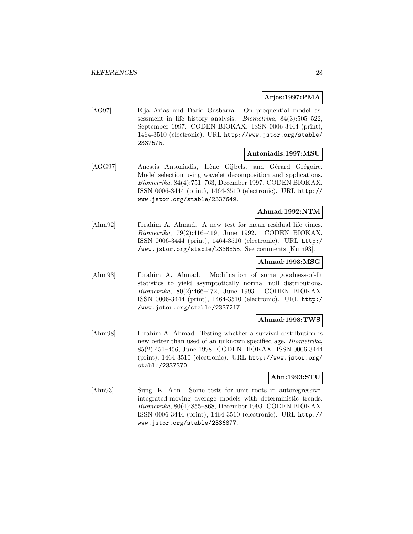## **Arjas:1997:PMA**

[AG97] Elja Arjas and Dario Gasbarra. On prequential model assessment in life history analysis. Biometrika, 84(3):505–522, September 1997. CODEN BIOKAX. ISSN 0006-3444 (print), 1464-3510 (electronic). URL http://www.jstor.org/stable/ 2337575.

#### **Antoniadis:1997:MSU**

[AGG97] Anestis Antoniadis, Irène Gijbels, and Gérard Grégoire. Model selection using wavelet decomposition and applications. Biometrika, 84(4):751–763, December 1997. CODEN BIOKAX. ISSN 0006-3444 (print), 1464-3510 (electronic). URL http:// www.jstor.org/stable/2337649.

## **Ahmad:1992:NTM**

[Ahm92] Ibrahim A. Ahmad. A new test for mean residual life times. Biometrika, 79(2):416–419, June 1992. CODEN BIOKAX. ISSN 0006-3444 (print), 1464-3510 (electronic). URL http:/ /www.jstor.org/stable/2336855. See comments [Kum93].

#### **Ahmad:1993:MSG**

[Ahm93] Ibrahim A. Ahmad. Modification of some goodness-of-fit statistics to yield asymptotically normal null distributions. Biometrika, 80(2):466–472, June 1993. CODEN BIOKAX. ISSN 0006-3444 (print), 1464-3510 (electronic). URL http:/ /www.jstor.org/stable/2337217.

## **Ahmad:1998:TWS**

[Ahm98] Ibrahim A. Ahmad. Testing whether a survival distribution is new better than used of an unknown specified age. Biometrika, 85(2):451–456, June 1998. CODEN BIOKAX. ISSN 0006-3444 (print), 1464-3510 (electronic). URL http://www.jstor.org/ stable/2337370.

## **Ahn:1993:STU**

[Ahn93] Sung. K. Ahn. Some tests for unit roots in autoregressiveintegrated-moving average models with deterministic trends. Biometrika, 80(4):855–868, December 1993. CODEN BIOKAX. ISSN 0006-3444 (print), 1464-3510 (electronic). URL http:// www.jstor.org/stable/2336877.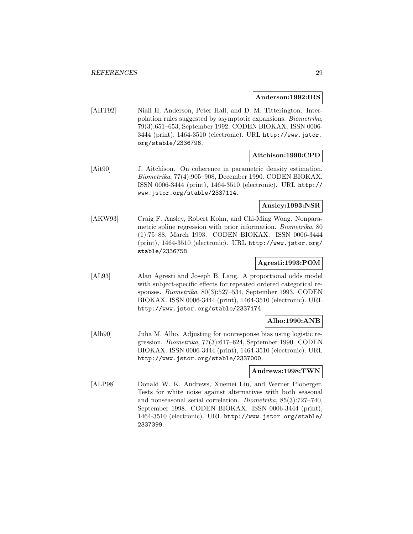**Anderson:1992:IRS**

[AHT92] Niall H. Anderson, Peter Hall, and D. M. Titterington. Interpolation rules suggested by asymptotic expansions. Biometrika, 79(3):651–653, September 1992. CODEN BIOKAX. ISSN 0006- 3444 (print), 1464-3510 (electronic). URL http://www.jstor. org/stable/2336796.

## **Aitchison:1990:CPD**

[Ait90] J. Aitchison. On coherence in parametric density estimation. Biometrika, 77(4):905–908, December 1990. CODEN BIOKAX. ISSN 0006-3444 (print), 1464-3510 (electronic). URL http:// www.jstor.org/stable/2337114.

**Ansley:1993:NSR**

[AKW93] Craig F. Ansley, Robert Kohn, and Chi-Ming Wong. Nonparametric spline regression with prior information. Biometrika, 80 (1):75–88, March 1993. CODEN BIOKAX. ISSN 0006-3444 (print), 1464-3510 (electronic). URL http://www.jstor.org/ stable/2336758.

## **Agresti:1993:POM**

[AL93] Alan Agresti and Joseph B. Lang. A proportional odds model with subject-specific effects for repeated ordered categorical responses. Biometrika, 80(3):527–534, September 1993. CODEN BIOKAX. ISSN 0006-3444 (print), 1464-3510 (electronic). URL http://www.jstor.org/stable/2337174.

## **Alho:1990:ANB**

[Alh90] Juha M. Alho. Adjusting for nonresponse bias using logistic regression. Biometrika, 77(3):617–624, September 1990. CODEN BIOKAX. ISSN 0006-3444 (print), 1464-3510 (electronic). URL http://www.jstor.org/stable/2337000.

## **Andrews:1998:TWN**

[ALP98] Donald W. K. Andrews, Xuemei Liu, and Werner Ploberger. Tests for white noise against alternatives with both seasonal and nonseasonal serial correlation. Biometrika, 85(3):727–740, September 1998. CODEN BIOKAX. ISSN 0006-3444 (print), 1464-3510 (electronic). URL http://www.jstor.org/stable/ 2337399.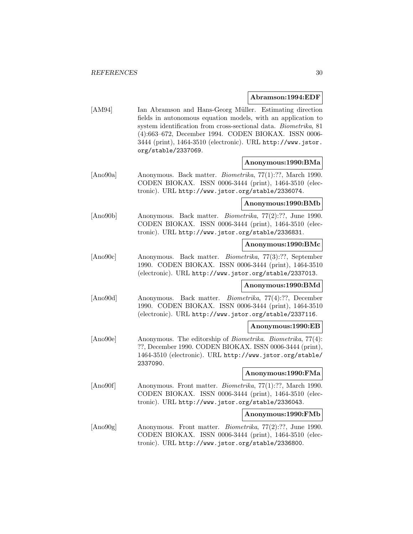#### **Abramson:1994:EDF**

[AM94] Ian Abramson and Hans-Georg Müller. Estimating direction fields in autonomous equation models, with an application to system identification from cross-sectional data. Biometrika, 81 (4):663–672, December 1994. CODEN BIOKAX. ISSN 0006- 3444 (print), 1464-3510 (electronic). URL http://www.jstor. org/stable/2337069.

## **Anonymous:1990:BMa**

[Ano90a] Anonymous. Back matter. Biometrika, 77(1):??, March 1990. CODEN BIOKAX. ISSN 0006-3444 (print), 1464-3510 (electronic). URL http://www.jstor.org/stable/2336074.

## **Anonymous:1990:BMb**

[Ano90b] Anonymous. Back matter. Biometrika, 77(2):??, June 1990. CODEN BIOKAX. ISSN 0006-3444 (print), 1464-3510 (electronic). URL http://www.jstor.org/stable/2336831.

## **Anonymous:1990:BMc**

[Ano90c] Anonymous. Back matter. Biometrika, 77(3):??, September 1990. CODEN BIOKAX. ISSN 0006-3444 (print), 1464-3510 (electronic). URL http://www.jstor.org/stable/2337013.

## **Anonymous:1990:BMd**

[Ano90d] Anonymous. Back matter. Biometrika, 77(4):??, December 1990. CODEN BIOKAX. ISSN 0006-3444 (print), 1464-3510 (electronic). URL http://www.jstor.org/stable/2337116.

#### **Anonymous:1990:EB**

[Ano90e] Anonymous. The editorship of Biometrika. Biometrika, 77(4): ??, December 1990. CODEN BIOKAX. ISSN 0006-3444 (print), 1464-3510 (electronic). URL http://www.jstor.org/stable/ 2337090.

#### **Anonymous:1990:FMa**

[Ano90f] Anonymous. Front matter. Biometrika, 77(1):??, March 1990. CODEN BIOKAX. ISSN 0006-3444 (print), 1464-3510 (electronic). URL http://www.jstor.org/stable/2336043.

#### **Anonymous:1990:FMb**

[Ano90g] Anonymous. Front matter. Biometrika, 77(2):??, June 1990. CODEN BIOKAX. ISSN 0006-3444 (print), 1464-3510 (electronic). URL http://www.jstor.org/stable/2336800.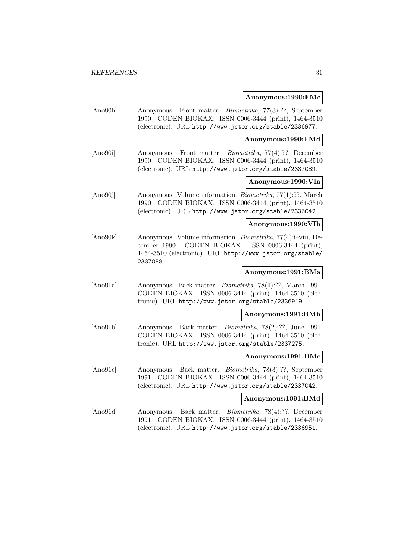#### **Anonymous:1990:FMc**

[Ano90h] Anonymous. Front matter. Biometrika, 77(3):??, September 1990. CODEN BIOKAX. ISSN 0006-3444 (print), 1464-3510 (electronic). URL http://www.jstor.org/stable/2336977.

**Anonymous:1990:FMd**

[Ano90i] Anonymous. Front matter. Biometrika, 77(4):??, December 1990. CODEN BIOKAX. ISSN 0006-3444 (print), 1464-3510 (electronic). URL http://www.jstor.org/stable/2337089.

## **Anonymous:1990:VIa**

[Ano90j] Anonymous. Volume information. Biometrika, 77(1):??, March 1990. CODEN BIOKAX. ISSN 0006-3444 (print), 1464-3510 (electronic). URL http://www.jstor.org/stable/2336042.

#### **Anonymous:1990:VIb**

[Ano90k] Anonymous. Volume information. Biometrika, 77(4):i–viii, December 1990. CODEN BIOKAX. ISSN 0006-3444 (print), 1464-3510 (electronic). URL http://www.jstor.org/stable/ 2337088.

## **Anonymous:1991:BMa**

[Ano91a] Anonymous. Back matter. Biometrika, 78(1):??, March 1991. CODEN BIOKAX. ISSN 0006-3444 (print), 1464-3510 (electronic). URL http://www.jstor.org/stable/2336919.

#### **Anonymous:1991:BMb**

[Ano91b] Anonymous. Back matter. Biometrika, 78(2):??, June 1991. CODEN BIOKAX. ISSN 0006-3444 (print), 1464-3510 (electronic). URL http://www.jstor.org/stable/2337275.

## **Anonymous:1991:BMc**

[Ano91c] Anonymous. Back matter. Biometrika, 78(3):??, September 1991. CODEN BIOKAX. ISSN 0006-3444 (print), 1464-3510 (electronic). URL http://www.jstor.org/stable/2337042.

#### **Anonymous:1991:BMd**

[Ano91d] Anonymous. Back matter. Biometrika, 78(4):??, December 1991. CODEN BIOKAX. ISSN 0006-3444 (print), 1464-3510 (electronic). URL http://www.jstor.org/stable/2336951.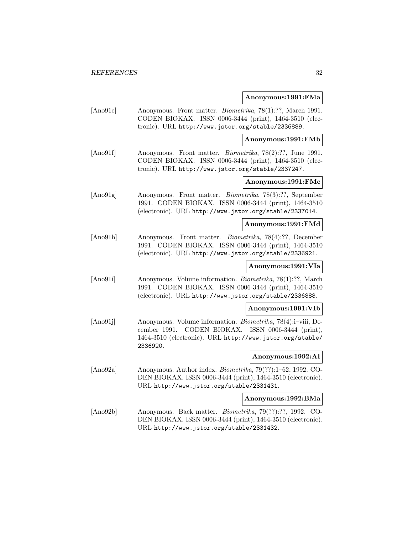#### **Anonymous:1991:FMa**

[Ano91e] Anonymous. Front matter. Biometrika, 78(1):??, March 1991. CODEN BIOKAX. ISSN 0006-3444 (print), 1464-3510 (electronic). URL http://www.jstor.org/stable/2336889.

**Anonymous:1991:FMb**

[Ano91f] Anonymous. Front matter. *Biometrika*, 78(2):??, June 1991. CODEN BIOKAX. ISSN 0006-3444 (print), 1464-3510 (electronic). URL http://www.jstor.org/stable/2337247.

## **Anonymous:1991:FMc**

[Ano91g] Anonymous. Front matter. Biometrika, 78(3):??, September 1991. CODEN BIOKAX. ISSN 0006-3444 (print), 1464-3510 (electronic). URL http://www.jstor.org/stable/2337014.

#### **Anonymous:1991:FMd**

[Ano91h] Anonymous. Front matter. Biometrika, 78(4):??, December 1991. CODEN BIOKAX. ISSN 0006-3444 (print), 1464-3510 (electronic). URL http://www.jstor.org/stable/2336921.

## **Anonymous:1991:VIa**

[Ano91i] Anonymous. Volume information. Biometrika, 78(1):??, March 1991. CODEN BIOKAX. ISSN 0006-3444 (print), 1464-3510 (electronic). URL http://www.jstor.org/stable/2336888.

#### **Anonymous:1991:VIb**

[Ano91j] Anonymous. Volume information. Biometrika, 78(4):i–viii, December 1991. CODEN BIOKAX. ISSN 0006-3444 (print), 1464-3510 (electronic). URL http://www.jstor.org/stable/ 2336920.

## **Anonymous:1992:AI**

[Ano92a] Anonymous. Author index. Biometrika, 79(??):1–62, 1992. CO-DEN BIOKAX. ISSN 0006-3444 (print), 1464-3510 (electronic). URL http://www.jstor.org/stable/2331431.

#### **Anonymous:1992:BMa**

[Ano92b] Anonymous. Back matter. Biometrika, 79(??):??, 1992. CO-DEN BIOKAX. ISSN 0006-3444 (print), 1464-3510 (electronic). URL http://www.jstor.org/stable/2331432.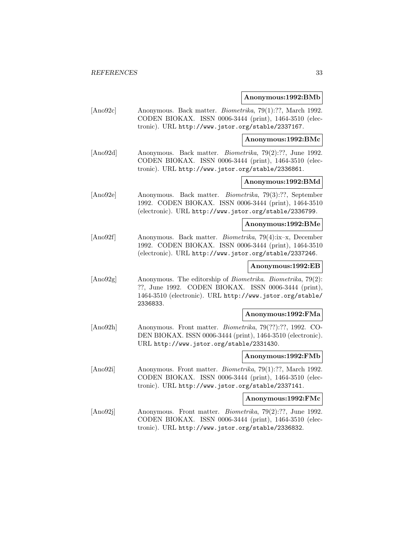#### **Anonymous:1992:BMb**

[Ano92c] Anonymous. Back matter. Biometrika, 79(1):??, March 1992. CODEN BIOKAX. ISSN 0006-3444 (print), 1464-3510 (electronic). URL http://www.jstor.org/stable/2337167.

**Anonymous:1992:BMc**

[Ano92d] Anonymous. Back matter. Biometrika, 79(2):??, June 1992. CODEN BIOKAX. ISSN 0006-3444 (print), 1464-3510 (electronic). URL http://www.jstor.org/stable/2336861.

## **Anonymous:1992:BMd**

[Ano92e] Anonymous. Back matter. Biometrika, 79(3):??, September 1992. CODEN BIOKAX. ISSN 0006-3444 (print), 1464-3510 (electronic). URL http://www.jstor.org/stable/2336799.

**Anonymous:1992:BMe**

[Ano92f] Anonymous. Back matter. Biometrika, 79(4):ix–x, December 1992. CODEN BIOKAX. ISSN 0006-3444 (print), 1464-3510 (electronic). URL http://www.jstor.org/stable/2337246.

**Anonymous:1992:EB**

[Ano92g] Anonymous. The editorship of *Biometrika*, *Biometrika*, 79(2): ??, June 1992. CODEN BIOKAX. ISSN 0006-3444 (print), 1464-3510 (electronic). URL http://www.jstor.org/stable/ 2336833.

#### **Anonymous:1992:FMa**

[Ano92h] Anonymous. Front matter. Biometrika, 79(??):??, 1992. CO-DEN BIOKAX. ISSN 0006-3444 (print), 1464-3510 (electronic). URL http://www.jstor.org/stable/2331430.

## **Anonymous:1992:FMb**

[Ano92i] Anonymous. Front matter. Biometrika, 79(1):??, March 1992. CODEN BIOKAX. ISSN 0006-3444 (print), 1464-3510 (electronic). URL http://www.jstor.org/stable/2337141.

**Anonymous:1992:FMc**

[Ano92j] Anonymous. Front matter. Biometrika, 79(2):??, June 1992. CODEN BIOKAX. ISSN 0006-3444 (print), 1464-3510 (electronic). URL http://www.jstor.org/stable/2336832.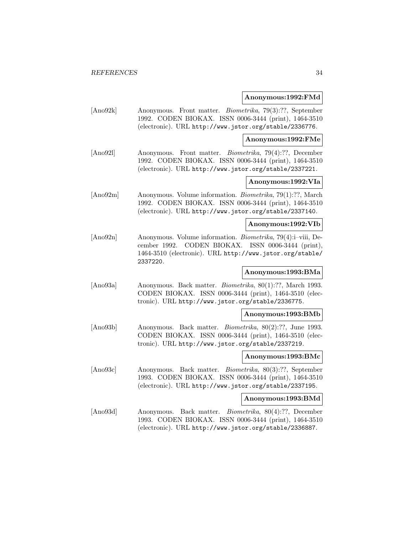#### **Anonymous:1992:FMd**

[Ano92k] Anonymous. Front matter. Biometrika, 79(3):??, September 1992. CODEN BIOKAX. ISSN 0006-3444 (print), 1464-3510 (electronic). URL http://www.jstor.org/stable/2336776.

**Anonymous:1992:FMe**

[Ano92l] Anonymous. Front matter. Biometrika, 79(4):??, December 1992. CODEN BIOKAX. ISSN 0006-3444 (print), 1464-3510 (electronic). URL http://www.jstor.org/stable/2337221.

## **Anonymous:1992:VIa**

[Ano92m] Anonymous. Volume information. Biometrika, 79(1):??, March 1992. CODEN BIOKAX. ISSN 0006-3444 (print), 1464-3510 (electronic). URL http://www.jstor.org/stable/2337140.

#### **Anonymous:1992:VIb**

[Ano92n] Anonymous. Volume information. Biometrika, 79(4):i–viii, December 1992. CODEN BIOKAX. ISSN 0006-3444 (print), 1464-3510 (electronic). URL http://www.jstor.org/stable/ 2337220.

## **Anonymous:1993:BMa**

[Ano93a] Anonymous. Back matter. Biometrika, 80(1):??, March 1993. CODEN BIOKAX. ISSN 0006-3444 (print), 1464-3510 (electronic). URL http://www.jstor.org/stable/2336775.

#### **Anonymous:1993:BMb**

[Ano93b] Anonymous. Back matter. Biometrika, 80(2):??, June 1993. CODEN BIOKAX. ISSN 0006-3444 (print), 1464-3510 (electronic). URL http://www.jstor.org/stable/2337219.

## **Anonymous:1993:BMc**

[Ano93c] Anonymous. Back matter. Biometrika, 80(3):??, September 1993. CODEN BIOKAX. ISSN 0006-3444 (print), 1464-3510 (electronic). URL http://www.jstor.org/stable/2337195.

#### **Anonymous:1993:BMd**

[Ano93d] Anonymous. Back matter. Biometrika, 80(4):??, December 1993. CODEN BIOKAX. ISSN 0006-3444 (print), 1464-3510 (electronic). URL http://www.jstor.org/stable/2336887.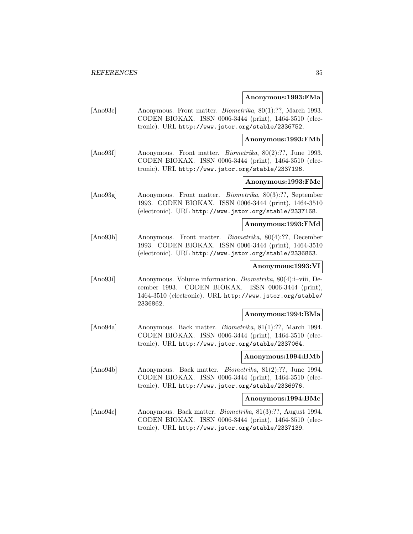#### **Anonymous:1993:FMa**

[Ano93e] Anonymous. Front matter. Biometrika, 80(1):??, March 1993. CODEN BIOKAX. ISSN 0006-3444 (print), 1464-3510 (electronic). URL http://www.jstor.org/stable/2336752.

**Anonymous:1993:FMb**

[Ano93f] Anonymous. Front matter. *Biometrika*, 80(2):??, June 1993. CODEN BIOKAX. ISSN 0006-3444 (print), 1464-3510 (electronic). URL http://www.jstor.org/stable/2337196.

## **Anonymous:1993:FMc**

[Ano93g] Anonymous. Front matter. Biometrika, 80(3):??, September 1993. CODEN BIOKAX. ISSN 0006-3444 (print), 1464-3510 (electronic). URL http://www.jstor.org/stable/2337168.

#### **Anonymous:1993:FMd**

[Ano93h] Anonymous. Front matter. Biometrika, 80(4):??, December 1993. CODEN BIOKAX. ISSN 0006-3444 (print), 1464-3510 (electronic). URL http://www.jstor.org/stable/2336863.

## **Anonymous:1993:VI**

[Ano93i] Anonymous. Volume information. Biometrika, 80(4):i–viii, December 1993. CODEN BIOKAX. ISSN 0006-3444 (print), 1464-3510 (electronic). URL http://www.jstor.org/stable/ 2336862.

#### **Anonymous:1994:BMa**

[Ano94a] Anonymous. Back matter. Biometrika, 81(1):??, March 1994. CODEN BIOKAX. ISSN 0006-3444 (print), 1464-3510 (electronic). URL http://www.jstor.org/stable/2337064.

## **Anonymous:1994:BMb**

[Ano94b] Anonymous. Back matter. Biometrika, 81(2):??, June 1994. CODEN BIOKAX. ISSN 0006-3444 (print), 1464-3510 (electronic). URL http://www.jstor.org/stable/2336976.

#### **Anonymous:1994:BMc**

[Ano94c] Anonymous. Back matter. Biometrika, 81(3):??, August 1994. CODEN BIOKAX. ISSN 0006-3444 (print), 1464-3510 (electronic). URL http://www.jstor.org/stable/2337139.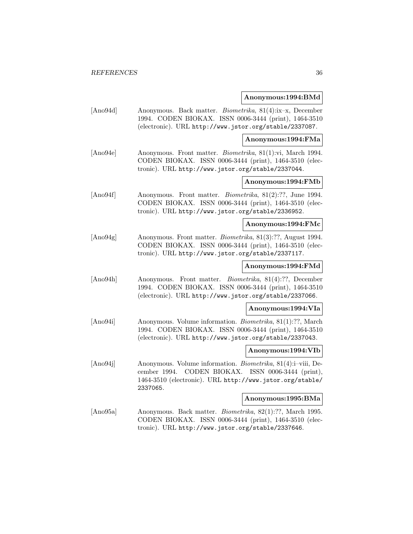#### **Anonymous:1994:BMd**

[Ano94d] Anonymous. Back matter. Biometrika, 81(4):ix–x, December 1994. CODEN BIOKAX. ISSN 0006-3444 (print), 1464-3510 (electronic). URL http://www.jstor.org/stable/2337087.

**Anonymous:1994:FMa**

[Ano94e] Anonymous. Front matter. Biometrika, 81(1):vi, March 1994. CODEN BIOKAX. ISSN 0006-3444 (print), 1464-3510 (electronic). URL http://www.jstor.org/stable/2337044.

## **Anonymous:1994:FMb**

[Ano94f] Anonymous. Front matter. *Biometrika*, 81(2):??, June 1994. CODEN BIOKAX. ISSN 0006-3444 (print), 1464-3510 (electronic). URL http://www.jstor.org/stable/2336952.

#### **Anonymous:1994:FMc**

[Ano94g] Anonymous. Front matter. Biometrika, 81(3):??, August 1994. CODEN BIOKAX. ISSN 0006-3444 (print), 1464-3510 (electronic). URL http://www.jstor.org/stable/2337117.

## **Anonymous:1994:FMd**

[Ano94h] Anonymous. Front matter. Biometrika, 81(4):??, December 1994. CODEN BIOKAX. ISSN 0006-3444 (print), 1464-3510 (electronic). URL http://www.jstor.org/stable/2337066.

#### **Anonymous:1994:VIa**

[Ano94i] Anonymous. Volume information. Biometrika, 81(1):??, March 1994. CODEN BIOKAX. ISSN 0006-3444 (print), 1464-3510 (electronic). URL http://www.jstor.org/stable/2337043.

#### **Anonymous:1994:VIb**

[Ano94j] Anonymous. Volume information. Biometrika, 81(4):i–viii, December 1994. CODEN BIOKAX. ISSN 0006-3444 (print), 1464-3510 (electronic). URL http://www.jstor.org/stable/ 2337065.

#### **Anonymous:1995:BMa**

[Ano95a] Anonymous. Back matter. Biometrika, 82(1):??, March 1995. CODEN BIOKAX. ISSN 0006-3444 (print), 1464-3510 (electronic). URL http://www.jstor.org/stable/2337646.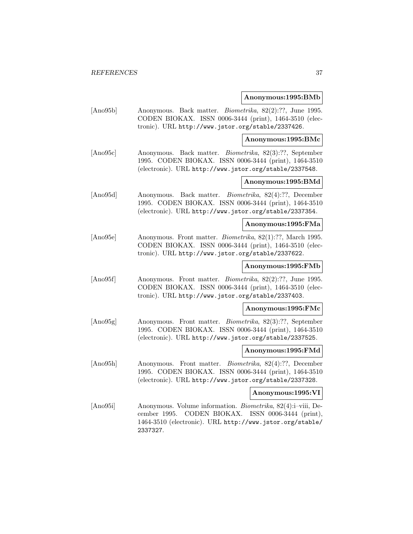### **Anonymous:1995:BMb**

[Ano95b] Anonymous. Back matter. Biometrika, 82(2):??, June 1995. CODEN BIOKAX. ISSN 0006-3444 (print), 1464-3510 (electronic). URL http://www.jstor.org/stable/2337426.

**Anonymous:1995:BMc**

[Ano95c] Anonymous. Back matter. Biometrika, 82(3):??, September 1995. CODEN BIOKAX. ISSN 0006-3444 (print), 1464-3510 (electronic). URL http://www.jstor.org/stable/2337548.

# **Anonymous:1995:BMd**

[Ano95d] Anonymous. Back matter. Biometrika, 82(4):??, December 1995. CODEN BIOKAX. ISSN 0006-3444 (print), 1464-3510 (electronic). URL http://www.jstor.org/stable/2337354.

### **Anonymous:1995:FMa**

[Ano95e] Anonymous. Front matter. Biometrika, 82(1):??, March 1995. CODEN BIOKAX. ISSN 0006-3444 (print), 1464-3510 (electronic). URL http://www.jstor.org/stable/2337622.

## **Anonymous:1995:FMb**

[Ano95f] Anonymous. Front matter. *Biometrika*, 82(2):??, June 1995. CODEN BIOKAX. ISSN 0006-3444 (print), 1464-3510 (electronic). URL http://www.jstor.org/stable/2337403.

# **Anonymous:1995:FMc**

[Ano95g] Anonymous. Front matter. Biometrika, 82(3):??, September 1995. CODEN BIOKAX. ISSN 0006-3444 (print), 1464-3510 (electronic). URL http://www.jstor.org/stable/2337525.

#### **Anonymous:1995:FMd**

[Ano95h] Anonymous. Front matter. Biometrika, 82(4):??, December 1995. CODEN BIOKAX. ISSN 0006-3444 (print), 1464-3510 (electronic). URL http://www.jstor.org/stable/2337328.

### **Anonymous:1995:VI**

[Ano95i] Anonymous. Volume information. Biometrika, 82(4):i–viii, December 1995. CODEN BIOKAX. ISSN 0006-3444 (print), 1464-3510 (electronic). URL http://www.jstor.org/stable/ 2337327.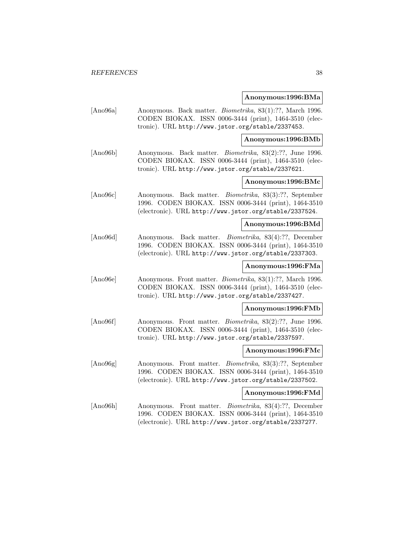### **Anonymous:1996:BMa**

[Ano96a] Anonymous. Back matter. Biometrika, 83(1):??, March 1996. CODEN BIOKAX. ISSN 0006-3444 (print), 1464-3510 (electronic). URL http://www.jstor.org/stable/2337453.

### **Anonymous:1996:BMb**

[Ano96b] Anonymous. Back matter. Biometrika, 83(2):??, June 1996. CODEN BIOKAX. ISSN 0006-3444 (print), 1464-3510 (electronic). URL http://www.jstor.org/stable/2337621.

# **Anonymous:1996:BMc**

[Ano96c] Anonymous. Back matter. Biometrika, 83(3):??, September 1996. CODEN BIOKAX. ISSN 0006-3444 (print), 1464-3510 (electronic). URL http://www.jstor.org/stable/2337524.

## **Anonymous:1996:BMd**

[Ano96d] Anonymous. Back matter. Biometrika, 83(4):??, December 1996. CODEN BIOKAX. ISSN 0006-3444 (print), 1464-3510 (electronic). URL http://www.jstor.org/stable/2337303.

# **Anonymous:1996:FMa**

[Ano96e] Anonymous. Front matter. Biometrika, 83(1):??, March 1996. CODEN BIOKAX. ISSN 0006-3444 (print), 1464-3510 (electronic). URL http://www.jstor.org/stable/2337427.

### **Anonymous:1996:FMb**

[Ano96f] Anonymous. Front matter. Biometrika, 83(2):??, June 1996. CODEN BIOKAX. ISSN 0006-3444 (print), 1464-3510 (electronic). URL http://www.jstor.org/stable/2337597.

#### **Anonymous:1996:FMc**

[Ano96g] Anonymous. Front matter. Biometrika, 83(3):??, September 1996. CODEN BIOKAX. ISSN 0006-3444 (print), 1464-3510 (electronic). URL http://www.jstor.org/stable/2337502.

### **Anonymous:1996:FMd**

[Ano96h] Anonymous. Front matter. Biometrika, 83(4):??, December 1996. CODEN BIOKAX. ISSN 0006-3444 (print), 1464-3510 (electronic). URL http://www.jstor.org/stable/2337277.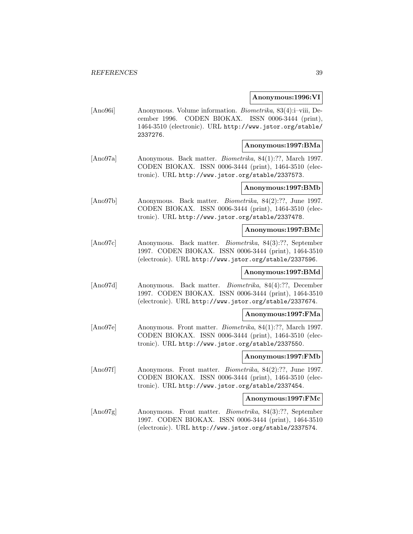### **Anonymous:1996:VI**

[Ano96i] Anonymous. Volume information. Biometrika, 83(4):i–viii, December 1996. CODEN BIOKAX. ISSN 0006-3444 (print), 1464-3510 (electronic). URL http://www.jstor.org/stable/ 2337276.

## **Anonymous:1997:BMa**

[Ano97a] Anonymous. Back matter. Biometrika, 84(1):??, March 1997. CODEN BIOKAX. ISSN 0006-3444 (print), 1464-3510 (electronic). URL http://www.jstor.org/stable/2337573.

# **Anonymous:1997:BMb**

[Ano97b] Anonymous. Back matter. Biometrika, 84(2):??, June 1997. CODEN BIOKAX. ISSN 0006-3444 (print), 1464-3510 (electronic). URL http://www.jstor.org/stable/2337478.

### **Anonymous:1997:BMc**

[Ano97c] Anonymous. Back matter. Biometrika, 84(3):??, September 1997. CODEN BIOKAX. ISSN 0006-3444 (print), 1464-3510 (electronic). URL http://www.jstor.org/stable/2337596.

## **Anonymous:1997:BMd**

[Ano97d] Anonymous. Back matter. Biometrika, 84(4):??, December 1997. CODEN BIOKAX. ISSN 0006-3444 (print), 1464-3510 (electronic). URL http://www.jstor.org/stable/2337674.

### **Anonymous:1997:FMa**

[Ano97e] Anonymous. Front matter. Biometrika, 84(1):??, March 1997. CODEN BIOKAX. ISSN 0006-3444 (print), 1464-3510 (electronic). URL http://www.jstor.org/stable/2337550.

## **Anonymous:1997:FMb**

[Ano97f] Anonymous. Front matter. Biometrika, 84(2):??, June 1997. CODEN BIOKAX. ISSN 0006-3444 (print), 1464-3510 (electronic). URL http://www.jstor.org/stable/2337454.

#### **Anonymous:1997:FMc**

[Ano97g] Anonymous. Front matter. Biometrika, 84(3):??, September 1997. CODEN BIOKAX. ISSN 0006-3444 (print), 1464-3510 (electronic). URL http://www.jstor.org/stable/2337574.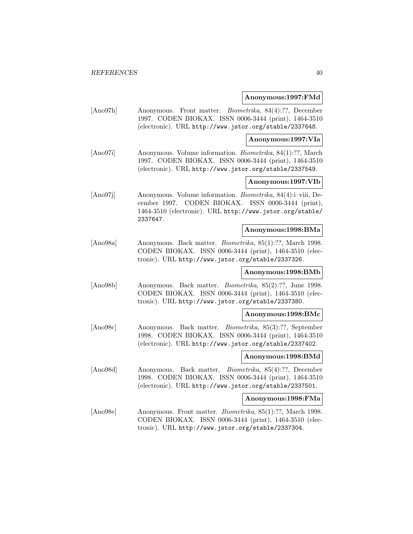### **Anonymous:1997:FMd**

[Ano97h] Anonymous. Front matter. Biometrika, 84(4):??, December 1997. CODEN BIOKAX. ISSN 0006-3444 (print), 1464-3510 (electronic). URL http://www.jstor.org/stable/2337648.

**Anonymous:1997:VIa**

[Ano97i] Anonymous. Volume information. Biometrika, 84(1):??, March 1997. CODEN BIOKAX. ISSN 0006-3444 (print), 1464-3510 (electronic). URL http://www.jstor.org/stable/2337549.

## **Anonymous:1997:VIb**

[Ano97j] Anonymous. Volume information. Biometrika, 84(4):i–viii, December 1997. CODEN BIOKAX. ISSN 0006-3444 (print), 1464-3510 (electronic). URL http://www.jstor.org/stable/ 2337647.

### **Anonymous:1998:BMa**

[Ano98a] Anonymous. Back matter. Biometrika, 85(1):??, March 1998. CODEN BIOKAX. ISSN 0006-3444 (print), 1464-3510 (electronic). URL http://www.jstor.org/stable/2337326.

## **Anonymous:1998:BMb**

[Ano98b] Anonymous. Back matter. Biometrika, 85(2):??, June 1998. CODEN BIOKAX. ISSN 0006-3444 (print), 1464-3510 (electronic). URL http://www.jstor.org/stable/2337380.

### **Anonymous:1998:BMc**

[Ano98c] Anonymous. Back matter. Biometrika, 85(3):??, September 1998. CODEN BIOKAX. ISSN 0006-3444 (print), 1464-3510 (electronic). URL http://www.jstor.org/stable/2337402.

## **Anonymous:1998:BMd**

[Ano98d] Anonymous. Back matter. Biometrika, 85(4):??, December 1998. CODEN BIOKAX. ISSN 0006-3444 (print), 1464-3510 (electronic). URL http://www.jstor.org/stable/2337501.

#### **Anonymous:1998:FMa**

[Ano98e] Anonymous. Front matter. Biometrika, 85(1):??, March 1998. CODEN BIOKAX. ISSN 0006-3444 (print), 1464-3510 (electronic). URL http://www.jstor.org/stable/2337304.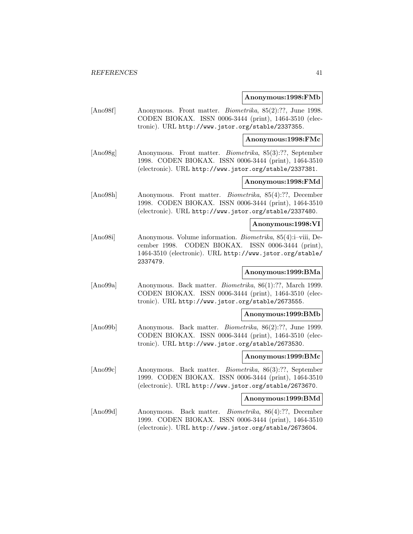### **Anonymous:1998:FMb**

[Ano98f] Anonymous. Front matter. Biometrika, 85(2):??, June 1998. CODEN BIOKAX. ISSN 0006-3444 (print), 1464-3510 (electronic). URL http://www.jstor.org/stable/2337355.

**Anonymous:1998:FMc**

[Ano98g] Anonymous. Front matter. Biometrika, 85(3):??, September 1998. CODEN BIOKAX. ISSN 0006-3444 (print), 1464-3510 (electronic). URL http://www.jstor.org/stable/2337381.

# **Anonymous:1998:FMd**

[Ano98h] Anonymous. Front matter. Biometrika, 85(4):??, December 1998. CODEN BIOKAX. ISSN 0006-3444 (print), 1464-3510 (electronic). URL http://www.jstor.org/stable/2337480.

#### **Anonymous:1998:VI**

[Ano98i] Anonymous. Volume information. Biometrika, 85(4):i–viii, December 1998. CODEN BIOKAX. ISSN 0006-3444 (print), 1464-3510 (electronic). URL http://www.jstor.org/stable/ 2337479.

## **Anonymous:1999:BMa**

[Ano99a] Anonymous. Back matter. Biometrika, 86(1):??, March 1999. CODEN BIOKAX. ISSN 0006-3444 (print), 1464-3510 (electronic). URL http://www.jstor.org/stable/2673555.

#### **Anonymous:1999:BMb**

[Ano99b] Anonymous. Back matter. Biometrika, 86(2):??, June 1999. CODEN BIOKAX. ISSN 0006-3444 (print), 1464-3510 (electronic). URL http://www.jstor.org/stable/2673530.

# **Anonymous:1999:BMc**

[Ano99c] Anonymous. Back matter. Biometrika, 86(3):??, September 1999. CODEN BIOKAX. ISSN 0006-3444 (print), 1464-3510 (electronic). URL http://www.jstor.org/stable/2673670.

#### **Anonymous:1999:BMd**

[Ano99d] Anonymous. Back matter. Biometrika, 86(4):??, December 1999. CODEN BIOKAX. ISSN 0006-3444 (print), 1464-3510 (electronic). URL http://www.jstor.org/stable/2673604.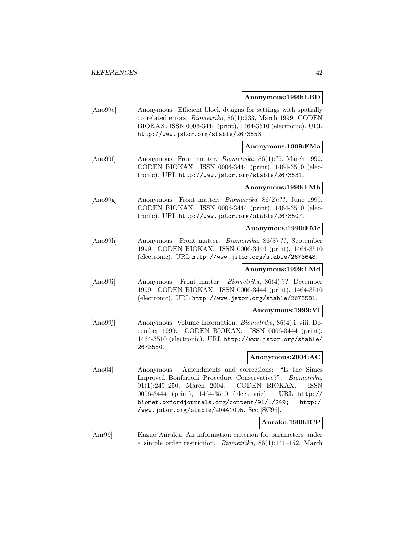### **Anonymous:1999:EBD**

[Ano99e] Anonymous. Efficient block designs for settings with spatially correlated errors. Biometrika, 86(1):233, March 1999. CODEN BIOKAX. ISSN 0006-3444 (print), 1464-3510 (electronic). URL http://www.jstor.org/stable/2673553.

### **Anonymous:1999:FMa**

[Ano99f] Anonymous. Front matter. *Biometrika*, 86(1):??, March 1999. CODEN BIOKAX. ISSN 0006-3444 (print), 1464-3510 (electronic). URL http://www.jstor.org/stable/2673531.

### **Anonymous:1999:FMb**

[Ano99g] Anonymous. Front matter. Biometrika, 86(2):??, June 1999. CODEN BIOKAX. ISSN 0006-3444 (print), 1464-3510 (electronic). URL http://www.jstor.org/stable/2673507.

#### **Anonymous:1999:FMc**

[Ano99h] Anonymous. Front matter. Biometrika, 86(3):??, September 1999. CODEN BIOKAX. ISSN 0006-3444 (print), 1464-3510 (electronic). URL http://www.jstor.org/stable/2673648.

## **Anonymous:1999:FMd**

[Ano99i] Anonymous. Front matter. Biometrika, 86(4):??, December 1999. CODEN BIOKAX. ISSN 0006-3444 (print), 1464-3510 (electronic). URL http://www.jstor.org/stable/2673581.

## **Anonymous:1999:VI**

[Ano99j] Anonymous. Volume information. Biometrika, 86(4):i–viii, December 1999. CODEN BIOKAX. ISSN 0006-3444 (print), 1464-3510 (electronic). URL http://www.jstor.org/stable/ 2673580.

## **Anonymous:2004:AC**

[Ano04] Anonymous. Amendments and corrections: "Is the Simes Improved Bonferroni Procedure Conservative?". Biometrika, 91(1):249–250, March 2004. CODEN BIOKAX. ISSN 0006-3444 (print), 1464-3510 (electronic). URL http:// biomet.oxfordjournals.org/content/91/1/249; http:/ /www.jstor.org/stable/20441095. See [SC96].

# **Anraku:1999:ICP**

[Anr99] Kazuo Anraku. An information criterion for parameters under a simple order restriction. Biometrika, 86(1):141–152, March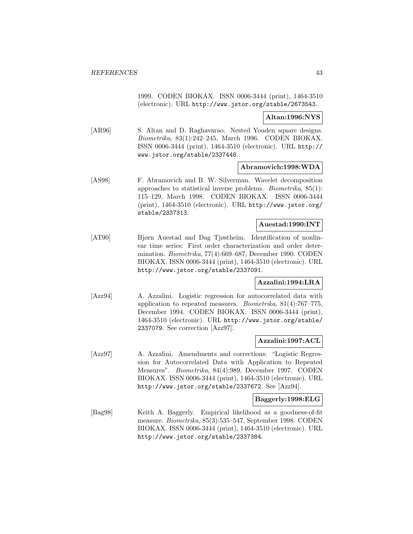1999. CODEN BIOKAX. ISSN 0006-3444 (print), 1464-3510 (electronic). URL http://www.jstor.org/stable/2673543.

**Altan:1996:NYS**

[AR96] S. Altan and D. Raghavarao. Nested Youden square designs. Biometrika, 83(1):242–245, March 1996. CODEN BIOKAX. ISSN 0006-3444 (print), 1464-3510 (electronic). URL http:// www.jstor.org/stable/2337448.

# **Abramovich:1998:WDA**

[AS98] F. Abramovich and B. W. Silverman. Wavelet decomposition approaches to statistical inverse problems. Biometrika, 85(1): 115–129, March 1998. CODEN BIOKAX. ISSN 0006-3444 (print), 1464-3510 (electronic). URL http://www.jstor.org/ stable/2337313.

# **Auestad:1990:INT**

[AT90] Bjørn Auestad and Dag Tjøstheim. Identification of nonlinear time series: First order characterization and order determination. Biometrika, 77(4):669–687, December 1990. CODEN BIOKAX. ISSN 0006-3444 (print), 1464-3510 (electronic). URL http://www.jstor.org/stable/2337091.

## **Azzalini:1994:LRA**

[Azz94] A. Azzalini. Logistic regression for autocorrelated data with application to repeated measures. Biometrika, 81(4):767–775, December 1994. CODEN BIOKAX. ISSN 0006-3444 (print), 1464-3510 (electronic). URL http://www.jstor.org/stable/ 2337079. See correction [Azz97].

## **Azzalini:1997:ACL**

[Azz97] A. Azzalini. Amendments and corrections: "Logistic Regression for Autocorrelated Data with Application to Repeated Measures". Biometrika, 84(4):989, December 1997. CODEN BIOKAX. ISSN 0006-3444 (print), 1464-3510 (electronic). URL http://www.jstor.org/stable/2337672. See [Azz94].

## **Baggerly:1998:ELG**

[Bag98] Keith A. Baggerly. Empirical likelihood as a goodness-of-fit measure. Biometrika, 85(3):535–547, September 1998. CODEN BIOKAX. ISSN 0006-3444 (print), 1464-3510 (electronic). URL http://www.jstor.org/stable/2337384.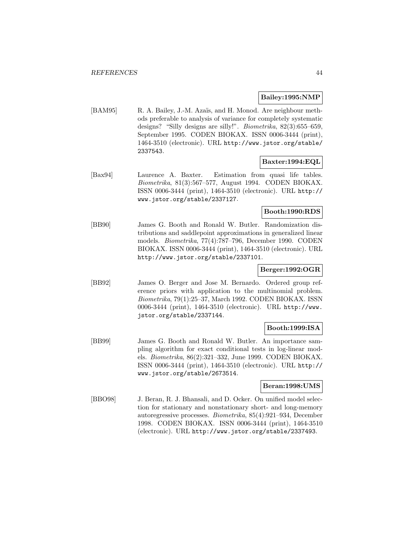# **Bailey:1995:NMP**

[BAM95] R. A. Bailey, J.-M. Azaïs, and H. Monod. Are neighbour methods preferable to analysis of variance for completely systematic designs? "Silly designs are silly!". Biometrika, 82(3):655–659, September 1995. CODEN BIOKAX. ISSN 0006-3444 (print), 1464-3510 (electronic). URL http://www.jstor.org/stable/ 2337543.

# **Baxter:1994:EQL**

[Bax94] Laurence A. Baxter. Estimation from quasi life tables. Biometrika, 81(3):567–577, August 1994. CODEN BIOKAX. ISSN 0006-3444 (print), 1464-3510 (electronic). URL http:// www.jstor.org/stable/2337127.

# **Booth:1990:RDS**

[BB90] James G. Booth and Ronald W. Butler. Randomization distributions and saddlepoint approximations in generalized linear models. Biometrika, 77(4):787–796, December 1990. CODEN BIOKAX. ISSN 0006-3444 (print), 1464-3510 (electronic). URL http://www.jstor.org/stable/2337101.

## **Berger:1992:OGR**

[BB92] James O. Berger and Jose M. Bernardo. Ordered group reference priors with application to the multinomial problem. Biometrika, 79(1):25–37, March 1992. CODEN BIOKAX. ISSN 0006-3444 (print), 1464-3510 (electronic). URL http://www. jstor.org/stable/2337144.

## **Booth:1999:ISA**

[BB99] James G. Booth and Ronald W. Butler. An importance sampling algorithm for exact conditional tests in log-linear models. Biometrika, 86(2):321–332, June 1999. CODEN BIOKAX. ISSN 0006-3444 (print), 1464-3510 (electronic). URL http:// www.jstor.org/stable/2673514.

## **Beran:1998:UMS**

[BBO98] J. Beran, R. J. Bhansali, and D. Ocker. On unified model selection for stationary and nonstationary short- and long-memory autoregressive processes. Biometrika, 85(4):921–934, December 1998. CODEN BIOKAX. ISSN 0006-3444 (print), 1464-3510 (electronic). URL http://www.jstor.org/stable/2337493.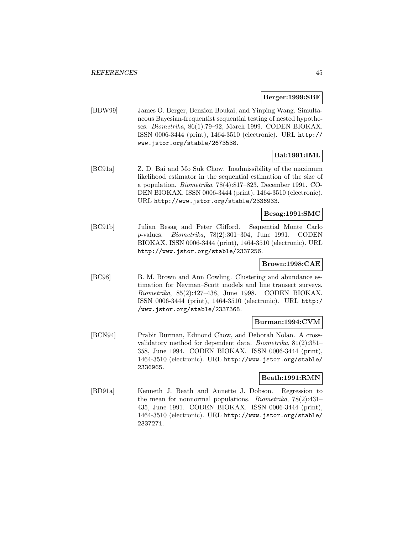### **Berger:1999:SBF**

[BBW99] James O. Berger, Benzion Boukai, and Yinping Wang. Simultaneous Bayesian-frequentist sequential testing of nested hypotheses. Biometrika, 86(1):79–92, March 1999. CODEN BIOKAX. ISSN 0006-3444 (print), 1464-3510 (electronic). URL http:// www.jstor.org/stable/2673538.

# **Bai:1991:IML**

[BC91a] Z. D. Bai and Mo Suk Chow. Inadmissibility of the maximum likelihood estimator in the sequential estimation of the size of a population. Biometrika, 78(4):817–823, December 1991. CO-DEN BIOKAX. ISSN 0006-3444 (print), 1464-3510 (electronic). URL http://www.jstor.org/stable/2336933.

# **Besag:1991:SMC**

[BC91b] Julian Besag and Peter Clifford. Sequential Monte Carlo p-values. Biometrika, 78(2):301–304, June 1991. CODEN BIOKAX. ISSN 0006-3444 (print), 1464-3510 (electronic). URL http://www.jstor.org/stable/2337256.

# **Brown:1998:CAE**

[BC98] B. M. Brown and Ann Cowling. Clustering and abundance estimation for Neyman–Scott models and line transect surveys. Biometrika, 85(2):427–438, June 1998. CODEN BIOKAX. ISSN 0006-3444 (print), 1464-3510 (electronic). URL http:/ /www.jstor.org/stable/2337368.

# **Burman:1994:CVM**

[BCN94] Prabir Burman, Edmond Chow, and Deborah Nolan. A crossvalidatory method for dependent data. Biometrika, 81(2):351– 358, June 1994. CODEN BIOKAX. ISSN 0006-3444 (print), 1464-3510 (electronic). URL http://www.jstor.org/stable/ 2336965.

# **Beath:1991:RMN**

[BD91a] Kenneth J. Beath and Annette J. Dobson. Regression to the mean for nonnormal populations. Biometrika, 78(2):431– 435, June 1991. CODEN BIOKAX. ISSN 0006-3444 (print), 1464-3510 (electronic). URL http://www.jstor.org/stable/ 2337271.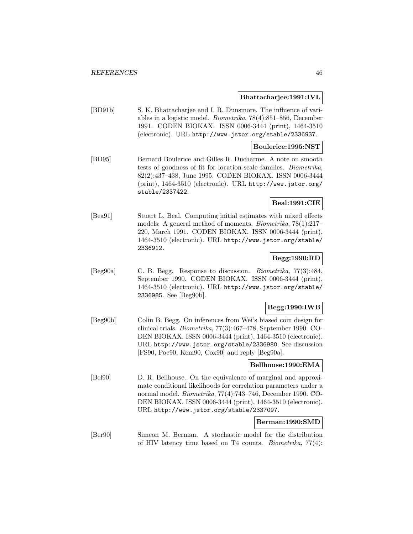### **Bhattacharjee:1991:IVL**

[BD91b] S. K. Bhattacharjee and I. R. Dunsmore. The influence of variables in a logistic model. Biometrika, 78(4):851–856, December 1991. CODEN BIOKAX. ISSN 0006-3444 (print), 1464-3510 (electronic). URL http://www.jstor.org/stable/2336937.

# **Boulerice:1995:NST**

[BD95] Bernard Boulerice and Gilles R. Ducharme. A note on smooth tests of goodness of fit for location-scale families. Biometrika, 82(2):437–438, June 1995. CODEN BIOKAX. ISSN 0006-3444 (print), 1464-3510 (electronic). URL http://www.jstor.org/ stable/2337422.

# **Beal:1991:CIE**

[Bea91] Stuart L. Beal. Computing initial estimates with mixed effects models: A general method of moments. Biometrika, 78(1):217– 220, March 1991. CODEN BIOKAX. ISSN 0006-3444 (print), 1464-3510 (electronic). URL http://www.jstor.org/stable/ 2336912.

# **Begg:1990:RD**

[Beg90a] C. B. Begg. Response to discussion. Biometrika, 77(3):484, September 1990. CODEN BIOKAX. ISSN 0006-3444 (print), 1464-3510 (electronic). URL http://www.jstor.org/stable/ 2336985. See [Beg90b].

### **Begg:1990:IWB**

[Beg90b] Colin B. Begg. On inferences from Wei's biased coin design for clinical trials. Biometrika, 77(3):467–478, September 1990. CO-DEN BIOKAX. ISSN 0006-3444 (print), 1464-3510 (electronic). URL http://www.jstor.org/stable/2336980. See discussion [FS90, Poc90, Kem90, Cox90] and reply [Beg90a].

### **Bellhouse:1990:EMA**

[Bel90] D. R. Bellhouse. On the equivalence of marginal and approximate conditional likelihoods for correlation parameters under a normal model. Biometrika, 77(4):743–746, December 1990. CO-DEN BIOKAX. ISSN 0006-3444 (print), 1464-3510 (electronic). URL http://www.jstor.org/stable/2337097.

### **Berman:1990:SMD**

[Ber90] Simeon M. Berman. A stochastic model for the distribution of HIV latency time based on T4 counts. Biometrika, 77(4):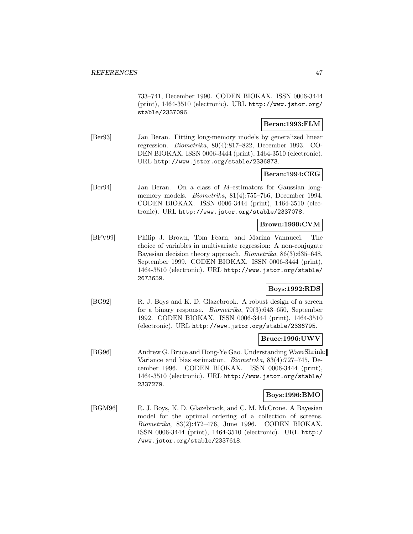733–741, December 1990. CODEN BIOKAX. ISSN 0006-3444 (print), 1464-3510 (electronic). URL http://www.jstor.org/ stable/2337096.

## **Beran:1993:FLM**

[Ber93] Jan Beran. Fitting long-memory models by generalized linear regression. Biometrika, 80(4):817–822, December 1993. CO-DEN BIOKAX. ISSN 0006-3444 (print), 1464-3510 (electronic). URL http://www.jstor.org/stable/2336873.

### **Beran:1994:CEG**

[Ber94] Jan Beran. On a class of M-estimators for Gaussian longmemory models. *Biometrika*, 81(4):755–766, December 1994. CODEN BIOKAX. ISSN 0006-3444 (print), 1464-3510 (electronic). URL http://www.jstor.org/stable/2337078.

## **Brown:1999:CVM**

[BFV99] Philip J. Brown, Tom Fearn, and Marina Vannucci. The choice of variables in multivariate regression: A non-conjugate Bayesian decision theory approach. Biometrika, 86(3):635–648, September 1999. CODEN BIOKAX. ISSN 0006-3444 (print), 1464-3510 (electronic). URL http://www.jstor.org/stable/ 2673659.

# **Boys:1992:RDS**

[BG92] R. J. Boys and K. D. Glazebrook. A robust design of a screen for a binary response. Biometrika, 79(3):643–650, September 1992. CODEN BIOKAX. ISSN 0006-3444 (print), 1464-3510 (electronic). URL http://www.jstor.org/stable/2336795.

# **Bruce:1996:UWV**

[BG96] Andrew G. Bruce and Hong-Ye Gao. Understanding WaveShrink: Variance and bias estimation. Biometrika, 83(4):727–745, December 1996. CODEN BIOKAX. ISSN 0006-3444 (print), 1464-3510 (electronic). URL http://www.jstor.org/stable/ 2337279.

### **Boys:1996:BMO**

[BGM96] R. J. Boys, K. D. Glazebrook, and C. M. McCrone. A Bayesian model for the optimal ordering of a collection of screens. Biometrika, 83(2):472–476, June 1996. CODEN BIOKAX. ISSN 0006-3444 (print), 1464-3510 (electronic). URL http:/ /www.jstor.org/stable/2337618.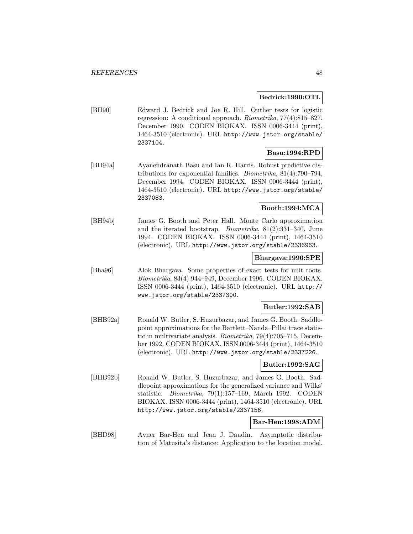## **Bedrick:1990:OTL**

[BH90] Edward J. Bedrick and Joe R. Hill. Outlier tests for logistic regression: A conditional approach. Biometrika, 77(4):815–827, December 1990. CODEN BIOKAX. ISSN 0006-3444 (print), 1464-3510 (electronic). URL http://www.jstor.org/stable/ 2337104.

# **Basu:1994:RPD**

[BH94a] Ayanendranath Basu and Ian R. Harris. Robust predictive distributions for exponential families. Biometrika, 81(4):790–794, December 1994. CODEN BIOKAX. ISSN 0006-3444 (print), 1464-3510 (electronic). URL http://www.jstor.org/stable/ 2337083.

# **Booth:1994:MCA**

[BH94b] James G. Booth and Peter Hall. Monte Carlo approximation and the iterated bootstrap. Biometrika, 81(2):331–340, June 1994. CODEN BIOKAX. ISSN 0006-3444 (print), 1464-3510 (electronic). URL http://www.jstor.org/stable/2336963.

### **Bhargava:1996:SPE**

[Bha96] Alok Bhargava. Some properties of exact tests for unit roots. Biometrika, 83(4):944–949, December 1996. CODEN BIOKAX. ISSN 0006-3444 (print), 1464-3510 (electronic). URL http:// www.jstor.org/stable/2337300.

#### **Butler:1992:SAB**

[BHB92a] Ronald W. Butler, S. Huzurbazar, and James G. Booth. Saddlepoint approximations for the Bartlett–Nanda–Pillai trace statistic in multivariate analysis. Biometrika, 79(4):705–715, December 1992. CODEN BIOKAX. ISSN 0006-3444 (print), 1464-3510 (electronic). URL http://www.jstor.org/stable/2337226.

## **Butler:1992:SAG**

[BHB92b] Ronald W. Butler, S. Huzurbazar, and James G. Booth. Saddlepoint approximations for the generalized variance and Wilks' statistic. Biometrika, 79(1):157–169, March 1992. CODEN BIOKAX. ISSN 0006-3444 (print), 1464-3510 (electronic). URL http://www.jstor.org/stable/2337156.

## **Bar-Hen:1998:ADM**

[BHD98] Avner Bar-Hen and Jean J. Daudin. Asymptotic distribution of Matusita's distance: Application to the location model.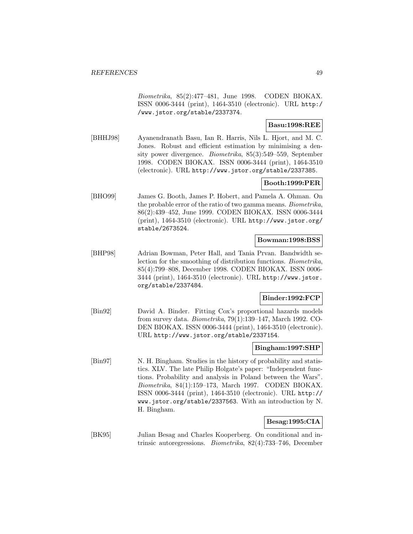Biometrika, 85(2):477–481, June 1998. CODEN BIOKAX. ISSN 0006-3444 (print), 1464-3510 (electronic). URL http:/ /www.jstor.org/stable/2337374.

# **Basu:1998:REE**

[BHHJ98] Ayanendranath Basu, Ian R. Harris, Nils L. Hjort, and M. C. Jones. Robust and efficient estimation by minimising a density power divergence. Biometrika, 85(3):549–559, September 1998. CODEN BIOKAX. ISSN 0006-3444 (print), 1464-3510 (electronic). URL http://www.jstor.org/stable/2337385.

# **Booth:1999:PER**

[BHO99] James G. Booth, James P. Hobert, and Pamela A. Ohman. On the probable error of the ratio of two gamma means. Biometrika, 86(2):439–452, June 1999. CODEN BIOKAX. ISSN 0006-3444 (print), 1464-3510 (electronic). URL http://www.jstor.org/ stable/2673524.

# **Bowman:1998:BSS**

[BHP98] Adrian Bowman, Peter Hall, and Tania Prvan. Bandwidth selection for the smoothing of distribution functions. Biometrika, 85(4):799–808, December 1998. CODEN BIOKAX. ISSN 0006- 3444 (print), 1464-3510 (electronic). URL http://www.jstor. org/stable/2337484.

## **Binder:1992:FCP**

[Bin92] David A. Binder. Fitting Cox's proportional hazards models from survey data. Biometrika, 79(1):139–147, March 1992. CO-DEN BIOKAX. ISSN 0006-3444 (print), 1464-3510 (electronic). URL http://www.jstor.org/stable/2337154.

### **Bingham:1997:SHP**

[Bin97] N. H. Bingham. Studies in the history of probability and statistics. XLV. The late Philip Holgate's paper: "Independent functions. Probability and analysis in Poland between the Wars". Biometrika, 84(1):159–173, March 1997. CODEN BIOKAX. ISSN 0006-3444 (print), 1464-3510 (electronic). URL http:// www.jstor.org/stable/2337563. With an introduction by N. H. Bingham.

# **Besag:1995:CIA**

[BK95] Julian Besag and Charles Kooperberg. On conditional and intrinsic autoregressions. Biometrika, 82(4):733–746, December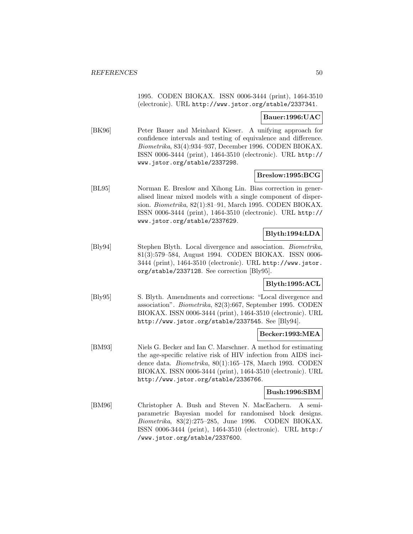1995. CODEN BIOKAX. ISSN 0006-3444 (print), 1464-3510 (electronic). URL http://www.jstor.org/stable/2337341.

**Bauer:1996:UAC**

[BK96] Peter Bauer and Meinhard Kieser. A unifying approach for confidence intervals and testing of equivalence and difference. Biometrika, 83(4):934–937, December 1996. CODEN BIOKAX. ISSN 0006-3444 (print), 1464-3510 (electronic). URL http:// www.jstor.org/stable/2337298.

### **Breslow:1995:BCG**

[BL95] Norman E. Breslow and Xihong Lin. Bias correction in generalised linear mixed models with a single component of dispersion. Biometrika, 82(1):81–91, March 1995. CODEN BIOKAX. ISSN 0006-3444 (print), 1464-3510 (electronic). URL http:// www.jstor.org/stable/2337629.

# **Blyth:1994:LDA**

[Bly94] Stephen Blyth. Local divergence and association. Biometrika, 81(3):579–584, August 1994. CODEN BIOKAX. ISSN 0006- 3444 (print), 1464-3510 (electronic). URL http://www.jstor. org/stable/2337128. See correction [Bly95].

# **Blyth:1995:ACL**

[Bly95] S. Blyth. Amendments and corrections: "Local divergence and association". Biometrika, 82(3):667, September 1995. CODEN BIOKAX. ISSN 0006-3444 (print), 1464-3510 (electronic). URL http://www.jstor.org/stable/2337545. See [Bly94].

## **Becker:1993:MEA**

[BM93] Niels G. Becker and Ian C. Marschner. A method for estimating the age-specific relative risk of HIV infection from AIDS incidence data. Biometrika, 80(1):165–178, March 1993. CODEN BIOKAX. ISSN 0006-3444 (print), 1464-3510 (electronic). URL http://www.jstor.org/stable/2336766.

### **Bush:1996:SBM**

[BM96] Christopher A. Bush and Steven N. MacEachern. A semiparametric Bayesian model for randomised block designs. Biometrika, 83(2):275–285, June 1996. CODEN BIOKAX. ISSN 0006-3444 (print), 1464-3510 (electronic). URL http:/ /www.jstor.org/stable/2337600.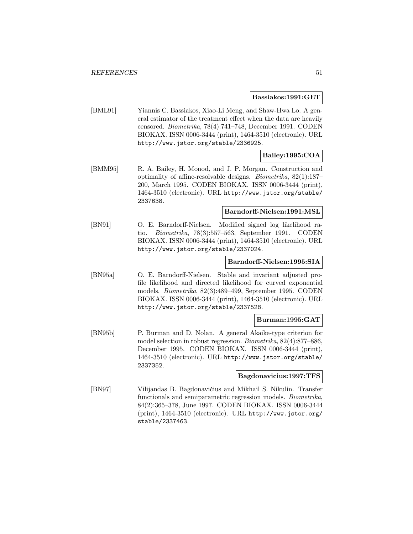#### **Bassiakos:1991:GET**

[BML91] Yiannis C. Bassiakos, Xiao-Li Meng, and Shaw-Hwa Lo. A general estimator of the treatment effect when the data are heavily censored. Biometrika, 78(4):741–748, December 1991. CODEN BIOKAX. ISSN 0006-3444 (print), 1464-3510 (electronic). URL http://www.jstor.org/stable/2336925.

# **Bailey:1995:COA**

[BMM95] R. A. Bailey, H. Monod, and J. P. Morgan. Construction and optimality of affine-resolvable designs. Biometrika, 82(1):187– 200, March 1995. CODEN BIOKAX. ISSN 0006-3444 (print), 1464-3510 (electronic). URL http://www.jstor.org/stable/ 2337638.

## **Barndorff-Nielsen:1991:MSL**

[BN91] O. E. Barndorff-Nielsen. Modified signed log likelihood ratio. Biometrika, 78(3):557–563, September 1991. CODEN BIOKAX. ISSN 0006-3444 (print), 1464-3510 (electronic). URL http://www.jstor.org/stable/2337024.

### **Barndorff-Nielsen:1995:SIA**

[BN95a] O. E. Barndorff-Nielsen. Stable and invariant adjusted profile likelihood and directed likelihood for curved exponential models. Biometrika, 82(3):489–499, September 1995. CODEN BIOKAX. ISSN 0006-3444 (print), 1464-3510 (electronic). URL http://www.jstor.org/stable/2337528.

## **Burman:1995:GAT**

[BN95b] P. Burman and D. Nolan. A general Akaike-type criterion for model selection in robust regression. Biometrika, 82(4):877–886, December 1995. CODEN BIOKAX. ISSN 0006-3444 (print), 1464-3510 (electronic). URL http://www.jstor.org/stable/ 2337352.

#### **Bagdonavicius:1997:TFS**

[BN97] Vilijandas B. Bagdonavičius and Mikhail S. Nikulin. Transfer functionals and semiparametric regression models. Biometrika, 84(2):365–378, June 1997. CODEN BIOKAX. ISSN 0006-3444 (print), 1464-3510 (electronic). URL http://www.jstor.org/ stable/2337463.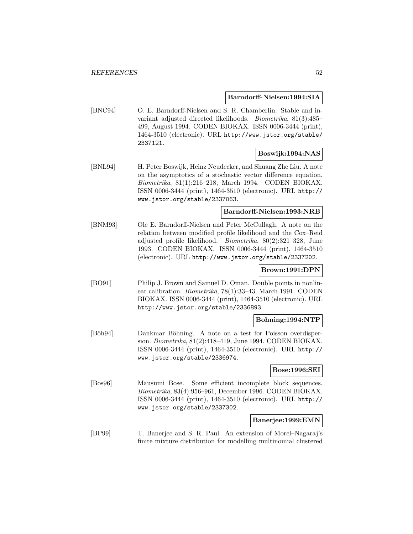### **Barndorff-Nielsen:1994:SIA**

[BNC94] O. E. Barndorff-Nielsen and S. R. Chamberlin. Stable and invariant adjusted directed likelihoods. Biometrika, 81(3):485– 499, August 1994. CODEN BIOKAX. ISSN 0006-3444 (print), 1464-3510 (electronic). URL http://www.jstor.org/stable/ 2337121.

# **Boswijk:1994:NAS**

[BNL94] H. Peter Boswijk, Heinz Neudecker, and Shuang Zhe Liu. A note on the asymptotics of a stochastic vector difference equation. Biometrika, 81(1):216–218, March 1994. CODEN BIOKAX. ISSN 0006-3444 (print), 1464-3510 (electronic). URL http:// www.jstor.org/stable/2337063.

# **Barndorff-Nielsen:1993:NRB**

[BNM93] Ole E. Barndorff-Nielsen and Peter McCullagh. A note on the relation between modified profile likelihood and the Cox–Reid adjusted profile likelihood. Biometrika, 80(2):321–328, June 1993. CODEN BIOKAX. ISSN 0006-3444 (print), 1464-3510 (electronic). URL http://www.jstor.org/stable/2337202.

## **Brown:1991:DPN**

[BO91] Philip J. Brown and Samuel D. Oman. Double points in nonlinear calibration. Biometrika, 78(1):33–43, March 1991. CODEN BIOKAX. ISSN 0006-3444 (print), 1464-3510 (electronic). URL http://www.jstor.org/stable/2336893.

## **Bohning:1994:NTP**

[Böh94] Dankmar Böhning. A note on a test for Poisson overdispersion. Biometrika, 81(2):418–419, June 1994. CODEN BIOKAX. ISSN 0006-3444 (print), 1464-3510 (electronic). URL http:// www.jstor.org/stable/2336974.

# **Bose:1996:SEI**

[Bos96] Mausumi Bose. Some efficient incomplete block sequences. Biometrika, 83(4):956–961, December 1996. CODEN BIOKAX. ISSN 0006-3444 (print), 1464-3510 (electronic). URL http:// www.jstor.org/stable/2337302.

### **Banerjee:1999:EMN**

[BP99] T. Banerjee and S. R. Paul. An extension of Morel–Nagaraj's finite mixture distribution for modelling multinomial clustered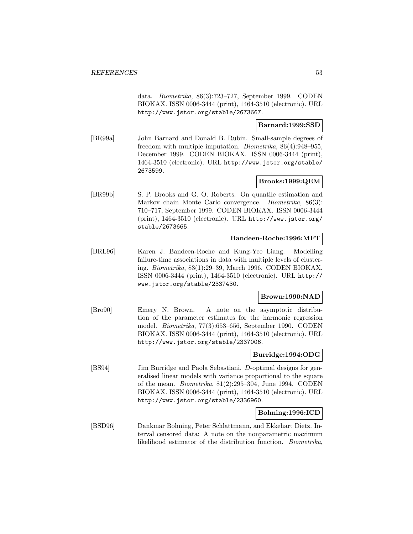data. Biometrika, 86(3):723–727, September 1999. CODEN BIOKAX. ISSN 0006-3444 (print), 1464-3510 (electronic). URL http://www.jstor.org/stable/2673667.

# **Barnard:1999:SSD**

[BR99a] John Barnard and Donald B. Rubin. Small-sample degrees of freedom with multiple imputation. Biometrika, 86(4):948–955, December 1999. CODEN BIOKAX. ISSN 0006-3444 (print), 1464-3510 (electronic). URL http://www.jstor.org/stable/ 2673599.

## **Brooks:1999:QEM**

[BR99b] S. P. Brooks and G. O. Roberts. On quantile estimation and Markov chain Monte Carlo convergence. Biometrika, 86(3): 710–717, September 1999. CODEN BIOKAX. ISSN 0006-3444 (print), 1464-3510 (electronic). URL http://www.jstor.org/ stable/2673665.

### **Bandeen-Roche:1996:MFT**

[BRL96] Karen J. Bandeen-Roche and Kung-Yee Liang. Modelling failure-time associations in data with multiple levels of clustering. Biometrika, 83(1):29–39, March 1996. CODEN BIOKAX. ISSN 0006-3444 (print), 1464-3510 (electronic). URL http:// www.jstor.org/stable/2337430.

## **Brown:1990:NAD**

[Bro90] Emery N. Brown. A note on the asymptotic distribution of the parameter estimates for the harmonic regression model. Biometrika, 77(3):653–656, September 1990. CODEN BIOKAX. ISSN 0006-3444 (print), 1464-3510 (electronic). URL http://www.jstor.org/stable/2337006.

## **Burridge:1994:ODG**

[BS94] Jim Burridge and Paola Sebastiani. D-optimal designs for generalised linear models with variance proportional to the square of the mean. Biometrika, 81(2):295–304, June 1994. CODEN BIOKAX. ISSN 0006-3444 (print), 1464-3510 (electronic). URL http://www.jstor.org/stable/2336960.

## **Bohning:1996:ICD**

[BSD96] Dankmar Bohning, Peter Schlattmann, and Ekkehart Dietz. Interval censored data: A note on the nonparametric maximum likelihood estimator of the distribution function. Biometrika,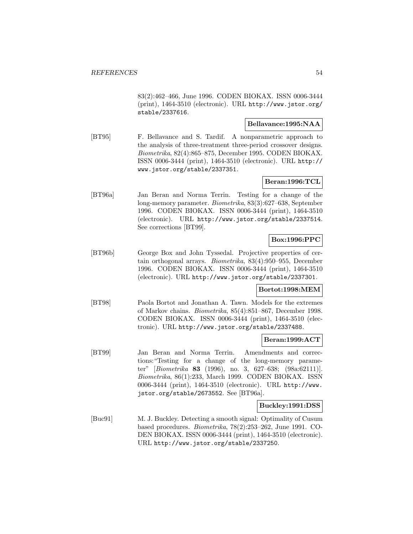83(2):462–466, June 1996. CODEN BIOKAX. ISSN 0006-3444 (print), 1464-3510 (electronic). URL http://www.jstor.org/ stable/2337616.

## **Bellavance:1995:NAA**

[BT95] F. Bellavance and S. Tardif. A nonparametric approach to the analysis of three-treatment three-period crossover designs. Biometrika, 82(4):865–875, December 1995. CODEN BIOKAX. ISSN 0006-3444 (print), 1464-3510 (electronic). URL http:// www.jstor.org/stable/2337351.

# **Beran:1996:TCL**

[BT96a] Jan Beran and Norma Terrin. Testing for a change of the long-memory parameter. Biometrika, 83(3):627–638, September 1996. CODEN BIOKAX. ISSN 0006-3444 (print), 1464-3510 (electronic). URL http://www.jstor.org/stable/2337514. See corrections [BT99].

# **Box:1996:PPC**

[BT96b] George Box and John Tyssedal. Projective properties of certain orthogonal arrays. Biometrika, 83(4):950–955, December 1996. CODEN BIOKAX. ISSN 0006-3444 (print), 1464-3510 (electronic). URL http://www.jstor.org/stable/2337301.

## **Bortot:1998:MEM**

[BT98] Paola Bortot and Jonathan A. Tawn. Models for the extremes of Markov chains. Biometrika, 85(4):851–867, December 1998. CODEN BIOKAX. ISSN 0006-3444 (print), 1464-3510 (electronic). URL http://www.jstor.org/stable/2337488.

## **Beran:1999:ACT**

[BT99] Jan Beran and Norma Terrin. Amendments and corrections:"Testing for a change of the long-memory parameter" [Biometrika **83** (1996), no. 3, 627–638; (98a:62111)]. Biometrika, 86(1):233, March 1999. CODEN BIOKAX. ISSN 0006-3444 (print), 1464-3510 (electronic). URL http://www. jstor.org/stable/2673552. See [BT96a].

### **Buckley:1991:DSS**

[Buc91] M. J. Buckley. Detecting a smooth signal: Optimality of Cusum based procedures. Biometrika, 78(2):253–262, June 1991. CO-DEN BIOKAX. ISSN 0006-3444 (print), 1464-3510 (electronic). URL http://www.jstor.org/stable/2337250.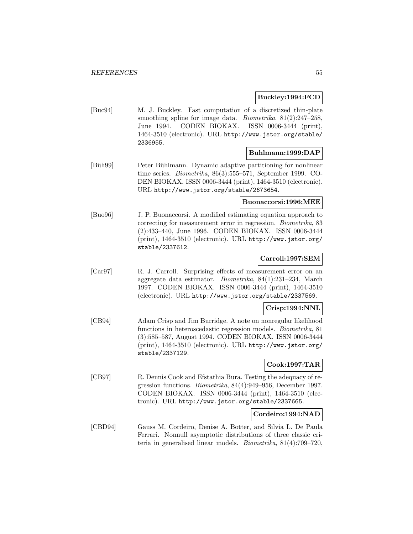### **Buckley:1994:FCD**

[Buc94] M. J. Buckley. Fast computation of a discretized thin-plate smoothing spline for image data. *Biometrika*, 81(2):247-258, June 1994. CODEN BIOKAX. ISSN 0006-3444 (print), 1464-3510 (electronic). URL http://www.jstor.org/stable/ 2336955.

### **Buhlmann:1999:DAP**

[Büh99] Peter Bühlmann. Dynamic adaptive partitioning for nonlinear time series. *Biometrika*, 86(3):555–571, September 1999. CO-DEN BIOKAX. ISSN 0006-3444 (print), 1464-3510 (electronic). URL http://www.jstor.org/stable/2673654.

### **Buonaccorsi:1996:MEE**

[Buo96] J. P. Buonaccorsi. A modified estimating equation approach to correcting for measurement error in regression. Biometrika, 83 (2):433–440, June 1996. CODEN BIOKAX. ISSN 0006-3444 (print), 1464-3510 (electronic). URL http://www.jstor.org/ stable/2337612.

# **Carroll:1997:SEM**

[Car97] R. J. Carroll. Surprising effects of measurement error on an aggregate data estimator. Biometrika, 84(1):231–234, March 1997. CODEN BIOKAX. ISSN 0006-3444 (print), 1464-3510 (electronic). URL http://www.jstor.org/stable/2337569.

## **Crisp:1994:NNL**

[CB94] Adam Crisp and Jim Burridge. A note on nonregular likelihood functions in heteroscedastic regression models. Biometrika, 81 (3):585–587, August 1994. CODEN BIOKAX. ISSN 0006-3444 (print), 1464-3510 (electronic). URL http://www.jstor.org/ stable/2337129.

# **Cook:1997:TAR**

[CB97] R. Dennis Cook and Efstathia Bura. Testing the adequacy of regression functions. Biometrika, 84(4):949–956, December 1997. CODEN BIOKAX. ISSN 0006-3444 (print), 1464-3510 (electronic). URL http://www.jstor.org/stable/2337665.

### **Cordeiro:1994:NAD**

[CBD94] Gauss M. Cordeiro, Denise A. Botter, and Silvia L. De Paula Ferrari. Nonnull asymptotic distributions of three classic criteria in generalised linear models. Biometrika, 81(4):709–720,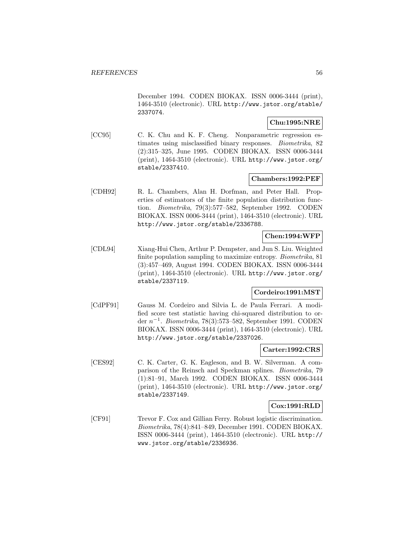December 1994. CODEN BIOKAX. ISSN 0006-3444 (print), 1464-3510 (electronic). URL http://www.jstor.org/stable/ 2337074.

# **Chu:1995:NRE**

[CC95] C. K. Chu and K. F. Cheng. Nonparametric regression estimates using misclassified binary responses. Biometrika, 82 (2):315–325, June 1995. CODEN BIOKAX. ISSN 0006-3444 (print), 1464-3510 (electronic). URL http://www.jstor.org/ stable/2337410.

# **Chambers:1992:PEF**

[CDH92] R. L. Chambers, Alan H. Dorfman, and Peter Hall. Properties of estimators of the finite population distribution function. Biometrika, 79(3):577–582, September 1992. CODEN BIOKAX. ISSN 0006-3444 (print), 1464-3510 (electronic). URL http://www.jstor.org/stable/2336788.

# **Chen:1994:WFP**

[CDL94] Xiang-Hui Chen, Arthur P. Dempster, and Jun S. Liu. Weighted finite population sampling to maximize entropy. *Biometrika*, 81 (3):457–469, August 1994. CODEN BIOKAX. ISSN 0006-3444 (print), 1464-3510 (electronic). URL http://www.jstor.org/ stable/2337119.

# **Cordeiro:1991:MST**

[CdPF91] Gauss M. Cordeiro and Silvia L. de Paula Ferrari. A modified score test statistic having chi-squared distribution to order  $n^{-1}$ . Biometrika, 78(3):573–582, September 1991. CODEN BIOKAX. ISSN 0006-3444 (print), 1464-3510 (electronic). URL http://www.jstor.org/stable/2337026.

### **Carter:1992:CRS**

[CES92] C. K. Carter, G. K. Eagleson, and B. W. Silverman. A comparison of the Reinsch and Speckman splines. Biometrika, 79 (1):81–91, March 1992. CODEN BIOKAX. ISSN 0006-3444 (print), 1464-3510 (electronic). URL http://www.jstor.org/ stable/2337149.

## **Cox:1991:RLD**

[CF91] Trevor F. Cox and Gillian Ferry. Robust logistic discrimination. Biometrika, 78(4):841–849, December 1991. CODEN BIOKAX. ISSN 0006-3444 (print), 1464-3510 (electronic). URL http:// www.jstor.org/stable/2336936.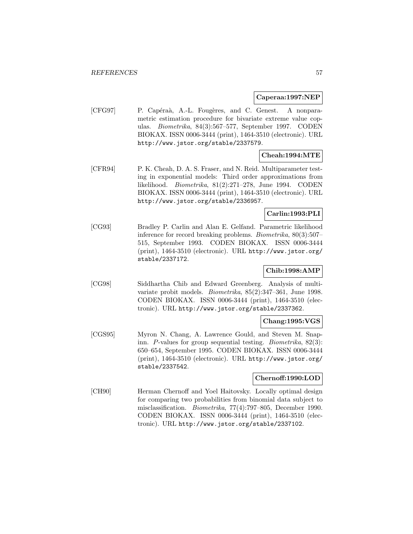## **Caperaa:1997:NEP**

[CFG97] P. Capéraà, A.-L. Fougères, and C. Genest. A nonparametric estimation procedure for bivariate extreme value copulas. Biometrika, 84(3):567–577, September 1997. CODEN BIOKAX. ISSN 0006-3444 (print), 1464-3510 (electronic). URL http://www.jstor.org/stable/2337579.

# **Cheah:1994:MTE**

[CFR94] P. K. Cheah, D. A. S. Fraser, and N. Reid. Multiparameter testing in exponential models: Third order approximations from likelihood. Biometrika, 81(2):271–278, June 1994. CODEN BIOKAX. ISSN 0006-3444 (print), 1464-3510 (electronic). URL http://www.jstor.org/stable/2336957.

# **Carlin:1993:PLI**

[CG93] Bradley P. Carlin and Alan E. Gelfand. Parametric likelihood inference for record breaking problems. Biometrika, 80(3):507– 515, September 1993. CODEN BIOKAX. ISSN 0006-3444 (print), 1464-3510 (electronic). URL http://www.jstor.org/ stable/2337172.

# **Chib:1998:AMP**

[CG98] Siddhartha Chib and Edward Greenberg. Analysis of multivariate probit models. Biometrika, 85(2):347–361, June 1998. CODEN BIOKAX. ISSN 0006-3444 (print), 1464-3510 (electronic). URL http://www.jstor.org/stable/2337362.

## **Chang:1995:VGS**

[CGS95] Myron N. Chang, A. Lawrence Gould, and Steven M. Snapinn. P-values for group sequential testing. Biometrika, 82(3): 650–654, September 1995. CODEN BIOKAX. ISSN 0006-3444 (print), 1464-3510 (electronic). URL http://www.jstor.org/ stable/2337542.

### **Chernoff:1990:LOD**

[CH90] Herman Chernoff and Yoel Haitovsky. Locally optimal design for comparing two probabilities from binomial data subject to misclassification. Biometrika, 77(4):797–805, December 1990. CODEN BIOKAX. ISSN 0006-3444 (print), 1464-3510 (electronic). URL http://www.jstor.org/stable/2337102.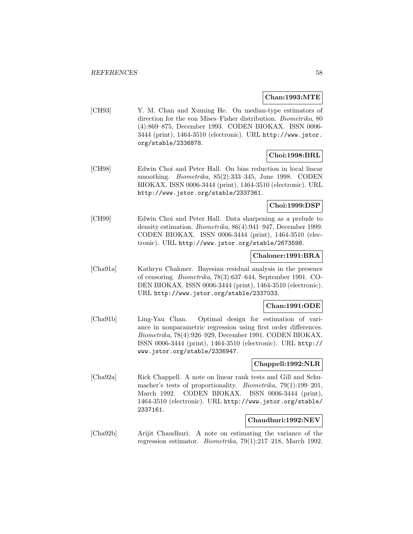## **Chan:1993:MTE**

[CH93] Y. M. Chan and Xuming He. On median-type estimators of direction for the von Mises–Fisher distribution. Biometrika, 80 (4):869–875, December 1993. CODEN BIOKAX. ISSN 0006- 3444 (print), 1464-3510 (electronic). URL http://www.jstor. org/stable/2336878.

# **Choi:1998:BRL**

[CH98] Edwin Choi and Peter Hall. On bias reduction in local linear smoothing. Biometrika, 85(2):333–345, June 1998. CODEN BIOKAX. ISSN 0006-3444 (print), 1464-3510 (electronic). URL http://www.jstor.org/stable/2337361.

## **Choi:1999:DSP**

[CH99] Edwin Choi and Peter Hall. Data sharpening as a prelude to density estimation. Biometrika, 86(4):941–947, December 1999. CODEN BIOKAX. ISSN 0006-3444 (print), 1464-3510 (electronic). URL http://www.jstor.org/stable/2673598.

## **Chaloner:1991:BRA**

[Cha91a] Kathryn Chaloner. Bayesian residual analysis in the presence of censoring. Biometrika, 78(3):637–644, September 1991. CO-DEN BIOKAX. ISSN 0006-3444 (print), 1464-3510 (electronic). URL http://www.jstor.org/stable/2337033.

## **Chan:1991:ODE**

[Cha91b] Ling-Yau Chan. Optimal design for estimation of variance in nonparametric regression using first order differences. Biometrika, 78(4):926–929, December 1991. CODEN BIOKAX. ISSN 0006-3444 (print), 1464-3510 (electronic). URL http:// www.jstor.org/stable/2336947.

## **Chappell:1992:NLR**

[Cha92a] Rick Chappell. A note on linear rank tests and Gill and Schumacher's tests of proportionality. Biometrika, 79(1):199–201, March 1992. CODEN BIOKAX. ISSN 0006-3444 (print), 1464-3510 (electronic). URL http://www.jstor.org/stable/ 2337161.

## **Chaudhuri:1992:NEV**

[Cha92b] Arijit Chaudhuri. A note on estimating the variance of the regression estimator. Biometrika, 79(1):217–218, March 1992.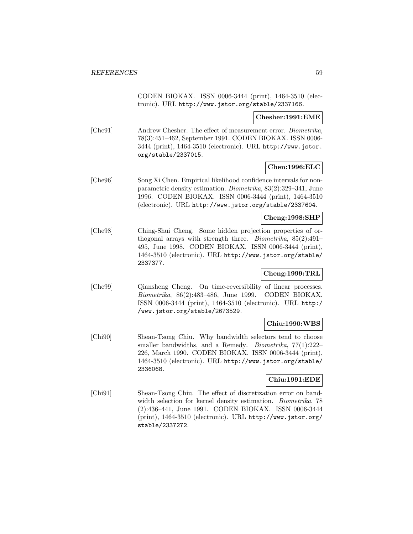CODEN BIOKAX. ISSN 0006-3444 (print), 1464-3510 (electronic). URL http://www.jstor.org/stable/2337166.

### **Chesher:1991:EME**

[Che91] Andrew Chesher. The effect of measurement error. *Biometrika*, 78(3):451–462, September 1991. CODEN BIOKAX. ISSN 0006- 3444 (print), 1464-3510 (electronic). URL http://www.jstor. org/stable/2337015.

# **Chen:1996:ELC**

[Che96] Song Xi Chen. Empirical likelihood confidence intervals for nonparametric density estimation. Biometrika, 83(2):329–341, June 1996. CODEN BIOKAX. ISSN 0006-3444 (print), 1464-3510 (electronic). URL http://www.jstor.org/stable/2337604.

### **Cheng:1998:SHP**

[Che98] Ching-Shui Cheng. Some hidden projection properties of orthogonal arrays with strength three. Biometrika, 85(2):491– 495, June 1998. CODEN BIOKAX. ISSN 0006-3444 (print), 1464-3510 (electronic). URL http://www.jstor.org/stable/ 2337377.

# **Cheng:1999:TRL**

[Che99] Qiansheng Cheng. On time-reversibility of linear processes. Biometrika, 86(2):483–486, June 1999. CODEN BIOKAX. ISSN 0006-3444 (print), 1464-3510 (electronic). URL http:/ /www.jstor.org/stable/2673529.

# **Chiu:1990:WBS**

[Chi90] Shean-Tsong Chiu. Why bandwidth selectors tend to choose smaller bandwidths, and a Remedy. *Biometrika*, 77(1):222-226, March 1990. CODEN BIOKAX. ISSN 0006-3444 (print), 1464-3510 (electronic). URL http://www.jstor.org/stable/ 2336068.

## **Chiu:1991:EDE**

[Chi91] Shean-Tsong Chiu. The effect of discretization error on bandwidth selection for kernel density estimation. Biometrika, 78 (2):436–441, June 1991. CODEN BIOKAX. ISSN 0006-3444 (print), 1464-3510 (electronic). URL http://www.jstor.org/ stable/2337272.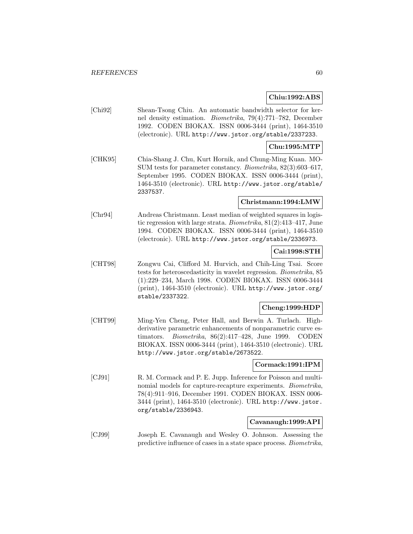### **Chiu:1992:ABS**

[Chi92] Shean-Tsong Chiu. An automatic bandwidth selector for kernel density estimation. Biometrika, 79(4):771–782, December 1992. CODEN BIOKAX. ISSN 0006-3444 (print), 1464-3510 (electronic). URL http://www.jstor.org/stable/2337233.

### **Chu:1995:MTP**

[CHK95] Chia-Shang J. Chu, Kurt Hornik, and Chung-Ming Kuan. MO-SUM tests for parameter constancy. Biometrika, 82(3):603–617, September 1995. CODEN BIOKAX. ISSN 0006-3444 (print), 1464-3510 (electronic). URL http://www.jstor.org/stable/ 2337537.

## **Christmann:1994:LMW**

[Chr94] Andreas Christmann. Least median of weighted squares in logistic regression with large strata. Biometrika, 81(2):413–417, June 1994. CODEN BIOKAX. ISSN 0006-3444 (print), 1464-3510 (electronic). URL http://www.jstor.org/stable/2336973.

# **Cai:1998:STH**

[CHT98] Zongwu Cai, Clifford M. Hurvich, and Chih-Ling Tsai. Score tests for heteroscedasticity in wavelet regression. Biometrika, 85 (1):229–234, March 1998. CODEN BIOKAX. ISSN 0006-3444 (print), 1464-3510 (electronic). URL http://www.jstor.org/ stable/2337322.

## **Cheng:1999:HDP**

[CHT99] Ming-Yen Cheng, Peter Hall, and Berwin A. Turlach. Highderivative parametric enhancements of nonparametric curve estimators. Biometrika, 86(2):417–428, June 1999. CODEN BIOKAX. ISSN 0006-3444 (print), 1464-3510 (electronic). URL http://www.jstor.org/stable/2673522.

# **Cormack:1991:IPM**

[CJ91] R. M. Cormack and P. E. Jupp. Inference for Poisson and multinomial models for capture-recapture experiments. *Biometrika*, 78(4):911–916, December 1991. CODEN BIOKAX. ISSN 0006- 3444 (print), 1464-3510 (electronic). URL http://www.jstor. org/stable/2336943.

## **Cavanaugh:1999:API**

[CJ99] Joseph E. Cavanaugh and Wesley O. Johnson. Assessing the predictive influence of cases in a state space process. Biometrika,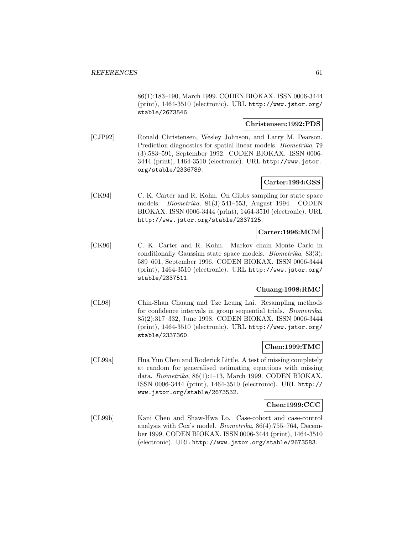86(1):183–190, March 1999. CODEN BIOKAX. ISSN 0006-3444 (print), 1464-3510 (electronic). URL http://www.jstor.org/ stable/2673546.

### **Christensen:1992:PDS**

[CJP92] Ronald Christensen, Wesley Johnson, and Larry M. Pearson. Prediction diagnostics for spatial linear models. *Biometrika*, 79 (3):583–591, September 1992. CODEN BIOKAX. ISSN 0006- 3444 (print), 1464-3510 (electronic). URL http://www.jstor. org/stable/2336789.

# **Carter:1994:GSS**

[CK94] C. K. Carter and R. Kohn. On Gibbs sampling for state space models. Biometrika, 81(3):541–553, August 1994. CODEN BIOKAX. ISSN 0006-3444 (print), 1464-3510 (electronic). URL http://www.jstor.org/stable/2337125.

# **Carter:1996:MCM**

[CK96] C. K. Carter and R. Kohn. Markov chain Monte Carlo in conditionally Gaussian state space models. Biometrika, 83(3): 589–601, September 1996. CODEN BIOKAX. ISSN 0006-3444 (print), 1464-3510 (electronic). URL http://www.jstor.org/ stable/2337511.

# **Chuang:1998:RMC**

[CL98] Chin-Shan Chuang and Tze Leung Lai. Resampling methods for confidence intervals in group sequential trials. Biometrika, 85(2):317–332, June 1998. CODEN BIOKAX. ISSN 0006-3444 (print), 1464-3510 (electronic). URL http://www.jstor.org/ stable/2337360.

## **Chen:1999:TMC**

[CL99a] Hua Yun Chen and Roderick Little. A test of missing completely at random for generalised estimating equations with missing data. Biometrika, 86(1):1–13, March 1999. CODEN BIOKAX. ISSN 0006-3444 (print), 1464-3510 (electronic). URL http:// www.jstor.org/stable/2673532.

## **Chen:1999:CCC**

[CL99b] Kani Chen and Shaw-Hwa Lo. Case-cohort and case-control analysis with Cox's model. Biometrika, 86(4):755–764, December 1999. CODEN BIOKAX. ISSN 0006-3444 (print), 1464-3510 (electronic). URL http://www.jstor.org/stable/2673583.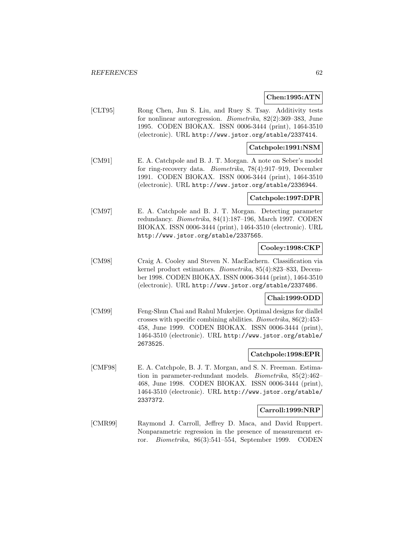## **Chen:1995:ATN**

[CLT95] Rong Chen, Jun S. Liu, and Ruey S. Tsay. Additivity tests for nonlinear autoregression. Biometrika, 82(2):369–383, June 1995. CODEN BIOKAX. ISSN 0006-3444 (print), 1464-3510 (electronic). URL http://www.jstor.org/stable/2337414.

## **Catchpole:1991:NSM**

[CM91] E. A. Catchpole and B. J. T. Morgan. A note on Seber's model for ring-recovery data. Biometrika, 78(4):917–919, December 1991. CODEN BIOKAX. ISSN 0006-3444 (print), 1464-3510 (electronic). URL http://www.jstor.org/stable/2336944.

#### **Catchpole:1997:DPR**

[CM97] E. A. Catchpole and B. J. T. Morgan. Detecting parameter redundancy. Biometrika, 84(1):187–196, March 1997. CODEN BIOKAX. ISSN 0006-3444 (print), 1464-3510 (electronic). URL http://www.jstor.org/stable/2337565.

# **Cooley:1998:CKP**

[CM98] Craig A. Cooley and Steven N. MacEachern. Classification via kernel product estimators. Biometrika, 85(4):823–833, December 1998. CODEN BIOKAX. ISSN 0006-3444 (print), 1464-3510 (electronic). URL http://www.jstor.org/stable/2337486.

## **Chai:1999:ODD**

[CM99] Feng-Shun Chai and Rahul Mukerjee. Optimal designs for diallel crosses with specific combining abilities. Biometrika, 86(2):453– 458, June 1999. CODEN BIOKAX. ISSN 0006-3444 (print), 1464-3510 (electronic). URL http://www.jstor.org/stable/ 2673525.

#### **Catchpole:1998:EPR**

[CMF98] E. A. Catchpole, B. J. T. Morgan, and S. N. Freeman. Estimation in parameter-redundant models. Biometrika, 85(2):462– 468, June 1998. CODEN BIOKAX. ISSN 0006-3444 (print), 1464-3510 (electronic). URL http://www.jstor.org/stable/ 2337372.

### **Carroll:1999:NRP**

[CMR99] Raymond J. Carroll, Jeffrey D. Maca, and David Ruppert. Nonparametric regression in the presence of measurement error. Biometrika, 86(3):541–554, September 1999. CODEN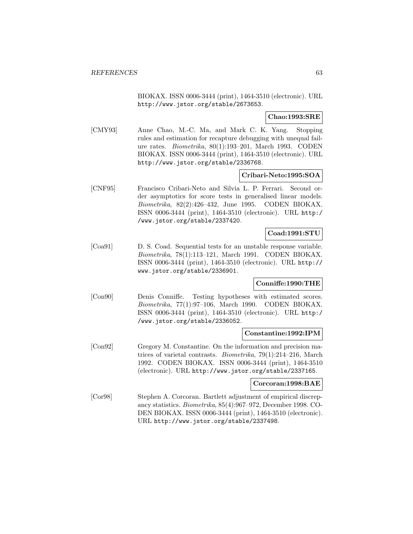BIOKAX. ISSN 0006-3444 (print), 1464-3510 (electronic). URL http://www.jstor.org/stable/2673653.

**Chao:1993:SRE**

[CMY93] Anne Chao, M.-C. Ma, and Mark C. K. Yang. Stopping rules and estimation for recapture debugging with unequal failure rates. Biometrika, 80(1):193–201, March 1993. CODEN BIOKAX. ISSN 0006-3444 (print), 1464-3510 (electronic). URL http://www.jstor.org/stable/2336768.

## **Cribari-Neto:1995:SOA**

[CNF95] Francisco Cribari-Neto and Silvia L. P. Ferrari. Second order asymptotics for score tests in generalised linear models. Biometrika, 82(2):426–432, June 1995. CODEN BIOKAX. ISSN 0006-3444 (print), 1464-3510 (electronic). URL http:/ /www.jstor.org/stable/2337420.

# **Coad:1991:STU**

[Coa91] D. S. Coad. Sequential tests for an unstable response variable. Biometrika, 78(1):113–121, March 1991. CODEN BIOKAX. ISSN 0006-3444 (print), 1464-3510 (electronic). URL http:// www.jstor.org/stable/2336901.

# **Conniffe:1990:THE**

[Con90] Denis Conniffe. Testing hypotheses with estimated scores. Biometrika, 77(1):97–106, March 1990. CODEN BIOKAX. ISSN 0006-3444 (print), 1464-3510 (electronic). URL http:/ /www.jstor.org/stable/2336052.

## **Constantine:1992:IPM**

[Con92] Gregory M. Constantine. On the information and precision matrices of varietal contrasts. Biometrika, 79(1):214–216, March 1992. CODEN BIOKAX. ISSN 0006-3444 (print), 1464-3510 (electronic). URL http://www.jstor.org/stable/2337165.

#### **Corcoran:1998:BAE**

[Cor98] Stephen A. Corcoran. Bartlett adjustment of empirical discrepancy statistics. Biometrika, 85(4):967–972, December 1998. CO-DEN BIOKAX. ISSN 0006-3444 (print), 1464-3510 (electronic). URL http://www.jstor.org/stable/2337498.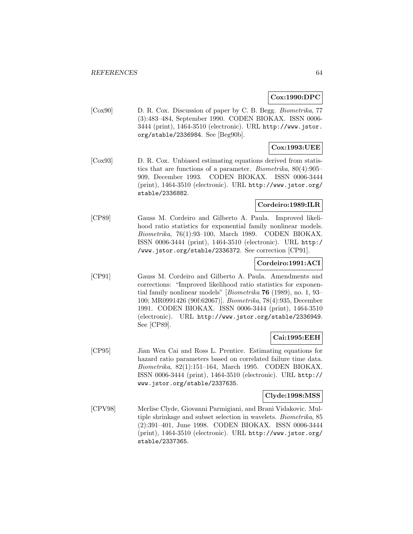## **Cox:1990:DPC**

[Cox90] D. R. Cox. Discussion of paper by C. B. Begg. Biometrika, 77 (3):483–484, September 1990. CODEN BIOKAX. ISSN 0006- 3444 (print), 1464-3510 (electronic). URL http://www.jstor. org/stable/2336984. See [Beg90b].

# **Cox:1993:UEE**

[Cox93] D. R. Cox. Unbiased estimating equations derived from statistics that are functions of a parameter. Biometrika, 80(4):905– 909, December 1993. CODEN BIOKAX. ISSN 0006-3444 (print), 1464-3510 (electronic). URL http://www.jstor.org/ stable/2336882.

# **Cordeiro:1989:ILR**

[CP89] Gauss M. Cordeiro and Gilberto A. Paula. Improved likelihood ratio statistics for exponential family nonlinear models. Biometrika, 76(1):93–100, March 1989. CODEN BIOKAX. ISSN 0006-3444 (print), 1464-3510 (electronic). URL http:/ /www.jstor.org/stable/2336372. See correction [CP91].

## **Cordeiro:1991:ACI**

[CP91] Gauss M. Cordeiro and Gilberto A. Paula. Amendments and corrections: "Improved likelihood ratio statistics for exponential family nonlinear models" [Biometrika **76** (1989), no. 1, 93– 100; MR0991426 (90f:62067)]. Biometrika, 78(4):935, December 1991. CODEN BIOKAX. ISSN 0006-3444 (print), 1464-3510 (electronic). URL http://www.jstor.org/stable/2336949. See [CP89].

# **Cai:1995:EEH**

[CP95] Jian Wen Cai and Ross L. Prentice. Estimating equations for hazard ratio parameters based on correlated failure time data. Biometrika, 82(1):151–164, March 1995. CODEN BIOKAX. ISSN 0006-3444 (print), 1464-3510 (electronic). URL http:// www.jstor.org/stable/2337635.

## **Clyde:1998:MSS**

[CPV98] Merlise Clyde, Giovanni Parmigiani, and Brani Vidakovic. Multiple shrinkage and subset selection in wavelets. Biometrika, 85 (2):391–401, June 1998. CODEN BIOKAX. ISSN 0006-3444 (print), 1464-3510 (electronic). URL http://www.jstor.org/ stable/2337365.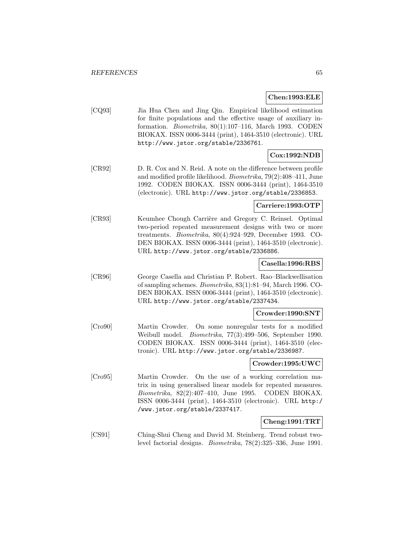### **Chen:1993:ELE**

[CQ93] Jia Hua Chen and Jing Qin. Empirical likelihood estimation for finite populations and the effective usage of auxiliary information. Biometrika, 80(1):107–116, March 1993. CODEN BIOKAX. ISSN 0006-3444 (print), 1464-3510 (electronic). URL http://www.jstor.org/stable/2336761.

# **Cox:1992:NDB**

[CR92] D. R. Cox and N. Reid. A note on the difference between profile and modified profile likelihood. Biometrika, 79(2):408–411, June 1992. CODEN BIOKAX. ISSN 0006-3444 (print), 1464-3510 (electronic). URL http://www.jstor.org/stable/2336853.

# **Carriere:1993:OTP**

[CR93] Keumhee Chough Carrière and Gregory C. Reinsel. Optimal two-period repeated measurement designs with two or more treatments. Biometrika, 80(4):924–929, December 1993. CO-DEN BIOKAX. ISSN 0006-3444 (print), 1464-3510 (electronic). URL http://www.jstor.org/stable/2336886.

# **Casella:1996:RBS**

[CR96] George Casella and Christian P. Robert. Rao–Blackwellisation of sampling schemes. Biometrika, 83(1):81–94, March 1996. CO-DEN BIOKAX. ISSN 0006-3444 (print), 1464-3510 (electronic). URL http://www.jstor.org/stable/2337434.

## **Crowder:1990:SNT**

[Cro90] Martin Crowder. On some nonregular tests for a modified Weibull model. Biometrika, 77(3):499–506, September 1990. CODEN BIOKAX. ISSN 0006-3444 (print), 1464-3510 (electronic). URL http://www.jstor.org/stable/2336987.

#### **Crowder:1995:UWC**

[Cro95] Martin Crowder. On the use of a working correlation matrix in using generalised linear models for repeated measures. Biometrika, 82(2):407–410, June 1995. CODEN BIOKAX. ISSN 0006-3444 (print), 1464-3510 (electronic). URL http:/ /www.jstor.org/stable/2337417.

# **Cheng:1991:TRT**

[CS91] Ching-Shui Cheng and David M. Steinberg. Trend robust twolevel factorial designs. Biometrika, 78(2):325–336, June 1991.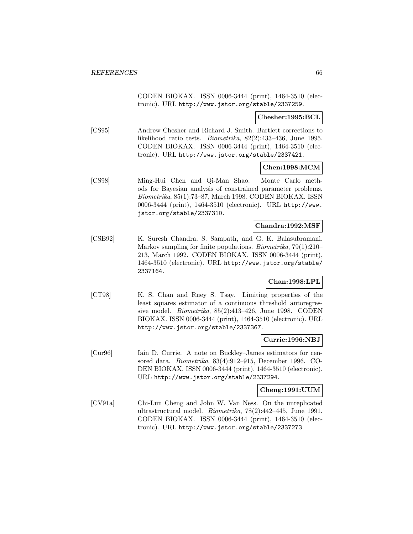CODEN BIOKAX. ISSN 0006-3444 (print), 1464-3510 (electronic). URL http://www.jstor.org/stable/2337259.

### **Chesher:1995:BCL**

[CS95] Andrew Chesher and Richard J. Smith. Bartlett corrections to likelihood ratio tests. Biometrika, 82(2):433–436, June 1995. CODEN BIOKAX. ISSN 0006-3444 (print), 1464-3510 (electronic). URL http://www.jstor.org/stable/2337421.

### **Chen:1998:MCM**

[CS98] Ming-Hui Chen and Qi-Man Shao. Monte Carlo methods for Bayesian analysis of constrained parameter problems. Biometrika, 85(1):73–87, March 1998. CODEN BIOKAX. ISSN 0006-3444 (print), 1464-3510 (electronic). URL http://www. jstor.org/stable/2337310.

### **Chandra:1992:MSF**

[CSB92] K. Suresh Chandra, S. Sampath, and G. K. Balasubramani. Markov sampling for finite populations. Biometrika, 79(1):210– 213, March 1992. CODEN BIOKAX. ISSN 0006-3444 (print), 1464-3510 (electronic). URL http://www.jstor.org/stable/ 2337164.

# **Chan:1998:LPL**

[CT98] K. S. Chan and Ruey S. Tsay. Limiting properties of the least squares estimator of a continuous threshold autoregressive model. Biometrika, 85(2):413–426, June 1998. CODEN BIOKAX. ISSN 0006-3444 (print), 1464-3510 (electronic). URL http://www.jstor.org/stable/2337367.

## **Currie:1996:NBJ**

[Cur96] Iain D. Currie. A note on Buckley–James estimators for censored data. Biometrika, 83(4):912–915, December 1996. CO-DEN BIOKAX. ISSN 0006-3444 (print), 1464-3510 (electronic). URL http://www.jstor.org/stable/2337294.

## **Cheng:1991:UUM**

[CV91a] Chi-Lun Cheng and John W. Van Ness. On the unreplicated ultrastructural model. Biometrika, 78(2):442–445, June 1991. CODEN BIOKAX. ISSN 0006-3444 (print), 1464-3510 (electronic). URL http://www.jstor.org/stable/2337273.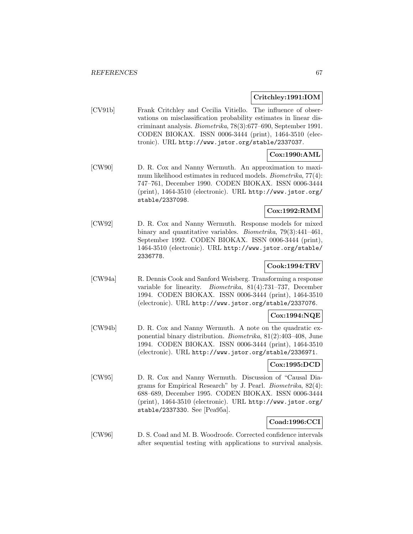**Critchley:1991:IOM**

[CV91b] Frank Critchley and Cecilia Vitiello. The influence of observations on misclassification probability estimates in linear discriminant analysis. Biometrika, 78(3):677–690, September 1991. CODEN BIOKAX. ISSN 0006-3444 (print), 1464-3510 (electronic). URL http://www.jstor.org/stable/2337037.

# **Cox:1990:AML**

[CW90] D. R. Cox and Nanny Wermuth. An approximation to maximum likelihood estimates in reduced models. Biometrika, 77(4): 747–761, December 1990. CODEN BIOKAX. ISSN 0006-3444 (print), 1464-3510 (electronic). URL http://www.jstor.org/ stable/2337098.

# **Cox:1992:RMM**

[CW92] D. R. Cox and Nanny Wermuth. Response models for mixed binary and quantitative variables. Biometrika, 79(3):441–461, September 1992. CODEN BIOKAX. ISSN 0006-3444 (print), 1464-3510 (electronic). URL http://www.jstor.org/stable/ 2336778.

# **Cook:1994:TRV**

[CW94a] R. Dennis Cook and Sanford Weisberg. Transforming a response variable for linearity. Biometrika, 81(4):731–737, December 1994. CODEN BIOKAX. ISSN 0006-3444 (print), 1464-3510 (electronic). URL http://www.jstor.org/stable/2337076.

# **Cox:1994:NQE**

[CW94b] D. R. Cox and Nanny Wermuth. A note on the quadratic exponential binary distribution. Biometrika, 81(2):403–408, June 1994. CODEN BIOKAX. ISSN 0006-3444 (print), 1464-3510 (electronic). URL http://www.jstor.org/stable/2336971.

# **Cox:1995:DCD**

[CW95] D. R. Cox and Nanny Wermuth. Discussion of "Causal Diagrams for Empirical Research" by J. Pearl. Biometrika, 82(4): 688–689, December 1995. CODEN BIOKAX. ISSN 0006-3444 (print), 1464-3510 (electronic). URL http://www.jstor.org/ stable/2337330. See [Pea95a].

# **Coad:1996:CCI**

[CW96] D. S. Coad and M. B. Woodroofe. Corrected confidence intervals after sequential testing with applications to survival analysis.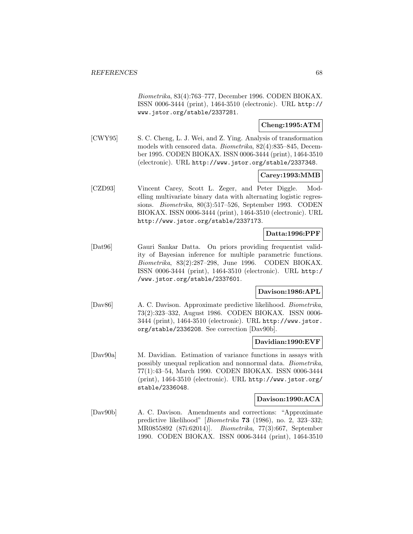Biometrika, 83(4):763–777, December 1996. CODEN BIOKAX. ISSN 0006-3444 (print), 1464-3510 (electronic). URL http:// www.jstor.org/stable/2337281.

# **Cheng:1995:ATM**

[CWY95] S. C. Cheng, L. J. Wei, and Z. Ying. Analysis of transformation models with censored data. Biometrika, 82(4):835–845, December 1995. CODEN BIOKAX. ISSN 0006-3444 (print), 1464-3510 (electronic). URL http://www.jstor.org/stable/2337348.

# **Carey:1993:MMB**

[CZD93] Vincent Carey, Scott L. Zeger, and Peter Diggle. Modelling multivariate binary data with alternating logistic regressions. Biometrika, 80(3):517–526, September 1993. CODEN BIOKAX. ISSN 0006-3444 (print), 1464-3510 (electronic). URL http://www.jstor.org/stable/2337173.

# **Datta:1996:PPF**

[Dat96] Gauri Sankar Datta. On priors providing frequentist validity of Bayesian inference for multiple parametric functions. Biometrika, 83(2):287–298, June 1996. CODEN BIOKAX. ISSN 0006-3444 (print), 1464-3510 (electronic). URL http:/ /www.jstor.org/stable/2337601.

## **Davison:1986:APL**

[Dav86] A. C. Davison. Approximate predictive likelihood. Biometrika, 73(2):323–332, August 1986. CODEN BIOKAX. ISSN 0006- 3444 (print), 1464-3510 (electronic). URL http://www.jstor. org/stable/2336208. See correction [Dav90b].

## **Davidian:1990:EVF**

[Dav90a] M. Davidian. Estimation of variance functions in assays with possibly unequal replication and nonnormal data. Biometrika, 77(1):43–54, March 1990. CODEN BIOKAX. ISSN 0006-3444 (print), 1464-3510 (electronic). URL http://www.jstor.org/ stable/2336048.

## **Davison:1990:ACA**

[Dav90b] A. C. Davison. Amendments and corrections: "Approximate predictive likelihood" [Biometrika **73** (1986), no. 2, 323–332; MR0855892 (87i:62014)]. Biometrika, 77(3):667, September 1990. CODEN BIOKAX. ISSN 0006-3444 (print), 1464-3510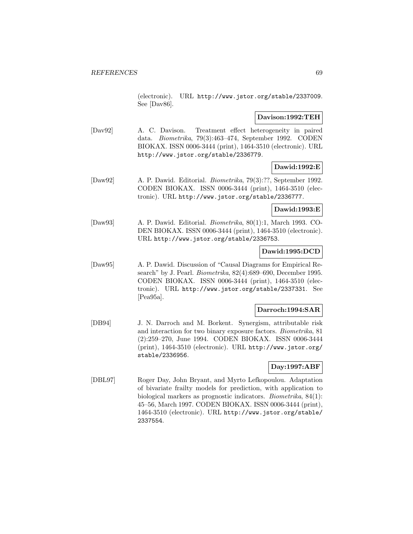(electronic). URL http://www.jstor.org/stable/2337009. See [Dav86].

## **Davison:1992:TEH**

[Dav92] A. C. Davison. Treatment effect heterogeneity in paired data. Biometrika, 79(3):463–474, September 1992. CODEN BIOKAX. ISSN 0006-3444 (print), 1464-3510 (electronic). URL http://www.jstor.org/stable/2336779.

# **Dawid:1992:E**

[Daw92] A. P. Dawid. Editorial. Biometrika, 79(3):??, September 1992. CODEN BIOKAX. ISSN 0006-3444 (print), 1464-3510 (electronic). URL http://www.jstor.org/stable/2336777.

# **Dawid:1993:E**

[Daw93] A. P. Dawid. Editorial. Biometrika, 80(1):1, March 1993. CO-DEN BIOKAX. ISSN 0006-3444 (print), 1464-3510 (electronic). URL http://www.jstor.org/stable/2336753.

# **Dawid:1995:DCD**

[Daw95] A. P. Dawid. Discussion of "Causal Diagrams for Empirical Research" by J. Pearl. *Biometrika*, 82(4):689–690, December 1995. CODEN BIOKAX. ISSN 0006-3444 (print), 1464-3510 (electronic). URL http://www.jstor.org/stable/2337331. See [Pea95a].

# **Darroch:1994:SAR**

[DB94] J. N. Darroch and M. Borkent. Synergism, attributable risk and interaction for two binary exposure factors. Biometrika, 81 (2):259–270, June 1994. CODEN BIOKAX. ISSN 0006-3444 (print), 1464-3510 (electronic). URL http://www.jstor.org/ stable/2336956.

# **Day:1997:ABF**

[DBL97] Roger Day, John Bryant, and Myrto Lefkopoulou. Adaptation of bivariate frailty models for prediction, with application to biological markers as prognostic indicators. Biometrika, 84(1): 45–56, March 1997. CODEN BIOKAX. ISSN 0006-3444 (print), 1464-3510 (electronic). URL http://www.jstor.org/stable/ 2337554.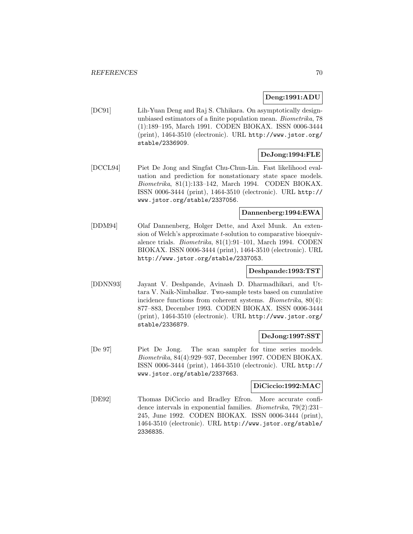# **Deng:1991:ADU**

[DC91] Lih-Yuan Deng and Raj S. Chhikara. On asymptotically designunbiased estimators of a finite population mean. Biometrika, 78 (1):189–195, March 1991. CODEN BIOKAX. ISSN 0006-3444 (print), 1464-3510 (electronic). URL http://www.jstor.org/ stable/2336909.

# **DeJong:1994:FLE**

[DCCL94] Piet De Jong and Singfat Chu-Chun-Lin. Fast likelihood evaluation and prediction for nonstationary state space models. Biometrika, 81(1):133–142, March 1994. CODEN BIOKAX. ISSN 0006-3444 (print), 1464-3510 (electronic). URL http:// www.jstor.org/stable/2337056.

# **Dannenberg:1994:EWA**

[DDM94] Olaf Dannenberg, Holger Dette, and Axel Munk. An extension of Welch's approximate  $t$ -solution to comparative bioequivalence trials. Biometrika, 81(1):91–101, March 1994. CODEN BIOKAX. ISSN 0006-3444 (print), 1464-3510 (electronic). URL http://www.jstor.org/stable/2337053.

# **Deshpande:1993:TST**

[DDNN93] Jayant V. Deshpande, Avinash D. Dharmadhikari, and Uttara V. Naik-Nimbalkar. Two-sample tests based on cumulative incidence functions from coherent systems. Biometrika, 80(4): 877–883, December 1993. CODEN BIOKAX. ISSN 0006-3444 (print), 1464-3510 (electronic). URL http://www.jstor.org/ stable/2336879.

## **DeJong:1997:SST**

[De 97] Piet De Jong. The scan sampler for time series models. Biometrika, 84(4):929–937, December 1997. CODEN BIOKAX. ISSN 0006-3444 (print), 1464-3510 (electronic). URL http:// www.jstor.org/stable/2337663.

### **DiCiccio:1992:MAC**

[DE92] Thomas DiCiccio and Bradley Efron. More accurate confidence intervals in exponential families. Biometrika, 79(2):231– 245, June 1992. CODEN BIOKAX. ISSN 0006-3444 (print), 1464-3510 (electronic). URL http://www.jstor.org/stable/ 2336835.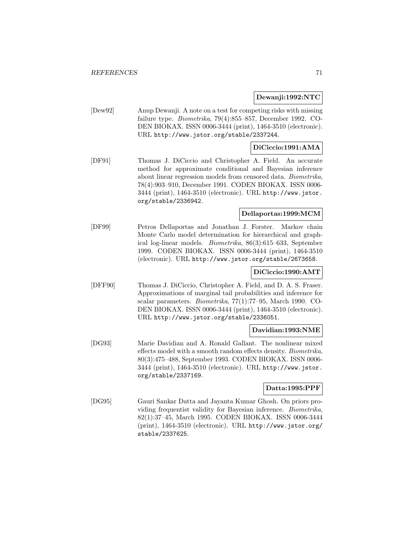**Dewanji:1992:NTC**

[Dew92] Anup Dewanji. A note on a test for competing risks with missing failure type. Biometrika, 79(4):855–857, December 1992. CO-DEN BIOKAX. ISSN 0006-3444 (print), 1464-3510 (electronic). URL http://www.jstor.org/stable/2337244.

# **DiCiccio:1991:AMA**

[DF91] Thomas J. DiCiccio and Christopher A. Field. An accurate method for approximate conditional and Bayesian inference about linear regression models from censored data. Biometrika, 78(4):903–910, December 1991. CODEN BIOKAX. ISSN 0006- 3444 (print), 1464-3510 (electronic). URL http://www.jstor. org/stable/2336942.

# **Dellaportas:1999:MCM**

[DF99] Petros Dellaportas and Jonathan J. Forster. Markov chain Monte Carlo model determination for hierarchical and graphical log-linear models. Biometrika, 86(3):615–633, September 1999. CODEN BIOKAX. ISSN 0006-3444 (print), 1464-3510 (electronic). URL http://www.jstor.org/stable/2673658.

## **DiCiccio:1990:AMT**

[DFF90] Thomas J. DiCiccio, Christopher A. Field, and D. A. S. Fraser. Approximations of marginal tail probabilities and inference for scalar parameters. Biometrika, 77(1):77–95, March 1990. CO-DEN BIOKAX. ISSN 0006-3444 (print), 1464-3510 (electronic). URL http://www.jstor.org/stable/2336051.

#### **Davidian:1993:NME**

[DG93] Marie Davidian and A. Ronald Gallant. The nonlinear mixed effects model with a smooth random effects density. Biometrika, 80(3):475–488, September 1993. CODEN BIOKAX. ISSN 0006- 3444 (print), 1464-3510 (electronic). URL http://www.jstor. org/stable/2337169.

# **Datta:1995:PPF**

[DG95] Gauri Sankar Datta and Jayanta Kumar Ghosh. On priors providing frequentist validity for Bayesian inference. Biometrika, 82(1):37–45, March 1995. CODEN BIOKAX. ISSN 0006-3444 (print), 1464-3510 (electronic). URL http://www.jstor.org/ stable/2337625.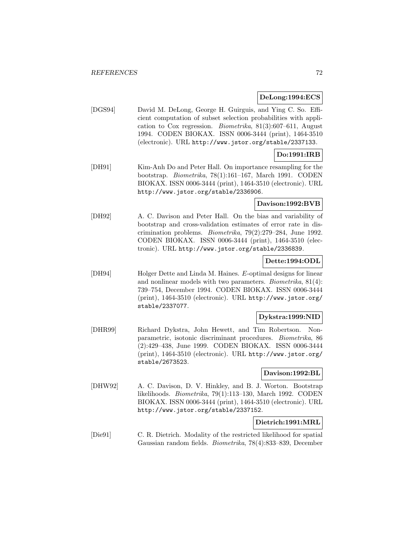### **DeLong:1994:ECS**

[DGS94] David M. DeLong, George H. Guirguis, and Ying C. So. Efficient computation of subset selection probabilities with application to Cox regression. Biometrika, 81(3):607–611, August 1994. CODEN BIOKAX. ISSN 0006-3444 (print), 1464-3510 (electronic). URL http://www.jstor.org/stable/2337133.

# **Do:1991:IRB**

[DH91] Kim-Anh Do and Peter Hall. On importance resampling for the bootstrap. Biometrika, 78(1):161–167, March 1991. CODEN BIOKAX. ISSN 0006-3444 (print), 1464-3510 (electronic). URL http://www.jstor.org/stable/2336906.

# **Davison:1992:BVB**

[DH92] A. C. Davison and Peter Hall. On the bias and variability of bootstrap and cross-validation estimates of error rate in discrimination problems. Biometrika, 79(2):279–284, June 1992. CODEN BIOKAX. ISSN 0006-3444 (print), 1464-3510 (electronic). URL http://www.jstor.org/stable/2336839.

## **Dette:1994:ODL**

[DH94] Holger Dette and Linda M. Haines. E-optimal designs for linear and nonlinear models with two parameters. Biometrika, 81(4): 739–754, December 1994. CODEN BIOKAX. ISSN 0006-3444 (print), 1464-3510 (electronic). URL http://www.jstor.org/ stable/2337077.

## **Dykstra:1999:NID**

[DHR99] Richard Dykstra, John Hewett, and Tim Robertson. Nonparametric, isotonic discriminant procedures. Biometrika, 86 (2):429–438, June 1999. CODEN BIOKAX. ISSN 0006-3444 (print), 1464-3510 (electronic). URL http://www.jstor.org/ stable/2673523.

## **Davison:1992:BL**

[DHW92] A. C. Davison, D. V. Hinkley, and B. J. Worton. Bootstrap likelihoods. Biometrika, 79(1):113–130, March 1992. CODEN BIOKAX. ISSN 0006-3444 (print), 1464-3510 (electronic). URL http://www.jstor.org/stable/2337152.

# **Dietrich:1991:MRL**

[Die91] C. R. Dietrich. Modality of the restricted likelihood for spatial Gaussian random fields. Biometrika, 78(4):833–839, December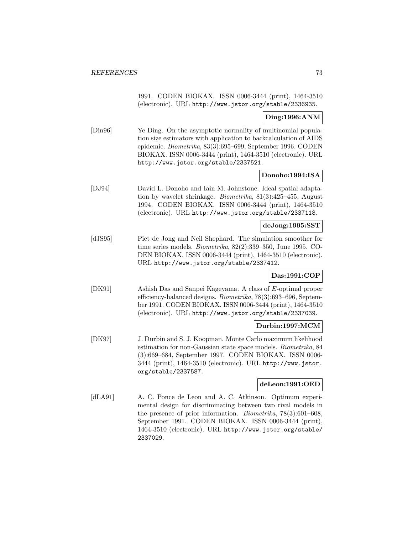|                             | 1991. CODEN BIOKAX. ISSN 0006-3444 (print), 1464-3510<br>(electronic). URL http://www.jstor.org/stable/2336935.                                                                                                                                                                                                                      |
|-----------------------------|--------------------------------------------------------------------------------------------------------------------------------------------------------------------------------------------------------------------------------------------------------------------------------------------------------------------------------------|
|                             | Ding:1996:ANM                                                                                                                                                                                                                                                                                                                        |
| $\left[\text{Din}96\right]$ | Ye Ding. On the asymptotic normality of multinomial popula-<br>tion size estimators with application to backcalculation of AIDS<br>epidemic. Biometrika, 83(3):695-699, September 1996. CODEN<br>BIOKAX. ISSN 0006-3444 (print), 1464-3510 (electronic). URL<br>http://www.jstor.org/stable/2337521.                                 |
|                             | Donoho:1994:ISA                                                                                                                                                                                                                                                                                                                      |
| [DJ94]                      | David L. Donoho and Iain M. Johnstone. Ideal spatial adapta-<br>tion by wavelet shrinkage. Biometrika, $81(3):425-455$ , August<br>1994. CODEN BIOKAX. ISSN 0006-3444 (print), 1464-3510<br>(electronic). URL http://www.jstor.org/stable/2337118.                                                                                   |
|                             | deJong:1995:SST                                                                                                                                                                                                                                                                                                                      |
| [dJS95]                     | Piet de Jong and Neil Shephard. The simulation smoother for<br>time series models. <i>Biometrika</i> , $82(2):339-350$ , June 1995. CO-<br>DEN BIOKAX. ISSN 0006-3444 (print), 1464-3510 (electronic).<br>URL http://www.jstor.org/stable/2337412.                                                                                   |
|                             | Das:1991:COP                                                                                                                                                                                                                                                                                                                         |
| [DK91]                      | Ashish Das and Sanpei Kageyama. A class of E-optimal proper<br>efficiency-balanced designs. <i>Biometrika</i> , 78(3):693-696, Septem-<br>ber 1991. CODEN BIOKAX. ISSN 0006-3444 (print), 1464-3510<br>(electronic). URL http://www.jstor.org/stable/2337039.                                                                        |
|                             | Durbin:1997:MCM                                                                                                                                                                                                                                                                                                                      |
| [DK97]                      | J. Durbin and S. J. Koopman. Monte Carlo maximum likelihood<br>estimation for non-Gaussian state space models. Biometrika, 84<br>(3):669-684, September 1997. CODEN BIOKAX. ISSN 0006-<br>3444 (print), 1464-3510 (electronic). URL http://www.jstor.<br>org/stable/2337587.                                                         |
|                             | deLeon:1991:OED                                                                                                                                                                                                                                                                                                                      |
| [dLA91]                     | A. C. Ponce de Leon and A. C. Atkinson. Optimum experi-<br>mental design for discriminating between two rival models in<br>the presence of prior information. <i>Biometrika</i> , $78(3):601-608$ ,<br>September 1991. CODEN BIOKAX. ISSN 0006-3444 (print),<br>1464-3510 (electronic). URL http://www.jstor.org/stable/<br>2337029. |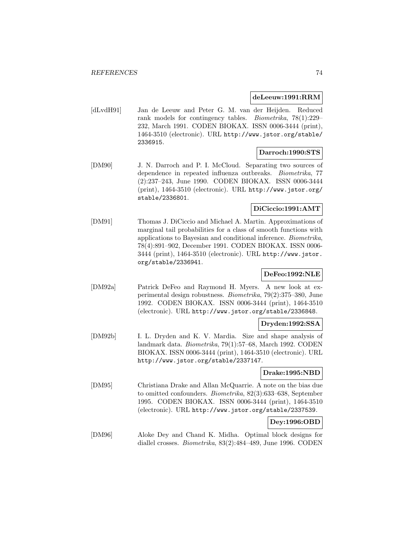#### **deLeeuw:1991:RRM**

[dLvdH91] Jan de Leeuw and Peter G. M. van der Heijden. Reduced rank models for contingency tables. Biometrika, 78(1):229– 232, March 1991. CODEN BIOKAX. ISSN 0006-3444 (print), 1464-3510 (electronic). URL http://www.jstor.org/stable/ 2336915.

#### **Darroch:1990:STS**

[DM90] J. N. Darroch and P. I. McCloud. Separating two sources of dependence in repeated influenza outbreaks. Biometrika, 77 (2):237–243, June 1990. CODEN BIOKAX. ISSN 0006-3444 (print), 1464-3510 (electronic). URL http://www.jstor.org/ stable/2336801.

## **DiCiccio:1991:AMT**

[DM91] Thomas J. DiCiccio and Michael A. Martin. Approximations of marginal tail probabilities for a class of smooth functions with applications to Bayesian and conditional inference. Biometrika, 78(4):891–902, December 1991. CODEN BIOKAX. ISSN 0006- 3444 (print), 1464-3510 (electronic). URL http://www.jstor. org/stable/2336941.

## **DeFeo:1992:NLE**

[DM92a] Patrick DeFeo and Raymond H. Myers. A new look at experimental design robustness. Biometrika, 79(2):375–380, June 1992. CODEN BIOKAX. ISSN 0006-3444 (print), 1464-3510 (electronic). URL http://www.jstor.org/stable/2336848.

## **Dryden:1992:SSA**

[DM92b] I. L. Dryden and K. V. Mardia. Size and shape analysis of landmark data. Biometrika, 79(1):57–68, March 1992. CODEN BIOKAX. ISSN 0006-3444 (print), 1464-3510 (electronic). URL http://www.jstor.org/stable/2337147.

#### **Drake:1995:NBD**

[DM95] Christiana Drake and Allan McQuarrie. A note on the bias due to omitted confounders. Biometrika, 82(3):633–638, September 1995. CODEN BIOKAX. ISSN 0006-3444 (print), 1464-3510 (electronic). URL http://www.jstor.org/stable/2337539.

## **Dey:1996:OBD**

[DM96] Aloke Dey and Chand K. Midha. Optimal block designs for diallel crosses. Biometrika, 83(2):484–489, June 1996. CODEN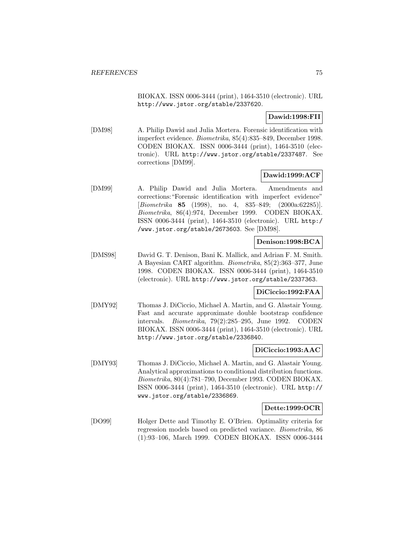BIOKAX. ISSN 0006-3444 (print), 1464-3510 (electronic). URL http://www.jstor.org/stable/2337620.

**Dawid:1998:FII**

[DM98] A. Philip Dawid and Julia Mortera. Forensic identification with imperfect evidence. Biometrika, 85(4):835–849, December 1998. CODEN BIOKAX. ISSN 0006-3444 (print), 1464-3510 (electronic). URL http://www.jstor.org/stable/2337487. See corrections [DM99].

## **Dawid:1999:ACF**

[DM99] A. Philip Dawid and Julia Mortera. Amendments and corrections:"Forensic identification with imperfect evidence" [Biometrika **85** (1998), no. 4, 835–849; (2000a:62285)]. Biometrika, 86(4):974, December 1999. CODEN BIOKAX. ISSN 0006-3444 (print), 1464-3510 (electronic). URL http:/ /www.jstor.org/stable/2673603. See [DM98].

### **Denison:1998:BCA**

[DMS98] David G. T. Denison, Bani K. Mallick, and Adrian F. M. Smith. A Bayesian CART algorithm. Biometrika, 85(2):363–377, June 1998. CODEN BIOKAX. ISSN 0006-3444 (print), 1464-3510 (electronic). URL http://www.jstor.org/stable/2337363.

### **DiCiccio:1992:FAA**

[DMY92] Thomas J. DiCiccio, Michael A. Martin, and G. Alastair Young. Fast and accurate approximate double bootstrap confidence intervals. Biometrika, 79(2):285–295, June 1992. CODEN BIOKAX. ISSN 0006-3444 (print), 1464-3510 (electronic). URL http://www.jstor.org/stable/2336840.

### **DiCiccio:1993:AAC**

[DMY93] Thomas J. DiCiccio, Michael A. Martin, and G. Alastair Young. Analytical approximations to conditional distribution functions. Biometrika, 80(4):781–790, December 1993. CODEN BIOKAX. ISSN 0006-3444 (print), 1464-3510 (electronic). URL http:// www.jstor.org/stable/2336869.

### **Dette:1999:OCR**

[DO99] Holger Dette and Timothy E. O'Brien. Optimality criteria for regression models based on predicted variance. Biometrika, 86 (1):93–106, March 1999. CODEN BIOKAX. ISSN 0006-3444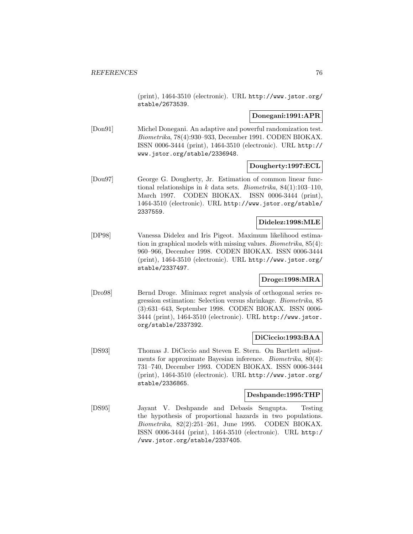(print), 1464-3510 (electronic). URL http://www.jstor.org/ stable/2673539.

### **Donegani:1991:APR**

[Don91] Michel Donegani. An adaptive and powerful randomization test. Biometrika, 78(4):930–933, December 1991. CODEN BIOKAX. ISSN 0006-3444 (print), 1464-3510 (electronic). URL http:// www.jstor.org/stable/2336948.

### **Dougherty:1997:ECL**

[Dou97] George G. Dougherty, Jr. Estimation of common linear functional relationships in  $k$  data sets. *Biometrika*,  $84(1):103-110$ , March 1997. CODEN BIOKAX. ISSN 0006-3444 (print), 1464-3510 (electronic). URL http://www.jstor.org/stable/ 2337559.

## **Didelez:1998:MLE**

[DP98] Vanessa Didelez and Iris Pigeot. Maximum likelihood estimation in graphical models with missing values. Biometrika, 85(4): 960–966, December 1998. CODEN BIOKAX. ISSN 0006-3444 (print), 1464-3510 (electronic). URL http://www.jstor.org/ stable/2337497.

## **Droge:1998:MRA**

[Dro98] Bernd Droge. Minimax regret analysis of orthogonal series regression estimation: Selection versus shrinkage. Biometrika, 85 (3):631–643, September 1998. CODEN BIOKAX. ISSN 0006- 3444 (print), 1464-3510 (electronic). URL http://www.jstor. org/stable/2337392.

## **DiCiccio:1993:BAA**

[DS93] Thomas J. DiCiccio and Steven E. Stern. On Bartlett adjustments for approximate Bayesian inference. Biometrika, 80(4): 731–740, December 1993. CODEN BIOKAX. ISSN 0006-3444 (print), 1464-3510 (electronic). URL http://www.jstor.org/ stable/2336865.

### **Deshpande:1995:THP**

[DS95] Jayant V. Deshpande and Debasis Sengupta. Testing the hypothesis of proportional hazards in two populations. Biometrika, 82(2):251–261, June 1995. CODEN BIOKAX. ISSN 0006-3444 (print), 1464-3510 (electronic). URL http:/ /www.jstor.org/stable/2337405.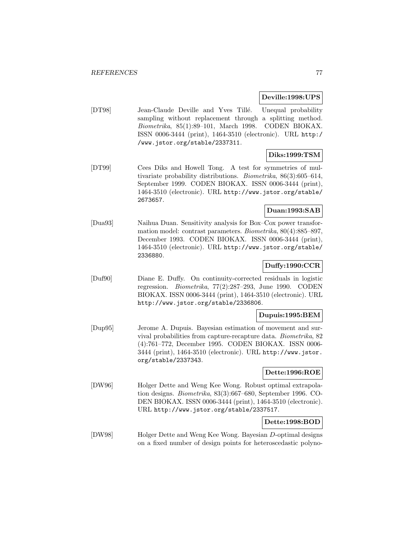**Deville:1998:UPS**

[DT98] Jean-Claude Deville and Yves Tillé. Unequal probability sampling without replacement through a splitting method. Biometrika, 85(1):89–101, March 1998. CODEN BIOKAX. ISSN 0006-3444 (print), 1464-3510 (electronic). URL http:/ /www.jstor.org/stable/2337311.

## **Diks:1999:TSM**

[DT99] Cees Diks and Howell Tong. A test for symmetries of multivariate probability distributions. Biometrika, 86(3):605–614, September 1999. CODEN BIOKAX. ISSN 0006-3444 (print), 1464-3510 (electronic). URL http://www.jstor.org/stable/ 2673657.

## **Duan:1993:SAB**

[Dua93] Naihua Duan. Sensitivity analysis for Box–Cox power transformation model: contrast parameters. Biometrika, 80(4):885–897, December 1993. CODEN BIOKAX. ISSN 0006-3444 (print), 1464-3510 (electronic). URL http://www.jstor.org/stable/ 2336880.

## **Duffy:1990:CCR**

[Duf90] Diane E. Duffy. On continuity-corrected residuals in logistic regression. *Biometrika*,  $77(2):287-293$ , June 1990. CODEN BIOKAX. ISSN 0006-3444 (print), 1464-3510 (electronic). URL http://www.jstor.org/stable/2336806.

### **Dupuis:1995:BEM**

[Dup95] Jerome A. Dupuis. Bayesian estimation of movement and survival probabilities from capture-recapture data. Biometrika, 82 (4):761–772, December 1995. CODEN BIOKAX. ISSN 0006- 3444 (print), 1464-3510 (electronic). URL http://www.jstor. org/stable/2337343.

## **Dette:1996:ROE**

[DW96] Holger Dette and Weng Kee Wong. Robust optimal extrapolation designs. Biometrika, 83(3):667–680, September 1996. CO-DEN BIOKAX. ISSN 0006-3444 (print), 1464-3510 (electronic). URL http://www.jstor.org/stable/2337517.

## **Dette:1998:BOD**

[DW98] Holger Dette and Weng Kee Wong. Bayesian D-optimal designs on a fixed number of design points for heteroscedastic polyno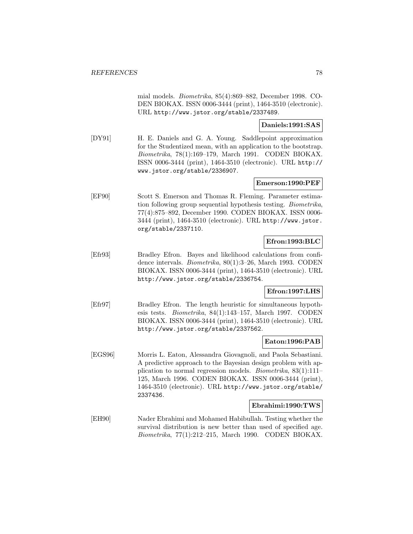mial models. Biometrika, 85(4):869–882, December 1998. CO-DEN BIOKAX. ISSN 0006-3444 (print), 1464-3510 (electronic). URL http://www.jstor.org/stable/2337489.

## **Daniels:1991:SAS**

[DY91] H. E. Daniels and G. A. Young. Saddlepoint approximation for the Studentized mean, with an application to the bootstrap. Biometrika, 78(1):169–179, March 1991. CODEN BIOKAX. ISSN 0006-3444 (print), 1464-3510 (electronic). URL http:// www.jstor.org/stable/2336907.

### **Emerson:1990:PEF**

[EF90] Scott S. Emerson and Thomas R. Fleming. Parameter estimation following group sequential hypothesis testing. Biometrika, 77(4):875–892, December 1990. CODEN BIOKAX. ISSN 0006- 3444 (print), 1464-3510 (electronic). URL http://www.jstor. org/stable/2337110.

### **Efron:1993:BLC**

[Efr93] Bradley Efron. Bayes and likelihood calculations from confidence intervals. Biometrika, 80(1):3–26, March 1993. CODEN BIOKAX. ISSN 0006-3444 (print), 1464-3510 (electronic). URL http://www.jstor.org/stable/2336754.

### **Efron:1997:LHS**

[Efr97] Bradley Efron. The length heuristic for simultaneous hypothesis tests. Biometrika, 84(1):143–157, March 1997. CODEN BIOKAX. ISSN 0006-3444 (print), 1464-3510 (electronic). URL http://www.jstor.org/stable/2337562.

### **Eaton:1996:PAB**

[EGS96] Morris L. Eaton, Alessandra Giovagnoli, and Paola Sebastiani. A predictive approach to the Bayesian design problem with application to normal regression models. Biometrika, 83(1):111– 125, March 1996. CODEN BIOKAX. ISSN 0006-3444 (print), 1464-3510 (electronic). URL http://www.jstor.org/stable/ 2337436.

#### **Ebrahimi:1990:TWS**

[EH90] Nader Ebrahimi and Mohamed Habibullah. Testing whether the survival distribution is new better than used of specified age. Biometrika, 77(1):212–215, March 1990. CODEN BIOKAX.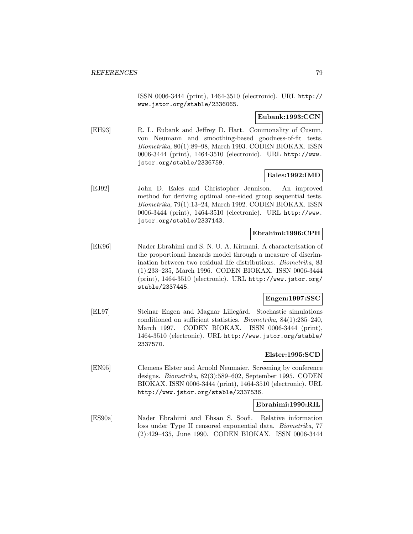ISSN 0006-3444 (print), 1464-3510 (electronic). URL http:// www.jstor.org/stable/2336065.

#### **Eubank:1993:CCN**

[EH93] R. L. Eubank and Jeffrey D. Hart. Commonality of Cusum, von Neumann and smoothing-based goodness-of-fit tests. Biometrika, 80(1):89–98, March 1993. CODEN BIOKAX. ISSN 0006-3444 (print), 1464-3510 (electronic). URL http://www. jstor.org/stable/2336759.

### **Eales:1992:IMD**

[EJ92] John D. Eales and Christopher Jennison. An improved method for deriving optimal one-sided group sequential tests. Biometrika, 79(1):13–24, March 1992. CODEN BIOKAX. ISSN 0006-3444 (print), 1464-3510 (electronic). URL http://www. jstor.org/stable/2337143.

## **Ebrahimi:1996:CPH**

[EK96] Nader Ebrahimi and S. N. U. A. Kirmani. A characterisation of the proportional hazards model through a measure of discrimination between two residual life distributions. Biometrika, 83 (1):233–235, March 1996. CODEN BIOKAX. ISSN 0006-3444 (print), 1464-3510 (electronic). URL http://www.jstor.org/ stable/2337445.

## **Engen:1997:SSC**

[EL97] Steinar Engen and Magnar Lillegård. Stochastic simulations conditioned on sufficient statistics. Biometrika, 84(1):235–240, March 1997. CODEN BIOKAX. ISSN 0006-3444 (print), 1464-3510 (electronic). URL http://www.jstor.org/stable/ 2337570.

## **Elster:1995:SCD**

[EN95] Clemens Elster and Arnold Neumaier. Screening by conference designs. Biometrika, 82(3):589–602, September 1995. CODEN BIOKAX. ISSN 0006-3444 (print), 1464-3510 (electronic). URL http://www.jstor.org/stable/2337536.

### **Ebrahimi:1990:RIL**

[ES90a] Nader Ebrahimi and Ehsan S. Soofi. Relative information loss under Type II censored exponential data. Biometrika, 77 (2):429–435, June 1990. CODEN BIOKAX. ISSN 0006-3444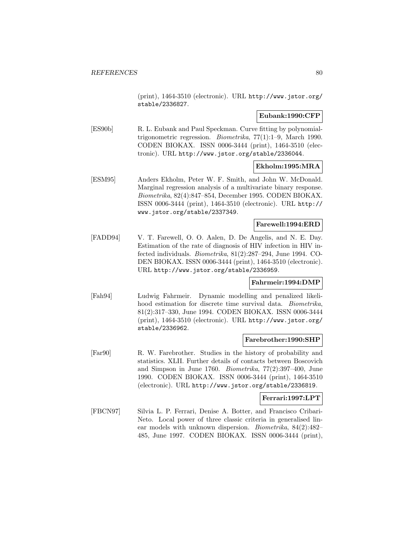(print), 1464-3510 (electronic). URL http://www.jstor.org/ stable/2336827.

## **Eubank:1990:CFP**

[ES90b] R. L. Eubank and Paul Speckman. Curve fitting by polynomialtrigonometric regression. Biometrika, 77(1):1–9, March 1990. CODEN BIOKAX. ISSN 0006-3444 (print), 1464-3510 (electronic). URL http://www.jstor.org/stable/2336044.

## **Ekholm:1995:MRA**

[ESM95] Anders Ekholm, Peter W. F. Smith, and John W. McDonald. Marginal regression analysis of a multivariate binary response. Biometrika, 82(4):847–854, December 1995. CODEN BIOKAX. ISSN 0006-3444 (print), 1464-3510 (electronic). URL http:// www.jstor.org/stable/2337349.

## **Farewell:1994:ERD**

[FADD94] V. T. Farewell, O. O. Aalen, D. De Angelis, and N. E. Day. Estimation of the rate of diagnosis of HIV infection in HIV infected individuals. Biometrika, 81(2):287–294, June 1994. CO-DEN BIOKAX. ISSN 0006-3444 (print), 1464-3510 (electronic). URL http://www.jstor.org/stable/2336959.

### **Fahrmeir:1994:DMP**

[Fah94] Ludwig Fahrmeir. Dynamic modelling and penalized likelihood estimation for discrete time survival data. Biometrika, 81(2):317–330, June 1994. CODEN BIOKAX. ISSN 0006-3444 (print), 1464-3510 (electronic). URL http://www.jstor.org/ stable/2336962.

### **Farebrother:1990:SHP**

[Far90] R. W. Farebrother. Studies in the history of probability and statistics. XLII. Further details of contacts between Boscovich and Simpson in June 1760. Biometrika, 77(2):397–400, June 1990. CODEN BIOKAX. ISSN 0006-3444 (print), 1464-3510 (electronic). URL http://www.jstor.org/stable/2336819.

### **Ferrari:1997:LPT**

[FBCN97] Silvia L. P. Ferrari, Denise A. Botter, and Francisco Cribari-Neto. Local power of three classic criteria in generalised linear models with unknown dispersion. Biometrika, 84(2):482– 485, June 1997. CODEN BIOKAX. ISSN 0006-3444 (print),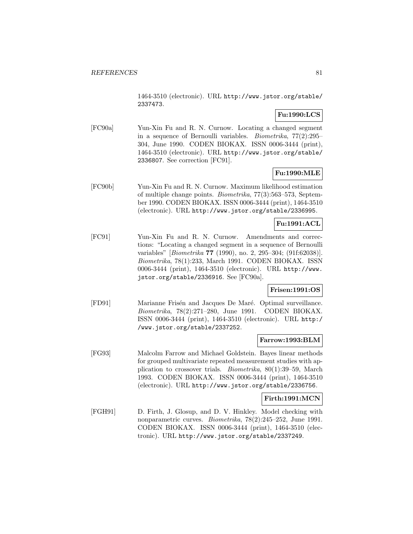1464-3510 (electronic). URL http://www.jstor.org/stable/ 2337473.

## **Fu:1990:LCS**

[FC90a] Yun-Xin Fu and R. N. Curnow. Locating a changed segment in a sequence of Bernoulli variables. Biometrika, 77(2):295– 304, June 1990. CODEN BIOKAX. ISSN 0006-3444 (print), 1464-3510 (electronic). URL http://www.jstor.org/stable/ 2336807. See correction [FC91].

## **Fu:1990:MLE**

[FC90b] Yun-Xin Fu and R. N. Curnow. Maximum likelihood estimation of multiple change points. Biometrika, 77(3):563–573, September 1990. CODEN BIOKAX. ISSN 0006-3444 (print), 1464-3510 (electronic). URL http://www.jstor.org/stable/2336995.

## **Fu:1991:ACL**

[FC91] Yun-Xin Fu and R. N. Curnow. Amendments and corrections: "Locating a changed segment in a sequence of Bernoulli variables" [Biometrika **77** (1990), no. 2, 295–304; (91f:62038)]. Biometrika, 78(1):233, March 1991. CODEN BIOKAX. ISSN 0006-3444 (print), 1464-3510 (electronic). URL http://www. jstor.org/stable/2336916. See [FC90a].

## **Frisen:1991:OS**

[FD91] Marianne Frisén and Jacques De Maré. Optimal surveillance. Biometrika, 78(2):271–280, June 1991. CODEN BIOKAX. ISSN 0006-3444 (print), 1464-3510 (electronic). URL http:/ /www.jstor.org/stable/2337252.

### **Farrow:1993:BLM**

[FG93] Malcolm Farrow and Michael Goldstein. Bayes linear methods for grouped multivariate repeated measurement studies with application to crossover trials. Biometrika, 80(1):39–59, March 1993. CODEN BIOKAX. ISSN 0006-3444 (print), 1464-3510 (electronic). URL http://www.jstor.org/stable/2336756.

### **Firth:1991:MCN**

[FGH91] D. Firth, J. Glosup, and D. V. Hinkley. Model checking with nonparametric curves. Biometrika, 78(2):245–252, June 1991. CODEN BIOKAX. ISSN 0006-3444 (print), 1464-3510 (electronic). URL http://www.jstor.org/stable/2337249.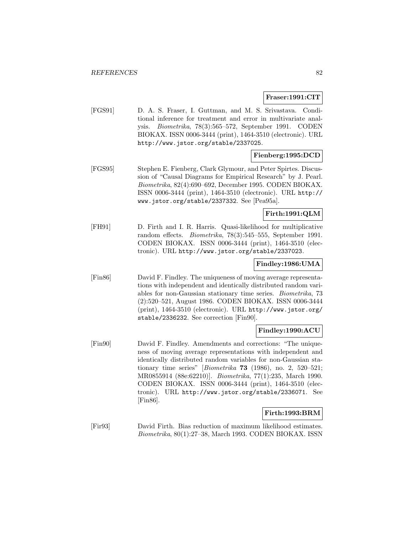#### **Fraser:1991:CIT**

[FGS91] D. A. S. Fraser, I. Guttman, and M. S. Srivastava. Conditional inference for treatment and error in multivariate analysis. Biometrika, 78(3):565–572, September 1991. CODEN BIOKAX. ISSN 0006-3444 (print), 1464-3510 (electronic). URL http://www.jstor.org/stable/2337025.

## **Fienberg:1995:DCD**

[FGS95] Stephen E. Fienberg, Clark Glymour, and Peter Spirtes. Discussion of "Causal Diagrams for Empirical Research" by J. Pearl. Biometrika, 82(4):690–692, December 1995. CODEN BIOKAX. ISSN 0006-3444 (print), 1464-3510 (electronic). URL http:// www.jstor.org/stable/2337332. See [Pea95a].

## **Firth:1991:QLM**

[FH91] D. Firth and I. R. Harris. Quasi-likelihood for multiplicative random effects. Biometrika, 78(3):545–555, September 1991. CODEN BIOKAX. ISSN 0006-3444 (print), 1464-3510 (electronic). URL http://www.jstor.org/stable/2337023.

## **Findley:1986:UMA**

[Fin86] David F. Findley. The uniqueness of moving average representations with independent and identically distributed random variables for non-Gaussian stationary time series. Biometrika, 73 (2):520–521, August 1986. CODEN BIOKAX. ISSN 0006-3444 (print), 1464-3510 (electronic). URL http://www.jstor.org/ stable/2336232. See correction [Fin90].

### **Findley:1990:ACU**

[Fin90] David F. Findley. Amendments and corrections: "The uniqueness of moving average representations with independent and identically distributed random variables for non-Gaussian stationary time series" [Biometrika **73** (1986), no. 2, 520–521; MR0855914 (88e:62210)]. Biometrika, 77(1):235, March 1990. CODEN BIOKAX. ISSN 0006-3444 (print), 1464-3510 (electronic). URL http://www.jstor.org/stable/2336071. See [Fin86].

### **Firth:1993:BRM**

[Fir93] David Firth. Bias reduction of maximum likelihood estimates. Biometrika, 80(1):27–38, March 1993. CODEN BIOKAX. ISSN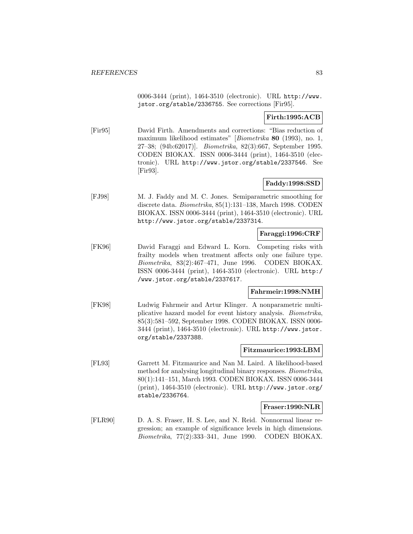0006-3444 (print), 1464-3510 (electronic). URL http://www. jstor.org/stable/2336755. See corrections [Fir95].

## **Firth:1995:ACB**

[Fir95] David Firth. Amendments and corrections: "Bias reduction of maximum likelihood estimates" [Biometrika **80** (1993), no. 1, 27–38; (94b:62017)]. Biometrika, 82(3):667, September 1995. CODEN BIOKAX. ISSN 0006-3444 (print), 1464-3510 (electronic). URL http://www.jstor.org/stable/2337546. See [Fir93].

## **Faddy:1998:SSD**

[FJ98] M. J. Faddy and M. C. Jones. Semiparametric smoothing for discrete data. Biometrika, 85(1):131–138, March 1998. CODEN BIOKAX. ISSN 0006-3444 (print), 1464-3510 (electronic). URL http://www.jstor.org/stable/2337314.

## **Faraggi:1996:CRF**

[FK96] David Faraggi and Edward L. Korn. Competing risks with frailty models when treatment affects only one failure type. Biometrika, 83(2):467–471, June 1996. CODEN BIOKAX. ISSN 0006-3444 (print), 1464-3510 (electronic). URL http:/ /www.jstor.org/stable/2337617.

### **Fahrmeir:1998:NMH**

[FK98] Ludwig Fahrmeir and Artur Klinger. A nonparametric multiplicative hazard model for event history analysis. Biometrika, 85(3):581–592, September 1998. CODEN BIOKAX. ISSN 0006- 3444 (print), 1464-3510 (electronic). URL http://www.jstor. org/stable/2337388.

### **Fitzmaurice:1993:LBM**

[FL93] Garrett M. Fitzmaurice and Nan M. Laird. A likelihood-based method for analysing longitudinal binary responses. Biometrika, 80(1):141–151, March 1993. CODEN BIOKAX. ISSN 0006-3444 (print), 1464-3510 (electronic). URL http://www.jstor.org/ stable/2336764.

## **Fraser:1990:NLR**

[FLR90] D. A. S. Fraser, H. S. Lee, and N. Reid. Nonnormal linear regression; an example of significance levels in high dimensions. Biometrika, 77(2):333–341, June 1990. CODEN BIOKAX.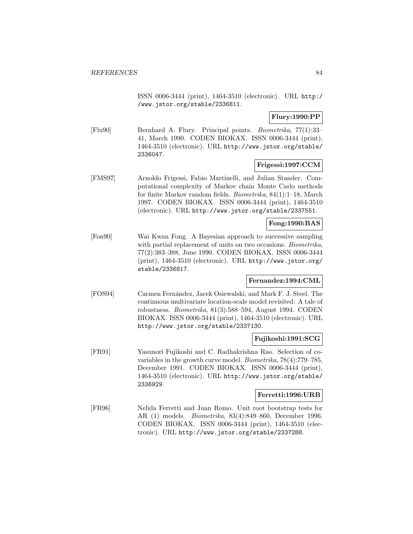ISSN 0006-3444 (print), 1464-3510 (electronic). URL http:/ /www.jstor.org/stable/2336811.

**Flury:1990:PP**

[Flu90] Bernhard A. Flury. Principal points. Biometrika, 77(1):33– 41, March 1990. CODEN BIOKAX. ISSN 0006-3444 (print), 1464-3510 (electronic). URL http://www.jstor.org/stable/ 2336047.

## **Frigessi:1997:CCM**

[FMS97] Arnoldo Frigessi, Fabio Martinelli, and Julian Stander. Computational complexity of Markov chain Monte Carlo methods for finite Markov random fields. Biometrika, 84(1):1–18, March 1997. CODEN BIOKAX. ISSN 0006-3444 (print), 1464-3510 (electronic). URL http://www.jstor.org/stable/2337551.

## **Fong:1990:BAS**

[Fon90] Wai Kwan Fong. A Bayesian approach to successive sampling with partial replacement of units on two occasions. Biometrika, 77(2):383–388, June 1990. CODEN BIOKAX. ISSN 0006-3444 (print), 1464-3510 (electronic). URL http://www.jstor.org/ stable/2336817.

## **Fernandez:1994:CML**

[FOS94] Carmen Fern´andez, Jacek Osiewalski, and Mark F. J. Steel. The continuous multivariate location-scale model revisited: A tale of robustness. Biometrika, 81(3):588–594, August 1994. CODEN BIOKAX. ISSN 0006-3444 (print), 1464-3510 (electronic). URL http://www.jstor.org/stable/2337130.

### **Fujikoshi:1991:SCG**

[FR91] Yasunori Fujikoshi and C. Radhakrishna Rao. Selection of covariables in the growth curve model. Biometrika, 78(4):779–785, December 1991. CODEN BIOKAX. ISSN 0006-3444 (print), 1464-3510 (electronic). URL http://www.jstor.org/stable/ 2336929.

#### **Ferretti:1996:URB**

[FR96] Nelida Ferretti and Juan Romo. Unit root bootstrap tests for AR (1) models. Biometrika, 83(4):849–860, December 1996. CODEN BIOKAX. ISSN 0006-3444 (print), 1464-3510 (electronic). URL http://www.jstor.org/stable/2337288.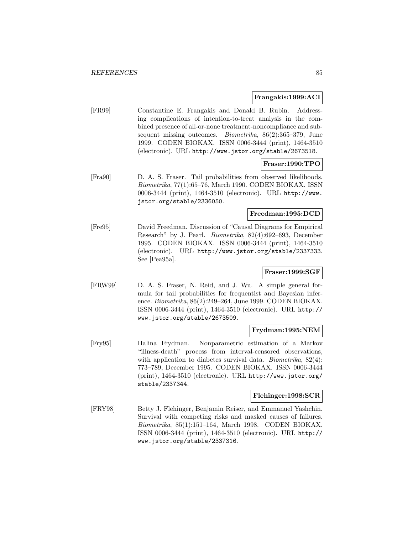#### **Frangakis:1999:ACI**

[FR99] Constantine E. Frangakis and Donald B. Rubin. Addressing complications of intention-to-treat analysis in the combined presence of all-or-none treatment-noncompliance and subsequent missing outcomes. Biometrika, 86(2):365–379, June 1999. CODEN BIOKAX. ISSN 0006-3444 (print), 1464-3510 (electronic). URL http://www.jstor.org/stable/2673518.

## **Fraser:1990:TPO**

[Fra90] D. A. S. Fraser. Tail probabilities from observed likelihoods. Biometrika, 77(1):65–76, March 1990. CODEN BIOKAX. ISSN 0006-3444 (print), 1464-3510 (electronic). URL http://www. jstor.org/stable/2336050.

# **Freedman:1995:DCD**

[Fre95] David Freedman. Discussion of "Causal Diagrams for Empirical Research" by J. Pearl. Biometrika, 82(4):692–693, December 1995. CODEN BIOKAX. ISSN 0006-3444 (print), 1464-3510 (electronic). URL http://www.jstor.org/stable/2337333. See [Pea95a].

## **Fraser:1999:SGF**

[FRW99] D. A. S. Fraser, N. Reid, and J. Wu. A simple general formula for tail probabilities for frequentist and Bayesian inference. Biometrika, 86(2):249–264, June 1999. CODEN BIOKAX. ISSN 0006-3444 (print), 1464-3510 (electronic). URL http:// www.jstor.org/stable/2673509.

#### **Frydman:1995:NEM**

[Fry95] Halina Frydman. Nonparametric estimation of a Markov "illness-death" process from interval-censored observations, with application to diabetes survival data. *Biometrika*, 82(4): 773–789, December 1995. CODEN BIOKAX. ISSN 0006-3444 (print), 1464-3510 (electronic). URL http://www.jstor.org/ stable/2337344.

## **Flehinger:1998:SCR**

[FRY98] Betty J. Flehinger, Benjamin Reiser, and Emmanuel Yashchin. Survival with competing risks and masked causes of failures. Biometrika, 85(1):151–164, March 1998. CODEN BIOKAX. ISSN 0006-3444 (print), 1464-3510 (electronic). URL http:// www.jstor.org/stable/2337316.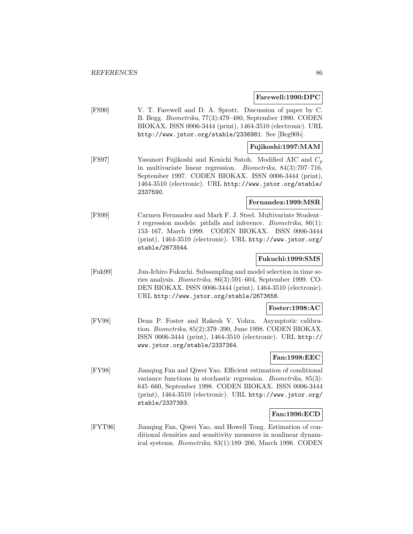### **Farewell:1990:DPC**

[FS90] V. T. Farewell and D. A. Sprott. Discussion of paper by C. B. Begg. Biometrika, 77(3):479–480, September 1990. CODEN BIOKAX. ISSN 0006-3444 (print), 1464-3510 (electronic). URL http://www.jstor.org/stable/2336981. See [Beg90b].

### **Fujikoshi:1997:MAM**

[FS97] Yasunori Fujikoshi and Kenichi Satoh. Modified AIC and  $C_p$ in multivariate linear regression. Biometrika, 84(3):707–716, September 1997. CODEN BIOKAX. ISSN 0006-3444 (print), 1464-3510 (electronic). URL http://www.jstor.org/stable/ 2337590.

## **Fernandez:1999:MSR**

[FS99] Carmen Fernandez and Mark F. J. Steel. Multivariate Student– t regression models: pitfalls and inference. Biometrika, 86(1): 153–167, March 1999. CODEN BIOKAX. ISSN 0006-3444 (print), 1464-3510 (electronic). URL http://www.jstor.org/ stable/2673544.

## **Fukuchi:1999:SMS**

[Fuk99] Jun-Ichiro Fukuchi. Subsampling and model selection in time series analysis. Biometrika, 86(3):591–604, September 1999. CO-DEN BIOKAX. ISSN 0006-3444 (print), 1464-3510 (electronic). URL http://www.jstor.org/stable/2673656.

#### **Foster:1998:AC**

[FV98] Dean P. Foster and Rakesh V. Vohra. Asymptotic calibration. Biometrika, 85(2):379–390, June 1998. CODEN BIOKAX. ISSN 0006-3444 (print), 1464-3510 (electronic). URL http:// www.jstor.org/stable/2337364.

### **Fan:1998:EEC**

[FY98] Jianqing Fan and Qiwei Yao. Efficient estimation of conditional variance functions in stochastic regression. Biometrika, 85(3): 645–660, September 1998. CODEN BIOKAX. ISSN 0006-3444 (print), 1464-3510 (electronic). URL http://www.jstor.org/ stable/2337393.

## **Fan:1996:ECD**

[FYT96] Jianqing Fan, Qiwei Yao, and Howell Tong. Estimation of conditional densities and sensitivity measures in nonlinear dynamical systems. Biometrika, 83(1):189–206, March 1996. CODEN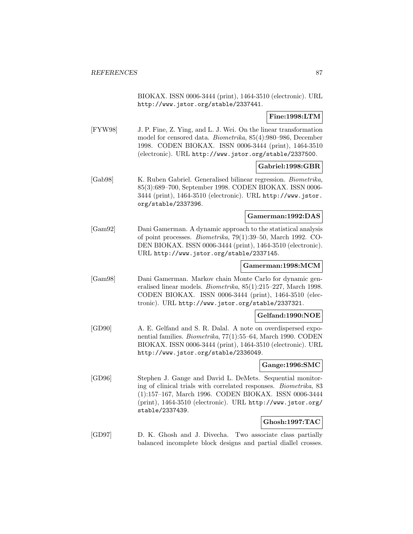BIOKAX. ISSN 0006-3444 (print), 1464-3510 (electronic). URL http://www.jstor.org/stable/2337441.

## **Fine:1998:LTM**

[FYW98] J. P. Fine, Z. Ying, and L. J. Wei. On the linear transformation model for censored data. Biometrika, 85(4):980–986, December 1998. CODEN BIOKAX. ISSN 0006-3444 (print), 1464-3510 (electronic). URL http://www.jstor.org/stable/2337500.

## **Gabriel:1998:GBR**

[Gab98] K. Ruben Gabriel. Generalised bilinear regression. Biometrika, 85(3):689–700, September 1998. CODEN BIOKAX. ISSN 0006- 3444 (print), 1464-3510 (electronic). URL http://www.jstor. org/stable/2337396.

#### **Gamerman:1992:DAS**

[Gam92] Dani Gamerman. A dynamic approach to the statistical analysis of point processes. Biometrika, 79(1):39–50, March 1992. CO-DEN BIOKAX. ISSN 0006-3444 (print), 1464-3510 (electronic). URL http://www.jstor.org/stable/2337145.

## **Gamerman:1998:MCM**

[Gam98] Dani Gamerman. Markov chain Monte Carlo for dynamic generalised linear models. Biometrika, 85(1):215–227, March 1998. CODEN BIOKAX. ISSN 0006-3444 (print), 1464-3510 (electronic). URL http://www.jstor.org/stable/2337321.

### **Gelfand:1990:NOE**

[GD90] A. E. Gelfand and S. R. Dalal. A note on overdispersed exponential families. Biometrika, 77(1):55–64, March 1990. CODEN BIOKAX. ISSN 0006-3444 (print), 1464-3510 (electronic). URL http://www.jstor.org/stable/2336049.

## **Gange:1996:SMC**

[GD96] Stephen J. Gange and David L. DeMets. Sequential monitoring of clinical trials with correlated responses. Biometrika, 83 (1):157–167, March 1996. CODEN BIOKAX. ISSN 0006-3444 (print), 1464-3510 (electronic). URL http://www.jstor.org/ stable/2337439.

## **Ghosh:1997:TAC**

[GD97] D. K. Ghosh and J. Divecha. Two associate class partially balanced incomplete block designs and partial diallel crosses.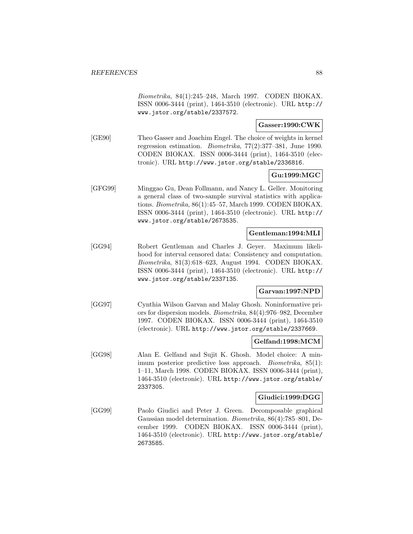Biometrika, 84(1):245–248, March 1997. CODEN BIOKAX. ISSN 0006-3444 (print), 1464-3510 (electronic). URL http:// www.jstor.org/stable/2337572.

## **Gasser:1990:CWK**

[GE90] Theo Gasser and Joachim Engel. The choice of weights in kernel regression estimation. Biometrika, 77(2):377–381, June 1990. CODEN BIOKAX. ISSN 0006-3444 (print), 1464-3510 (electronic). URL http://www.jstor.org/stable/2336816.

## **Gu:1999:MGC**

[GFG99] Minggao Gu, Dean Follmann, and Nancy L. Geller. Monitoring a general class of two-sample survival statistics with applications. Biometrika, 86(1):45–57, March 1999. CODEN BIOKAX. ISSN 0006-3444 (print), 1464-3510 (electronic). URL http:// www.jstor.org/stable/2673535.

## **Gentleman:1994:MLI**

[GG94] Robert Gentleman and Charles J. Geyer. Maximum likelihood for interval censored data: Consistency and computation. Biometrika, 81(3):618–623, August 1994. CODEN BIOKAX. ISSN 0006-3444 (print), 1464-3510 (electronic). URL http:// www.jstor.org/stable/2337135.

### **Garvan:1997:NPD**

[GG97] Cynthia Wilson Garvan and Malay Ghosh. Noninformative priors for dispersion models. Biometrika, 84(4):976–982, December 1997. CODEN BIOKAX. ISSN 0006-3444 (print), 1464-3510 (electronic). URL http://www.jstor.org/stable/2337669.

### **Gelfand:1998:MCM**

[GG98] Alan E. Gelfand and Sujit K. Ghosh. Model choice: A minimum posterior predictive loss approach. Biometrika, 85(1): 1–11, March 1998. CODEN BIOKAX. ISSN 0006-3444 (print), 1464-3510 (electronic). URL http://www.jstor.org/stable/ 2337305.

## **Giudici:1999:DGG**

[GG99] Paolo Giudici and Peter J. Green. Decomposable graphical Gaussian model determination. Biometrika, 86(4):785–801, December 1999. CODEN BIOKAX. ISSN 0006-3444 (print), 1464-3510 (electronic). URL http://www.jstor.org/stable/ 2673585.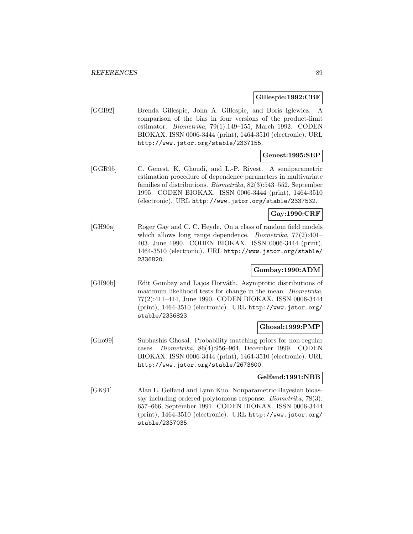#### **Gillespie:1992:CBF**

[GGI92] Brenda Gillespie, John A. Gillespie, and Boris Iglewicz. A comparison of the bias in four versions of the product-limit estimator. Biometrika, 79(1):149–155, March 1992. CODEN BIOKAX. ISSN 0006-3444 (print), 1464-3510 (electronic). URL http://www.jstor.org/stable/2337155.

## **Genest:1995:SEP**

[GGR95] C. Genest, K. Ghoudi, and L.-P. Rivest. A semiparametric estimation procedure of dependence parameters in multivariate families of distributions. Biometrika, 82(3):543–552, September 1995. CODEN BIOKAX. ISSN 0006-3444 (print), 1464-3510 (electronic). URL http://www.jstor.org/stable/2337532.

## **Gay:1990:CRF**

[GH90a] Roger Gay and C. C. Heyde. On a class of random field models which allows long range dependence. *Biometrika*,  $77(2):401-$ 403, June 1990. CODEN BIOKAX. ISSN 0006-3444 (print), 1464-3510 (electronic). URL http://www.jstor.org/stable/ 2336820.

## **Gombay:1990:ADM**

[GH90b] Edit Gombay and Lajos Horv´ath. Asymptotic distributions of maximum likelihood tests for change in the mean. *Biometrika*, 77(2):411–414, June 1990. CODEN BIOKAX. ISSN 0006-3444 (print), 1464-3510 (electronic). URL http://www.jstor.org/ stable/2336823.

### **Ghosal:1999:PMP**

[Gho99] Subhashis Ghosal. Probability matching priors for non-regular cases. Biometrika, 86(4):956–964, December 1999. CODEN BIOKAX. ISSN 0006-3444 (print), 1464-3510 (electronic). URL http://www.jstor.org/stable/2673600.

## **Gelfand:1991:NBB**

[GK91] Alan E. Gelfand and Lynn Kuo. Nonparametric Bayesian bioassay including ordered polytomous response. Biometrika, 78(3): 657–666, September 1991. CODEN BIOKAX. ISSN 0006-3444 (print), 1464-3510 (electronic). URL http://www.jstor.org/ stable/2337035.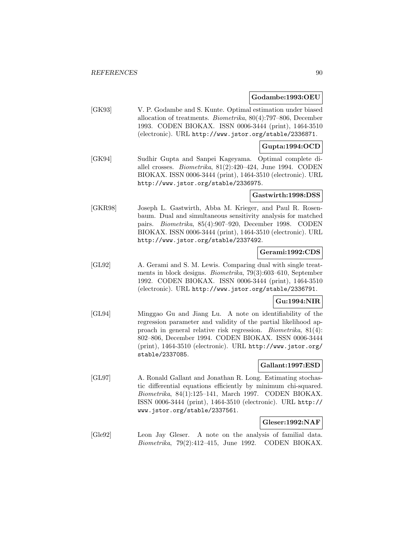#### **Godambe:1993:OEU**

[GK93] V. P. Godambe and S. Kunte. Optimal estimation under biased allocation of treatments. Biometrika, 80(4):797–806, December 1993. CODEN BIOKAX. ISSN 0006-3444 (print), 1464-3510 (electronic). URL http://www.jstor.org/stable/2336871.

## **Gupta:1994:OCD**

[GK94] Sudhir Gupta and Sanpei Kageyama. Optimal complete diallel crosses. Biometrika, 81(2):420–424, June 1994. CODEN BIOKAX. ISSN 0006-3444 (print), 1464-3510 (electronic). URL http://www.jstor.org/stable/2336975.

#### **Gastwirth:1998:DSS**

[GKR98] Joseph L. Gastwirth, Abba M. Krieger, and Paul R. Rosenbaum. Dual and simultaneous sensitivity analysis for matched pairs. Biometrika, 85(4):907–920, December 1998. CODEN BIOKAX. ISSN 0006-3444 (print), 1464-3510 (electronic). URL http://www.jstor.org/stable/2337492.

### **Gerami:1992:CDS**

[GL92] A. Gerami and S. M. Lewis. Comparing dual with single treatments in block designs. Biometrika, 79(3):603–610, September 1992. CODEN BIOKAX. ISSN 0006-3444 (print), 1464-3510 (electronic). URL http://www.jstor.org/stable/2336791.

### **Gu:1994:NIR**

[GL94] Minggao Gu and Jiang Lu. A note on identifiability of the regression parameter and validity of the partial likelihood approach in general relative risk regression. Biometrika, 81(4): 802–806, December 1994. CODEN BIOKAX. ISSN 0006-3444 (print), 1464-3510 (electronic). URL http://www.jstor.org/ stable/2337085.

## **Gallant:1997:ESD**

[GL97] A. Ronald Gallant and Jonathan R. Long. Estimating stochastic differential equations efficiently by minimum chi-squared. Biometrika, 84(1):125–141, March 1997. CODEN BIOKAX. ISSN 0006-3444 (print), 1464-3510 (electronic). URL http:// www.jstor.org/stable/2337561.

## **Gleser:1992:NAF**

[Gle92] Leon Jay Gleser. A note on the analysis of familial data. Biometrika, 79(2):412–415, June 1992. CODEN BIOKAX.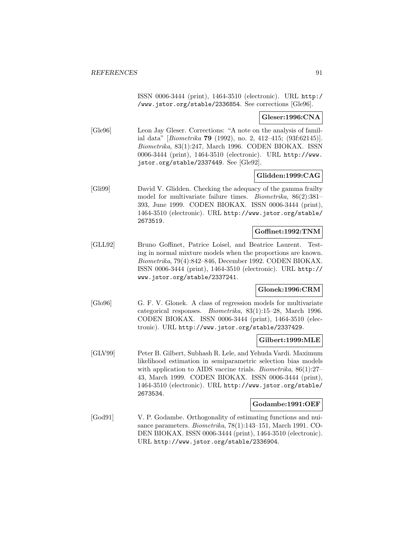ISSN 0006-3444 (print), 1464-3510 (electronic). URL http:/ /www.jstor.org/stable/2336854. See corrections [Gle96].

#### **Gleser:1996:CNA**

[Gle96] Leon Jay Gleser. Corrections: "A note on the analysis of familial data" [Biometrika **79** (1992), no. 2, 412–415; (93f:62145)]. Biometrika, 83(1):247, March 1996. CODEN BIOKAX. ISSN 0006-3444 (print), 1464-3510 (electronic). URL http://www. jstor.org/stable/2337449. See [Gle92].

### **Glidden:1999:CAG**

[Gli99] David V. Glidden. Checking the adequacy of the gamma frailty model for multivariate failure times. Biometrika, 86(2):381– 393, June 1999. CODEN BIOKAX. ISSN 0006-3444 (print), 1464-3510 (electronic). URL http://www.jstor.org/stable/ 2673519.

## **Goffinet:1992:TNM**

[GLL92] Bruno Goffinet, Patrice Loisel, and Beatrice Laurent. Testing in normal mixture models when the proportions are known. Biometrika, 79(4):842–846, December 1992. CODEN BIOKAX. ISSN 0006-3444 (print), 1464-3510 (electronic). URL http:// www.jstor.org/stable/2337241.

### **Glonek:1996:CRM**

[Glo96] G. F. V. Glonek. A class of regression models for multivariate categorical responses. Biometrika, 83(1):15–28, March 1996. CODEN BIOKAX. ISSN 0006-3444 (print), 1464-3510 (electronic). URL http://www.jstor.org/stable/2337429.

### **Gilbert:1999:MLE**

[GLV99] Peter B. Gilbert, Subhash R. Lele, and Yehuda Vardi. Maximum likelihood estimation in semiparametric selection bias models with application to AIDS vaccine trials. *Biometrika*, 86(1):27– 43, March 1999. CODEN BIOKAX. ISSN 0006-3444 (print), 1464-3510 (electronic). URL http://www.jstor.org/stable/ 2673534.

#### **Godambe:1991:OEF**

[God91] V. P. Godambe. Orthogonality of estimating functions and nuisance parameters. Biometrika, 78(1):143–151, March 1991. CO-DEN BIOKAX. ISSN 0006-3444 (print), 1464-3510 (electronic). URL http://www.jstor.org/stable/2336904.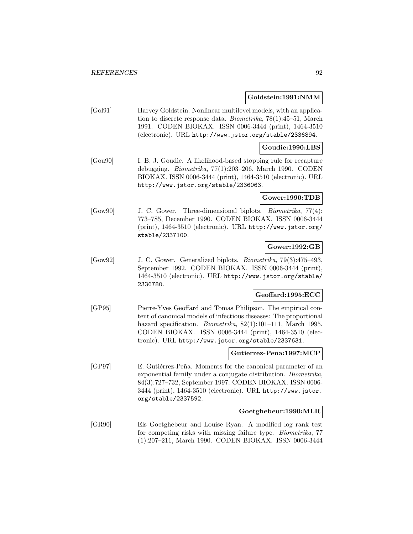#### **Goldstein:1991:NMM**

[Gol91] Harvey Goldstein. Nonlinear multilevel models, with an application to discrete response data. Biometrika, 78(1):45–51, March 1991. CODEN BIOKAX. ISSN 0006-3444 (print), 1464-3510 (electronic). URL http://www.jstor.org/stable/2336894.

### **Goudie:1990:LBS**

[Gou90] I. B. J. Goudie. A likelihood-based stopping rule for recapture debugging. Biometrika, 77(1):203–206, March 1990. CODEN BIOKAX. ISSN 0006-3444 (print), 1464-3510 (electronic). URL http://www.jstor.org/stable/2336063.

### **Gower:1990:TDB**

[Gow90] J. C. Gower. Three-dimensional biplots. Biometrika, 77(4): 773–785, December 1990. CODEN BIOKAX. ISSN 0006-3444 (print), 1464-3510 (electronic). URL http://www.jstor.org/ stable/2337100.

#### **Gower:1992:GB**

[Gow92] J. C. Gower. Generalized biplots. Biometrika, 79(3):475–493, September 1992. CODEN BIOKAX. ISSN 0006-3444 (print), 1464-3510 (electronic). URL http://www.jstor.org/stable/ 2336780.

### **Geoffard:1995:ECC**

[GP95] Pierre-Yves Geoffard and Tomas Philipson. The empirical content of canonical models of infectious diseases: The proportional hazard specification. *Biometrika*, 82(1):101-111, March 1995. CODEN BIOKAX. ISSN 0006-3444 (print), 1464-3510 (electronic). URL http://www.jstor.org/stable/2337631.

#### **Gutierrez-Pena:1997:MCP**

[GP97] E. Gutiérrez-Peña. Moments for the canonical parameter of an exponential family under a conjugate distribution. Biometrika, 84(3):727–732, September 1997. CODEN BIOKAX. ISSN 0006- 3444 (print), 1464-3510 (electronic). URL http://www.jstor. org/stable/2337592.

### **Goetghebeur:1990:MLR**

[GR90] Els Goetghebeur and Louise Ryan. A modified log rank test for competing risks with missing failure type. Biometrika, 77 (1):207–211, March 1990. CODEN BIOKAX. ISSN 0006-3444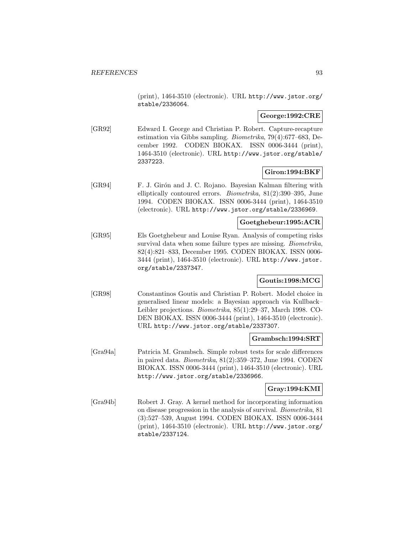(print), 1464-3510 (electronic). URL http://www.jstor.org/ stable/2336064.

#### **George:1992:CRE**

[GR92] Edward I. George and Christian P. Robert. Capture-recapture estimation via Gibbs sampling. Biometrika, 79(4):677–683, December 1992. CODEN BIOKAX. ISSN 0006-3444 (print), 1464-3510 (electronic). URL http://www.jstor.org/stable/ 2337223.

## **Giron:1994:BKF**

[GR94] F. J. Girón and J. C. Rojano. Bayesian Kalman filtering with elliptically contoured errors. Biometrika, 81(2):390–395, June 1994. CODEN BIOKAX. ISSN 0006-3444 (print), 1464-3510 (electronic). URL http://www.jstor.org/stable/2336969.

## **Goetghebeur:1995:ACR**

[GR95] Els Goetghebeur and Louise Ryan. Analysis of competing risks survival data when some failure types are missing. Biometrika, 82(4):821–833, December 1995. CODEN BIOKAX. ISSN 0006- 3444 (print), 1464-3510 (electronic). URL http://www.jstor. org/stable/2337347.

## **Goutis:1998:MCG**

[GR98] Constantinos Goutis and Christian P. Robert. Model choice in generalised linear models: a Bayesian approach via Kullback– Leibler projections. Biometrika, 85(1):29–37, March 1998. CO-DEN BIOKAX. ISSN 0006-3444 (print), 1464-3510 (electronic). URL http://www.jstor.org/stable/2337307.

#### **Grambsch:1994:SRT**

[Gra94a] Patricia M. Grambsch. Simple robust tests for scale differences in paired data. Biometrika, 81(2):359–372, June 1994. CODEN BIOKAX. ISSN 0006-3444 (print), 1464-3510 (electronic). URL http://www.jstor.org/stable/2336966.

## **Gray:1994:KMI**

[Gra94b] Robert J. Gray. A kernel method for incorporating information on disease progression in the analysis of survival. Biometrika, 81 (3):527–539, August 1994. CODEN BIOKAX. ISSN 0006-3444 (print), 1464-3510 (electronic). URL http://www.jstor.org/ stable/2337124.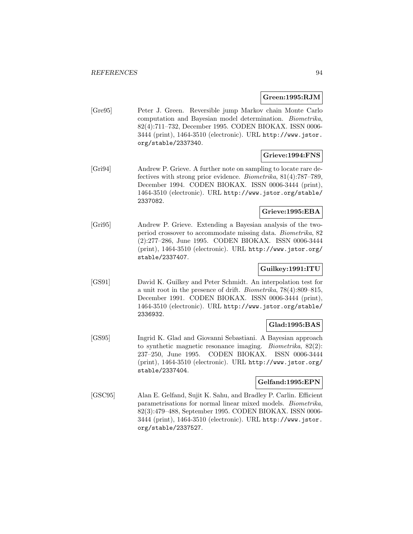### **Green:1995:RJM**

[Gre95] Peter J. Green. Reversible jump Markov chain Monte Carlo computation and Bayesian model determination. Biometrika, 82(4):711–732, December 1995. CODEN BIOKAX. ISSN 0006- 3444 (print), 1464-3510 (electronic). URL http://www.jstor. org/stable/2337340.

## **Grieve:1994:FNS**

[Gri94] Andrew P. Grieve. A further note on sampling to locate rare defectives with strong prior evidence. Biometrika, 81(4):787–789, December 1994. CODEN BIOKAX. ISSN 0006-3444 (print), 1464-3510 (electronic). URL http://www.jstor.org/stable/ 2337082.

## **Grieve:1995:EBA**

[Gri95] Andrew P. Grieve. Extending a Bayesian analysis of the twoperiod crossover to accommodate missing data. Biometrika, 82 (2):277–286, June 1995. CODEN BIOKAX. ISSN 0006-3444 (print), 1464-3510 (electronic). URL http://www.jstor.org/ stable/2337407.

## **Guilkey:1991:ITU**

[GS91] David K. Guilkey and Peter Schmidt. An interpolation test for a unit root in the presence of drift. Biometrika, 78(4):809–815, December 1991. CODEN BIOKAX. ISSN 0006-3444 (print), 1464-3510 (electronic). URL http://www.jstor.org/stable/ 2336932.

## **Glad:1995:BAS**

[GS95] Ingrid K. Glad and Giovanni Sebastiani. A Bayesian approach to synthetic magnetic resonance imaging. Biometrika, 82(2): 237–250, June 1995. CODEN BIOKAX. ISSN 0006-3444 (print), 1464-3510 (electronic). URL http://www.jstor.org/ stable/2337404.

### **Gelfand:1995:EPN**

[GSC95] Alan E. Gelfand, Sujit K. Sahu, and Bradley P. Carlin. Efficient parametrisations for normal linear mixed models. Biometrika, 82(3):479–488, September 1995. CODEN BIOKAX. ISSN 0006- 3444 (print), 1464-3510 (electronic). URL http://www.jstor. org/stable/2337527.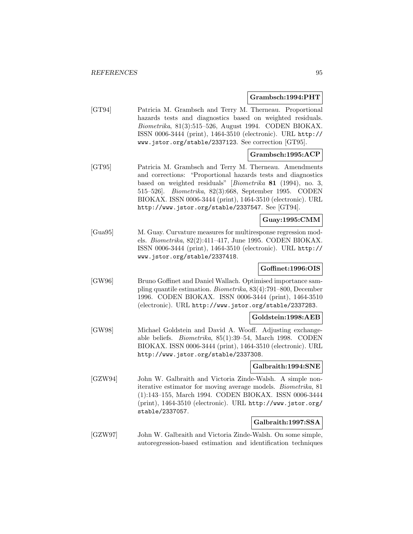#### **Grambsch:1994:PHT**

[GT94] Patricia M. Grambsch and Terry M. Therneau. Proportional hazards tests and diagnostics based on weighted residuals. Biometrika, 81(3):515–526, August 1994. CODEN BIOKAX. ISSN 0006-3444 (print), 1464-3510 (electronic). URL http:// www.jstor.org/stable/2337123. See correction [GT95].

## **Grambsch:1995:ACP**

[GT95] Patricia M. Grambsch and Terry M. Therneau. Amendments and corrections: "Proportional hazards tests and diagnostics based on weighted residuals" [Biometrika **81** (1994), no. 3, 515–526]. Biometrika, 82(3):668, September 1995. CODEN BIOKAX. ISSN 0006-3444 (print), 1464-3510 (electronic). URL http://www.jstor.org/stable/2337547. See [GT94].

## **Guay:1995:CMM**

[Gua95] M. Guay. Curvature measures for multiresponse regression models. Biometrika, 82(2):411–417, June 1995. CODEN BIOKAX. ISSN 0006-3444 (print), 1464-3510 (electronic). URL http:// www.jstor.org/stable/2337418.

## **Goffinet:1996:OIS**

[GW96] Bruno Goffinet and Daniel Wallach. Optimised importance sampling quantile estimation. Biometrika, 83(4):791–800, December 1996. CODEN BIOKAX. ISSN 0006-3444 (print), 1464-3510 (electronic). URL http://www.jstor.org/stable/2337283.

### **Goldstein:1998:AEB**

[GW98] Michael Goldstein and David A. Wooff. Adjusting exchangeable beliefs. Biometrika, 85(1):39–54, March 1998. CODEN BIOKAX. ISSN 0006-3444 (print), 1464-3510 (electronic). URL http://www.jstor.org/stable/2337308.

### **Galbraith:1994:SNE**

[GZW94] John W. Galbraith and Victoria Zinde-Walsh. A simple noniterative estimator for moving average models. Biometrika, 81 (1):143–155, March 1994. CODEN BIOKAX. ISSN 0006-3444 (print), 1464-3510 (electronic). URL http://www.jstor.org/ stable/2337057.

### **Galbraith:1997:SSA**

[GZW97] John W. Galbraith and Victoria Zinde-Walsh. On some simple, autoregression-based estimation and identification techniques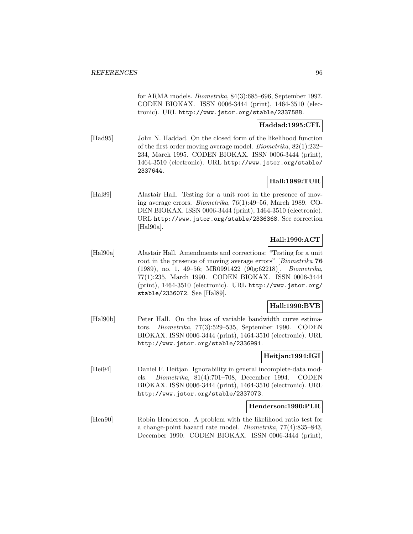for ARMA models. Biometrika, 84(3):685–696, September 1997. CODEN BIOKAX. ISSN 0006-3444 (print), 1464-3510 (electronic). URL http://www.jstor.org/stable/2337588.

## **Haddad:1995:CFL**

[Had95] John N. Haddad. On the closed form of the likelihood function of the first order moving average model. Biometrika, 82(1):232– 234, March 1995. CODEN BIOKAX. ISSN 0006-3444 (print), 1464-3510 (electronic). URL http://www.jstor.org/stable/ 2337644.

## **Hall:1989:TUR**

[Hal89] Alastair Hall. Testing for a unit root in the presence of moving average errors. Biometrika, 76(1):49–56, March 1989. CO-DEN BIOKAX. ISSN 0006-3444 (print), 1464-3510 (electronic). URL http://www.jstor.org/stable/2336368. See correction [Hal90a].

## **Hall:1990:ACT**

[Hal90a] Alastair Hall. Amendments and corrections: "Testing for a unit root in the presence of moving average errors" [Biometrika **76** (1989), no. 1, 49–56; MR0991422 (90g:62218)]. Biometrika, 77(1):235, March 1990. CODEN BIOKAX. ISSN 0006-3444 (print), 1464-3510 (electronic). URL http://www.jstor.org/ stable/2336072. See [Hal89].

## **Hall:1990:BVB**

[Hal90b] Peter Hall. On the bias of variable bandwidth curve estimators. Biometrika, 77(3):529–535, September 1990. CODEN BIOKAX. ISSN 0006-3444 (print), 1464-3510 (electronic). URL http://www.jstor.org/stable/2336991.

## **Heitjan:1994:IGI**

[Hei94] Daniel F. Heitjan. Ignorability in general incomplete-data models. Biometrika, 81(4):701–708, December 1994. CODEN BIOKAX. ISSN 0006-3444 (print), 1464-3510 (electronic). URL http://www.jstor.org/stable/2337073.

### **Henderson:1990:PLR**

[Hen90] Robin Henderson. A problem with the likelihood ratio test for a change-point hazard rate model. Biometrika, 77(4):835–843, December 1990. CODEN BIOKAX. ISSN 0006-3444 (print),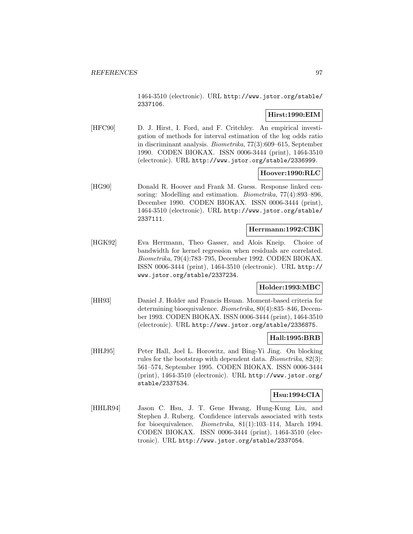1464-3510 (electronic). URL http://www.jstor.org/stable/ 2337106.

## **Hirst:1990:EIM**

[HFC90] D. J. Hirst, I. Ford, and F. Critchley. An empirical investigation of methods for interval estimation of the log odds ratio in discriminant analysis. Biometrika, 77(3):609–615, September 1990. CODEN BIOKAX. ISSN 0006-3444 (print), 1464-3510 (electronic). URL http://www.jstor.org/stable/2336999.

### **Hoover:1990:RLC**

[HG90] Donald R. Hoover and Frank M. Guess. Response linked censoring: Modelling and estimation. Biometrika, 77(4):893–896, December 1990. CODEN BIOKAX. ISSN 0006-3444 (print), 1464-3510 (electronic). URL http://www.jstor.org/stable/ 2337111.

#### **Herrmann:1992:CBK**

[HGK92] Eva Herrmann, Theo Gasser, and Alois Kneip. Choice of bandwidth for kernel regression when residuals are correlated. Biometrika, 79(4):783–795, December 1992. CODEN BIOKAX. ISSN 0006-3444 (print), 1464-3510 (electronic). URL http:// www.jstor.org/stable/2337234.

### **Holder:1993:MBC**

[HH93] Daniel J. Holder and Francis Hsuan. Moment-based criteria for determining bioequivalence. Biometrika, 80(4):835–846, December 1993. CODEN BIOKAX. ISSN 0006-3444 (print), 1464-3510 (electronic). URL http://www.jstor.org/stable/2336875.

### **Hall:1995:BRB**

[HHJ95] Peter Hall, Joel L. Horowitz, and Bing-Yi Jing. On blocking rules for the bootstrap with dependent data. Biometrika, 82(3): 561–574, September 1995. CODEN BIOKAX. ISSN 0006-3444 (print), 1464-3510 (electronic). URL http://www.jstor.org/ stable/2337534.

## **Hsu:1994:CIA**

[HHLR94] Jason C. Hsu, J. T. Gene Hwang, Hung-Kung Liu, and Stephen J. Ruberg. Confidence intervals associated with tests for bioequivalence. Biometrika, 81(1):103–114, March 1994. CODEN BIOKAX. ISSN 0006-3444 (print), 1464-3510 (electronic). URL http://www.jstor.org/stable/2337054.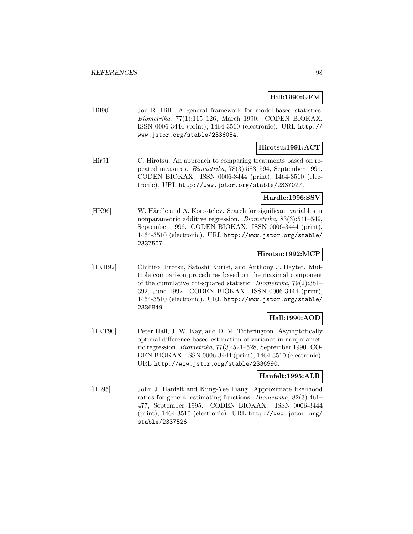## **Hill:1990:GFM**

[Hil90] Joe R. Hill. A general framework for model-based statistics. Biometrika, 77(1):115–126, March 1990. CODEN BIOKAX. ISSN 0006-3444 (print), 1464-3510 (electronic). URL http:// www.jstor.org/stable/2336054.

## **Hirotsu:1991:ACT**

[Hir91] C. Hirotsu. An approach to comparing treatments based on repeated measures. Biometrika, 78(3):583–594, September 1991. CODEN BIOKAX. ISSN 0006-3444 (print), 1464-3510 (electronic). URL http://www.jstor.org/stable/2337027.

#### **Hardle:1996:SSV**

[HK96] W. Härdle and A. Korostelev. Search for significant variables in nonparametric additive regression. Biometrika, 83(3):541–549, September 1996. CODEN BIOKAX. ISSN 0006-3444 (print), 1464-3510 (electronic). URL http://www.jstor.org/stable/ 2337507.

### **Hirotsu:1992:MCP**

[HKH92] Chihiro Hirotsu, Satoshi Kuriki, and Anthony J. Hayter. Multiple comparison procedures based on the maximal component of the cumulative chi-squared statistic. Biometrika, 79(2):381– 392, June 1992. CODEN BIOKAX. ISSN 0006-3444 (print), 1464-3510 (electronic). URL http://www.jstor.org/stable/ 2336849.

## **Hall:1990:AOD**

[HKT90] Peter Hall, J. W. Kay, and D. M. Titterington. Asymptotically optimal difference-based estimation of variance in nonparametric regression. Biometrika, 77(3):521–528, September 1990. CO-DEN BIOKAX. ISSN 0006-3444 (print), 1464-3510 (electronic). URL http://www.jstor.org/stable/2336990.

## **Hanfelt:1995:ALR**

[HL95] John J. Hanfelt and Kung-Yee Liang. Approximate likelihood ratios for general estimating functions. Biometrika, 82(3):461– 477, September 1995. CODEN BIOKAX. ISSN 0006-3444 (print), 1464-3510 (electronic). URL http://www.jstor.org/ stable/2337526.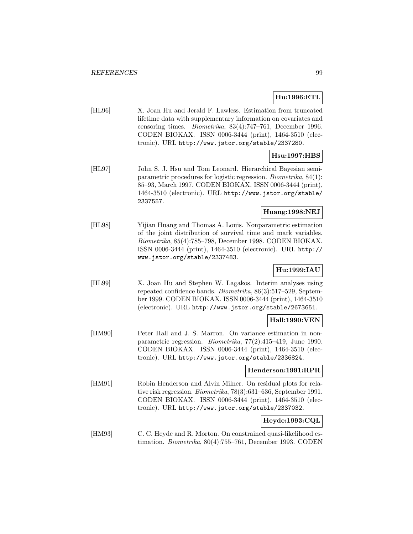## **Hu:1996:ETL**

[HL96] X. Joan Hu and Jerald F. Lawless. Estimation from truncated lifetime data with supplementary information on covariates and censoring times. Biometrika, 83(4):747–761, December 1996. CODEN BIOKAX. ISSN 0006-3444 (print), 1464-3510 (electronic). URL http://www.jstor.org/stable/2337280.

## **Hsu:1997:HBS**

[HL97] John S. J. Hsu and Tom Leonard. Hierarchical Bayesian semiparametric procedures for logistic regression. Biometrika, 84(1): 85–93, March 1997. CODEN BIOKAX. ISSN 0006-3444 (print), 1464-3510 (electronic). URL http://www.jstor.org/stable/ 2337557.

## **Huang:1998:NEJ**

[HL98] Yijian Huang and Thomas A. Louis. Nonparametric estimation of the joint distribution of survival time and mark variables. Biometrika, 85(4):785–798, December 1998. CODEN BIOKAX. ISSN 0006-3444 (print), 1464-3510 (electronic). URL http:// www.jstor.org/stable/2337483.

## **Hu:1999:IAU**

[HL99] X. Joan Hu and Stephen W. Lagakos. Interim analyses using repeated confidence bands. Biometrika, 86(3):517–529, September 1999. CODEN BIOKAX. ISSN 0006-3444 (print), 1464-3510 (electronic). URL http://www.jstor.org/stable/2673651.

### **Hall:1990:VEN**

[HM90] Peter Hall and J. S. Marron. On variance estimation in nonparametric regression. Biometrika, 77(2):415–419, June 1990. CODEN BIOKAX. ISSN 0006-3444 (print), 1464-3510 (electronic). URL http://www.jstor.org/stable/2336824.

### **Henderson:1991:RPR**

[HM91] Robin Henderson and Alvin Milner. On residual plots for relative risk regression. Biometrika, 78(3):631–636, September 1991. CODEN BIOKAX. ISSN 0006-3444 (print), 1464-3510 (electronic). URL http://www.jstor.org/stable/2337032.

## **Heyde:1993:CQL**

[HM93] C. C. Heyde and R. Morton. On constrained quasi-likelihood estimation. Biometrika, 80(4):755–761, December 1993. CODEN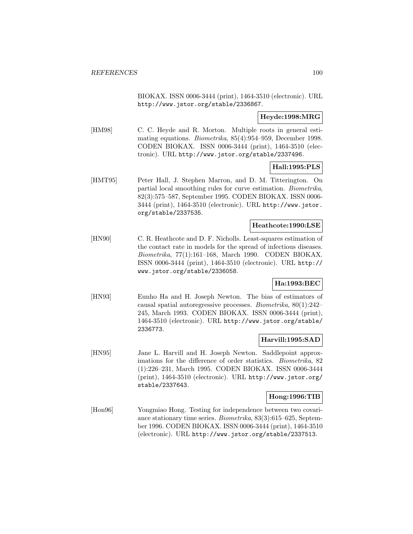BIOKAX. ISSN 0006-3444 (print), 1464-3510 (electronic). URL http://www.jstor.org/stable/2336867.

## **Heyde:1998:MRG**

[HM98] C. C. Heyde and R. Morton. Multiple roots in general estimating equations. Biometrika, 85(4):954–959, December 1998. CODEN BIOKAX. ISSN 0006-3444 (print), 1464-3510 (electronic). URL http://www.jstor.org/stable/2337496.

## **Hall:1995:PLS**

[HMT95] Peter Hall, J. Stephen Marron, and D. M. Titterington. On partial local smoothing rules for curve estimation. Biometrika, 82(3):575–587, September 1995. CODEN BIOKAX. ISSN 0006- 3444 (print), 1464-3510 (electronic). URL http://www.jstor. org/stable/2337535.

## **Heathcote:1990:LSE**

[HN90] C. R. Heathcote and D. F. Nicholls. Least-squares estimation of the contact rate in models for the spread of infectious diseases. Biometrika, 77(1):161–168, March 1990. CODEN BIOKAX. ISSN 0006-3444 (print), 1464-3510 (electronic). URL http:// www.jstor.org/stable/2336058.

## **Ha:1993:BEC**

[HN93] Eunho Ha and H. Joseph Newton. The bias of estimators of causal spatial autoregressive processes. Biometrika, 80(1):242– 245, March 1993. CODEN BIOKAX. ISSN 0006-3444 (print), 1464-3510 (electronic). URL http://www.jstor.org/stable/ 2336773.

### **Harvill:1995:SAD**

[HN95] Jane L. Harvill and H. Joseph Newton. Saddlepoint approximations for the difference of order statistics. Biometrika, 82 (1):226–231, March 1995. CODEN BIOKAX. ISSN 0006-3444 (print), 1464-3510 (electronic). URL http://www.jstor.org/ stable/2337643.

### **Hong:1996:TIB**

[Hon96] Yongmiao Hong. Testing for independence between two covariance stationary time series. Biometrika, 83(3):615–625, September 1996. CODEN BIOKAX. ISSN 0006-3444 (print), 1464-3510 (electronic). URL http://www.jstor.org/stable/2337513.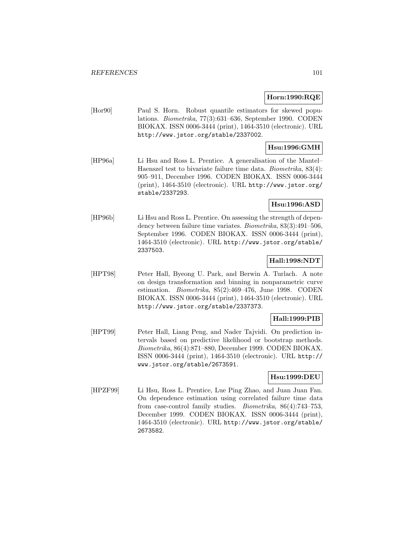### **Horn:1990:RQE**

[Hor90] Paul S. Horn. Robust quantile estimators for skewed populations. Biometrika, 77(3):631–636, September 1990. CODEN BIOKAX. ISSN 0006-3444 (print), 1464-3510 (electronic). URL http://www.jstor.org/stable/2337002.

## **Hsu:1996:GMH**

[HP96a] Li Hsu and Ross L. Prentice. A generalisation of the Mantel– Haenszel test to bivariate failure time data. Biometrika, 83(4): 905–911, December 1996. CODEN BIOKAX. ISSN 0006-3444 (print), 1464-3510 (electronic). URL http://www.jstor.org/ stable/2337293.

## **Hsu:1996:ASD**

[HP96b] Li Hsu and Ross L. Prentice. On assessing the strength of dependency between failure time variates. Biometrika, 83(3):491–506, September 1996. CODEN BIOKAX. ISSN 0006-3444 (print), 1464-3510 (electronic). URL http://www.jstor.org/stable/ 2337503.

## **Hall:1998:NDT**

[HPT98] Peter Hall, Byeong U. Park, and Berwin A. Turlach. A note on design transformation and binning in nonparametric curve estimation. Biometrika, 85(2):469–476, June 1998. CODEN BIOKAX. ISSN 0006-3444 (print), 1464-3510 (electronic). URL http://www.jstor.org/stable/2337373.

## **Hall:1999:PIB**

[HPT99] Peter Hall, Liang Peng, and Nader Tajvidi. On prediction intervals based on predictive likelihood or bootstrap methods. Biometrika, 86(4):871–880, December 1999. CODEN BIOKAX. ISSN 0006-3444 (print), 1464-3510 (electronic). URL http:// www.jstor.org/stable/2673591.

### **Hsu:1999:DEU**

[HPZF99] Li Hsu, Ross L. Prentice, Lue Ping Zhao, and Juan Juan Fan. On dependence estimation using correlated failure time data from case-control family studies. Biometrika, 86(4):743–753, December 1999. CODEN BIOKAX. ISSN 0006-3444 (print), 1464-3510 (electronic). URL http://www.jstor.org/stable/ 2673582.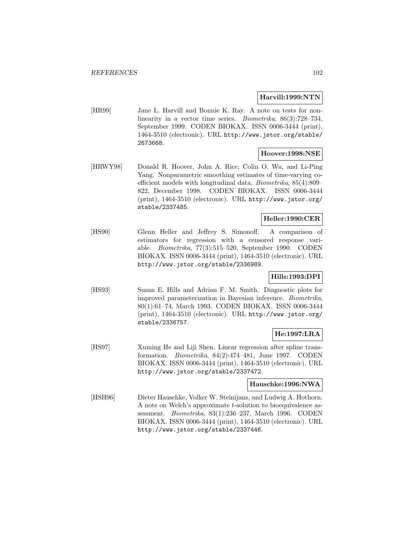#### **Harvill:1999:NTN**

[HR99] Jane L. Harvill and Bonnie K. Ray. A note on tests for nonlinearity in a vector time series. *Biometrika*, 86(3):728–734, September 1999. CODEN BIOKAX. ISSN 0006-3444 (print), 1464-3510 (electronic). URL http://www.jstor.org/stable/ 2673668.

### **Hoover:1998:NSE**

[HRWY98] Donald R. Hoover, John A. Rice, Colin O. Wu, and Li-Ping Yang. Nonparametric smoothing estimates of time-varying coefficient models with longitudinal data. Biometrika, 85(4):809– 822, December 1998. CODEN BIOKAX. ISSN 0006-3444 (print), 1464-3510 (electronic). URL http://www.jstor.org/ stable/2337485.

## **Heller:1990:CER**

[HS90] Glenn Heller and Jeffrey S. Simonoff. A comparison of estimators for regression with a censored response variable. Biometrika, 77(3):515–520, September 1990. CODEN BIOKAX. ISSN 0006-3444 (print), 1464-3510 (electronic). URL http://www.jstor.org/stable/2336989.

## **Hills:1993:DPI**

[HS93] Susan E. Hills and Adrian F. M. Smith. Diagnostic plots for improved parameterization in Bayesian inference. Biometrika, 80(1):61–74, March 1993. CODEN BIOKAX. ISSN 0006-3444 (print), 1464-3510 (electronic). URL http://www.jstor.org/ stable/2336757.

## **He:1997:LRA**

[HS97] Xuming He and Liji Shen. Linear regression after spline transformation. Biometrika, 84(2):474–481, June 1997. CODEN BIOKAX. ISSN 0006-3444 (print), 1464-3510 (electronic). URL http://www.jstor.org/stable/2337472.

#### **Hauschke:1996:NWA**

[HSH96] Dieter Hauschke, Volker W. Steinijans, and Ludwig A. Hothorn. A note on Welch's approximate t-solution to bioequivalence assessment. Biometrika, 83(1):236–237, March 1996. CODEN BIOKAX. ISSN 0006-3444 (print), 1464-3510 (electronic). URL http://www.jstor.org/stable/2337446.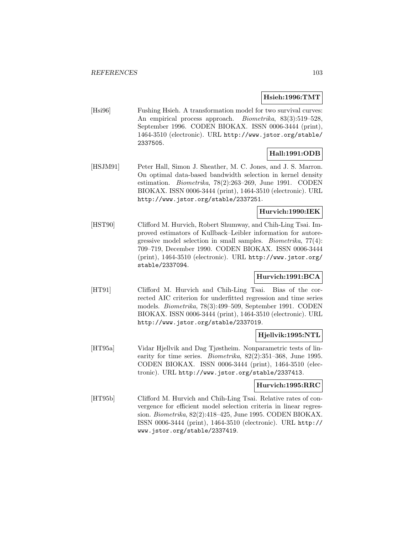### **Hsieh:1996:TMT**

[Hsi96] Fushing Hsieh. A transformation model for two survival curves: An empirical process approach. *Biometrika*, 83(3):519–528, September 1996. CODEN BIOKAX. ISSN 0006-3444 (print), 1464-3510 (electronic). URL http://www.jstor.org/stable/ 2337505.

## **Hall:1991:ODB**

[HSJM91] Peter Hall, Simon J. Sheather, M. C. Jones, and J. S. Marron. On optimal data-based bandwidth selection in kernel density estimation. Biometrika, 78(2):263–269, June 1991. CODEN BIOKAX. ISSN 0006-3444 (print), 1464-3510 (electronic). URL http://www.jstor.org/stable/2337251.

## **Hurvich:1990:IEK**

[HST90] Clifford M. Hurvich, Robert Shumway, and Chih-Ling Tsai. Improved estimators of Kullback–Leibler information for autoregressive model selection in small samples. Biometrika, 77(4): 709–719, December 1990. CODEN BIOKAX. ISSN 0006-3444 (print), 1464-3510 (electronic). URL http://www.jstor.org/ stable/2337094.

## **Hurvich:1991:BCA**

[HT91] Clifford M. Hurvich and Chih-Ling Tsai. Bias of the corrected AIC criterion for underfitted regression and time series models. Biometrika, 78(3):499–509, September 1991. CODEN BIOKAX. ISSN 0006-3444 (print), 1464-3510 (electronic). URL http://www.jstor.org/stable/2337019.

### **Hjellvik:1995:NTL**

[HT95a] Vidar Hjellvik and Dag Tjøstheim. Nonparametric tests of linearity for time series. *Biometrika*, 82(2):351-368, June 1995. CODEN BIOKAX. ISSN 0006-3444 (print), 1464-3510 (electronic). URL http://www.jstor.org/stable/2337413.

### **Hurvich:1995:RRC**

[HT95b] Clifford M. Hurvich and Chih-Ling Tsai. Relative rates of convergence for efficient model selection criteria in linear regression. Biometrika, 82(2):418–425, June 1995. CODEN BIOKAX. ISSN 0006-3444 (print), 1464-3510 (electronic). URL http:// www.jstor.org/stable/2337419.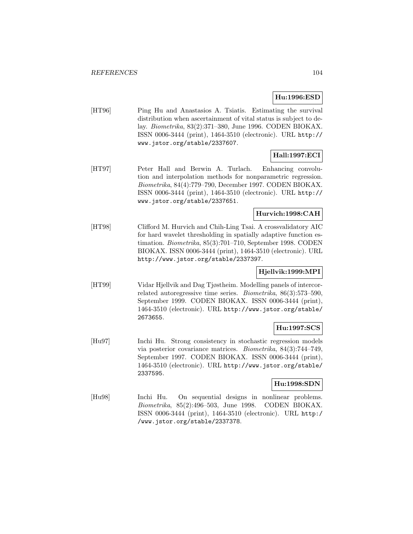## **Hu:1996:ESD**

[HT96] Ping Hu and Anastasios A. Tsiatis. Estimating the survival distribution when ascertainment of vital status is subject to delay. Biometrika, 83(2):371–380, June 1996. CODEN BIOKAX. ISSN 0006-3444 (print), 1464-3510 (electronic). URL http:// www.jstor.org/stable/2337607.

# **Hall:1997:ECI**

[HT97] Peter Hall and Berwin A. Turlach. Enhancing convolution and interpolation methods for nonparametric regression. Biometrika, 84(4):779–790, December 1997. CODEN BIOKAX. ISSN 0006-3444 (print), 1464-3510 (electronic). URL http:// www.jstor.org/stable/2337651.

## **Hurvich:1998:CAH**

[HT98] Clifford M. Hurvich and Chih-Ling Tsai. A crossvalidatory AIC for hard wavelet thresholding in spatially adaptive function estimation. Biometrika, 85(3):701–710, September 1998. CODEN BIOKAX. ISSN 0006-3444 (print), 1464-3510 (electronic). URL http://www.jstor.org/stable/2337397.

## **Hjellvik:1999:MPI**

[HT99] Vidar Hjellvik and Dag Tjøstheim. Modelling panels of intercorrelated autoregressive time series. Biometrika, 86(3):573–590, September 1999. CODEN BIOKAX. ISSN 0006-3444 (print), 1464-3510 (electronic). URL http://www.jstor.org/stable/ 2673655.

## **Hu:1997:SCS**

[Hu97] Inchi Hu. Strong consistency in stochastic regression models via posterior covariance matrices. Biometrika, 84(3):744–749, September 1997. CODEN BIOKAX. ISSN 0006-3444 (print), 1464-3510 (electronic). URL http://www.jstor.org/stable/ 2337595.

## **Hu:1998:SDN**

[Hu98] Inchi Hu. On sequential designs in nonlinear problems. Biometrika, 85(2):496–503, June 1998. CODEN BIOKAX. ISSN 0006-3444 (print), 1464-3510 (electronic). URL http:/ /www.jstor.org/stable/2337378.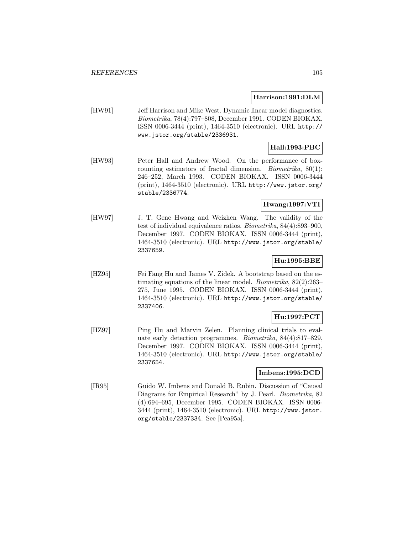#### **Harrison:1991:DLM**

[HW91] Jeff Harrison and Mike West. Dynamic linear model diagnostics. Biometrika, 78(4):797–808, December 1991. CODEN BIOKAX. ISSN 0006-3444 (print), 1464-3510 (electronic). URL http:// www.jstor.org/stable/2336931.

## **Hall:1993:PBC**

[HW93] Peter Hall and Andrew Wood. On the performance of boxcounting estimators of fractal dimension. Biometrika, 80(1): 246–252, March 1993. CODEN BIOKAX. ISSN 0006-3444 (print), 1464-3510 (electronic). URL http://www.jstor.org/ stable/2336774.

## **Hwang:1997:VTI**

[HW97] J. T. Gene Hwang and Weizhen Wang. The validity of the test of individual equivalence ratios. Biometrika, 84(4):893–900, December 1997. CODEN BIOKAX. ISSN 0006-3444 (print), 1464-3510 (electronic). URL http://www.jstor.org/stable/ 2337659.

## **Hu:1995:BBE**

[HZ95] Fei Fang Hu and James V. Zidek. A bootstrap based on the estimating equations of the linear model. Biometrika, 82(2):263– 275, June 1995. CODEN BIOKAX. ISSN 0006-3444 (print), 1464-3510 (electronic). URL http://www.jstor.org/stable/ 2337406.

## **Hu:1997:PCT**

[HZ97] Ping Hu and Marvin Zelen. Planning clinical trials to evaluate early detection programmes. Biometrika, 84(4):817–829, December 1997. CODEN BIOKAX. ISSN 0006-3444 (print), 1464-3510 (electronic). URL http://www.jstor.org/stable/ 2337654.

### **Imbens:1995:DCD**

[IR95] Guido W. Imbens and Donald B. Rubin. Discussion of "Causal Diagrams for Empirical Research" by J. Pearl. Biometrika, 82 (4):694–695, December 1995. CODEN BIOKAX. ISSN 0006- 3444 (print), 1464-3510 (electronic). URL http://www.jstor. org/stable/2337334. See [Pea95a].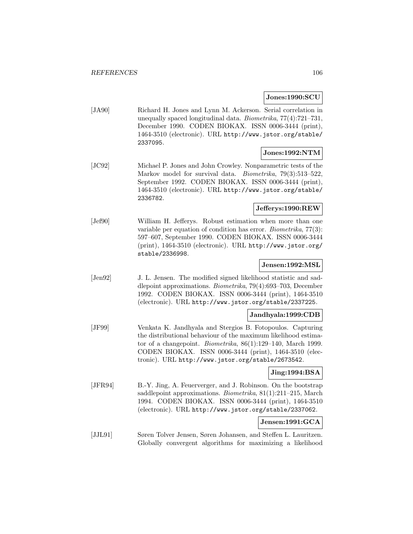## **Jones:1990:SCU**

[JA90] Richard H. Jones and Lynn M. Ackerson. Serial correlation in unequally spaced longitudinal data. Biometrika, 77(4):721–731, December 1990. CODEN BIOKAX. ISSN 0006-3444 (print), 1464-3510 (electronic). URL http://www.jstor.org/stable/ 2337095.

## **Jones:1992:NTM**

[JC92] Michael P. Jones and John Crowley. Nonparametric tests of the Markov model for survival data. *Biometrika*, 79(3):513-522, September 1992. CODEN BIOKAX. ISSN 0006-3444 (print), 1464-3510 (electronic). URL http://www.jstor.org/stable/ 2336782.

## **Jefferys:1990:REW**

[Jef90] William H. Jefferys. Robust estimation when more than one variable per equation of condition has error. Biometrika, 77(3): 597–607, September 1990. CODEN BIOKAX. ISSN 0006-3444 (print), 1464-3510 (electronic). URL http://www.jstor.org/ stable/2336998.

## **Jensen:1992:MSL**

[Jen92] J. L. Jensen. The modified signed likelihood statistic and saddlepoint approximations. Biometrika, 79(4):693–703, December 1992. CODEN BIOKAX. ISSN 0006-3444 (print), 1464-3510 (electronic). URL http://www.jstor.org/stable/2337225.

## **Jandhyala:1999:CDB**

[JF99] Venkata K. Jandhyala and Stergios B. Fotopoulos. Capturing the distributional behaviour of the maximum likelihood estimator of a changepoint. Biometrika, 86(1):129–140, March 1999. CODEN BIOKAX. ISSN 0006-3444 (print), 1464-3510 (electronic). URL http://www.jstor.org/stable/2673542.

### **Jing:1994:BSA**

[JFR94] B.-Y. Jing, A. Feuerverger, and J. Robinson. On the bootstrap saddlepoint approximations. *Biometrika*, 81(1):211-215, March 1994. CODEN BIOKAX. ISSN 0006-3444 (print), 1464-3510 (electronic). URL http://www.jstor.org/stable/2337062.

## **Jensen:1991:GCA**

[JJL91] Søren Tolver Jensen, Søren Johansen, and Steffen L. Lauritzen. Globally convergent algorithms for maximizing a likelihood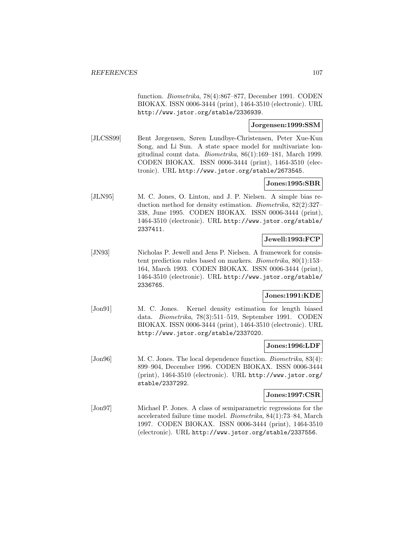function. Biometrika, 78(4):867–877, December 1991. CODEN BIOKAX. ISSN 0006-3444 (print), 1464-3510 (electronic). URL http://www.jstor.org/stable/2336939.

## **Jorgensen:1999:SSM**

[JLCSS99] Bent Jørgensen, Søren Lundbye-Christensen, Peter Xue-Kun Song, and Li Sun. A state space model for multivariate longitudinal count data. Biometrika, 86(1):169–181, March 1999. CODEN BIOKAX. ISSN 0006-3444 (print), 1464-3510 (electronic). URL http://www.jstor.org/stable/2673545.

## **Jones:1995:SBR**

[JLN95] M. C. Jones, O. Linton, and J. P. Nielsen. A simple bias reduction method for density estimation. Biometrika, 82(2):327– 338, June 1995. CODEN BIOKAX. ISSN 0006-3444 (print), 1464-3510 (electronic). URL http://www.jstor.org/stable/ 2337411.

## **Jewell:1993:FCP**

[JN93] Nicholas P. Jewell and Jens P. Nielsen. A framework for consistent prediction rules based on markers. Biometrika, 80(1):153– 164, March 1993. CODEN BIOKAX. ISSN 0006-3444 (print), 1464-3510 (electronic). URL http://www.jstor.org/stable/ 2336765.

## **Jones:1991:KDE**

[Jon91] M. C. Jones. Kernel density estimation for length biased data. Biometrika, 78(3):511–519, September 1991. CODEN BIOKAX. ISSN 0006-3444 (print), 1464-3510 (electronic). URL http://www.jstor.org/stable/2337020.

### **Jones:1996:LDF**

[Jon96] M. C. Jones. The local dependence function. *Biometrika*, 83(4): 899–904, December 1996. CODEN BIOKAX. ISSN 0006-3444 (print), 1464-3510 (electronic). URL http://www.jstor.org/ stable/2337292.

#### **Jones:1997:CSR**

[Jon97] Michael P. Jones. A class of semiparametric regressions for the accelerated failure time model. Biometrika, 84(1):73–84, March 1997. CODEN BIOKAX. ISSN 0006-3444 (print), 1464-3510 (electronic). URL http://www.jstor.org/stable/2337556.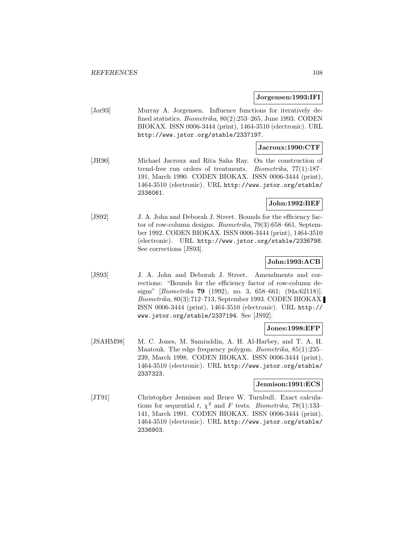#### **Jorgensen:1993:IFI**

[Jor93] Murray A. Jorgensen. Influence functions for iteratively defined statistics. *Biometrika*, 80(2):253–265, June 1993. CODEN BIOKAX. ISSN 0006-3444 (print), 1464-3510 (electronic). URL http://www.jstor.org/stable/2337197.

## **Jacroux:1990:CTF**

[JR90] Michael Jacroux and Rita Saha Ray. On the construction of trend-free run orders of treatments. Biometrika, 77(1):187– 191, March 1990. CODEN BIOKAX. ISSN 0006-3444 (print), 1464-3510 (electronic). URL http://www.jstor.org/stable/ 2336061.

## **John:1992:BEF**

[JS92] J. A. John and Deborah J. Street. Bounds for the efficiency factor of row-column designs. Biometrika, 79(3):658–661, September 1992. CODEN BIOKAX. ISSN 0006-3444 (print), 1464-3510 (electronic). URL http://www.jstor.org/stable/2336798. See corrections [JS93].

## **John:1993:ACB**

[JS93] J. A. John and Deborah J. Street. Amendments and corrections: "Bounds for the efficiency factor of row-column designs" [Biometrika **79** (1992), no. 3, 658–661; (94a:62118)]. Biometrika, 80(3):712–713, September 1993. CODEN BIOKAX. ISSN 0006-3444 (print), 1464-3510 (electronic). URL http:// www.jstor.org/stable/2337194. See [JS92].

### **Jones:1998:EFP**

[JSAHM98] M. C. Jones, M. Samiuddin, A. H. Al-Harbey, and T. A. H. Maatouk. The edge frequency polygon. Biometrika, 85(1):235– 239, March 1998. CODEN BIOKAX. ISSN 0006-3444 (print), 1464-3510 (electronic). URL http://www.jstor.org/stable/ 2337323.

#### **Jennison:1991:ECS**

[JT91] Christopher Jennison and Bruce W. Turnbull. Exact calculations for sequential t,  $\chi^2$  and F tests. Biometrika, 78(1):133– 141, March 1991. CODEN BIOKAX. ISSN 0006-3444 (print), 1464-3510 (electronic). URL http://www.jstor.org/stable/ 2336903.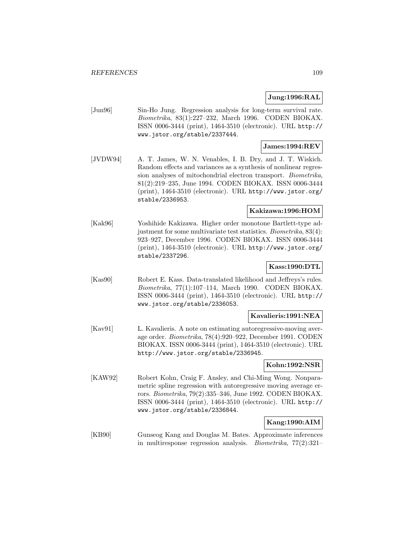#### **Jung:1996:RAL**

[Jun96] Sin-Ho Jung. Regression analysis for long-term survival rate. Biometrika, 83(1):227–232, March 1996. CODEN BIOKAX. ISSN 0006-3444 (print), 1464-3510 (electronic). URL http:// www.jstor.org/stable/2337444.

# **James:1994:REV**

[JVDW94] A. T. James, W. N. Venables, I. B. Dry, and J. T. Wiskich. Random effects and variances as a synthesis of nonlinear regression analyses of mitochondrial electron transport. Biometrika, 81(2):219–235, June 1994. CODEN BIOKAX. ISSN 0006-3444 (print), 1464-3510 (electronic). URL http://www.jstor.org/ stable/2336953.

#### **Kakizawa:1996:HOM**

[Kak96] Yoshihide Kakizawa. Higher order monotone Bartlett-type adjustment for some multivariate test statistics. Biometrika, 83(4): 923–927, December 1996. CODEN BIOKAX. ISSN 0006-3444 (print), 1464-3510 (electronic). URL http://www.jstor.org/ stable/2337296.

# **Kass:1990:DTL**

[Kas90] Robert E. Kass. Data-translated likelihood and Jeffreys's rules. Biometrika, 77(1):107–114, March 1990. CODEN BIOKAX. ISSN 0006-3444 (print), 1464-3510 (electronic). URL http:// www.jstor.org/stable/2336053.

#### **Kavalieris:1991:NEA**

[Kav91] L. Kavalieris. A note on estimating autoregressive-moving average order. Biometrika, 78(4):920–922, December 1991. CODEN BIOKAX. ISSN 0006-3444 (print), 1464-3510 (electronic). URL http://www.jstor.org/stable/2336945.

# **Kohn:1992:NSR**

[KAW92] Robert Kohn, Craig F. Ansley, and Chi-Ming Wong. Nonparametric spline regression with autoregressive moving average errors. Biometrika, 79(2):335–346, June 1992. CODEN BIOKAX. ISSN 0006-3444 (print), 1464-3510 (electronic). URL http:// www.jstor.org/stable/2336844.

# **Kang:1990:AIM**

[KB90] Gunseog Kang and Douglas M. Bates. Approximate inferences in multiresponse regression analysis. Biometrika, 77(2):321–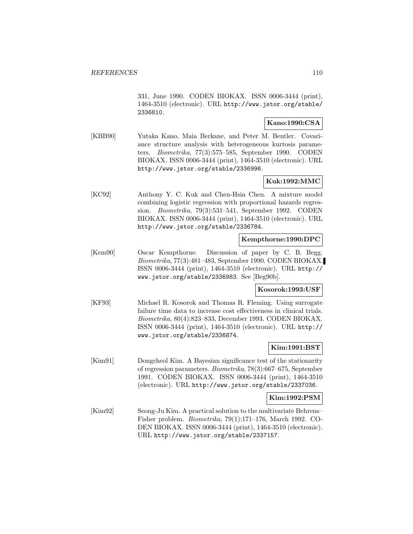331, June 1990. CODEN BIOKAX. ISSN 0006-3444 (print), 1464-3510 (electronic). URL http://www.jstor.org/stable/ 2336810.

# **Kano:1990:CSA**

[KBB90] Yutaka Kano, Maia Berkane, and Peter M. Bentler. Covariance structure analysis with heterogeneous kurtosis parameters. Biometrika, 77(3):575–585, September 1990. CODEN BIOKAX. ISSN 0006-3444 (print), 1464-3510 (electronic). URL http://www.jstor.org/stable/2336996.

# **Kuk:1992:MMC**

[KC92] Anthony Y. C. Kuk and Chen-Hsin Chen. A mixture model combining logistic regression with proportional hazards regression. Biometrika, 79(3):531–541, September 1992. CODEN BIOKAX. ISSN 0006-3444 (print), 1464-3510 (electronic). URL http://www.jstor.org/stable/2336784.

#### **Kempthorne:1990:DPC**

[Kem90] Oscar Kempthorne. Discussion of paper by C. B. Begg. Biometrika, 77(3):481–483, September 1990. CODEN BIOKAX. ISSN 0006-3444 (print), 1464-3510 (electronic). URL http:// www.jstor.org/stable/2336983. See [Beg90b].

#### **Kosorok:1993:USF**

[KF93] Michael R. Kosorok and Thomas R. Fleming. Using surrogate failure time data to increase cost effectiveness in clinical trials. Biometrika, 80(4):823–833, December 1993. CODEN BIOKAX. ISSN 0006-3444 (print), 1464-3510 (electronic). URL http:// www.jstor.org/stable/2336874.

#### **Kim:1991:BST**

[Kim91] Dongcheol Kim. A Bayesian significance test of the stationarity of regression parameters. Biometrika, 78(3):667–675, September 1991. CODEN BIOKAX. ISSN 0006-3444 (print), 1464-3510 (electronic). URL http://www.jstor.org/stable/2337036.

#### **Kim:1992:PSM**

[Kim92] Seong-Ju Kim. A practical solution to the multivariate Behrens– Fisher problem. Biometrika, 79(1):171–176, March 1992. CO-DEN BIOKAX. ISSN 0006-3444 (print), 1464-3510 (electronic). URL http://www.jstor.org/stable/2337157.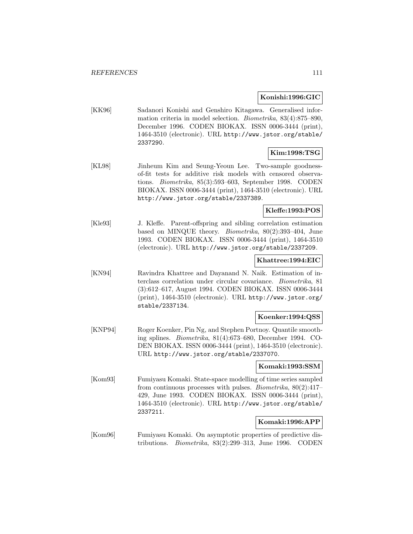#### **Konishi:1996:GIC**

[KK96] Sadanori Konishi and Genshiro Kitagawa. Generalised information criteria in model selection. Biometrika, 83(4):875–890, December 1996. CODEN BIOKAX. ISSN 0006-3444 (print), 1464-3510 (electronic). URL http://www.jstor.org/stable/ 2337290.

### **Kim:1998:TSG**

[KL98] Jinheum Kim and Seung-Yeoun Lee. Two-sample goodnessof-fit tests for additive risk models with censored observations. Biometrika, 85(3):593–603, September 1998. CODEN BIOKAX. ISSN 0006-3444 (print), 1464-3510 (electronic). URL http://www.jstor.org/stable/2337389.

# **Kleffe:1993:POS**

[Kle93] J. Kleffe. Parent-offspring and sibling correlation estimation based on MINQUE theory. Biometrika, 80(2):393–404, June 1993. CODEN BIOKAX. ISSN 0006-3444 (print), 1464-3510 (electronic). URL http://www.jstor.org/stable/2337209.

## **Khattree:1994:EIC**

[KN94] Ravindra Khattree and Dayanand N. Naik. Estimation of interclass correlation under circular covariance. Biometrika, 81 (3):612–617, August 1994. CODEN BIOKAX. ISSN 0006-3444 (print), 1464-3510 (electronic). URL http://www.jstor.org/ stable/2337134.

#### **Koenker:1994:QSS**

[KNP94] Roger Koenker, Pin Ng, and Stephen Portnoy. Quantile smoothing splines. Biometrika, 81(4):673–680, December 1994. CO-DEN BIOKAX. ISSN 0006-3444 (print), 1464-3510 (electronic). URL http://www.jstor.org/stable/2337070.

#### **Komaki:1993:SSM**

[Kom93] Fumiyasu Komaki. State-space modelling of time series sampled from continuous processes with pulses. Biometrika, 80(2):417– 429, June 1993. CODEN BIOKAX. ISSN 0006-3444 (print), 1464-3510 (electronic). URL http://www.jstor.org/stable/ 2337211.

# **Komaki:1996:APP**

[Kom96] Fumiyasu Komaki. On asymptotic properties of predictive distributions. Biometrika, 83(2):299–313, June 1996. CODEN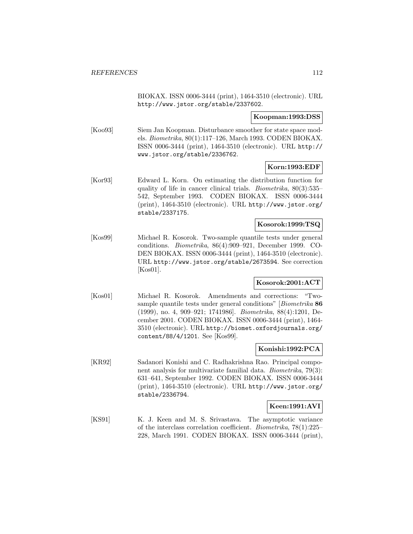BIOKAX. ISSN 0006-3444 (print), 1464-3510 (electronic). URL http://www.jstor.org/stable/2337602.

**Koopman:1993:DSS**

[Koo93] Siem Jan Koopman. Disturbance smoother for state space models. Biometrika, 80(1):117–126, March 1993. CODEN BIOKAX. ISSN 0006-3444 (print), 1464-3510 (electronic). URL http:// www.jstor.org/stable/2336762.

### **Korn:1993:EDF**

[Kor93] Edward L. Korn. On estimating the distribution function for quality of life in cancer clinical trials. Biometrika, 80(3):535– 542, September 1993. CODEN BIOKAX. ISSN 0006-3444 (print), 1464-3510 (electronic). URL http://www.jstor.org/ stable/2337175.

#### **Kosorok:1999:TSQ**

[Kos99] Michael R. Kosorok. Two-sample quantile tests under general conditions. Biometrika, 86(4):909–921, December 1999. CO-DEN BIOKAX. ISSN 0006-3444 (print), 1464-3510 (electronic). URL http://www.jstor.org/stable/2673594. See correction [Kos01].

# **Kosorok:2001:ACT**

[Kos01] Michael R. Kosorok. Amendments and corrections: "Twosample quantile tests under general conditions" [Biometrika **86** (1999), no. 4, 909–921; 1741986]. Biometrika, 88(4):1201, December 2001. CODEN BIOKAX. ISSN 0006-3444 (print), 1464- 3510 (electronic). URL http://biomet.oxfordjournals.org/ content/88/4/1201. See [Kos99].

#### **Konishi:1992:PCA**

[KR92] Sadanori Konishi and C. Radhakrishna Rao. Principal component analysis for multivariate familial data. Biometrika, 79(3): 631–641, September 1992. CODEN BIOKAX. ISSN 0006-3444 (print), 1464-3510 (electronic). URL http://www.jstor.org/ stable/2336794.

# **Keen:1991:AVI**

[KS91] K. J. Keen and M. S. Srivastava. The asymptotic variance of the interclass correlation coefficient. Biometrika, 78(1):225– 228, March 1991. CODEN BIOKAX. ISSN 0006-3444 (print),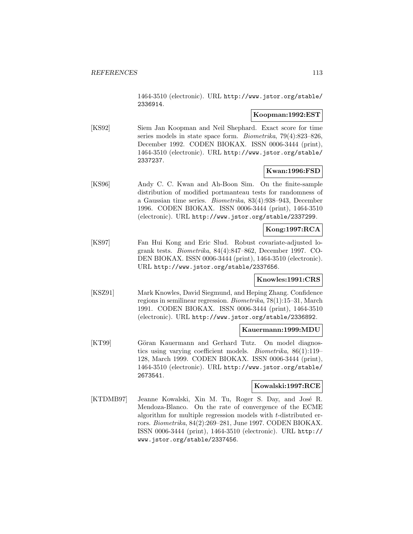1464-3510 (electronic). URL http://www.jstor.org/stable/ 2336914.

#### **Koopman:1992:EST**

[KS92] Siem Jan Koopman and Neil Shephard. Exact score for time series models in state space form. Biometrika, 79(4):823–826, December 1992. CODEN BIOKAX. ISSN 0006-3444 (print), 1464-3510 (electronic). URL http://www.jstor.org/stable/ 2337237.

#### **Kwan:1996:FSD**

[KS96] Andy C. C. Kwan and Ah-Boon Sim. On the finite-sample distribution of modified portmanteau tests for randomness of a Gaussian time series. Biometrika, 83(4):938–943, December 1996. CODEN BIOKAX. ISSN 0006-3444 (print), 1464-3510 (electronic). URL http://www.jstor.org/stable/2337299.

### **Kong:1997:RCA**

[KS97] Fan Hui Kong and Eric Slud. Robust covariate-adjusted logrank tests. Biometrika, 84(4):847–862, December 1997. CO-DEN BIOKAX. ISSN 0006-3444 (print), 1464-3510 (electronic). URL http://www.jstor.org/stable/2337656.

#### **Knowles:1991:CRS**

[KSZ91] Mark Knowles, David Siegmund, and Heping Zhang. Confidence regions in semilinear regression. Biometrika, 78(1):15–31, March 1991. CODEN BIOKAX. ISSN 0006-3444 (print), 1464-3510 (electronic). URL http://www.jstor.org/stable/2336892.

#### **Kauermann:1999:MDU**

[KT99] Göran Kauermann and Gerhard Tutz. On model diagnostics using varying coefficient models. Biometrika, 86(1):119– 128, March 1999. CODEN BIOKAX. ISSN 0006-3444 (print), 1464-3510 (electronic). URL http://www.jstor.org/stable/ 2673541.

#### **Kowalski:1997:RCE**

[KTDMB97] Jeanne Kowalski, Xin M. Tu, Roger S. Day, and José R. Mendoza-Blanco. On the rate of convergence of the ECME algorithm for multiple regression models with t-distributed errors. Biometrika, 84(2):269–281, June 1997. CODEN BIOKAX. ISSN 0006-3444 (print), 1464-3510 (electronic). URL http:// www.jstor.org/stable/2337456.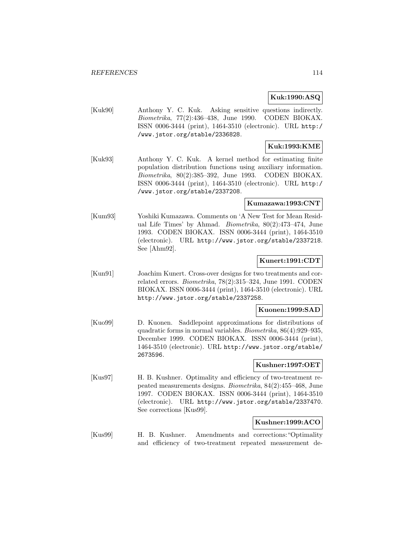#### **Kuk:1990:ASQ**

[Kuk90] Anthony Y. C. Kuk. Asking sensitive questions indirectly. Biometrika, 77(2):436–438, June 1990. CODEN BIOKAX. ISSN 0006-3444 (print), 1464-3510 (electronic). URL http:/ /www.jstor.org/stable/2336828.

# **Kuk:1993:KME**

[Kuk93] Anthony Y. C. Kuk. A kernel method for estimating finite population distribution functions using auxiliary information. Biometrika, 80(2):385–392, June 1993. CODEN BIOKAX. ISSN 0006-3444 (print), 1464-3510 (electronic). URL http:/ /www.jstor.org/stable/2337208.

#### **Kumazawa:1993:CNT**

[Kum93] Yoshiki Kumazawa. Comments on 'A New Test for Mean Residual Life Times' by Ahmad. Biometrika, 80(2):473–474, June 1993. CODEN BIOKAX. ISSN 0006-3444 (print), 1464-3510 (electronic). URL http://www.jstor.org/stable/2337218. See [Ahm92].

### **Kunert:1991:CDT**

[Kun91] Joachim Kunert. Cross-over designs for two treatments and correlated errors. Biometrika, 78(2):315–324, June 1991. CODEN BIOKAX. ISSN 0006-3444 (print), 1464-3510 (electronic). URL http://www.jstor.org/stable/2337258.

#### **Kuonen:1999:SAD**

[Kuo99] D. Kuonen. Saddlepoint approximations for distributions of quadratic forms in normal variables. Biometrika, 86(4):929–935, December 1999. CODEN BIOKAX. ISSN 0006-3444 (print), 1464-3510 (electronic). URL http://www.jstor.org/stable/ 2673596.

#### **Kushner:1997:OET**

[Kus97] H. B. Kushner. Optimality and efficiency of two-treatment repeated measurements designs. Biometrika, 84(2):455–468, June 1997. CODEN BIOKAX. ISSN 0006-3444 (print), 1464-3510 (electronic). URL http://www.jstor.org/stable/2337470. See corrections [Kus99].

# **Kushner:1999:ACO**

[Kus99] H. B. Kushner. Amendments and corrections:"Optimality and efficiency of two-treatment repeated measurement de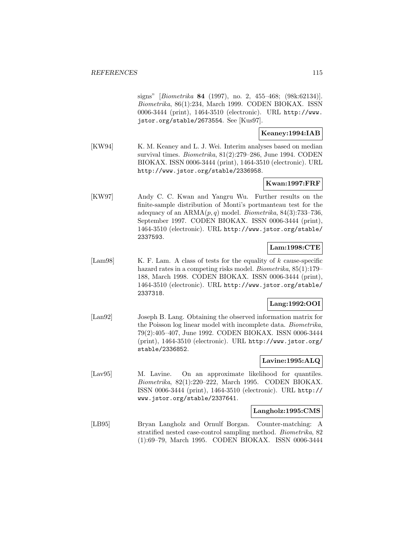signs" [Biometrika **84** (1997), no. 2, 455–468; (98k:62134)]. Biometrika, 86(1):234, March 1999. CODEN BIOKAX. ISSN 0006-3444 (print), 1464-3510 (electronic). URL http://www. jstor.org/stable/2673554. See [Kus97].

### **Keaney:1994:IAB**

[KW94] K. M. Keaney and L. J. Wei. Interim analyses based on median survival times. Biometrika, 81(2):279–286, June 1994. CODEN BIOKAX. ISSN 0006-3444 (print), 1464-3510 (electronic). URL http://www.jstor.org/stable/2336958.

# **Kwan:1997:FRF**

[KW97] Andy C. C. Kwan and Yangru Wu. Further results on the finite-sample distribution of Monti's portmanteau test for the adequacy of an  $ARMA(p, q)$  model. *Biometrika*,  $84(3):733-736$ , September 1997. CODEN BIOKAX. ISSN 0006-3444 (print), 1464-3510 (electronic). URL http://www.jstor.org/stable/ 2337593.

### **Lam:1998:CTE**

[Lam98] K. F. Lam. A class of tests for the equality of k cause-specific hazard rates in a competing risks model. *Biometrika*,  $85(1):179-$ 188, March 1998. CODEN BIOKAX. ISSN 0006-3444 (print), 1464-3510 (electronic). URL http://www.jstor.org/stable/ 2337318.

#### **Lang:1992:OOI**

[Lan92] Joseph B. Lang. Obtaining the observed information matrix for the Poisson log linear model with incomplete data. Biometrika, 79(2):405–407, June 1992. CODEN BIOKAX. ISSN 0006-3444 (print), 1464-3510 (electronic). URL http://www.jstor.org/ stable/2336852.

# **Lavine:1995:ALQ**

[Lav95] M. Lavine. On an approximate likelihood for quantiles. Biometrika, 82(1):220–222, March 1995. CODEN BIOKAX. ISSN 0006-3444 (print), 1464-3510 (electronic). URL http:// www.jstor.org/stable/2337641.

#### **Langholz:1995:CMS**

[LB95] Bryan Langholz and Ornulf Borgan. Counter-matching: A stratified nested case-control sampling method. Biometrika, 82 (1):69–79, March 1995. CODEN BIOKAX. ISSN 0006-3444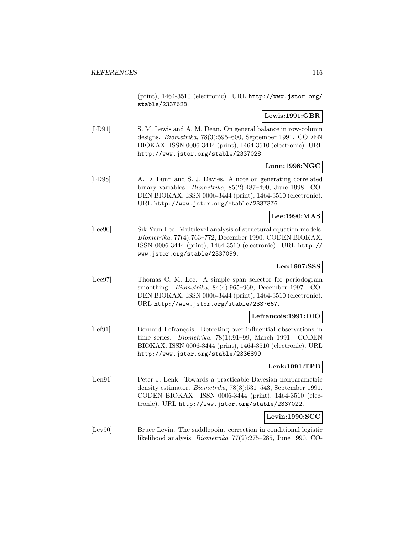(print), 1464-3510 (electronic). URL http://www.jstor.org/ stable/2337628.

### **Lewis:1991:GBR**

[LD91] S. M. Lewis and A. M. Dean. On general balance in row-column designs. Biometrika, 78(3):595–600, September 1991. CODEN BIOKAX. ISSN 0006-3444 (print), 1464-3510 (electronic). URL http://www.jstor.org/stable/2337028.

# **Lunn:1998:NGC**

[LD98] A. D. Lunn and S. J. Davies. A note on generating correlated binary variables. Biometrika, 85(2):487–490, June 1998. CO-DEN BIOKAX. ISSN 0006-3444 (print), 1464-3510 (electronic). URL http://www.jstor.org/stable/2337376.

#### **Lee:1990:MAS**

[Lee90] Sik Yum Lee. Multilevel analysis of structural equation models. Biometrika, 77(4):763–772, December 1990. CODEN BIOKAX. ISSN 0006-3444 (print), 1464-3510 (electronic). URL http:// www.jstor.org/stable/2337099.

#### **Lee:1997:SSS**

[Lee97] Thomas C. M. Lee. A simple span selector for periodogram smoothing. Biometrika, 84(4):965–969, December 1997. CO-DEN BIOKAX. ISSN 0006-3444 (print), 1464-3510 (electronic). URL http://www.jstor.org/stable/2337667.

#### **Lefrancois:1991:DIO**

[Lef91] Bernard Lefrançois. Detecting over-influential observations in time series. Biometrika, 78(1):91–99, March 1991. CODEN BIOKAX. ISSN 0006-3444 (print), 1464-3510 (electronic). URL http://www.jstor.org/stable/2336899.

#### **Lenk:1991:TPB**

[Len91] Peter J. Lenk. Towards a practicable Bayesian nonparametric density estimator. Biometrika, 78(3):531–543, September 1991. CODEN BIOKAX. ISSN 0006-3444 (print), 1464-3510 (electronic). URL http://www.jstor.org/stable/2337022.

#### **Levin:1990:SCC**

[Lev90] Bruce Levin. The saddlepoint correction in conditional logistic likelihood analysis. Biometrika, 77(2):275–285, June 1990. CO-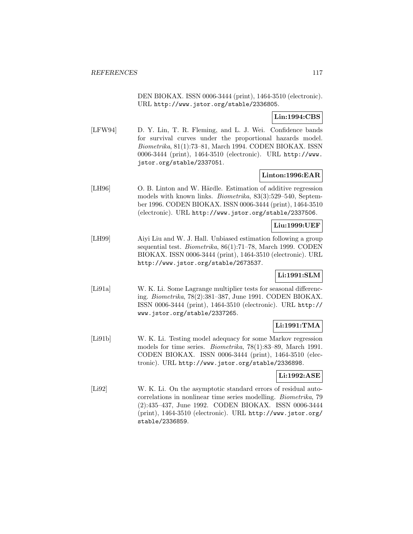DEN BIOKAX. ISSN 0006-3444 (print), 1464-3510 (electronic). URL http://www.jstor.org/stable/2336805.

**Lin:1994:CBS**

[LFW94] D. Y. Lin, T. R. Fleming, and L. J. Wei. Confidence bands for survival curves under the proportional hazards model. Biometrika, 81(1):73–81, March 1994. CODEN BIOKAX. ISSN 0006-3444 (print), 1464-3510 (electronic). URL http://www. jstor.org/stable/2337051.

### **Linton:1996:EAR**

[LH96] O. B. Linton and W. Härdle. Estimation of additive regression models with known links. Biometrika, 83(3):529–540, September 1996. CODEN BIOKAX. ISSN 0006-3444 (print), 1464-3510 (electronic). URL http://www.jstor.org/stable/2337506.

#### **Liu:1999:UEF**

[LH99] Aiyi Liu and W. J. Hall. Unbiased estimation following a group sequential test. Biometrika, 86(1):71–78, March 1999. CODEN BIOKAX. ISSN 0006-3444 (print), 1464-3510 (electronic). URL http://www.jstor.org/stable/2673537.

# **Li:1991:SLM**

[Li91a] W. K. Li. Some Lagrange multiplier tests for seasonal differencing. Biometrika, 78(2):381–387, June 1991. CODEN BIOKAX. ISSN 0006-3444 (print), 1464-3510 (electronic). URL http:// www.jstor.org/stable/2337265.

# **Li:1991:TMA**

[Li91b] W. K. Li. Testing model adequacy for some Markov regression models for time series. Biometrika, 78(1):83–89, March 1991. CODEN BIOKAX. ISSN 0006-3444 (print), 1464-3510 (electronic). URL http://www.jstor.org/stable/2336898.

### **Li:1992:ASE**

[Li92] W. K. Li. On the asymptotic standard errors of residual autocorrelations in nonlinear time series modelling. Biometrika, 79 (2):435–437, June 1992. CODEN BIOKAX. ISSN 0006-3444 (print), 1464-3510 (electronic). URL http://www.jstor.org/ stable/2336859.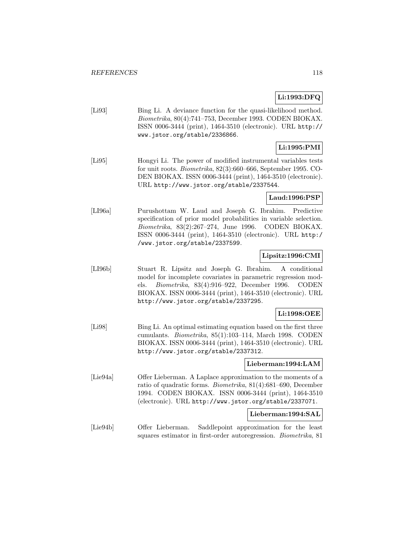# **Li:1993:DFQ**

[Li93] Bing Li. A deviance function for the quasi-likelihood method. Biometrika, 80(4):741–753, December 1993. CODEN BIOKAX. ISSN 0006-3444 (print), 1464-3510 (electronic). URL http:// www.jstor.org/stable/2336866.

# **Li:1995:PMI**

[Li95] Hongyi Li. The power of modified instrumental variables tests for unit roots. Biometrika, 82(3):660–666, September 1995. CO-DEN BIOKAX. ISSN 0006-3444 (print), 1464-3510 (electronic). URL http://www.jstor.org/stable/2337544.

#### **Laud:1996:PSP**

[LI96a] Purushottam W. Laud and Joseph G. Ibrahim. Predictive specification of prior model probabilities in variable selection. Biometrika, 83(2):267–274, June 1996. CODEN BIOKAX. ISSN 0006-3444 (print), 1464-3510 (electronic). URL http:/ /www.jstor.org/stable/2337599.

### **Lipsitz:1996:CMI**

[LI96b] Stuart R. Lipsitz and Joseph G. Ibrahim. A conditional model for incomplete covariates in parametric regression models. Biometrika, 83(4):916–922, December 1996. CODEN BIOKAX. ISSN 0006-3444 (print), 1464-3510 (electronic). URL http://www.jstor.org/stable/2337295.

# **Li:1998:OEE**

[Li98] Bing Li. An optimal estimating equation based on the first three cumulants. Biometrika, 85(1):103–114, March 1998. CODEN BIOKAX. ISSN 0006-3444 (print), 1464-3510 (electronic). URL http://www.jstor.org/stable/2337312.

#### **Lieberman:1994:LAM**

[Lie94a] Offer Lieberman. A Laplace approximation to the moments of a ratio of quadratic forms. Biometrika, 81(4):681–690, December 1994. CODEN BIOKAX. ISSN 0006-3444 (print), 1464-3510 (electronic). URL http://www.jstor.org/stable/2337071.

#### **Lieberman:1994:SAL**

[Lie94b] Offer Lieberman. Saddlepoint approximation for the least squares estimator in first-order autoregression. Biometrika, 81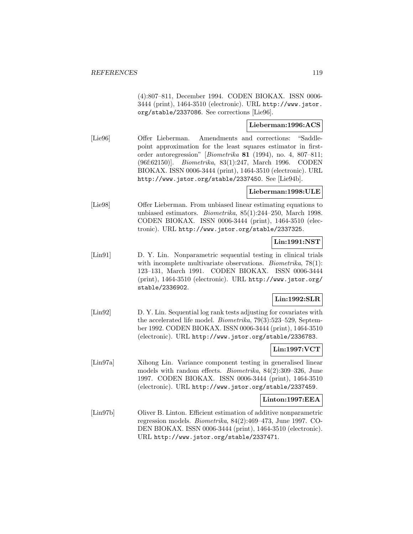(4):807–811, December 1994. CODEN BIOKAX. ISSN 0006- 3444 (print), 1464-3510 (electronic). URL http://www.jstor. org/stable/2337086. See corrections [Lie96].

### **Lieberman:1996:ACS**

[Lie96] Offer Lieberman. Amendments and corrections: "Saddlepoint approximation for the least squares estimator in firstorder autoregression" [Biometrika **81** (1994), no. 4, 807–811; (96f:62150)]. Biometrika, 83(1):247, March 1996. CODEN BIOKAX. ISSN 0006-3444 (print), 1464-3510 (electronic). URL http://www.jstor.org/stable/2337450. See [Lie94b].

### **Lieberman:1998:ULE**

[Lie98] Offer Lieberman. From unbiased linear estimating equations to unbiased estimators. Biometrika, 85(1):244–250, March 1998. CODEN BIOKAX. ISSN 0006-3444 (print), 1464-3510 (electronic). URL http://www.jstor.org/stable/2337325.

# **Lin:1991:NST**

[Lin91] D. Y. Lin. Nonparametric sequential testing in clinical trials with incomplete multivariate observations. *Biometrika*, 78(1): 123–131, March 1991. CODEN BIOKAX. ISSN 0006-3444 (print), 1464-3510 (electronic). URL http://www.jstor.org/ stable/2336902.

# **Lin:1992:SLR**

[Lin92] D. Y. Lin. Sequential log rank tests adjusting for covariates with the accelerated life model. Biometrika, 79(3):523–529, September 1992. CODEN BIOKAX. ISSN 0006-3444 (print), 1464-3510 (electronic). URL http://www.jstor.org/stable/2336783.

# **Lin:1997:VCT**

[Lin97a] Xihong Lin. Variance component testing in generalised linear models with random effects. Biometrika, 84(2):309–326, June 1997. CODEN BIOKAX. ISSN 0006-3444 (print), 1464-3510 (electronic). URL http://www.jstor.org/stable/2337459.

#### **Linton:1997:EEA**

[Lin97b] Oliver B. Linton. Efficient estimation of additive nonparametric regression models. Biometrika, 84(2):469–473, June 1997. CO-DEN BIOKAX. ISSN 0006-3444 (print), 1464-3510 (electronic). URL http://www.jstor.org/stable/2337471.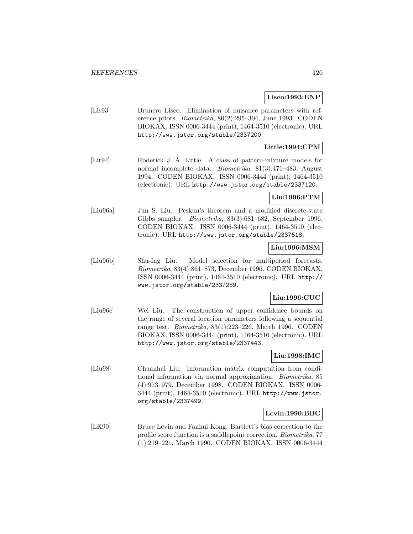#### **Liseo:1993:ENP**

[Lis93] Brunero Liseo. Elimination of nuisance parameters with reference priors. Biometrika, 80(2):295–304, June 1993. CODEN BIOKAX. ISSN 0006-3444 (print), 1464-3510 (electronic). URL http://www.jstor.org/stable/2337200.

### **Little:1994:CPM**

[Lit94] Roderick J. A. Little. A class of pattern-mixture models for normal incomplete data. Biometrika, 81(3):471–483, August 1994. CODEN BIOKAX. ISSN 0006-3444 (print), 1464-3510 (electronic). URL http://www.jstor.org/stable/2337120.

### **Liu:1996:PTM**

[Liu96a] Jun S. Liu. Peskun's theorem and a modified discrete-state Gibbs sampler. Biometrika, 83(3):681–682, September 1996. CODEN BIOKAX. ISSN 0006-3444 (print), 1464-3510 (electronic). URL http://www.jstor.org/stable/2337518.

#### **Liu:1996:MSM**

[Liu96b] Shu-Ing Liu. Model selection for multiperiod forecasts. Biometrika, 83(4):861–873, December 1996. CODEN BIOKAX. ISSN 0006-3444 (print), 1464-3510 (electronic). URL http:// www.jstor.org/stable/2337289.

#### **Liu:1996:CUC**

[Liu96c] Wei Liu. The construction of upper confidence bounds on the range of several location parameters following a sequential range test. Biometrika, 83(1):223–226, March 1996. CODEN BIOKAX. ISSN 0006-3444 (print), 1464-3510 (electronic). URL http://www.jstor.org/stable/2337443.

# **Liu:1998:IMC**

[Liu98] Chuanhai Liu. Information matrix computation from conditional information via normal approximation. Biometrika, 85 (4):973–979, December 1998. CODEN BIOKAX. ISSN 0006- 3444 (print), 1464-3510 (electronic). URL http://www.jstor. org/stable/2337499.

#### **Levin:1990:BBC**

[LK90] Bruce Levin and Fanhui Kong. Bartlett's bias correction to the profile score function is a saddlepoint correction. Biometrika, 77 (1):219–221, March 1990. CODEN BIOKAX. ISSN 0006-3444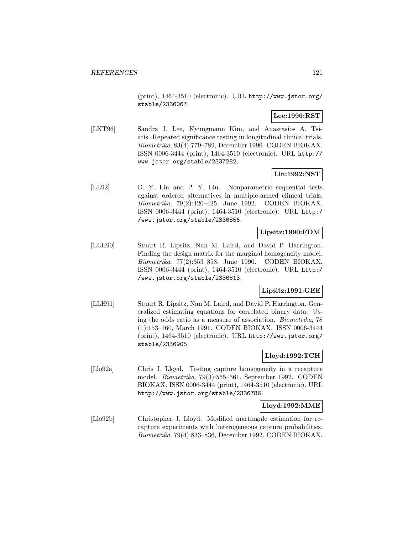(print), 1464-3510 (electronic). URL http://www.jstor.org/ stable/2336067.

# **Lee:1996:RST**

[LKT96] Sandra J. Lee, Kyungmann Kim, and Anastasios A. Tsiatis. Repeated significance testing in longitudinal clinical trials. Biometrika, 83(4):779–789, December 1996. CODEN BIOKAX. ISSN 0006-3444 (print), 1464-3510 (electronic). URL http:// www.jstor.org/stable/2337282.

# **Lin:1992:NST**

[LL92] D. Y. Lin and P. Y. Liu. Nonparametric sequential tests against ordered alternatives in multiple-armed clinical trials. Biometrika, 79(2):420–425, June 1992. CODEN BIOKAX. ISSN 0006-3444 (print), 1464-3510 (electronic). URL http:/ /www.jstor.org/stable/2336856.

### **Lipsitz:1990:FDM**

[LLH90] Stuart R. Lipsitz, Nan M. Laird, and David P. Harrington. Finding the design matrix for the marginal homogeneity model. Biometrika, 77(2):353–358, June 1990. CODEN BIOKAX. ISSN 0006-3444 (print), 1464-3510 (electronic). URL http:/ /www.jstor.org/stable/2336813.

### **Lipsitz:1991:GEE**

[LLH91] Stuart R. Lipsitz, Nan M. Laird, and David P. Harrington. Generalized estimating equations for correlated binary data: Using the odds ratio as a measure of association. Biometrika, 78 (1):153–160, March 1991. CODEN BIOKAX. ISSN 0006-3444 (print), 1464-3510 (electronic). URL http://www.jstor.org/ stable/2336905.

# **Lloyd:1992:TCH**

[Llo92a] Chris J. Lloyd. Testing capture homogeneity in a recapture model. Biometrika, 79(3):555–561, September 1992. CODEN BIOKAX. ISSN 0006-3444 (print), 1464-3510 (electronic). URL http://www.jstor.org/stable/2336786.

#### **Lloyd:1992:MME**

[Llo92b] Christopher J. Lloyd. Modified martingale estimation for recapture experiments with heterogeneous capture probabilities. Biometrika, 79(4):833–836, December 1992. CODEN BIOKAX.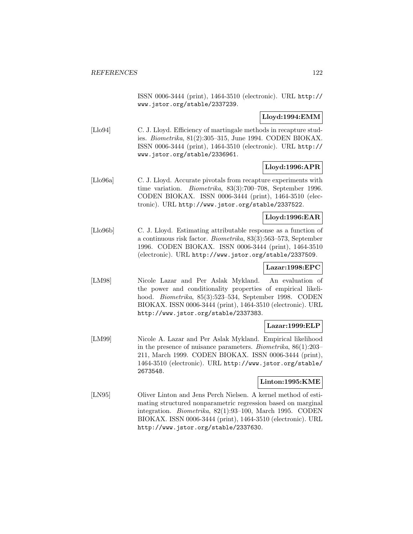ISSN 0006-3444 (print), 1464-3510 (electronic). URL http:// www.jstor.org/stable/2337239.

### **Lloyd:1994:EMM**

[Llo94] C. J. Lloyd. Efficiency of martingale methods in recapture studies. Biometrika, 81(2):305–315, June 1994. CODEN BIOKAX. ISSN 0006-3444 (print), 1464-3510 (electronic). URL http:// www.jstor.org/stable/2336961.

# **Lloyd:1996:APR**

[Llo96a] C. J. Lloyd. Accurate pivotals from recapture experiments with time variation. Biometrika, 83(3):700–708, September 1996. CODEN BIOKAX. ISSN 0006-3444 (print), 1464-3510 (electronic). URL http://www.jstor.org/stable/2337522.

### **Lloyd:1996:EAR**

[Llo96b] C. J. Lloyd. Estimating attributable response as a function of a continuous risk factor. Biometrika, 83(3):563–573, September 1996. CODEN BIOKAX. ISSN 0006-3444 (print), 1464-3510 (electronic). URL http://www.jstor.org/stable/2337509.

# **Lazar:1998:EPC**

[LM98] Nicole Lazar and Per Aslak Mykland. An evaluation of the power and conditionality properties of empirical likelihood. Biometrika, 85(3):523–534, September 1998. CODEN BIOKAX. ISSN 0006-3444 (print), 1464-3510 (electronic). URL http://www.jstor.org/stable/2337383.

#### **Lazar:1999:ELP**

[LM99] Nicole A. Lazar and Per Aslak Mykland. Empirical likelihood in the presence of nuisance parameters. Biometrika, 86(1):203– 211, March 1999. CODEN BIOKAX. ISSN 0006-3444 (print), 1464-3510 (electronic). URL http://www.jstor.org/stable/ 2673548.

#### **Linton:1995:KME**

[LN95] Oliver Linton and Jens Perch Nielsen. A kernel method of estimating structured nonparametric regression based on marginal integration. Biometrika, 82(1):93–100, March 1995. CODEN BIOKAX. ISSN 0006-3444 (print), 1464-3510 (electronic). URL http://www.jstor.org/stable/2337630.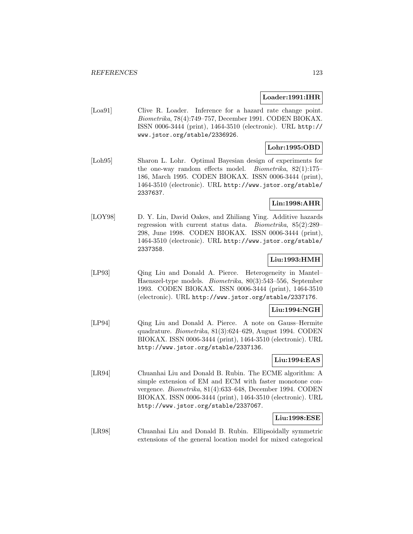#### **Loader:1991:IHR**

[Loa91] Clive R. Loader. Inference for a hazard rate change point. Biometrika, 78(4):749–757, December 1991. CODEN BIOKAX. ISSN 0006-3444 (print), 1464-3510 (electronic). URL http:// www.jstor.org/stable/2336926.

### **Lohr:1995:OBD**

[Loh95] Sharon L. Lohr. Optimal Bayesian design of experiments for the one-way random effects model. Biometrika, 82(1):175– 186, March 1995. CODEN BIOKAX. ISSN 0006-3444 (print), 1464-3510 (electronic). URL http://www.jstor.org/stable/ 2337637.

# **Lin:1998:AHR**

[LOY98] D. Y. Lin, David Oakes, and Zhiliang Ying. Additive hazards regression with current status data. Biometrika, 85(2):289– 298, June 1998. CODEN BIOKAX. ISSN 0006-3444 (print), 1464-3510 (electronic). URL http://www.jstor.org/stable/ 2337358.

## **Liu:1993:HMH**

[LP93] Qing Liu and Donald A. Pierce. Heterogeneity in Mantel– Haenszel-type models. Biometrika, 80(3):543–556, September 1993. CODEN BIOKAX. ISSN 0006-3444 (print), 1464-3510 (electronic). URL http://www.jstor.org/stable/2337176.

# **Liu:1994:NGH**

[LP94] Qing Liu and Donald A. Pierce. A note on Gauss–Hermite quadrature. Biometrika, 81(3):624–629, August 1994. CODEN BIOKAX. ISSN 0006-3444 (print), 1464-3510 (electronic). URL http://www.jstor.org/stable/2337136.

## **Liu:1994:EAS**

[LR94] Chuanhai Liu and Donald B. Rubin. The ECME algorithm: A simple extension of EM and ECM with faster monotone convergence. Biometrika, 81(4):633–648, December 1994. CODEN BIOKAX. ISSN 0006-3444 (print), 1464-3510 (electronic). URL http://www.jstor.org/stable/2337067.

### **Liu:1998:ESE**

[LR98] Chuanhai Liu and Donald B. Rubin. Ellipsoidally symmetric extensions of the general location model for mixed categorical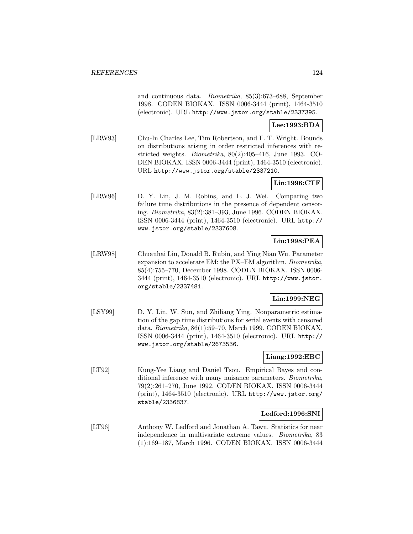and continuous data. Biometrika, 85(3):673–688, September 1998. CODEN BIOKAX. ISSN 0006-3444 (print), 1464-3510 (electronic). URL http://www.jstor.org/stable/2337395.

# **Lee:1993:BDA**

[LRW93] Chu-In Charles Lee, Tim Robertson, and F. T. Wright. Bounds on distributions arising in order restricted inferences with restricted weights. Biometrika, 80(2):405–416, June 1993. CO-DEN BIOKAX. ISSN 0006-3444 (print), 1464-3510 (electronic). URL http://www.jstor.org/stable/2337210.

# **Lin:1996:CTF**

[LRW96] D. Y. Lin, J. M. Robins, and L. J. Wei. Comparing two failure time distributions in the presence of dependent censoring. Biometrika, 83(2):381–393, June 1996. CODEN BIOKAX. ISSN 0006-3444 (print), 1464-3510 (electronic). URL http:// www.jstor.org/stable/2337608.

### **Liu:1998:PEA**

[LRW98] Chuanhai Liu, Donald B. Rubin, and Ying Nian Wu. Parameter expansion to accelerate EM: the PX–EM algorithm. Biometrika, 85(4):755–770, December 1998. CODEN BIOKAX. ISSN 0006- 3444 (print), 1464-3510 (electronic). URL http://www.jstor. org/stable/2337481.

#### **Lin:1999:NEG**

[LSY99] D. Y. Lin, W. Sun, and Zhiliang Ying. Nonparametric estimation of the gap time distributions for serial events with censored data. Biometrika, 86(1):59–70, March 1999. CODEN BIOKAX. ISSN 0006-3444 (print), 1464-3510 (electronic). URL http:// www.jstor.org/stable/2673536.

# **Liang:1992:EBC**

[LT92] Kung-Yee Liang and Daniel Tsou. Empirical Bayes and conditional inference with many nuisance parameters. Biometrika, 79(2):261–270, June 1992. CODEN BIOKAX. ISSN 0006-3444 (print), 1464-3510 (electronic). URL http://www.jstor.org/ stable/2336837.

#### **Ledford:1996:SNI**

[LT96] Anthony W. Ledford and Jonathan A. Tawn. Statistics for near independence in multivariate extreme values. Biometrika, 83 (1):169–187, March 1996. CODEN BIOKAX. ISSN 0006-3444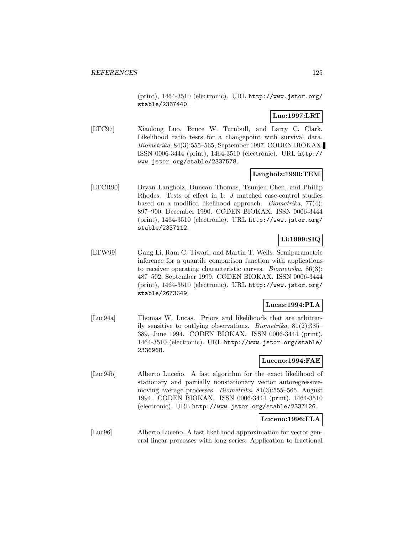(print), 1464-3510 (electronic). URL http://www.jstor.org/ stable/2337440.

# **Luo:1997:LRT**

[LTC97] Xiaolong Luo, Bruce W. Turnbull, and Larry C. Clark. Likelihood ratio tests for a changepoint with survival data. Biometrika, 84(3):555–565, September 1997. CODEN BIOKAX. ISSN 0006-3444 (print), 1464-3510 (electronic). URL http:// www.jstor.org/stable/2337578.

### **Langholz:1990:TEM**

[LTCR90] Bryan Langholz, Duncan Thomas, Tsunjen Chen, and Phillip Rhodes. Tests of effect in 1: J matched case-control studies based on a modified likelihood approach. Biometrika, 77(4): 897–900, December 1990. CODEN BIOKAX. ISSN 0006-3444 (print), 1464-3510 (electronic). URL http://www.jstor.org/ stable/2337112.

# **Li:1999:SIQ**

[LTW99] Gang Li, Ram C. Tiwari, and Martin T. Wells. Semiparametric inference for a quantile comparison function with applications to receiver operating characteristic curves. Biometrika, 86(3): 487–502, September 1999. CODEN BIOKAX. ISSN 0006-3444 (print), 1464-3510 (electronic). URL http://www.jstor.org/ stable/2673649.

#### **Lucas:1994:PLA**

[Luc94a] Thomas W. Lucas. Priors and likelihoods that are arbitrarily sensitive to outlying observations. Biometrika, 81(2):385– 389, June 1994. CODEN BIOKAX. ISSN 0006-3444 (print), 1464-3510 (electronic). URL http://www.jstor.org/stable/ 2336968.

#### **Luceno:1994:FAE**

[Luc94b] Alberto Luceño. A fast algorithm for the exact likelihood of stationary and partially nonstationary vector autoregressivemoving average processes. Biometrika, 81(3):555–565, August 1994. CODEN BIOKAX. ISSN 0006-3444 (print), 1464-3510 (electronic). URL http://www.jstor.org/stable/2337126.

#### **Luceno:1996:FLA**

[Luc96] Alberto Luceño. A fast likelihood approximation for vector general linear processes with long series: Application to fractional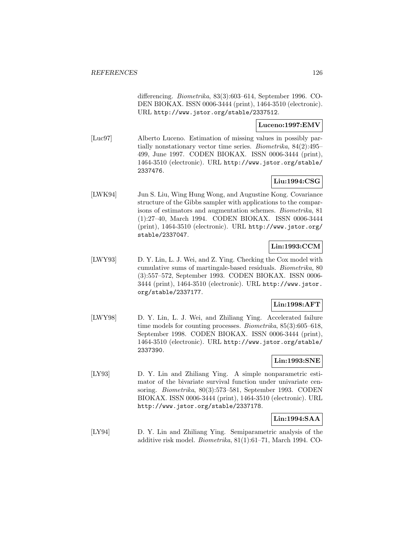differencing. Biometrika, 83(3):603–614, September 1996. CO-DEN BIOKAX. ISSN 0006-3444 (print), 1464-3510 (electronic). URL http://www.jstor.org/stable/2337512.

### **Luceno:1997:EMV**

[Luc97] Alberto Luceno. Estimation of missing values in possibly partially nonstationary vector time series. Biometrika, 84(2):495– 499, June 1997. CODEN BIOKAX. ISSN 0006-3444 (print), 1464-3510 (electronic). URL http://www.jstor.org/stable/ 2337476.

# **Liu:1994:CSG**

[LWK94] Jun S. Liu, Wing Hung Wong, and Augustine Kong. Covariance structure of the Gibbs sampler with applications to the comparisons of estimators and augmentation schemes. Biometrika, 81 (1):27–40, March 1994. CODEN BIOKAX. ISSN 0006-3444 (print), 1464-3510 (electronic). URL http://www.jstor.org/ stable/2337047.

# **Lin:1993:CCM**

[LWY93] D. Y. Lin, L. J. Wei, and Z. Ying. Checking the Cox model with cumulative sums of martingale-based residuals. Biometrika, 80 (3):557–572, September 1993. CODEN BIOKAX. ISSN 0006- 3444 (print), 1464-3510 (electronic). URL http://www.jstor. org/stable/2337177.

# **Lin:1998:AFT**

[LWY98] D. Y. Lin, L. J. Wei, and Zhiliang Ying. Accelerated failure time models for counting processes. Biometrika, 85(3):605–618, September 1998. CODEN BIOKAX. ISSN 0006-3444 (print), 1464-3510 (electronic). URL http://www.jstor.org/stable/ 2337390.

# **Lin:1993:SNE**

[LY93] D. Y. Lin and Zhiliang Ying. A simple nonparametric estimator of the bivariate survival function under univariate censoring. Biometrika, 80(3):573–581, September 1993. CODEN BIOKAX. ISSN 0006-3444 (print), 1464-3510 (electronic). URL http://www.jstor.org/stable/2337178.

# **Lin:1994:SAA**

[LY94] D. Y. Lin and Zhiliang Ying. Semiparametric analysis of the additive risk model. Biometrika, 81(1):61–71, March 1994. CO-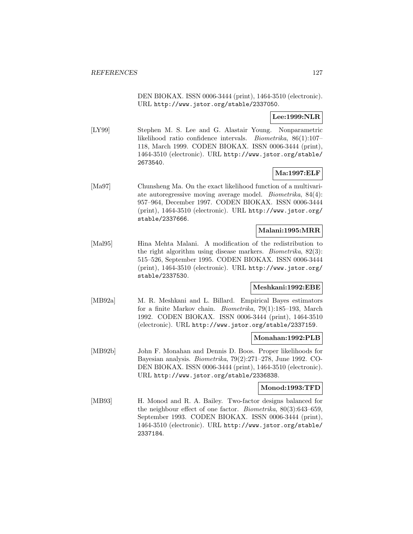DEN BIOKAX. ISSN 0006-3444 (print), 1464-3510 (electronic). URL http://www.jstor.org/stable/2337050.

# **Lee:1999:NLR**

[LY99] Stephen M. S. Lee and G. Alastair Young. Nonparametric likelihood ratio confidence intervals. Biometrika, 86(1):107– 118, March 1999. CODEN BIOKAX. ISSN 0006-3444 (print), 1464-3510 (electronic). URL http://www.jstor.org/stable/ 2673540.

### **Ma:1997:ELF**

[Ma97] Chunsheng Ma. On the exact likelihood function of a multivariate autoregressive moving average model. Biometrika, 84(4): 957–964, December 1997. CODEN BIOKAX. ISSN 0006-3444 (print), 1464-3510 (electronic). URL http://www.jstor.org/ stable/2337666.

#### **Malani:1995:MRR**

[Mal95] Hina Mehta Malani. A modification of the redistribution to the right algorithm using disease markers. Biometrika, 82(3): 515–526, September 1995. CODEN BIOKAX. ISSN 0006-3444 (print), 1464-3510 (electronic). URL http://www.jstor.org/ stable/2337530.

#### **Meshkani:1992:EBE**

[MB92a] M. R. Meshkani and L. Billard. Empirical Bayes estimators for a finite Markov chain. Biometrika, 79(1):185–193, March 1992. CODEN BIOKAX. ISSN 0006-3444 (print), 1464-3510 (electronic). URL http://www.jstor.org/stable/2337159.

#### **Monahan:1992:PLB**

[MB92b] John F. Monahan and Dennis D. Boos. Proper likelihoods for Bayesian analysis. Biometrika, 79(2):271–278, June 1992. CO-DEN BIOKAX. ISSN 0006-3444 (print), 1464-3510 (electronic). URL http://www.jstor.org/stable/2336838.

#### **Monod:1993:TFD**

[MB93] H. Monod and R. A. Bailey. Two-factor designs balanced for the neighbour effect of one factor. Biometrika, 80(3):643–659, September 1993. CODEN BIOKAX. ISSN 0006-3444 (print), 1464-3510 (electronic). URL http://www.jstor.org/stable/ 2337184.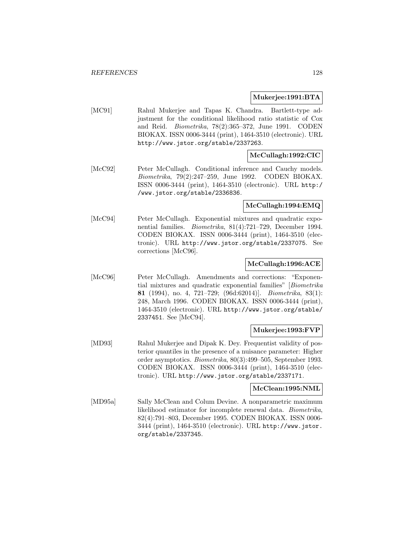#### **Mukerjee:1991:BTA**

[MC91] Rahul Mukerjee and Tapas K. Chandra. Bartlett-type adjustment for the conditional likelihood ratio statistic of Cox and Reid. Biometrika, 78(2):365–372, June 1991. CODEN BIOKAX. ISSN 0006-3444 (print), 1464-3510 (electronic). URL http://www.jstor.org/stable/2337263.

# **McCullagh:1992:CIC**

[McC92] Peter McCullagh. Conditional inference and Cauchy models. Biometrika, 79(2):247–259, June 1992. CODEN BIOKAX. ISSN 0006-3444 (print), 1464-3510 (electronic). URL http:/ /www.jstor.org/stable/2336836.

#### **McCullagh:1994:EMQ**

[McC94] Peter McCullagh. Exponential mixtures and quadratic exponential families. Biometrika, 81(4):721–729, December 1994. CODEN BIOKAX. ISSN 0006-3444 (print), 1464-3510 (electronic). URL http://www.jstor.org/stable/2337075. See corrections [McC96].

#### **McCullagh:1996:ACE**

[McC96] Peter McCullagh. Amendments and corrections: "Exponential mixtures and quadratic exponential families" [Biometrika **81** (1994), no. 4, 721–729; (96d:62014)]. Biometrika, 83(1): 248, March 1996. CODEN BIOKAX. ISSN 0006-3444 (print), 1464-3510 (electronic). URL http://www.jstor.org/stable/ 2337451. See [McC94].

#### **Mukerjee:1993:FVP**

[MD93] Rahul Mukerjee and Dipak K. Dey. Frequentist validity of posterior quantiles in the presence of a nuisance parameter: Higher order asymptotics. Biometrika, 80(3):499–505, September 1993. CODEN BIOKAX. ISSN 0006-3444 (print), 1464-3510 (electronic). URL http://www.jstor.org/stable/2337171.

#### **McClean:1995:NML**

[MD95a] Sally McClean and Colum Devine. A nonparametric maximum likelihood estimator for incomplete renewal data. Biometrika, 82(4):791–803, December 1995. CODEN BIOKAX. ISSN 0006- 3444 (print), 1464-3510 (electronic). URL http://www.jstor. org/stable/2337345.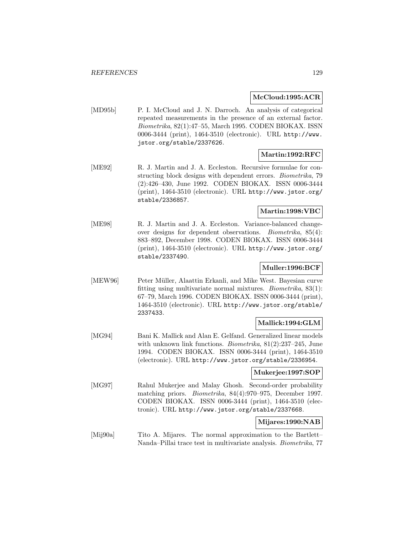#### **McCloud:1995:ACR**

[MD95b] P. I. McCloud and J. N. Darroch. An analysis of categorical repeated measurements in the presence of an external factor. Biometrika, 82(1):47–55, March 1995. CODEN BIOKAX. ISSN 0006-3444 (print), 1464-3510 (electronic). URL http://www. jstor.org/stable/2337626.

### **Martin:1992:RFC**

[ME92] R. J. Martin and J. A. Eccleston. Recursive formulae for constructing block designs with dependent errors. Biometrika, 79 (2):426–430, June 1992. CODEN BIOKAX. ISSN 0006-3444 (print), 1464-3510 (electronic). URL http://www.jstor.org/ stable/2336857.

### **Martin:1998:VBC**

[ME98] R. J. Martin and J. A. Eccleston. Variance-balanced changeover designs for dependent observations. Biometrika, 85(4): 883–892, December 1998. CODEN BIOKAX. ISSN 0006-3444 (print), 1464-3510 (electronic). URL http://www.jstor.org/ stable/2337490.

### **Muller:1996:BCF**

[MEW96] Peter Müller, Alaattin Erkanli, and Mike West. Bayesian curve fitting using multivariate normal mixtures. Biometrika, 83(1): 67–79, March 1996. CODEN BIOKAX. ISSN 0006-3444 (print), 1464-3510 (electronic). URL http://www.jstor.org/stable/ 2337433.

#### **Mallick:1994:GLM**

[MG94] Bani K. Mallick and Alan E. Gelfand. Generalized linear models with unknown link functions. Biometrika, 81(2):237–245, June 1994. CODEN BIOKAX. ISSN 0006-3444 (print), 1464-3510 (electronic). URL http://www.jstor.org/stable/2336954.

#### **Mukerjee:1997:SOP**

[MG97] Rahul Mukerjee and Malay Ghosh. Second-order probability matching priors. Biometrika, 84(4):970–975, December 1997. CODEN BIOKAX. ISSN 0006-3444 (print), 1464-3510 (electronic). URL http://www.jstor.org/stable/2337668.

#### **Mijares:1990:NAB**

[Mij90a] Tito A. Mijares. The normal approximation to the Bartlett– Nanda–Pillai trace test in multivariate analysis. Biometrika, 77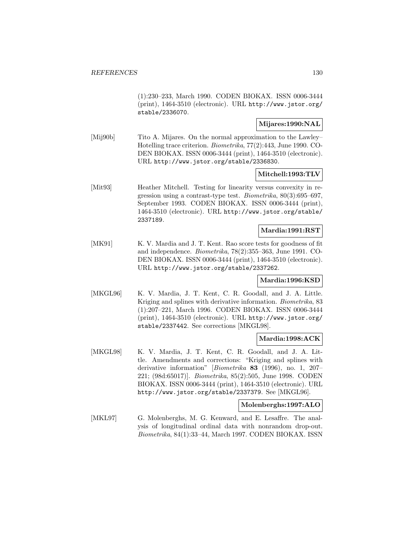(1):230–233, March 1990. CODEN BIOKAX. ISSN 0006-3444 (print), 1464-3510 (electronic). URL http://www.jstor.org/ stable/2336070.

#### **Mijares:1990:NAL**

[Mij90b] Tito A. Mijares. On the normal approximation to the Lawley– Hotelling trace criterion. Biometrika, 77(2):443, June 1990. CO-DEN BIOKAX. ISSN 0006-3444 (print), 1464-3510 (electronic). URL http://www.jstor.org/stable/2336830.

#### **Mitchell:1993:TLV**

[Mit93] Heather Mitchell. Testing for linearity versus convexity in regression using a contrast-type test. Biometrika, 80(3):695–697, September 1993. CODEN BIOKAX. ISSN 0006-3444 (print), 1464-3510 (electronic). URL http://www.jstor.org/stable/ 2337189.

#### **Mardia:1991:RST**

[MK91] K. V. Mardia and J. T. Kent. Rao score tests for goodness of fit and independence. Biometrika, 78(2):355–363, June 1991. CO-DEN BIOKAX. ISSN 0006-3444 (print), 1464-3510 (electronic). URL http://www.jstor.org/stable/2337262.

#### **Mardia:1996:KSD**

[MKGL96] K. V. Mardia, J. T. Kent, C. R. Goodall, and J. A. Little. Kriging and splines with derivative information. Biometrika, 83 (1):207–221, March 1996. CODEN BIOKAX. ISSN 0006-3444 (print), 1464-3510 (electronic). URL http://www.jstor.org/ stable/2337442. See corrections [MKGL98].

#### **Mardia:1998:ACK**

[MKGL98] K. V. Mardia, J. T. Kent, C. R. Goodall, and J. A. Little. Amendments and corrections: "Kriging and splines with derivative information" [Biometrika **83** (1996), no. 1, 207– 221; (98d:65017)]. Biometrika, 85(2):505, June 1998. CODEN BIOKAX. ISSN 0006-3444 (print), 1464-3510 (electronic). URL http://www.jstor.org/stable/2337379. See [MKGL96].

#### **Molenberghs:1997:ALO**

[MKL97] G. Molenberghs, M. G. Kenward, and E. Lesaffre. The analysis of longitudinal ordinal data with nonrandom drop-out. Biometrika, 84(1):33–44, March 1997. CODEN BIOKAX. ISSN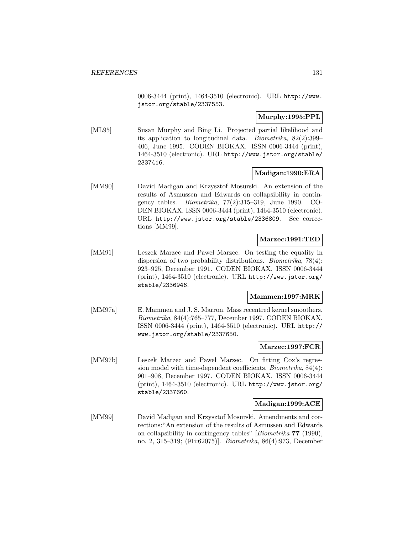0006-3444 (print), 1464-3510 (electronic). URL http://www. jstor.org/stable/2337553.

### **Murphy:1995:PPL**

[ML95] Susan Murphy and Bing Li. Projected partial likelihood and its application to longitudinal data. Biometrika, 82(2):399– 406, June 1995. CODEN BIOKAX. ISSN 0006-3444 (print), 1464-3510 (electronic). URL http://www.jstor.org/stable/ 2337416.

#### **Madigan:1990:ERA**

[MM90] David Madigan and Krzysztof Mosurski. An extension of the results of Asmussen and Edwards on collapsibility in contingency tables. Biometrika, 77(2):315–319, June 1990. CO-DEN BIOKAX. ISSN 0006-3444 (print), 1464-3510 (electronic). URL http://www.jstor.org/stable/2336809. See corrections [MM99].

#### **Marzec:1991:TED**

[MM91] Leszek Marzec and Pawel Marzec. On testing the equality in dispersion of two probability distributions. Biometrika, 78(4): 923–925, December 1991. CODEN BIOKAX. ISSN 0006-3444 (print), 1464-3510 (electronic). URL http://www.jstor.org/ stable/2336946.

#### **Mammen:1997:MRK**

[MM97a] E. Mammen and J. S. Marron. Mass recentred kernel smoothers. Biometrika, 84(4):765–777, December 1997. CODEN BIOKAX. ISSN 0006-3444 (print), 1464-3510 (electronic). URL http:// www.jstor.org/stable/2337650.

#### **Marzec:1997:FCR**

[MM97b] Leszek Marzec and Pawel Marzec. On fitting Cox's regression model with time-dependent coefficients. Biometrika, 84(4): 901–908, December 1997. CODEN BIOKAX. ISSN 0006-3444 (print), 1464-3510 (electronic). URL http://www.jstor.org/ stable/2337660.

#### **Madigan:1999:ACE**

[MM99] David Madigan and Krzysztof Mosurski. Amendments and corrections:"An extension of the results of Asmussen and Edwards on collapsibility in contingency tables" [Biometrika **77** (1990), no. 2, 315–319; (91i:62075)]. Biometrika, 86(4):973, December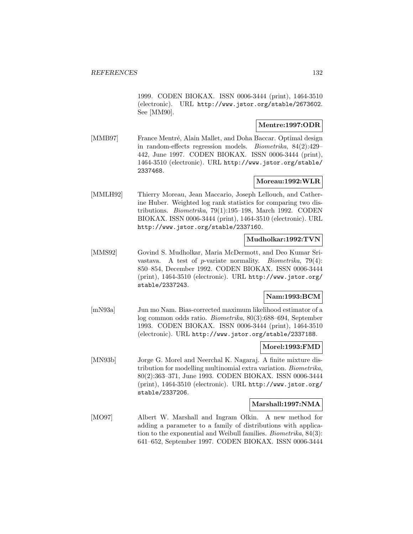1999. CODEN BIOKAX. ISSN 0006-3444 (print), 1464-3510 (electronic). URL http://www.jstor.org/stable/2673602. See [MM90].

### **Mentre:1997:ODR**

[MMB97] France Mentré, Alain Mallet, and Doha Baccar. Optimal design in random-effects regression models. Biometrika, 84(2):429– 442, June 1997. CODEN BIOKAX. ISSN 0006-3444 (print), 1464-3510 (electronic). URL http://www.jstor.org/stable/ 2337468.

### **Moreau:1992:WLR**

[MMLH92] Thierry Moreau, Jean Maccario, Joseph Lellouch, and Catherine Huber. Weighted log rank statistics for comparing two distributions. Biometrika, 79(1):195–198, March 1992. CODEN BIOKAX. ISSN 0006-3444 (print), 1464-3510 (electronic). URL http://www.jstor.org/stable/2337160.

#### **Mudholkar:1992:TVN**

[MMS92] Govind S. Mudholkar, Maria McDermott, and Deo Kumar Srivastava. A test of p-variate normality. Biometrika, 79(4): 850–854, December 1992. CODEN BIOKAX. ISSN 0006-3444 (print), 1464-3510 (electronic). URL http://www.jstor.org/ stable/2337243.

# **Nam:1993:BCM**

[mN93a] Jun mo Nam. Bias-corrected maximum likelihood estimator of a log common odds ratio. Biometrika, 80(3):688–694, September 1993. CODEN BIOKAX. ISSN 0006-3444 (print), 1464-3510 (electronic). URL http://www.jstor.org/stable/2337188.

#### **Morel:1993:FMD**

[MN93b] Jorge G. Morel and Neerchal K. Nagaraj. A finite mixture distribution for modelling multinomial extra variation. Biometrika, 80(2):363–371, June 1993. CODEN BIOKAX. ISSN 0006-3444 (print), 1464-3510 (electronic). URL http://www.jstor.org/ stable/2337206.

#### **Marshall:1997:NMA**

[MO97] Albert W. Marshall and Ingram Olkin. A new method for adding a parameter to a family of distributions with application to the exponential and Weibull families. Biometrika, 84(3): 641–652, September 1997. CODEN BIOKAX. ISSN 0006-3444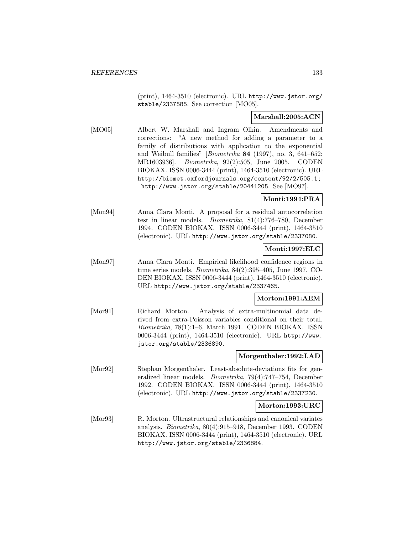(print), 1464-3510 (electronic). URL http://www.jstor.org/ stable/2337585. See correction [MO05].

### **Marshall:2005:ACN**

[MO05] Albert W. Marshall and Ingram Olkin. Amendments and corrections: "A new method for adding a parameter to a family of distributions with application to the exponential and Weibull families" [Biometrika **84** (1997), no. 3, 641–652; MR1603936]. Biometrika, 92(2):505, June 2005. CODEN BIOKAX. ISSN 0006-3444 (print), 1464-3510 (electronic). URL http://biomet.oxfordjournals.org/content/92/2/505.1; http://www.jstor.org/stable/20441205. See [MO97].

### **Monti:1994:PRA**

[Mon94] Anna Clara Monti. A proposal for a residual autocorrelation test in linear models. Biometrika, 81(4):776–780, December 1994. CODEN BIOKAX. ISSN 0006-3444 (print), 1464-3510 (electronic). URL http://www.jstor.org/stable/2337080.

# **Monti:1997:ELC**

[Mon97] Anna Clara Monti. Empirical likelihood confidence regions in time series models. Biometrika, 84(2):395–405, June 1997. CO-DEN BIOKAX. ISSN 0006-3444 (print), 1464-3510 (electronic). URL http://www.jstor.org/stable/2337465.

#### **Morton:1991:AEM**

[Mor91] Richard Morton. Analysis of extra-multinomial data derived from extra-Poisson variables conditional on their total. Biometrika, 78(1):1–6, March 1991. CODEN BIOKAX. ISSN 0006-3444 (print), 1464-3510 (electronic). URL http://www. jstor.org/stable/2336890.

#### **Morgenthaler:1992:LAD**

[Mor92] Stephan Morgenthaler. Least-absolute-deviations fits for generalized linear models. Biometrika, 79(4):747–754, December 1992. CODEN BIOKAX. ISSN 0006-3444 (print), 1464-3510 (electronic). URL http://www.jstor.org/stable/2337230.

#### **Morton:1993:URC**

[Mor93] R. Morton. Ultrastructural relationships and canonical variates analysis. Biometrika, 80(4):915–918, December 1993. CODEN BIOKAX. ISSN 0006-3444 (print), 1464-3510 (electronic). URL http://www.jstor.org/stable/2336884.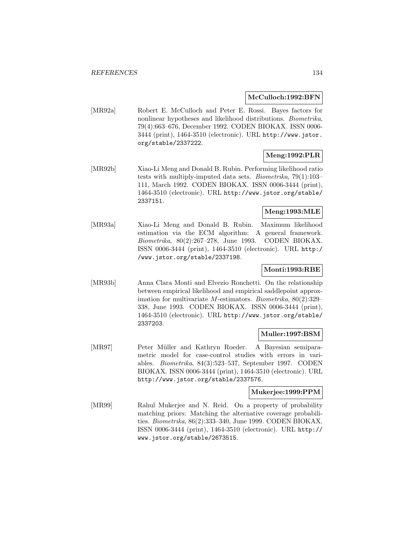#### **McCulloch:1992:BFN**

[MR92a] Robert E. McCulloch and Peter E. Rossi. Bayes factors for nonlinear hypotheses and likelihood distributions. *Biometrika*, 79(4):663–676, December 1992. CODEN BIOKAX. ISSN 0006- 3444 (print), 1464-3510 (electronic). URL http://www.jstor. org/stable/2337222.

# **Meng:1992:PLR**

[MR92b] Xiao-Li Meng and Donald B. Rubin. Performing likelihood ratio tests with multiply-imputed data sets. Biometrika, 79(1):103– 111, March 1992. CODEN BIOKAX. ISSN 0006-3444 (print), 1464-3510 (electronic). URL http://www.jstor.org/stable/ 2337151.

# **Meng:1993:MLE**

[MR93a] Xiao-Li Meng and Donald B. Rubin. Maximum likelihood estimation via the ECM algorithm: A general framework. Biometrika, 80(2):267–278, June 1993. CODEN BIOKAX. ISSN 0006-3444 (print), 1464-3510 (electronic). URL http:/ /www.jstor.org/stable/2337198.

#### **Monti:1993:RBE**

[MR93b] Anna Clara Monti and Elvezio Ronchetti. On the relationship between empirical likelihood and empirical saddlepoint approximation for multivariate M-estimators. Biometrika, 80(2):329– 338, June 1993. CODEN BIOKAX. ISSN 0006-3444 (print), 1464-3510 (electronic). URL http://www.jstor.org/stable/ 2337203.

#### **Muller:1997:BSM**

[MR97] Peter Müller and Kathryn Roeder. A Bayesian semiparametric model for case-control studies with errors in variables. Biometrika, 84(3):523–537, September 1997. CODEN BIOKAX. ISSN 0006-3444 (print), 1464-3510 (electronic). URL http://www.jstor.org/stable/2337576.

#### **Mukerjee:1999:PPM**

[MR99] Rahul Mukerjee and N. Reid. On a property of probability matching priors: Matching the alternative coverage probabilities. Biometrika, 86(2):333–340, June 1999. CODEN BIOKAX. ISSN 0006-3444 (print), 1464-3510 (electronic). URL http:// www.jstor.org/stable/2673515.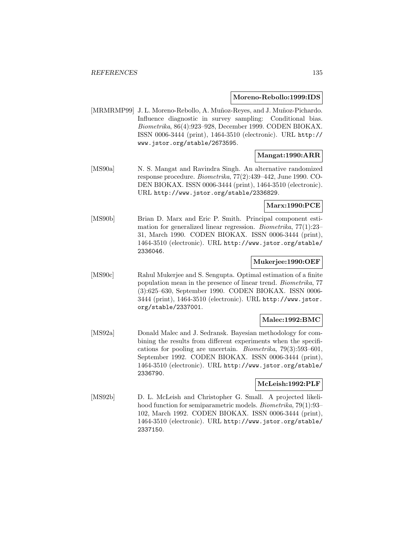#### **Moreno-Rebollo:1999:IDS**

[MRMRMP99] J. L. Moreno-Rebollo, A. Muñoz-Reyes, and J. Muñoz-Pichardo. Influence diagnostic in survey sampling: Conditional bias. Biometrika, 86(4):923–928, December 1999. CODEN BIOKAX. ISSN 0006-3444 (print), 1464-3510 (electronic). URL http:// www.jstor.org/stable/2673595.

# **Mangat:1990:ARR**

[MS90a] N. S. Mangat and Ravindra Singh. An alternative randomized response procedure. Biometrika, 77(2):439–442, June 1990. CO-DEN BIOKAX. ISSN 0006-3444 (print), 1464-3510 (electronic). URL http://www.jstor.org/stable/2336829.

### **Marx:1990:PCE**

[MS90b] Brian D. Marx and Eric P. Smith. Principal component estimation for generalized linear regression. Biometrika, 77(1):23– 31, March 1990. CODEN BIOKAX. ISSN 0006-3444 (print), 1464-3510 (electronic). URL http://www.jstor.org/stable/ 2336046.

### **Mukerjee:1990:OEF**

[MS90c] Rahul Mukerjee and S. Sengupta. Optimal estimation of a finite population mean in the presence of linear trend. Biometrika, 77 (3):625–630, September 1990. CODEN BIOKAX. ISSN 0006- 3444 (print), 1464-3510 (electronic). URL http://www.jstor. org/stable/2337001.

#### **Malec:1992:BMC**

[MS92a] Donald Malec and J. Sedransk. Bayesian methodology for combining the results from different experiments when the specifications for pooling are uncertain. Biometrika, 79(3):593–601, September 1992. CODEN BIOKAX. ISSN 0006-3444 (print), 1464-3510 (electronic). URL http://www.jstor.org/stable/ 2336790.

#### **McLeish:1992:PLF**

[MS92b] D. L. McLeish and Christopher G. Small. A projected likelihood function for semiparametric models. *Biometrika*, 79(1):93– 102, March 1992. CODEN BIOKAX. ISSN 0006-3444 (print), 1464-3510 (electronic). URL http://www.jstor.org/stable/ 2337150.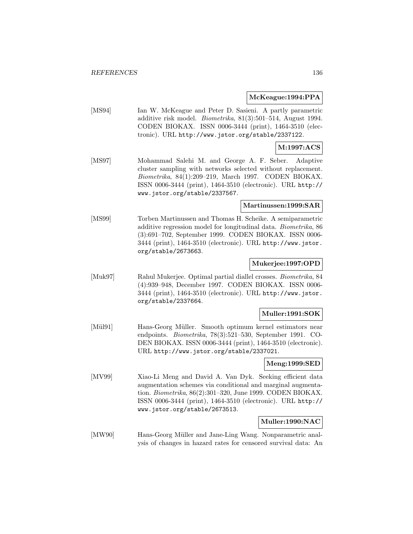#### **McKeague:1994:PPA**

[MS94] Ian W. McKeague and Peter D. Sasieni. A partly parametric additive risk model. Biometrika, 81(3):501–514, August 1994. CODEN BIOKAX. ISSN 0006-3444 (print), 1464-3510 (electronic). URL http://www.jstor.org/stable/2337122.

# **M:1997:ACS**

[MS97] Mohammad Salehi M. and George A. F. Seber. Adaptive cluster sampling with networks selected without replacement. Biometrika, 84(1):209–219, March 1997. CODEN BIOKAX. ISSN 0006-3444 (print), 1464-3510 (electronic). URL http:// www.jstor.org/stable/2337567.

#### **Martinussen:1999:SAR**

[MS99] Torben Martinussen and Thomas H. Scheike. A semiparametric additive regression model for longitudinal data. Biometrika, 86 (3):691–702, September 1999. CODEN BIOKAX. ISSN 0006- 3444 (print), 1464-3510 (electronic). URL http://www.jstor. org/stable/2673663.

#### **Mukerjee:1997:OPD**

[Muk97] Rahul Mukerjee. Optimal partial diallel crosses. Biometrika, 84 (4):939–948, December 1997. CODEN BIOKAX. ISSN 0006- 3444 (print), 1464-3510 (electronic). URL http://www.jstor. org/stable/2337664.

#### **Muller:1991:SOK**

[Mül91] Hans-Georg Müller. Smooth optimum kernel estimators near endpoints. Biometrika, 78(3):521–530, September 1991. CO-DEN BIOKAX. ISSN 0006-3444 (print), 1464-3510 (electronic). URL http://www.jstor.org/stable/2337021.

#### **Meng:1999:SED**

[MV99] Xiao-Li Meng and David A. Van Dyk. Seeking efficient data augmentation schemes via conditional and marginal augmentation. Biometrika, 86(2):301–320, June 1999. CODEN BIOKAX. ISSN 0006-3444 (print), 1464-3510 (electronic). URL http:// www.jstor.org/stable/2673513.

#### **Muller:1990:NAC**

[MW90] Hans-Georg Müller and Jane-Ling Wang. Nonparametric analysis of changes in hazard rates for censored survival data: An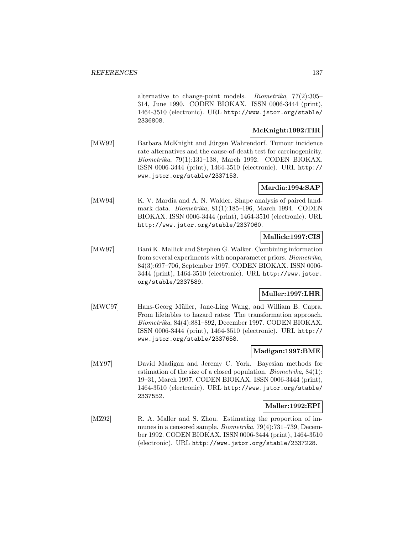alternative to change-point models. Biometrika, 77(2):305– 314, June 1990. CODEN BIOKAX. ISSN 0006-3444 (print), 1464-3510 (electronic). URL http://www.jstor.org/stable/ 2336808.

### **McKnight:1992:TIR**

[MW92] Barbara McKnight and Jürgen Wahrendorf. Tumour incidence rate alternatives and the cause-of-death test for carcinogenicity. Biometrika, 79(1):131–138, March 1992. CODEN BIOKAX. ISSN 0006-3444 (print), 1464-3510 (electronic). URL http:// www.jstor.org/stable/2337153.

### **Mardia:1994:SAP**

[MW94] K. V. Mardia and A. N. Walder. Shape analysis of paired landmark data. Biometrika, 81(1):185–196, March 1994. CODEN BIOKAX. ISSN 0006-3444 (print), 1464-3510 (electronic). URL http://www.jstor.org/stable/2337060.

### **Mallick:1997:CIS**

[MW97] Bani K. Mallick and Stephen G. Walker. Combining information from several experiments with nonparameter priors. Biometrika, 84(3):697–706, September 1997. CODEN BIOKAX. ISSN 0006- 3444 (print), 1464-3510 (electronic). URL http://www.jstor. org/stable/2337589.

# **Muller:1997:LHR**

[MWC97] Hans-Georg Müller, Jane-Ling Wang, and William B. Capra. From lifetables to hazard rates: The transformation approach. Biometrika, 84(4):881–892, December 1997. CODEN BIOKAX. ISSN 0006-3444 (print), 1464-3510 (electronic). URL http:// www.jstor.org/stable/2337658.

#### **Madigan:1997:BME**

[MY97] David Madigan and Jeremy C. York. Bayesian methods for estimation of the size of a closed population. Biometrika, 84(1): 19–31, March 1997. CODEN BIOKAX. ISSN 0006-3444 (print), 1464-3510 (electronic). URL http://www.jstor.org/stable/ 2337552.

# **Maller:1992:EPI**

[MZ92] R. A. Maller and S. Zhou. Estimating the proportion of immunes in a censored sample. Biometrika, 79(4):731–739, December 1992. CODEN BIOKAX. ISSN 0006-3444 (print), 1464-3510 (electronic). URL http://www.jstor.org/stable/2337228.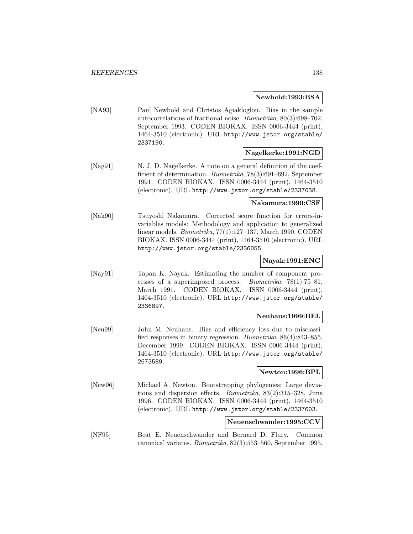#### **Newbold:1993:BSA**

[NA93] Paul Newbold and Christos Agiakloglou. Bias in the sample autocorrelations of fractional noise. Biometrika, 80(3):698–702, September 1993. CODEN BIOKAX. ISSN 0006-3444 (print), 1464-3510 (electronic). URL http://www.jstor.org/stable/ 2337190.

#### **Nagelkerke:1991:NGD**

[Nag91] N. J. D. Nagelkerke. A note on a general definition of the coefficient of determination. *Biometrika*, 78(3):691–692, September 1991. CODEN BIOKAX. ISSN 0006-3444 (print), 1464-3510 (electronic). URL http://www.jstor.org/stable/2337038.

#### **Nakamura:1990:CSF**

[Nak90] Tsuyoshi Nakamura. Corrected score function for errors-invariables models: Methodology and application to generalized linear models. Biometrika, 77(1):127–137, March 1990. CODEN BIOKAX. ISSN 0006-3444 (print), 1464-3510 (electronic). URL http://www.jstor.org/stable/2336055.

#### **Nayak:1991:ENC**

[Nay91] Tapan K. Nayak. Estimating the number of component processes of a superimposed process. Biometrika, 78(1):75–81, March 1991. CODEN BIOKAX. ISSN 0006-3444 (print), 1464-3510 (electronic). URL http://www.jstor.org/stable/ 2336897.

#### **Neuhaus:1999:BEL**

[Neu99] John M. Neuhaus. Bias and efficiency loss due to misclassified responses in binary regression. Biometrika, 86(4):843–855, December 1999. CODEN BIOKAX. ISSN 0006-3444 (print), 1464-3510 (electronic). URL http://www.jstor.org/stable/ 2673589.

#### **Newton:1996:BPL**

[New96] Michael A. Newton. Bootstrapping phylogenies: Large deviations and dispersion effects. Biometrika, 83(2):315–328, June 1996. CODEN BIOKAX. ISSN 0006-3444 (print), 1464-3510 (electronic). URL http://www.jstor.org/stable/2337603.

#### **Neuenschwander:1995:CCV**

[NF95] Beat E. Neuenschwander and Bernard D. Flury. Common canonical variates. Biometrika, 82(3):553–560, September 1995.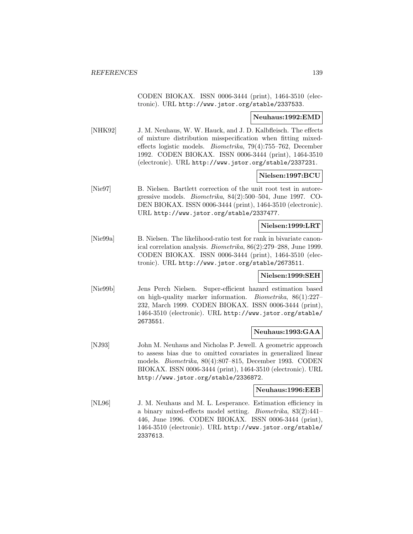CODEN BIOKAX. ISSN 0006-3444 (print), 1464-3510 (electronic). URL http://www.jstor.org/stable/2337533.

#### **Neuhaus:1992:EMD**

[NHK92] J. M. Neuhaus, W. W. Hauck, and J. D. Kalbfleisch. The effects of mixture distribution misspecification when fitting mixedeffects logistic models. Biometrika, 79(4):755–762, December 1992. CODEN BIOKAX. ISSN 0006-3444 (print), 1464-3510 (electronic). URL http://www.jstor.org/stable/2337231.

#### **Nielsen:1997:BCU**

[Nie97] B. Nielsen. Bartlett correction of the unit root test in autoregressive models. Biometrika, 84(2):500–504, June 1997. CO-DEN BIOKAX. ISSN 0006-3444 (print), 1464-3510 (electronic). URL http://www.jstor.org/stable/2337477.

#### **Nielsen:1999:LRT**

[Nie99a] B. Nielsen. The likelihood-ratio test for rank in bivariate canonical correlation analysis. Biometrika, 86(2):279–288, June 1999. CODEN BIOKAX. ISSN 0006-3444 (print), 1464-3510 (electronic). URL http://www.jstor.org/stable/2673511.

### **Nielsen:1999:SEH**

[Nie99b] Jens Perch Nielsen. Super-efficient hazard estimation based on high-quality marker information. Biometrika, 86(1):227– 232, March 1999. CODEN BIOKAX. ISSN 0006-3444 (print), 1464-3510 (electronic). URL http://www.jstor.org/stable/ 2673551.

#### **Neuhaus:1993:GAA**

[NJ93] John M. Neuhaus and Nicholas P. Jewell. A geometric approach to assess bias due to omitted covariates in generalized linear models. Biometrika, 80(4):807–815, December 1993. CODEN BIOKAX. ISSN 0006-3444 (print), 1464-3510 (electronic). URL http://www.jstor.org/stable/2336872.

#### **Neuhaus:1996:EEB**

[NL96] J. M. Neuhaus and M. L. Lesperance. Estimation efficiency in a binary mixed-effects model setting. Biometrika, 83(2):441– 446, June 1996. CODEN BIOKAX. ISSN 0006-3444 (print), 1464-3510 (electronic). URL http://www.jstor.org/stable/ 2337613.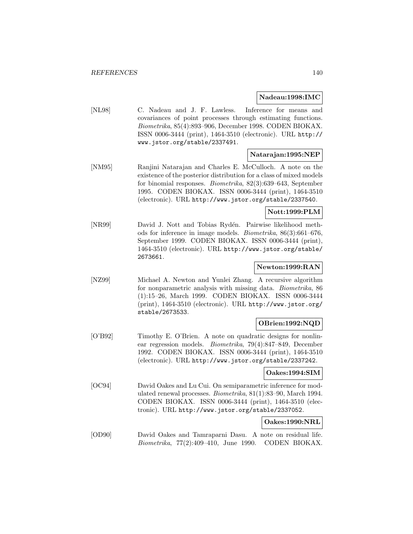#### **Nadeau:1998:IMC**

[NL98] C. Nadeau and J. F. Lawless. Inference for means and covariances of point processes through estimating functions. Biometrika, 85(4):893–906, December 1998. CODEN BIOKAX. ISSN 0006-3444 (print), 1464-3510 (electronic). URL http:// www.jstor.org/stable/2337491.

#### **Natarajan:1995:NEP**

[NM95] Ranjini Natarajan and Charles E. McCulloch. A note on the existence of the posterior distribution for a class of mixed models for binomial responses. Biometrika, 82(3):639–643, September 1995. CODEN BIOKAX. ISSN 0006-3444 (print), 1464-3510 (electronic). URL http://www.jstor.org/stable/2337540.

### **Nott:1999:PLM**

[NR99] David J. Nott and Tobias Rydén. Pairwise likelihood methods for inference in image models. Biometrika, 86(3):661–676, September 1999. CODEN BIOKAX. ISSN 0006-3444 (print), 1464-3510 (electronic). URL http://www.jstor.org/stable/ 2673661.

#### **Newton:1999:RAN**

[NZ99] Michael A. Newton and Yunlei Zhang. A recursive algorithm for nonparametric analysis with missing data. Biometrika, 86 (1):15–26, March 1999. CODEN BIOKAX. ISSN 0006-3444 (print), 1464-3510 (electronic). URL http://www.jstor.org/ stable/2673533.

#### **OBrien:1992:NQD**

[O'B92] Timothy E. O'Brien. A note on quadratic designs for nonlinear regression models. Biometrika, 79(4):847–849, December 1992. CODEN BIOKAX. ISSN 0006-3444 (print), 1464-3510 (electronic). URL http://www.jstor.org/stable/2337242.

#### **Oakes:1994:SIM**

[OC94] David Oakes and Lu Cui. On semiparametric inference for modulated renewal processes. Biometrika, 81(1):83–90, March 1994. CODEN BIOKAX. ISSN 0006-3444 (print), 1464-3510 (electronic). URL http://www.jstor.org/stable/2337052.

#### **Oakes:1990:NRL**

[OD90] David Oakes and Tamraparni Dasu. A note on residual life. Biometrika, 77(2):409–410, June 1990. CODEN BIOKAX.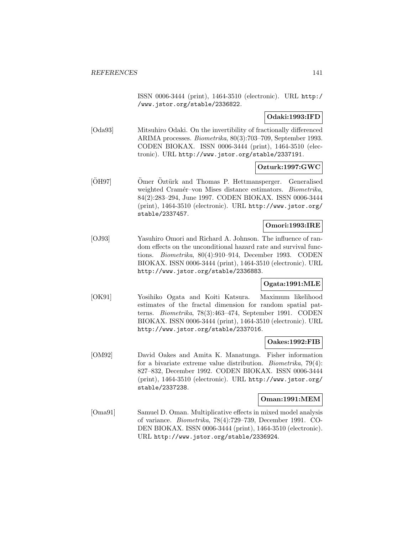ISSN 0006-3444 (print), 1464-3510 (electronic). URL http:/ /www.jstor.org/stable/2336822.

### **Odaki:1993:IFD**

[Oda93] Mitsuhiro Odaki. On the invertibility of fractionally differenced ARIMA processes. Biometrika, 80(3):703–709, September 1993. CODEN BIOKAX. ISSN 0006-3444 (print), 1464-3510 (electronic). URL http://www.jstor.org/stable/2337191.

### **Ozturk:1997:GWC**

[ÖH97] <sup>Omer</sup> Öztürk and Thomas P. Hettmansperger. Generalised weighted Cramér–von Mises distance estimators. Biometrika, 84(2):283–294, June 1997. CODEN BIOKAX. ISSN 0006-3444 (print), 1464-3510 (electronic). URL http://www.jstor.org/ stable/2337457.

### **Omori:1993:IRE**

[OJ93] Yasuhiro Omori and Richard A. Johnson. The influence of random effects on the unconditional hazard rate and survival functions. Biometrika, 80(4):910–914, December 1993. CODEN BIOKAX. ISSN 0006-3444 (print), 1464-3510 (electronic). URL http://www.jstor.org/stable/2336883.

# **Ogata:1991:MLE**

[OK91] Yosihiko Ogata and Koiti Katsura. Maximum likelihood estimates of the fractal dimension for random spatial patterns. Biometrika, 78(3):463–474, September 1991. CODEN BIOKAX. ISSN 0006-3444 (print), 1464-3510 (electronic). URL http://www.jstor.org/stable/2337016.

#### **Oakes:1992:FIB**

[OM92] David Oakes and Amita K. Manatunga. Fisher information for a bivariate extreme value distribution. Biometrika, 79(4): 827–832, December 1992. CODEN BIOKAX. ISSN 0006-3444 (print), 1464-3510 (electronic). URL http://www.jstor.org/ stable/2337238.

#### **Oman:1991:MEM**

[Oma91] Samuel D. Oman. Multiplicative effects in mixed model analysis of variance. Biometrika, 78(4):729–739, December 1991. CO-DEN BIOKAX. ISSN 0006-3444 (print), 1464-3510 (electronic). URL http://www.jstor.org/stable/2336924.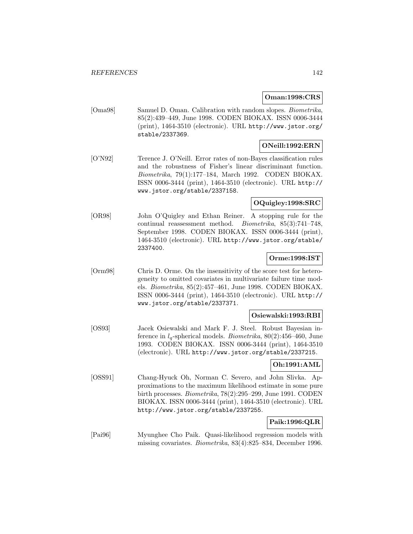#### **Oman:1998:CRS**

[Oma98] Samuel D. Oman. Calibration with random slopes. Biometrika, 85(2):439–449, June 1998. CODEN BIOKAX. ISSN 0006-3444 (print), 1464-3510 (electronic). URL http://www.jstor.org/ stable/2337369.

# **ONeill:1992:ERN**

[O'N92] Terence J. O'Neill. Error rates of non-Bayes classification rules and the robustness of Fisher's linear discriminant function. Biometrika, 79(1):177–184, March 1992. CODEN BIOKAX. ISSN 0006-3444 (print), 1464-3510 (electronic). URL http:// www.jstor.org/stable/2337158.

# **OQuigley:1998:SRC**

[OR98] John O'Quigley and Ethan Reiner. A stopping rule for the continual reassessment method. Biometrika, 85(3):741–748, September 1998. CODEN BIOKAX. ISSN 0006-3444 (print), 1464-3510 (electronic). URL http://www.jstor.org/stable/ 2337400.

#### **Orme:1998:IST**

[Orm98] Chris D. Orme. On the insensitivity of the score test for heterogeneity to omitted covariates in multivariate failure time models. Biometrika, 85(2):457–461, June 1998. CODEN BIOKAX. ISSN 0006-3444 (print), 1464-3510 (electronic). URL http:// www.jstor.org/stable/2337371.

#### **Osiewalski:1993:RBI**

[OS93] Jacek Osiewalski and Mark F. J. Steel. Robust Bayesian inference in  $l_q$ -spherical models. *Biometrika*, 80(2):456–460, June 1993. CODEN BIOKAX. ISSN 0006-3444 (print), 1464-3510 (electronic). URL http://www.jstor.org/stable/2337215.

# **Oh:1991:AML**

[OSS91] Chang-Hyuck Oh, Norman C. Severo, and John Slivka. Approximations to the maximum likelihood estimate in some pure birth processes. Biometrika, 78(2):295–299, June 1991. CODEN BIOKAX. ISSN 0006-3444 (print), 1464-3510 (electronic). URL http://www.jstor.org/stable/2337255.

# **Paik:1996:QLR**

[Pai96] Myunghee Cho Paik. Quasi-likelihood regression models with missing covariates. Biometrika, 83(4):825–834, December 1996.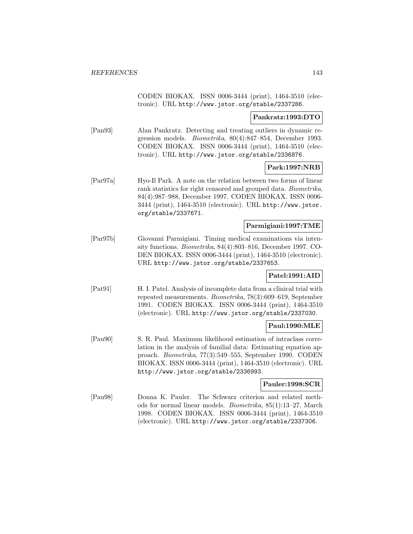CODEN BIOKAX. ISSN 0006-3444 (print), 1464-3510 (electronic). URL http://www.jstor.org/stable/2337286.

#### **Pankratz:1993:DTO**

[Pan93] Alan Pankratz. Detecting and treating outliers in dynamic regression models. Biometrika, 80(4):847–854, December 1993. CODEN BIOKAX. ISSN 0006-3444 (print), 1464-3510 (electronic). URL http://www.jstor.org/stable/2336876.

#### **Park:1997:NRB**

[Par97a] Hyo-Il Park. A note on the relation between two forms of linear rank statistics for right censored and grouped data. Biometrika, 84(4):987–988, December 1997. CODEN BIOKAX. ISSN 0006- 3444 (print), 1464-3510 (electronic). URL http://www.jstor. org/stable/2337671.

#### **Parmigiani:1997:TME**

[Par97b] Giovanni Parmigiani. Timing medical examinations via intensity functions. Biometrika, 84(4):803–816, December 1997. CO-DEN BIOKAX. ISSN 0006-3444 (print), 1464-3510 (electronic). URL http://www.jstor.org/stable/2337653.

#### **Patel:1991:AID**

[Pat91] H. I. Patel. Analysis of incomplete data from a clinical trial with repeated measurements. Biometrika, 78(3):609–619, September 1991. CODEN BIOKAX. ISSN 0006-3444 (print), 1464-3510 (electronic). URL http://www.jstor.org/stable/2337030.

#### **Paul:1990:MLE**

[Pau90] S. R. Paul. Maximum likelihood estimation of intraclass correlation in the analysis of familial data: Estimating equation approach. Biometrika, 77(3):549–555, September 1990. CODEN BIOKAX. ISSN 0006-3444 (print), 1464-3510 (electronic). URL http://www.jstor.org/stable/2336993.

#### **Pauler:1998:SCR**

[Pau98] Donna K. Pauler. The Schwarz criterion and related methods for normal linear models. Biometrika, 85(1):13–27, March 1998. CODEN BIOKAX. ISSN 0006-3444 (print), 1464-3510 (electronic). URL http://www.jstor.org/stable/2337306.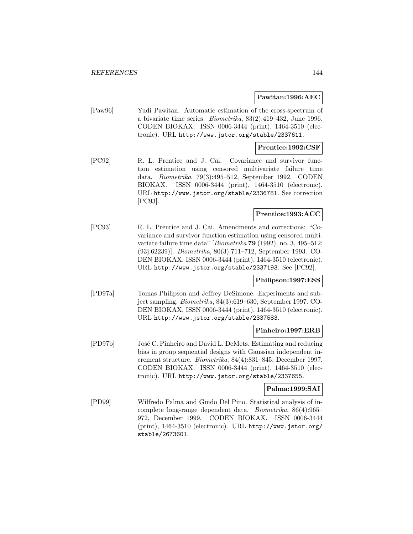#### **Pawitan:1996:AEC**

[Paw96] Yudi Pawitan. Automatic estimation of the cross-spectrum of a bivariate time series. Biometrika, 83(2):419–432, June 1996. CODEN BIOKAX. ISSN 0006-3444 (print), 1464-3510 (electronic). URL http://www.jstor.org/stable/2337611.

#### **Prentice:1992:CSF**

[PC92] R. L. Prentice and J. Cai. Covariance and survivor function estimation using censored multivariate failure time data. Biometrika, 79(3):495–512, September 1992. CODEN BIOKAX. ISSN 0006-3444 (print), 1464-3510 (electronic). URL http://www.jstor.org/stable/2336781. See correction [PC93].

## **Prentice:1993:ACC**

[PC93] R. L. Prentice and J. Cai. Amendments and corrections: "Covariance and survivor function estimation using censored multivariate failure time data" [Biometrika **79** (1992), no. 3, 495–512; (93j:62239)]. Biometrika, 80(3):711–712, September 1993. CO-DEN BIOKAX. ISSN 0006-3444 (print), 1464-3510 (electronic). URL http://www.jstor.org/stable/2337193. See [PC92].

#### **Philipson:1997:ESS**

[PD97a] Tomas Philipson and Jeffrey DeSimone. Experiments and subject sampling. Biometrika, 84(3):619–630, September 1997. CO-DEN BIOKAX. ISSN 0006-3444 (print), 1464-3510 (electronic). URL http://www.jstor.org/stable/2337583.

#### **Pinheiro:1997:ERB**

[PD97b] José C. Pinheiro and David L. DeMets. Estimating and reducing bias in group sequential designs with Gaussian independent increment structure. Biometrika, 84(4):831–845, December 1997. CODEN BIOKAX. ISSN 0006-3444 (print), 1464-3510 (electronic). URL http://www.jstor.org/stable/2337655.

### **Palma:1999:SAI**

[PD99] Wilfredo Palma and Guido Del Pino. Statistical analysis of incomplete long-range dependent data. Biometrika, 86(4):965– 972, December 1999. CODEN BIOKAX. ISSN 0006-3444 (print), 1464-3510 (electronic). URL http://www.jstor.org/ stable/2673601.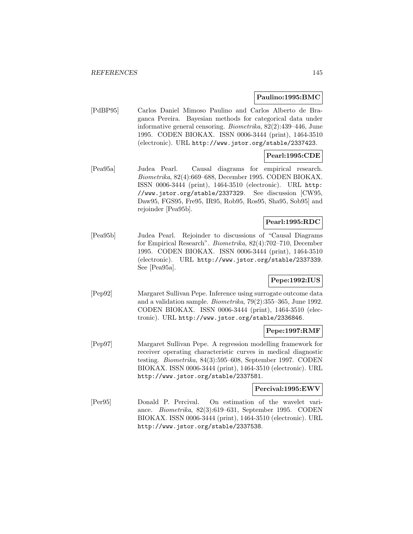## **Paulino:1995:BMC**

[PdBP95] Carlos Daniel Mimoso Paulino and Carlos Alberto de Braganca Pereira. Bayesian methods for categorical data under informative general censoring. Biometrika, 82(2):439–446, June 1995. CODEN BIOKAX. ISSN 0006-3444 (print), 1464-3510 (electronic). URL http://www.jstor.org/stable/2337423.

# **Pearl:1995:CDE**

[Pea95a] Judea Pearl. Causal diagrams for empirical research. Biometrika, 82(4):669–688, December 1995. CODEN BIOKAX. ISSN 0006-3444 (print), 1464-3510 (electronic). URL http: //www.jstor.org/stable/2337329. See discussion [CW95, Daw95, FGS95, Fre95, IR95, Rob95, Ros95, Sha95, Sob95] and rejoinder [Pea95b].

# **Pearl:1995:RDC**

[Pea95b] Judea Pearl. Rejoinder to discussions of "Causal Diagrams for Empirical Research". Biometrika, 82(4):702–710, December 1995. CODEN BIOKAX. ISSN 0006-3444 (print), 1464-3510 (electronic). URL http://www.jstor.org/stable/2337339. See [Pea95a].

# **Pepe:1992:IUS**

[Pep92] Margaret Sullivan Pepe. Inference using surrogate outcome data and a validation sample. Biometrika, 79(2):355–365, June 1992. CODEN BIOKAX. ISSN 0006-3444 (print), 1464-3510 (electronic). URL http://www.jstor.org/stable/2336846.

## **Pepe:1997:RMF**

[Pep97] Margaret Sullivan Pepe. A regression modelling framework for receiver operating characteristic curves in medical diagnostic testing. Biometrika, 84(3):595–608, September 1997. CODEN BIOKAX. ISSN 0006-3444 (print), 1464-3510 (electronic). URL http://www.jstor.org/stable/2337581.

# **Percival:1995:EWV**

[Per95] Donald P. Percival. On estimation of the wavelet variance. Biometrika, 82(3):619–631, September 1995. CODEN BIOKAX. ISSN 0006-3444 (print), 1464-3510 (electronic). URL http://www.jstor.org/stable/2337538.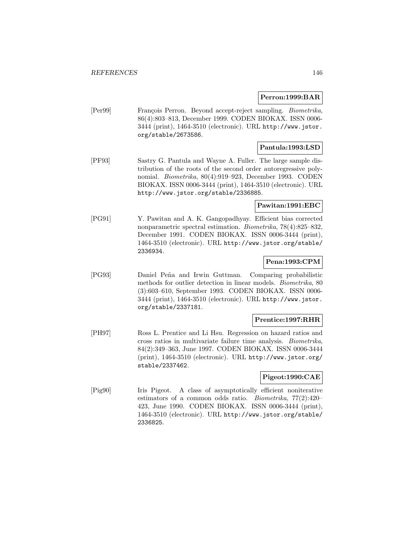### **Perron:1999:BAR**

[Per99] François Perron. Beyond accept-reject sampling. *Biometrika*, 86(4):803–813, December 1999. CODEN BIOKAX. ISSN 0006- 3444 (print), 1464-3510 (electronic). URL http://www.jstor. org/stable/2673586.

## **Pantula:1993:LSD**

[PF93] Sastry G. Pantula and Wayne A. Fuller. The large sample distribution of the roots of the second order autoregressive polynomial. Biometrika, 80(4):919–923, December 1993. CODEN BIOKAX. ISSN 0006-3444 (print), 1464-3510 (electronic). URL http://www.jstor.org/stable/2336885.

## **Pawitan:1991:EBC**

[PG91] Y. Pawitan and A. K. Gangopadhyay. Efficient bias corrected nonparametric spectral estimation. Biometrika, 78(4):825–832, December 1991. CODEN BIOKAX. ISSN 0006-3444 (print), 1464-3510 (electronic). URL http://www.jstor.org/stable/ 2336934.

# **Pena:1993:CPM**

[PG93] Daniel Pe˜na and Irwin Guttman. Comparing probabilistic methods for outlier detection in linear models. Biometrika, 80 (3):603–610, September 1993. CODEN BIOKAX. ISSN 0006- 3444 (print), 1464-3510 (electronic). URL http://www.jstor. org/stable/2337181.

## **Prentice:1997:RHR**

[PH97] Ross L. Prentice and Li Hsu. Regression on hazard ratios and cross ratios in multivariate failure time analysis. Biometrika, 84(2):349–363, June 1997. CODEN BIOKAX. ISSN 0006-3444 (print), 1464-3510 (electronic). URL http://www.jstor.org/ stable/2337462.

# **Pigeot:1990:CAE**

[Pig90] Iris Pigeot. A class of asymptotically efficient noniterative estimators of a common odds ratio. Biometrika, 77(2):420– 423, June 1990. CODEN BIOKAX. ISSN 0006-3444 (print), 1464-3510 (electronic). URL http://www.jstor.org/stable/ 2336825.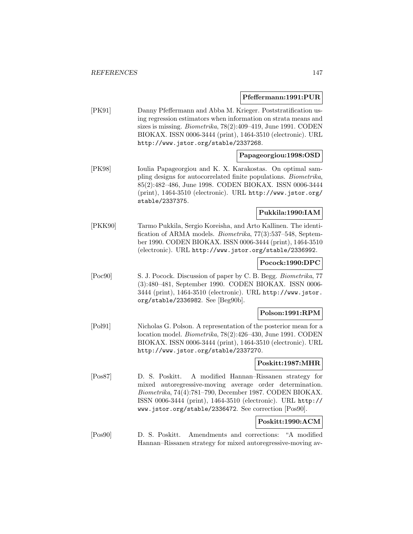#### **Pfeffermann:1991:PUR**

[PK91] Danny Pfeffermann and Abba M. Krieger. Poststratification using regression estimators when information on strata means and sizes is missing. Biometrika, 78(2):409–419, June 1991. CODEN BIOKAX. ISSN 0006-3444 (print), 1464-3510 (electronic). URL http://www.jstor.org/stable/2337268.

## **Papageorgiou:1998:OSD**

[PK98] Ioulia Papageorgiou and K. X. Karakostas. On optimal sampling designs for autocorrelated finite populations. Biometrika, 85(2):482–486, June 1998. CODEN BIOKAX. ISSN 0006-3444 (print), 1464-3510 (electronic). URL http://www.jstor.org/ stable/2337375.

## **Pukkila:1990:IAM**

[PKK90] Tarmo Pukkila, Sergio Koreisha, and Arto Kallinen. The identification of ARMA models. Biometrika, 77(3):537–548, September 1990. CODEN BIOKAX. ISSN 0006-3444 (print), 1464-3510 (electronic). URL http://www.jstor.org/stable/2336992.

## **Pocock:1990:DPC**

[Poc90] S. J. Pocock. Discussion of paper by C. B. Begg. Biometrika, 77 (3):480–481, September 1990. CODEN BIOKAX. ISSN 0006- 3444 (print), 1464-3510 (electronic). URL http://www.jstor. org/stable/2336982. See [Beg90b].

#### **Polson:1991:RPM**

[Pol91] Nicholas G. Polson. A representation of the posterior mean for a location model. Biometrika, 78(2):426–430, June 1991. CODEN BIOKAX. ISSN 0006-3444 (print), 1464-3510 (electronic). URL http://www.jstor.org/stable/2337270.

#### **Poskitt:1987:MHR**

[Pos87] D. S. Poskitt. A modified Hannan–Rissanen strategy for mixed autoregressive-moving average order determination. Biometrika, 74(4):781–790, December 1987. CODEN BIOKAX. ISSN 0006-3444 (print), 1464-3510 (electronic). URL http:// www.jstor.org/stable/2336472. See correction [Pos90].

# **Poskitt:1990:ACM**

[Pos90] D. S. Poskitt. Amendments and corrections: "A modified Hannan–Rissanen strategy for mixed autoregressive-moving av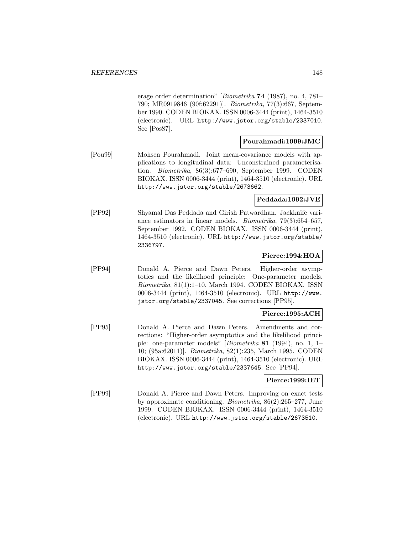erage order determination" [Biometrika **74** (1987), no. 4, 781– 790; MR0919846 (90f:62291)]. Biometrika, 77(3):667, September 1990. CODEN BIOKAX. ISSN 0006-3444 (print), 1464-3510 (electronic). URL http://www.jstor.org/stable/2337010. See [Pos87].

## **Pourahmadi:1999:JMC**

[Pou99] Mohsen Pourahmadi. Joint mean-covariance models with applications to longitudinal data: Unconstrained parameterisation. Biometrika, 86(3):677–690, September 1999. CODEN BIOKAX. ISSN 0006-3444 (print), 1464-3510 (electronic). URL http://www.jstor.org/stable/2673662.

# **Peddada:1992:JVE**

[PP92] Shyamal Das Peddada and Girish Patwardhan. Jackknife variance estimators in linear models. Biometrika, 79(3):654–657, September 1992. CODEN BIOKAX. ISSN 0006-3444 (print), 1464-3510 (electronic). URL http://www.jstor.org/stable/ 2336797.

# **Pierce:1994:HOA**

[PP94] Donald A. Pierce and Dawn Peters. Higher-order asymptotics and the likelihood principle: One-parameter models. Biometrika, 81(1):1–10, March 1994. CODEN BIOKAX. ISSN 0006-3444 (print), 1464-3510 (electronic). URL http://www. jstor.org/stable/2337045. See corrections [PP95].

# **Pierce:1995:ACH**

[PP95] Donald A. Pierce and Dawn Peters. Amendments and corrections: "Higher-order asymptotics and the likelihood principle: one-parameter models" [Biometrika **81** (1994), no. 1, 1– 10; (95a:62011)]. Biometrika, 82(1):235, March 1995. CODEN BIOKAX. ISSN 0006-3444 (print), 1464-3510 (electronic). URL http://www.jstor.org/stable/2337645. See [PP94].

## **Pierce:1999:IET**

[PP99] Donald A. Pierce and Dawn Peters. Improving on exact tests by approximate conditioning. Biometrika, 86(2):265–277, June 1999. CODEN BIOKAX. ISSN 0006-3444 (print), 1464-3510 (electronic). URL http://www.jstor.org/stable/2673510.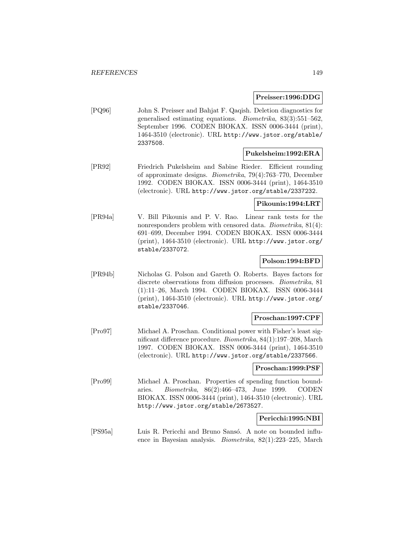#### **Preisser:1996:DDG**

[PQ96] John S. Preisser and Bahjat F. Qaqish. Deletion diagnostics for generalised estimating equations. Biometrika, 83(3):551–562, September 1996. CODEN BIOKAX. ISSN 0006-3444 (print), 1464-3510 (electronic). URL http://www.jstor.org/stable/ 2337508.

### **Pukelsheim:1992:ERA**

[PR92] Friedrich Pukelsheim and Sabine Rieder. Efficient rounding of approximate designs. Biometrika, 79(4):763–770, December 1992. CODEN BIOKAX. ISSN 0006-3444 (print), 1464-3510 (electronic). URL http://www.jstor.org/stable/2337232.

# **Pikounis:1994:LRT**

[PR94a] V. Bill Pikounis and P. V. Rao. Linear rank tests for the nonresponders problem with censored data. Biometrika, 81(4): 691–699, December 1994. CODEN BIOKAX. ISSN 0006-3444 (print), 1464-3510 (electronic). URL http://www.jstor.org/ stable/2337072.

## **Polson:1994:BFD**

[PR94b] Nicholas G. Polson and Gareth O. Roberts. Bayes factors for discrete observations from diffusion processes. Biometrika, 81 (1):11–26, March 1994. CODEN BIOKAX. ISSN 0006-3444 (print), 1464-3510 (electronic). URL http://www.jstor.org/ stable/2337046.

## **Proschan:1997:CPF**

[Pro97] Michael A. Proschan. Conditional power with Fisher's least significant difference procedure. Biometrika, 84(1):197–208, March 1997. CODEN BIOKAX. ISSN 0006-3444 (print), 1464-3510 (electronic). URL http://www.jstor.org/stable/2337566.

#### **Proschan:1999:PSF**

[Pro99] Michael A. Proschan. Properties of spending function boundaries. Biometrika, 86(2):466–473, June 1999. CODEN BIOKAX. ISSN 0006-3444 (print), 1464-3510 (electronic). URL http://www.jstor.org/stable/2673527.

## **Pericchi:1995:NBI**

[PS95a] Luis R. Pericchi and Bruno Sansó. A note on bounded influence in Bayesian analysis. Biometrika, 82(1):223–225, March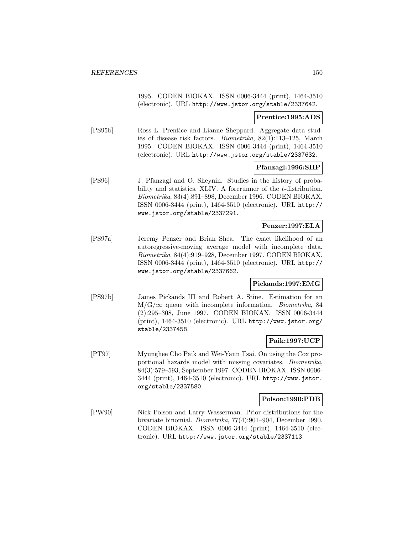1995. CODEN BIOKAX. ISSN 0006-3444 (print), 1464-3510 (electronic). URL http://www.jstor.org/stable/2337642.

#### **Prentice:1995:ADS**

[PS95b] Ross L. Prentice and Lianne Sheppard. Aggregate data studies of disease risk factors. Biometrika, 82(1):113–125, March 1995. CODEN BIOKAX. ISSN 0006-3444 (print), 1464-3510 (electronic). URL http://www.jstor.org/stable/2337632.

### **Pfanzagl:1996:SHP**

[PS96] J. Pfanzagl and O. Sheynin. Studies in the history of probability and statistics. XLIV. A forerunner of the *t*-distribution. Biometrika, 83(4):891–898, December 1996. CODEN BIOKAX. ISSN 0006-3444 (print), 1464-3510 (electronic). URL http:// www.jstor.org/stable/2337291.

## **Penzer:1997:ELA**

[PS97a] Jeremy Penzer and Brian Shea. The exact likelihood of an autoregressive-moving average model with incomplete data. Biometrika, 84(4):919–928, December 1997. CODEN BIOKAX. ISSN 0006-3444 (print), 1464-3510 (electronic). URL http:// www.jstor.org/stable/2337662.

## **Pickands:1997:EMG**

[PS97b] James Pickands III and Robert A. Stine. Estimation for an  $M/G/\infty$  queue with incomplete information. *Biometrika*, 84 (2):295–308, June 1997. CODEN BIOKAX. ISSN 0006-3444 (print), 1464-3510 (electronic). URL http://www.jstor.org/ stable/2337458.

## **Paik:1997:UCP**

[PT97] Myunghee Cho Paik and Wei-Yann Tsai. On using the Cox proportional hazards model with missing covariates. Biometrika, 84(3):579–593, September 1997. CODEN BIOKAX. ISSN 0006- 3444 (print), 1464-3510 (electronic). URL http://www.jstor. org/stable/2337580.

#### **Polson:1990:PDB**

[PW90] Nick Polson and Larry Wasserman. Prior distributions for the bivariate binomial. Biometrika, 77(4):901–904, December 1990. CODEN BIOKAX. ISSN 0006-3444 (print), 1464-3510 (electronic). URL http://www.jstor.org/stable/2337113.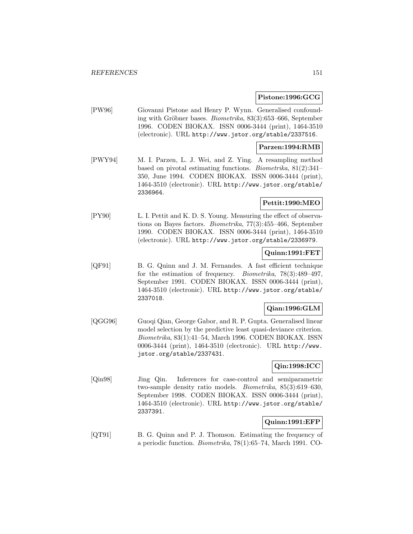### **Pistone:1996:GCG**

[PW96] Giovanni Pistone and Henry P. Wynn. Generalised confounding with Gröbner bases. Biometrika,  $83(3):653-666$ , September 1996. CODEN BIOKAX. ISSN 0006-3444 (print), 1464-3510 (electronic). URL http://www.jstor.org/stable/2337516.

## **Parzen:1994:RMB**

[PWY94] M. I. Parzen, L. J. Wei, and Z. Ying. A resampling method based on pivotal estimating functions. Biometrika, 81(2):341– 350, June 1994. CODEN BIOKAX. ISSN 0006-3444 (print), 1464-3510 (electronic). URL http://www.jstor.org/stable/ 2336964.

# **Pettit:1990:MEO**

[PY90] L. I. Pettit and K. D. S. Young. Measuring the effect of observations on Bayes factors. Biometrika, 77(3):455–466, September 1990. CODEN BIOKAX. ISSN 0006-3444 (print), 1464-3510 (electronic). URL http://www.jstor.org/stable/2336979.

# **Quinn:1991:FET**

[QF91] B. G. Quinn and J. M. Fernandes. A fast efficient technique for the estimation of frequency. Biometrika, 78(3):489–497, September 1991. CODEN BIOKAX. ISSN 0006-3444 (print), 1464-3510 (electronic). URL http://www.jstor.org/stable/ 2337018.

# **Qian:1996:GLM**

[QGG96] Guoqi Qian, George Gabor, and R. P. Gupta. Generalised linear model selection by the predictive least quasi-deviance criterion. Biometrika, 83(1):41–54, March 1996. CODEN BIOKAX. ISSN 0006-3444 (print), 1464-3510 (electronic). URL http://www. jstor.org/stable/2337431.

# **Qin:1998:ICC**

[Qin98] Jing Qin. Inferences for case-control and semiparametric two-sample density ratio models. Biometrika, 85(3):619–630, September 1998. CODEN BIOKAX. ISSN 0006-3444 (print), 1464-3510 (electronic). URL http://www.jstor.org/stable/ 2337391.

# **Quinn:1991:EFP**

[QT91] B. G. Quinn and P. J. Thomson. Estimating the frequency of a periodic function. Biometrika, 78(1):65–74, March 1991. CO-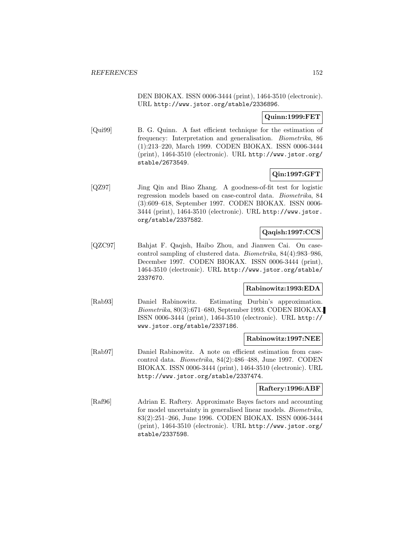DEN BIOKAX. ISSN 0006-3444 (print), 1464-3510 (electronic). URL http://www.jstor.org/stable/2336896.

# **Quinn:1999:FET**

[Qui99] B. G. Quinn. A fast efficient technique for the estimation of frequency: Interpretation and generalisation. Biometrika, 86 (1):213–220, March 1999. CODEN BIOKAX. ISSN 0006-3444 (print), 1464-3510 (electronic). URL http://www.jstor.org/ stable/2673549.

# **Qin:1997:GFT**

[QZ97] Jing Qin and Biao Zhang. A goodness-of-fit test for logistic regression models based on case-control data. Biometrika, 84 (3):609–618, September 1997. CODEN BIOKAX. ISSN 0006- 3444 (print), 1464-3510 (electronic). URL http://www.jstor. org/stable/2337582.

# **Qaqish:1997:CCS**

[QZC97] Bahjat F. Qaqish, Haibo Zhou, and Jianwen Cai. On casecontrol sampling of clustered data. Biometrika, 84(4):983–986, December 1997. CODEN BIOKAX. ISSN 0006-3444 (print), 1464-3510 (electronic). URL http://www.jstor.org/stable/ 2337670.

# **Rabinowitz:1993:EDA**

[Rab93] Daniel Rabinowitz. Estimating Durbin's approximation. Biometrika, 80(3):671–680, September 1993. CODEN BIOKAX. ISSN 0006-3444 (print), 1464-3510 (electronic). URL http:// www.jstor.org/stable/2337186.

## **Rabinowitz:1997:NEE**

[Rab97] Daniel Rabinowitz. A note on efficient estimation from casecontrol data. Biometrika, 84(2):486–488, June 1997. CODEN BIOKAX. ISSN 0006-3444 (print), 1464-3510 (electronic). URL http://www.jstor.org/stable/2337474.

#### **Raftery:1996:ABF**

[Raf96] Adrian E. Raftery. Approximate Bayes factors and accounting for model uncertainty in generalised linear models. Biometrika, 83(2):251–266, June 1996. CODEN BIOKAX. ISSN 0006-3444 (print), 1464-3510 (electronic). URL http://www.jstor.org/ stable/2337598.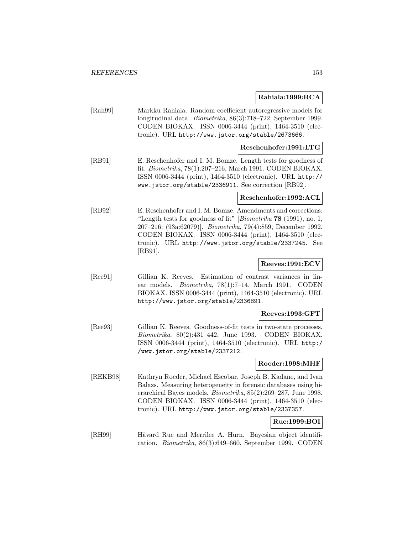### **Rahiala:1999:RCA**

[Rah99] Markku Rahiala. Random coefficient autoregressive models for longitudinal data. Biometrika, 86(3):718–722, September 1999. CODEN BIOKAX. ISSN 0006-3444 (print), 1464-3510 (electronic). URL http://www.jstor.org/stable/2673666.

## **Reschenhofer:1991:LTG**

[RB91] E. Reschenhofer and I. M. Bomze. Length tests for goodness of fit. Biometrika, 78(1):207–216, March 1991. CODEN BIOKAX. ISSN 0006-3444 (print), 1464-3510 (electronic). URL http:// www.jstor.org/stable/2336911. See correction [RB92].

#### **Reschenhofer:1992:ACL**

[RB92] E. Reschenhofer and I. M. Bomze. Amendments and corrections: "Length tests for goodness of fit" [Biometrika **78** (1991), no. 1, 207–216; (93a:62079)]. Biometrika, 79(4):859, December 1992. CODEN BIOKAX. ISSN 0006-3444 (print), 1464-3510 (electronic). URL http://www.jstor.org/stable/2337245. See [RB91].

## **Reeves:1991:ECV**

[Ree91] Gillian K. Reeves. Estimation of contrast variances in linear models. Biometrika, 78(1):7–14, March 1991. CODEN BIOKAX. ISSN 0006-3444 (print), 1464-3510 (electronic). URL http://www.jstor.org/stable/2336891.

#### **Reeves:1993:GFT**

[Ree93] Gillian K. Reeves. Goodness-of-fit tests in two-state processes. Biometrika, 80(2):431–442, June 1993. CODEN BIOKAX. ISSN 0006-3444 (print), 1464-3510 (electronic). URL http:/ /www.jstor.org/stable/2337212.

#### **Roeder:1998:MHF**

[REKB98] Kathryn Roeder, Michael Escobar, Joseph B. Kadane, and Ivan Balazs. Measuring heterogeneity in forensic databases using hierarchical Bayes models. Biometrika, 85(2):269–287, June 1998. CODEN BIOKAX. ISSN 0006-3444 (print), 1464-3510 (electronic). URL http://www.jstor.org/stable/2337357.

# **Rue:1999:BOI**

[RH99] Håvard Rue and Merrilee A. Hurn. Bayesian object identification. Biometrika, 86(3):649–660, September 1999. CODEN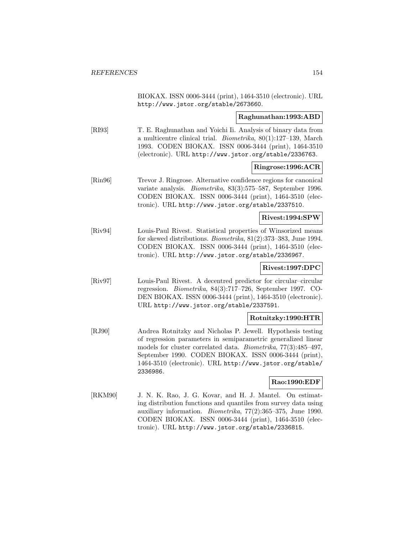BIOKAX. ISSN 0006-3444 (print), 1464-3510 (electronic). URL http://www.jstor.org/stable/2673660.

## **Raghunathan:1993:ABD**

[RI93] T. E. Raghunathan and Yoichi Ii. Analysis of binary data from a multicentre clinical trial. Biometrika, 80(1):127–139, March 1993. CODEN BIOKAX. ISSN 0006-3444 (print), 1464-3510 (electronic). URL http://www.jstor.org/stable/2336763.

## **Ringrose:1996:ACR**

[Rin96] Trevor J. Ringrose. Alternative confidence regions for canonical variate analysis. Biometrika, 83(3):575–587, September 1996. CODEN BIOKAX. ISSN 0006-3444 (print), 1464-3510 (electronic). URL http://www.jstor.org/stable/2337510.

### **Rivest:1994:SPW**

[Riv94] Louis-Paul Rivest. Statistical properties of Winsorized means for skewed distributions. Biometrika, 81(2):373–383, June 1994. CODEN BIOKAX. ISSN 0006-3444 (print), 1464-3510 (electronic). URL http://www.jstor.org/stable/2336967.

# **Rivest:1997:DPC**

[Riv97] Louis-Paul Rivest. A decentred predictor for circular–circular regression. Biometrika, 84(3):717–726, September 1997. CO-DEN BIOKAX. ISSN 0006-3444 (print), 1464-3510 (electronic). URL http://www.jstor.org/stable/2337591.

## **Rotnitzky:1990:HTR**

[RJ90] Andrea Rotnitzky and Nicholas P. Jewell. Hypothesis testing of regression parameters in semiparametric generalized linear models for cluster correlated data. Biometrika, 77(3):485–497, September 1990. CODEN BIOKAX. ISSN 0006-3444 (print), 1464-3510 (electronic). URL http://www.jstor.org/stable/ 2336986.

## **Rao:1990:EDF**

[RKM90] J. N. K. Rao, J. G. Kovar, and H. J. Mantel. On estimating distribution functions and quantiles from survey data using auxiliary information. Biometrika, 77(2):365–375, June 1990. CODEN BIOKAX. ISSN 0006-3444 (print), 1464-3510 (electronic). URL http://www.jstor.org/stable/2336815.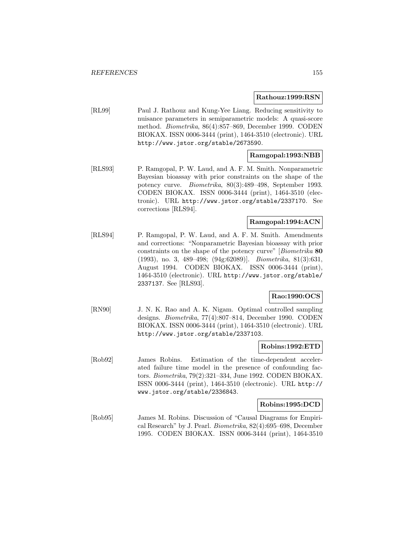#### **Rathouz:1999:RSN**

[RL99] Paul J. Rathouz and Kung-Yee Liang. Reducing sensitivity to nuisance parameters in semiparametric models: A quasi-score method. Biometrika, 86(4):857–869, December 1999. CODEN BIOKAX. ISSN 0006-3444 (print), 1464-3510 (electronic). URL http://www.jstor.org/stable/2673590.

# **Ramgopal:1993:NBB**

[RLS93] P. Ramgopal, P. W. Laud, and A. F. M. Smith. Nonparametric Bayesian bioassay with prior constraints on the shape of the potency curve. Biometrika, 80(3):489–498, September 1993. CODEN BIOKAX. ISSN 0006-3444 (print), 1464-3510 (electronic). URL http://www.jstor.org/stable/2337170. See corrections [RLS94].

# **Ramgopal:1994:ACN**

[RLS94] P. Ramgopal, P. W. Laud, and A. F. M. Smith. Amendments and corrections: "Nonparametric Bayesian bioassay with prior constraints on the shape of the potency curve" [Biometrika **80** (1993), no. 3, 489–498; (94g:62089)]. Biometrika, 81(3):631, August 1994. CODEN BIOKAX. ISSN 0006-3444 (print), 1464-3510 (electronic). URL http://www.jstor.org/stable/ 2337137. See [RLS93].

## **Rao:1990:OCS**

[RN90] J. N. K. Rao and A. K. Nigam. Optimal controlled sampling designs. Biometrika, 77(4):807–814, December 1990. CODEN BIOKAX. ISSN 0006-3444 (print), 1464-3510 (electronic). URL http://www.jstor.org/stable/2337103.

#### **Robins:1992:ETD**

[Rob92] James Robins. Estimation of the time-dependent accelerated failure time model in the presence of confounding factors. Biometrika, 79(2):321–334, June 1992. CODEN BIOKAX. ISSN 0006-3444 (print), 1464-3510 (electronic). URL http:// www.jstor.org/stable/2336843.

#### **Robins:1995:DCD**

[Rob95] James M. Robins. Discussion of "Causal Diagrams for Empirical Research" by J. Pearl. Biometrika, 82(4):695–698, December 1995. CODEN BIOKAX. ISSN 0006-3444 (print), 1464-3510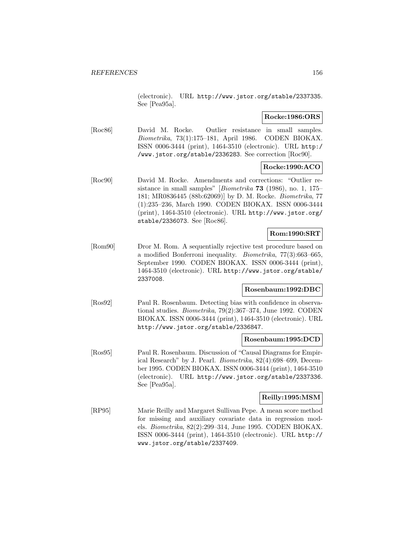(electronic). URL http://www.jstor.org/stable/2337335. See [Pea95a].

# **Rocke:1986:ORS**

[Roc86] David M. Rocke. Outlier resistance in small samples. Biometrika, 73(1):175–181, April 1986. CODEN BIOKAX. ISSN 0006-3444 (print), 1464-3510 (electronic). URL http:/ /www.jstor.org/stable/2336283. See correction [Roc90].

# **Rocke:1990:ACO**

[Roc90] David M. Rocke. Amendments and corrections: "Outlier resistance in small samples" [Biometrika **73** (1986), no. 1, 175– 181; MR0836445 (88b:62069)] by D. M. Rocke. Biometrika, 77 (1):235–236, March 1990. CODEN BIOKAX. ISSN 0006-3444 (print), 1464-3510 (electronic). URL http://www.jstor.org/ stable/2336073. See [Roc86].

# **Rom:1990:SRT**

[Rom90] Dror M. Rom. A sequentially rejective test procedure based on a modified Bonferroni inequality. Biometrika, 77(3):663–665, September 1990. CODEN BIOKAX. ISSN 0006-3444 (print), 1464-3510 (electronic). URL http://www.jstor.org/stable/ 2337008.

## **Rosenbaum:1992:DBC**

[Ros92] Paul R. Rosenbaum. Detecting bias with confidence in observational studies. Biometrika, 79(2):367–374, June 1992. CODEN BIOKAX. ISSN 0006-3444 (print), 1464-3510 (electronic). URL http://www.jstor.org/stable/2336847.

## **Rosenbaum:1995:DCD**

[Ros95] Paul R. Rosenbaum. Discussion of "Causal Diagrams for Empirical Research" by J. Pearl. Biometrika, 82(4):698–699, December 1995. CODEN BIOKAX. ISSN 0006-3444 (print), 1464-3510 (electronic). URL http://www.jstor.org/stable/2337336. See [Pea95a].

## **Reilly:1995:MSM**

[RP95] Marie Reilly and Margaret Sullivan Pepe. A mean score method for missing and auxiliary covariate data in regression models. Biometrika, 82(2):299–314, June 1995. CODEN BIOKAX. ISSN 0006-3444 (print), 1464-3510 (electronic). URL http:// www.jstor.org/stable/2337409.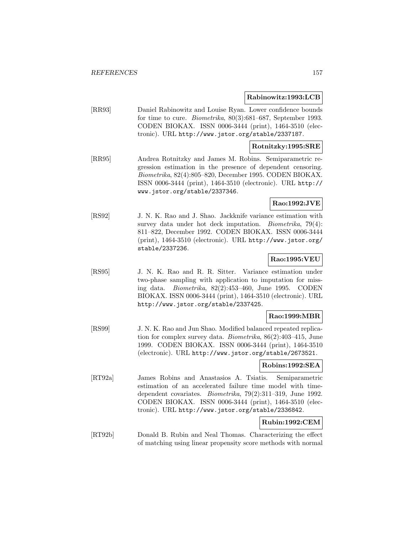### **Rabinowitz:1993:LCB**

[RR93] Daniel Rabinowitz and Louise Ryan. Lower confidence bounds for time to cure. Biometrika, 80(3):681–687, September 1993. CODEN BIOKAX. ISSN 0006-3444 (print), 1464-3510 (electronic). URL http://www.jstor.org/stable/2337187.

#### **Rotnitzky:1995:SRE**

[RR95] Andrea Rotnitzky and James M. Robins. Semiparametric regression estimation in the presence of dependent censoring. Biometrika, 82(4):805–820, December 1995. CODEN BIOKAX. ISSN 0006-3444 (print), 1464-3510 (electronic). URL http:// www.jstor.org/stable/2337346.

# **Rao:1992:JVE**

[RS92] J. N. K. Rao and J. Shao. Jackknife variance estimation with survey data under hot deck imputation. Biometrika, 79(4): 811–822, December 1992. CODEN BIOKAX. ISSN 0006-3444 (print), 1464-3510 (electronic). URL http://www.jstor.org/ stable/2337236.

# **Rao:1995:VEU**

[RS95] J. N. K. Rao and R. R. Sitter. Variance estimation under two-phase sampling with application to imputation for missing data. Biometrika, 82(2):453–460, June 1995. CODEN BIOKAX. ISSN 0006-3444 (print), 1464-3510 (electronic). URL http://www.jstor.org/stable/2337425.

#### **Rao:1999:MBR**

[RS99] J. N. K. Rao and Jun Shao. Modified balanced repeated replication for complex survey data. Biometrika, 86(2):403–415, June 1999. CODEN BIOKAX. ISSN 0006-3444 (print), 1464-3510 (electronic). URL http://www.jstor.org/stable/2673521.

# **Robins:1992:SEA**

[RT92a] James Robins and Anastasios A. Tsiatis. Semiparametric estimation of an accelerated failure time model with timedependent covariates. Biometrika, 79(2):311–319, June 1992. CODEN BIOKAX. ISSN 0006-3444 (print), 1464-3510 (electronic). URL http://www.jstor.org/stable/2336842.

# **Rubin:1992:CEM**

[RT92b] Donald B. Rubin and Neal Thomas. Characterizing the effect of matching using linear propensity score methods with normal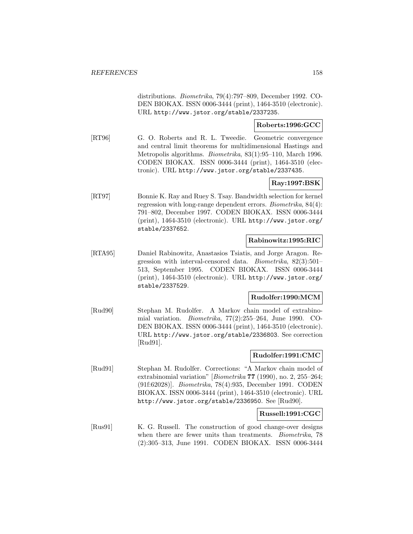distributions. Biometrika, 79(4):797–809, December 1992. CO-DEN BIOKAX. ISSN 0006-3444 (print), 1464-3510 (electronic). URL http://www.jstor.org/stable/2337235.

# **Roberts:1996:GCC**

[RT96] G. O. Roberts and R. L. Tweedie. Geometric convergence and central limit theorems for multidimensional Hastings and Metropolis algorithms. Biometrika, 83(1):95–110, March 1996. CODEN BIOKAX. ISSN 0006-3444 (print), 1464-3510 (electronic). URL http://www.jstor.org/stable/2337435.

# **Ray:1997:BSK**

[RT97] Bonnie K. Ray and Ruey S. Tsay. Bandwidth selection for kernel regression with long-range dependent errors. Biometrika, 84(4): 791–802, December 1997. CODEN BIOKAX. ISSN 0006-3444 (print), 1464-3510 (electronic). URL http://www.jstor.org/ stable/2337652.

## **Rabinowitz:1995:RIC**

[RTA95] Daniel Rabinowitz, Anastasios Tsiatis, and Jorge Aragon. Regression with interval-censored data. Biometrika, 82(3):501– 513, September 1995. CODEN BIOKAX. ISSN 0006-3444 (print), 1464-3510 (electronic). URL http://www.jstor.org/ stable/2337529.

## **Rudolfer:1990:MCM**

[Rud90] Stephan M. Rudolfer. A Markov chain model of extrabinomial variation. Biometrika, 77(2):255–264, June 1990. CO-DEN BIOKAX. ISSN 0006-3444 (print), 1464-3510 (electronic). URL http://www.jstor.org/stable/2336803. See correction [Rud91].

# **Rudolfer:1991:CMC**

[Rud91] Stephan M. Rudolfer. Corrections: "A Markov chain model of extrabinomial variation" [Biometrika **77** (1990), no. 2, 255–264; (91f:62028)]. Biometrika, 78(4):935, December 1991. CODEN BIOKAX. ISSN 0006-3444 (print), 1464-3510 (electronic). URL http://www.jstor.org/stable/2336950. See [Rud90].

## **Russell:1991:CGC**

[Rus91] K. G. Russell. The construction of good change-over designs when there are fewer units than treatments. *Biometrika*, 78 (2):305–313, June 1991. CODEN BIOKAX. ISSN 0006-3444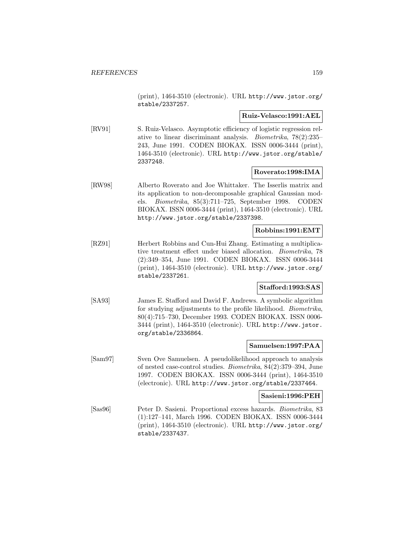(print), 1464-3510 (electronic). URL http://www.jstor.org/ stable/2337257.

#### **Ruiz-Velasco:1991:AEL**

[RV91] S. Ruiz-Velasco. Asymptotic efficiency of logistic regression relative to linear discriminant analysis. Biometrika, 78(2):235– 243, June 1991. CODEN BIOKAX. ISSN 0006-3444 (print), 1464-3510 (electronic). URL http://www.jstor.org/stable/ 2337248.

# **Roverato:1998:IMA**

[RW98] Alberto Roverato and Joe Whittaker. The Isserlis matrix and its application to non-decomposable graphical Gaussian models. Biometrika, 85(3):711–725, September 1998. CODEN BIOKAX. ISSN 0006-3444 (print), 1464-3510 (electronic). URL http://www.jstor.org/stable/2337398.

# **Robbins:1991:EMT**

[RZ91] Herbert Robbins and Cun-Hui Zhang. Estimating a multiplicative treatment effect under biased allocation. Biometrika, 78 (2):349–354, June 1991. CODEN BIOKAX. ISSN 0006-3444 (print), 1464-3510 (electronic). URL http://www.jstor.org/ stable/2337261.

## **Stafford:1993:SAS**

[SA93] James E. Stafford and David F. Andrews. A symbolic algorithm for studying adjustments to the profile likelihood. Biometrika, 80(4):715–730, December 1993. CODEN BIOKAX. ISSN 0006- 3444 (print), 1464-3510 (electronic). URL http://www.jstor. org/stable/2336864.

# **Samuelsen:1997:PAA**

[Sam97] Sven Ove Samuelsen. A pseudolikelihood approach to analysis of nested case-control studies. Biometrika, 84(2):379–394, June 1997. CODEN BIOKAX. ISSN 0006-3444 (print), 1464-3510 (electronic). URL http://www.jstor.org/stable/2337464.

#### **Sasieni:1996:PEH**

[Sas96] Peter D. Sasieni. Proportional excess hazards. Biometrika, 83 (1):127–141, March 1996. CODEN BIOKAX. ISSN 0006-3444 (print), 1464-3510 (electronic). URL http://www.jstor.org/ stable/2337437.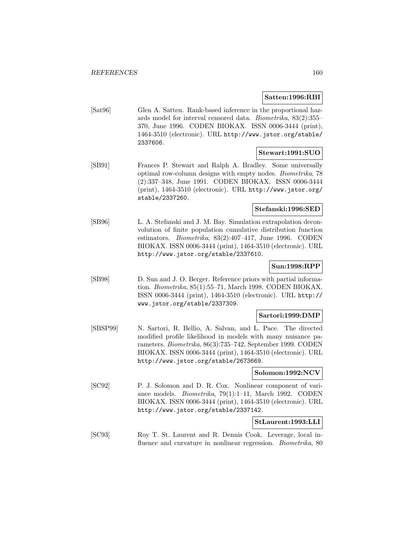## **Satten:1996:RBI**

[Sat96] Glen A. Satten. Rank-based inference in the proportional hazards model for interval censored data. Biometrika, 83(2):355– 370, June 1996. CODEN BIOKAX. ISSN 0006-3444 (print), 1464-3510 (electronic). URL http://www.jstor.org/stable/ 2337606.

## **Stewart:1991:SUO**

[SB91] Frances P. Stewart and Ralph A. Bradley. Some universally optimal row-column designs with empty nodes. Biometrika, 78 (2):337–348, June 1991. CODEN BIOKAX. ISSN 0006-3444 (print), 1464-3510 (electronic). URL http://www.jstor.org/ stable/2337260.

#### **Stefanski:1996:SED**

[SB96] L. A. Stefanski and J. M. Bay. Simulation extrapolation deconvolution of finite population cumulative distribution function estimators. Biometrika, 83(2):407–417, June 1996. CODEN BIOKAX. ISSN 0006-3444 (print), 1464-3510 (electronic). URL http://www.jstor.org/stable/2337610.

# **Sun:1998:RPP**

[SB98] D. Sun and J. O. Berger. Reference priors with partial information. Biometrika, 85(1):55–71, March 1998. CODEN BIOKAX. ISSN 0006-3444 (print), 1464-3510 (electronic). URL http:// www.jstor.org/stable/2337309.

## **Sartori:1999:DMP**

[SBSP99] N. Sartori, R. Bellio, A. Salvan, and L. Pace. The directed modified profile likelihood in models with many nuisance parameters. Biometrika, 86(3):735–742, September 1999. CODEN BIOKAX. ISSN 0006-3444 (print), 1464-3510 (electronic). URL http://www.jstor.org/stable/2673669.

## **Solomon:1992:NCV**

[SC92] P. J. Solomon and D. R. Cox. Nonlinear component of variance models. Biometrika, 79(1):1–11, March 1992. CODEN BIOKAX. ISSN 0006-3444 (print), 1464-3510 (electronic). URL http://www.jstor.org/stable/2337142.

## **StLaurent:1993:LLI**

[SC93] Roy T. St. Laurent and R. Dennis Cook. Leverage, local influence and curvature in nonlinear regression. *Biometrika*, 80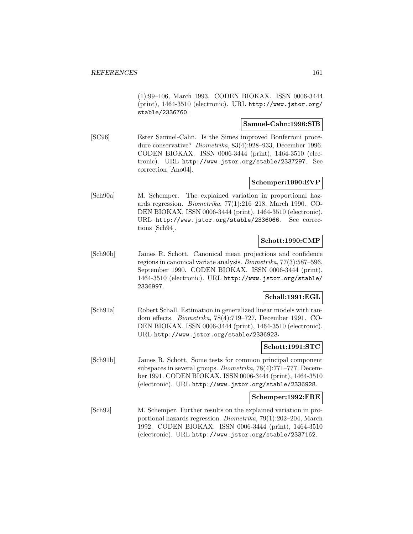(1):99–106, March 1993. CODEN BIOKAX. ISSN 0006-3444 (print), 1464-3510 (electronic). URL http://www.jstor.org/ stable/2336760.

### **Samuel-Cahn:1996:SIB**

[SC96] Ester Samuel-Cahn. Is the Simes improved Bonferroni procedure conservative? Biometrika, 83(4):928–933, December 1996. CODEN BIOKAX. ISSN 0006-3444 (print), 1464-3510 (electronic). URL http://www.jstor.org/stable/2337297. See correction [Ano04].

## **Schemper:1990:EVP**

[Sch90a] M. Schemper. The explained variation in proportional hazards regression. Biometrika, 77(1):216–218, March 1990. CO-DEN BIOKAX. ISSN 0006-3444 (print), 1464-3510 (electronic). URL http://www.jstor.org/stable/2336066. See corrections [Sch94].

## **Schott:1990:CMP**

[Sch90b] James R. Schott. Canonical mean projections and confidence regions in canonical variate analysis. Biometrika, 77(3):587–596, September 1990. CODEN BIOKAX. ISSN 0006-3444 (print), 1464-3510 (electronic). URL http://www.jstor.org/stable/ 2336997.

# **Schall:1991:EGL**

[Sch91a] Robert Schall. Estimation in generalized linear models with random effects. Biometrika, 78(4):719–727, December 1991. CO-DEN BIOKAX. ISSN 0006-3444 (print), 1464-3510 (electronic). URL http://www.jstor.org/stable/2336923.

## **Schott:1991:STC**

[Sch91b] James R. Schott. Some tests for common principal component subspaces in several groups. Biometrika, 78(4):771–777, December 1991. CODEN BIOKAX. ISSN 0006-3444 (print), 1464-3510 (electronic). URL http://www.jstor.org/stable/2336928.

# **Schemper:1992:FRE**

[Sch92] M. Schemper. Further results on the explained variation in proportional hazards regression. Biometrika, 79(1):202–204, March 1992. CODEN BIOKAX. ISSN 0006-3444 (print), 1464-3510 (electronic). URL http://www.jstor.org/stable/2337162.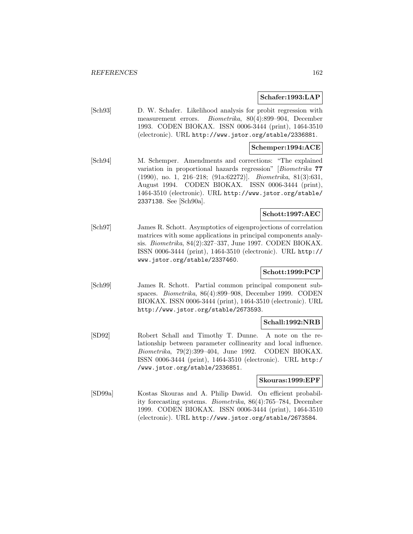### **Schafer:1993:LAP**

[Sch93] D. W. Schafer. Likelihood analysis for probit regression with measurement errors. Biometrika, 80(4):899–904, December 1993. CODEN BIOKAX. ISSN 0006-3444 (print), 1464-3510 (electronic). URL http://www.jstor.org/stable/2336881.

## **Schemper:1994:ACE**

[Sch94] M. Schemper. Amendments and corrections: "The explained variation in proportional hazards regression" [Biometrika **77** (1990), no. 1, 216–218; (91a:62272)]. Biometrika, 81(3):631, August 1994. CODEN BIOKAX. ISSN 0006-3444 (print), 1464-3510 (electronic). URL http://www.jstor.org/stable/ 2337138. See [Sch90a].

# **Schott:1997:AEC**

[Sch97] James R. Schott. Asymptotics of eigenprojections of correlation matrices with some applications in principal components analysis. Biometrika, 84(2):327–337, June 1997. CODEN BIOKAX. ISSN 0006-3444 (print), 1464-3510 (electronic). URL http:// www.jstor.org/stable/2337460.

# **Schott:1999:PCP**

[Sch99] James R. Schott. Partial common principal component subspaces. Biometrika, 86(4):899–908, December 1999. CODEN BIOKAX. ISSN 0006-3444 (print), 1464-3510 (electronic). URL http://www.jstor.org/stable/2673593.

## **Schall:1992:NRB**

[SD92] Robert Schall and Timothy T. Dunne. A note on the relationship between parameter collinearity and local influence. Biometrika, 79(2):399–404, June 1992. CODEN BIOKAX. ISSN 0006-3444 (print), 1464-3510 (electronic). URL http:/ /www.jstor.org/stable/2336851.

#### **Skouras:1999:EPF**

[SD99a] Kostas Skouras and A. Philip Dawid. On efficient probability forecasting systems. Biometrika, 86(4):765–784, December 1999. CODEN BIOKAX. ISSN 0006-3444 (print), 1464-3510 (electronic). URL http://www.jstor.org/stable/2673584.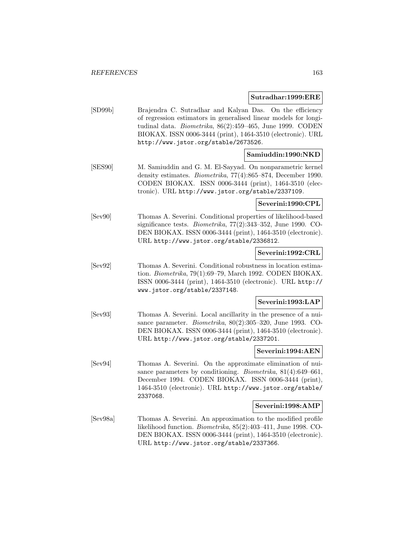#### **Sutradhar:1999:ERE**

[SD99b] Brajendra C. Sutradhar and Kalyan Das. On the efficiency of regression estimators in generalised linear models for longitudinal data. Biometrika, 86(2):459–465, June 1999. CODEN BIOKAX. ISSN 0006-3444 (print), 1464-3510 (electronic). URL http://www.jstor.org/stable/2673526.

#### **Samiuddin:1990:NKD**

[SES90] M. Samiuddin and G. M. El-Sayyad. On nonparametric kernel density estimates. Biometrika, 77(4):865–874, December 1990. CODEN BIOKAX. ISSN 0006-3444 (print), 1464-3510 (electronic). URL http://www.jstor.org/stable/2337109.

## **Severini:1990:CPL**

[Sev90] Thomas A. Severini. Conditional properties of likelihood-based significance tests. Biometrika, 77(2):343–352, June 1990. CO-DEN BIOKAX. ISSN 0006-3444 (print), 1464-3510 (electronic). URL http://www.jstor.org/stable/2336812.

#### **Severini:1992:CRL**

[Sev92] Thomas A. Severini. Conditional robustness in location estimation. Biometrika, 79(1):69–79, March 1992. CODEN BIOKAX. ISSN 0006-3444 (print), 1464-3510 (electronic). URL http:// www.jstor.org/stable/2337148.

#### **Severini:1993:LAP**

[Sev93] Thomas A. Severini. Local ancillarity in the presence of a nuisance parameter. Biometrika, 80(2):305–320, June 1993. CO-DEN BIOKAX. ISSN 0006-3444 (print), 1464-3510 (electronic). URL http://www.jstor.org/stable/2337201.

#### **Severini:1994:AEN**

[Sev94] Thomas A. Severini. On the approximate elimination of nuisance parameters by conditioning. *Biometrika*, 81(4):649–661, December 1994. CODEN BIOKAX. ISSN 0006-3444 (print), 1464-3510 (electronic). URL http://www.jstor.org/stable/ 2337068.

#### **Severini:1998:AMP**

[Sev98a] Thomas A. Severini. An approximation to the modified profile likelihood function. Biometrika, 85(2):403–411, June 1998. CO-DEN BIOKAX. ISSN 0006-3444 (print), 1464-3510 (electronic). URL http://www.jstor.org/stable/2337366.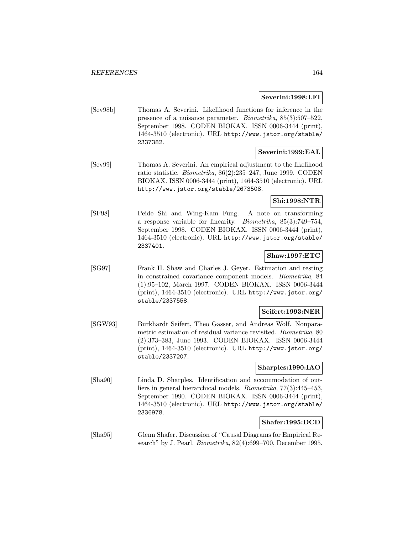# **Severini:1998:LFI**

[Sev98b] Thomas A. Severini. Likelihood functions for inference in the presence of a nuisance parameter. Biometrika, 85(3):507–522, September 1998. CODEN BIOKAX. ISSN 0006-3444 (print), 1464-3510 (electronic). URL http://www.jstor.org/stable/ 2337382.

# **Severini:1999:EAL**

[Sev99] Thomas A. Severini. An empirical adjustment to the likelihood ratio statistic. Biometrika, 86(2):235–247, June 1999. CODEN BIOKAX. ISSN 0006-3444 (print), 1464-3510 (electronic). URL http://www.jstor.org/stable/2673508.

# **Shi:1998:NTR**

[SF98] Peide Shi and Wing-Kam Fung. A note on transforming a response variable for linearity. Biometrika, 85(3):749–754, September 1998. CODEN BIOKAX. ISSN 0006-3444 (print), 1464-3510 (electronic). URL http://www.jstor.org/stable/ 2337401.

# **Shaw:1997:ETC**

[SG97] Frank H. Shaw and Charles J. Geyer. Estimation and testing in constrained covariance component models. Biometrika, 84 (1):95–102, March 1997. CODEN BIOKAX. ISSN 0006-3444 (print), 1464-3510 (electronic). URL http://www.jstor.org/ stable/2337558.

# **Seifert:1993:NER**

[SGW93] Burkhardt Seifert, Theo Gasser, and Andreas Wolf. Nonparametric estimation of residual variance revisited. Biometrika, 80 (2):373–383, June 1993. CODEN BIOKAX. ISSN 0006-3444 (print), 1464-3510 (electronic). URL http://www.jstor.org/ stable/2337207.

# **Sharples:1990:IAO**

[Sha90] Linda D. Sharples. Identification and accommodation of outliers in general hierarchical models. Biometrika, 77(3):445–453, September 1990. CODEN BIOKAX. ISSN 0006-3444 (print), 1464-3510 (electronic). URL http://www.jstor.org/stable/ 2336978.

## **Shafer:1995:DCD**

[Sha95] Glenn Shafer. Discussion of "Causal Diagrams for Empirical Research" by J. Pearl. Biometrika, 82(4):699–700, December 1995.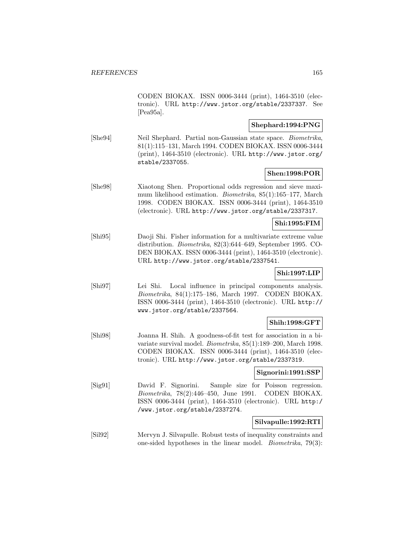CODEN BIOKAX. ISSN 0006-3444 (print), 1464-3510 (electronic). URL http://www.jstor.org/stable/2337337. See [Pea95a].

# **Shephard:1994:PNG**

[She94] Neil Shephard. Partial non-Gaussian state space. Biometrika, 81(1):115–131, March 1994. CODEN BIOKAX. ISSN 0006-3444 (print), 1464-3510 (electronic). URL http://www.jstor.org/ stable/2337055.

#### **Shen:1998:POR**

[She98] Xiaotong Shen. Proportional odds regression and sieve maximum likelihood estimation. Biometrika, 85(1):165–177, March 1998. CODEN BIOKAX. ISSN 0006-3444 (print), 1464-3510 (electronic). URL http://www.jstor.org/stable/2337317.

## **Shi:1995:FIM**

[Shi95] Daoji Shi. Fisher information for a multivariate extreme value distribution. Biometrika, 82(3):644–649, September 1995. CO-DEN BIOKAX. ISSN 0006-3444 (print), 1464-3510 (electronic). URL http://www.jstor.org/stable/2337541.

#### **Shi:1997:LIP**

[Shi97] Lei Shi. Local influence in principal components analysis. Biometrika, 84(1):175–186, March 1997. CODEN BIOKAX. ISSN 0006-3444 (print), 1464-3510 (electronic). URL http:// www.jstor.org/stable/2337564.

# **Shih:1998:GFT**

[Shi98] Joanna H. Shih. A goodness-of-fit test for association in a bivariate survival model. Biometrika, 85(1):189–200, March 1998. CODEN BIOKAX. ISSN 0006-3444 (print), 1464-3510 (electronic). URL http://www.jstor.org/stable/2337319.

#### **Signorini:1991:SSP**

[Sig91] David F. Signorini. Sample size for Poisson regression. Biometrika, 78(2):446–450, June 1991. CODEN BIOKAX. ISSN 0006-3444 (print), 1464-3510 (electronic). URL http:/ /www.jstor.org/stable/2337274.

#### **Silvapulle:1992:RTI**

[Sil92] Mervyn J. Silvapulle. Robust tests of inequality constraints and one-sided hypotheses in the linear model. Biometrika, 79(3):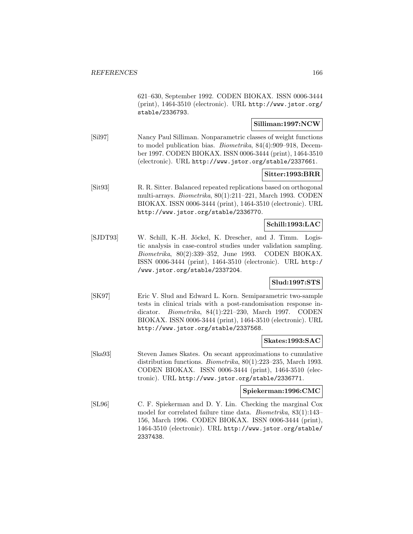621–630, September 1992. CODEN BIOKAX. ISSN 0006-3444 (print), 1464-3510 (electronic). URL http://www.jstor.org/ stable/2336793.

# **Silliman:1997:NCW**

[Sil97] Nancy Paul Silliman. Nonparametric classes of weight functions to model publication bias. Biometrika, 84(4):909–918, December 1997. CODEN BIOKAX. ISSN 0006-3444 (print), 1464-3510 (electronic). URL http://www.jstor.org/stable/2337661.

# **Sitter:1993:BRR**

[Sit93] R. R. Sitter. Balanced repeated replications based on orthogonal multi-arrays. Biometrika, 80(1):211–221, March 1993. CODEN BIOKAX. ISSN 0006-3444 (print), 1464-3510 (electronic). URL http://www.jstor.org/stable/2336770.

# **Schill:1993:LAC**

[SJDT93] W. Schill, K.-H. Jöckel, K. Drescher, and J. Timm. Logistic analysis in case-control studies under validation sampling. Biometrika, 80(2):339–352, June 1993. CODEN BIOKAX. ISSN 0006-3444 (print), 1464-3510 (electronic). URL http:/ /www.jstor.org/stable/2337204.

## **Slud:1997:STS**

[SK97] Eric V. Slud and Edward L. Korn. Semiparametric two-sample tests in clinical trials with a post-randomisation response indicator. Biometrika, 84(1):221–230, March 1997. CODEN BIOKAX. ISSN 0006-3444 (print), 1464-3510 (electronic). URL http://www.jstor.org/stable/2337568.

#### **Skates:1993:SAC**

[Ska93] Steven James Skates. On secant approximations to cumulative distribution functions. Biometrika, 80(1):223–235, March 1993. CODEN BIOKAX. ISSN 0006-3444 (print), 1464-3510 (electronic). URL http://www.jstor.org/stable/2336771.

#### **Spiekerman:1996:CMC**

[SL96] C. F. Spiekerman and D. Y. Lin. Checking the marginal Cox model for correlated failure time data. Biometrika, 83(1):143– 156, March 1996. CODEN BIOKAX. ISSN 0006-3444 (print), 1464-3510 (electronic). URL http://www.jstor.org/stable/ 2337438.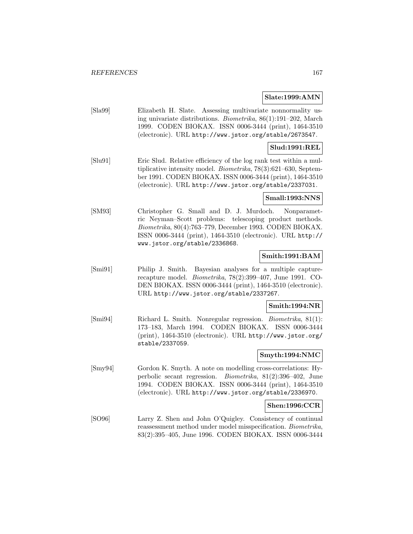### **Slate:1999:AMN**

[Sla99] Elizabeth H. Slate. Assessing multivariate nonnormality using univariate distributions. Biometrika, 86(1):191–202, March 1999. CODEN BIOKAX. ISSN 0006-3444 (print), 1464-3510 (electronic). URL http://www.jstor.org/stable/2673547.

# **Slud:1991:REL**

[Slu91] Eric Slud. Relative efficiency of the log rank test within a multiplicative intensity model. Biometrika, 78(3):621–630, September 1991. CODEN BIOKAX. ISSN 0006-3444 (print), 1464-3510 (electronic). URL http://www.jstor.org/stable/2337031.

# **Small:1993:NNS**

[SM93] Christopher G. Small and D. J. Murdoch. Nonparametric Neyman–Scott problems: telescoping product methods. Biometrika, 80(4):763–779, December 1993. CODEN BIOKAX. ISSN 0006-3444 (print), 1464-3510 (electronic). URL http:// www.jstor.org/stable/2336868.

# **Smith:1991:BAM**

[Smi91] Philip J. Smith. Bayesian analyses for a multiple capturerecapture model. Biometrika, 78(2):399–407, June 1991. CO-DEN BIOKAX. ISSN 0006-3444 (print), 1464-3510 (electronic). URL http://www.jstor.org/stable/2337267.

## **Smith:1994:NR**

[Smi94] Richard L. Smith. Nonregular regression. Biometrika, 81(1): 173–183, March 1994. CODEN BIOKAX. ISSN 0006-3444 (print), 1464-3510 (electronic). URL http://www.jstor.org/ stable/2337059.

# **Smyth:1994:NMC**

[Smy94] Gordon K. Smyth. A note on modelling cross-correlations: Hyperbolic secant regression. Biometrika, 81(2):396–402, June 1994. CODEN BIOKAX. ISSN 0006-3444 (print), 1464-3510 (electronic). URL http://www.jstor.org/stable/2336970.

## **Shen:1996:CCR**

[SO96] Larry Z. Shen and John O'Quigley. Consistency of continual reassessment method under model misspecification. Biometrika, 83(2):395–405, June 1996. CODEN BIOKAX. ISSN 0006-3444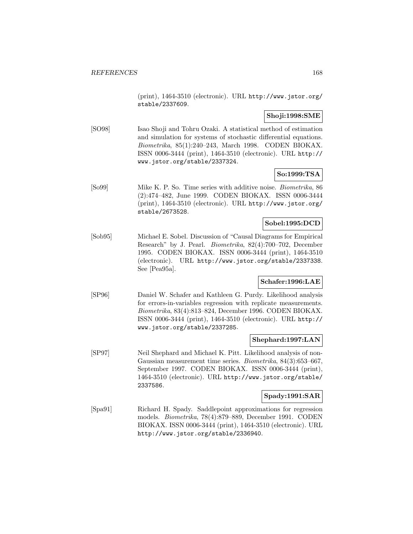(print), 1464-3510 (electronic). URL http://www.jstor.org/ stable/2337609.

# **Shoji:1998:SME**

[SO98] Isao Shoji and Tohru Ozaki. A statistical method of estimation and simulation for systems of stochastic differential equations. Biometrika, 85(1):240–243, March 1998. CODEN BIOKAX. ISSN 0006-3444 (print), 1464-3510 (electronic). URL http:// www.jstor.org/stable/2337324.

## **So:1999:TSA**

[So99] Mike K. P. So. Time series with additive noise. Biometrika, 86 (2):474–482, June 1999. CODEN BIOKAX. ISSN 0006-3444 (print), 1464-3510 (electronic). URL http://www.jstor.org/ stable/2673528.

# **Sobel:1995:DCD**

[Sob95] Michael E. Sobel. Discussion of "Causal Diagrams for Empirical Research" by J. Pearl. Biometrika, 82(4):700–702, December 1995. CODEN BIOKAX. ISSN 0006-3444 (print), 1464-3510 (electronic). URL http://www.jstor.org/stable/2337338. See [Pea95a].

# **Schafer:1996:LAE**

[SP96] Daniel W. Schafer and Kathleen G. Purdy. Likelihood analysis for errors-in-variables regression with replicate measurements. Biometrika, 83(4):813–824, December 1996. CODEN BIOKAX. ISSN 0006-3444 (print), 1464-3510 (electronic). URL http:// www.jstor.org/stable/2337285.

## **Shephard:1997:LAN**

[SP97] Neil Shephard and Michael K. Pitt. Likelihood analysis of non-Gaussian measurement time series. Biometrika, 84(3):653–667, September 1997. CODEN BIOKAX. ISSN 0006-3444 (print), 1464-3510 (electronic). URL http://www.jstor.org/stable/ 2337586.

## **Spady:1991:SAR**

[Spa91] Richard H. Spady. Saddlepoint approximations for regression models. Biometrika, 78(4):879–889, December 1991. CODEN BIOKAX. ISSN 0006-3444 (print), 1464-3510 (electronic). URL http://www.jstor.org/stable/2336940.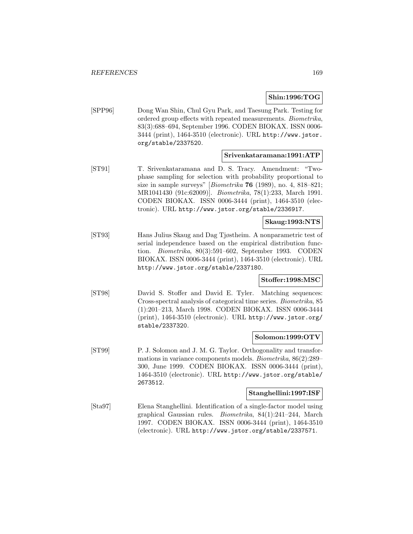### **Shin:1996:TOG**

[SPP96] Dong Wan Shin, Chul Gyu Park, and Taesung Park. Testing for ordered group effects with repeated measurements. Biometrika, 83(3):688–694, September 1996. CODEN BIOKAX. ISSN 0006- 3444 (print), 1464-3510 (electronic). URL http://www.jstor. org/stable/2337520.

#### **Srivenkataramana:1991:ATP**

[ST91] T. Srivenkataramana and D. S. Tracy. Amendment: "Twophase sampling for selection with probability proportional to size in sample surveys" [Biometrika **76** (1989), no. 4, 818–821; MR1041430 (91c:62009)]. Biometrika, 78(1):233, March 1991. CODEN BIOKAX. ISSN 0006-3444 (print), 1464-3510 (electronic). URL http://www.jstor.org/stable/2336917.

# **Skaug:1993:NTS**

[ST93] Hans Julius Skaug and Dag Tjøstheim. A nonparametric test of serial independence based on the empirical distribution function. Biometrika, 80(3):591–602, September 1993. CODEN BIOKAX. ISSN 0006-3444 (print), 1464-3510 (electronic). URL http://www.jstor.org/stable/2337180.

# **Stoffer:1998:MSC**

[ST98] David S. Stoffer and David E. Tyler. Matching sequences: Cross-spectral analysis of categorical time series. Biometrika, 85 (1):201–213, March 1998. CODEN BIOKAX. ISSN 0006-3444 (print), 1464-3510 (electronic). URL http://www.jstor.org/ stable/2337320.

## **Solomon:1999:OTV**

[ST99] P. J. Solomon and J. M. G. Taylor. Orthogonality and transformations in variance components models. Biometrika, 86(2):289– 300, June 1999. CODEN BIOKAX. ISSN 0006-3444 (print), 1464-3510 (electronic). URL http://www.jstor.org/stable/ 2673512.

#### **Stanghellini:1997:ISF**

[Sta97] Elena Stanghellini. Identification of a single-factor model using graphical Gaussian rules. Biometrika, 84(1):241–244, March 1997. CODEN BIOKAX. ISSN 0006-3444 (print), 1464-3510 (electronic). URL http://www.jstor.org/stable/2337571.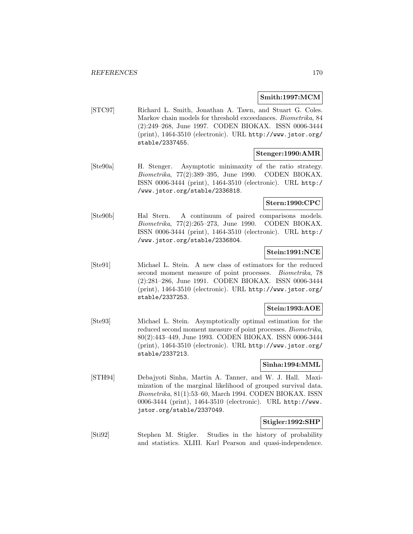# **Smith:1997:MCM**

[STC97] Richard L. Smith, Jonathan A. Tawn, and Stuart G. Coles. Markov chain models for threshold exceedances. Biometrika, 84 (2):249–268, June 1997. CODEN BIOKAX. ISSN 0006-3444 (print), 1464-3510 (electronic). URL http://www.jstor.org/ stable/2337455.

# **Stenger:1990:AMR**

[Ste90a] H. Stenger. Asymptotic minimaxity of the ratio strategy. Biometrika, 77(2):389–395, June 1990. CODEN BIOKAX. ISSN 0006-3444 (print), 1464-3510 (electronic). URL http:/ /www.jstor.org/stable/2336818.

# **Stern:1990:CPC**

[Ste90b] Hal Stern. A continuum of paired comparisons models. Biometrika, 77(2):265–273, June 1990. CODEN BIOKAX. ISSN 0006-3444 (print), 1464-3510 (electronic). URL http:/ /www.jstor.org/stable/2336804.

# **Stein:1991:NCE**

[Ste91] Michael L. Stein. A new class of estimators for the reduced second moment measure of point processes. Biometrika, 78 (2):281–286, June 1991. CODEN BIOKAX. ISSN 0006-3444 (print), 1464-3510 (electronic). URL http://www.jstor.org/ stable/2337253.

## **Stein:1993:AOE**

[Ste93] Michael L. Stein. Asymptotically optimal estimation for the reduced second moment measure of point processes. Biometrika, 80(2):443–449, June 1993. CODEN BIOKAX. ISSN 0006-3444 (print), 1464-3510 (electronic). URL http://www.jstor.org/ stable/2337213.

## **Sinha:1994:MML**

[STH94] Debajyoti Sinha, Martin A. Tanner, and W. J. Hall. Maximization of the marginal likelihood of grouped survival data. Biometrika, 81(1):53–60, March 1994. CODEN BIOKAX. ISSN 0006-3444 (print), 1464-3510 (electronic). URL http://www. jstor.org/stable/2337049.

# **Stigler:1992:SHP**

[Sti92] Stephen M. Stigler. Studies in the history of probability and statistics. XLIII. Karl Pearson and quasi-independence.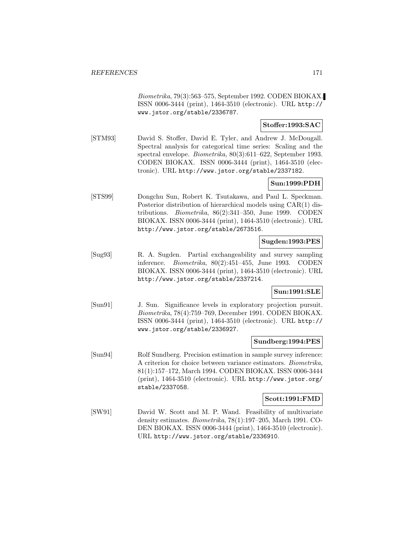Biometrika, 79(3):563–575, September 1992. CODEN BIOKAX. ISSN 0006-3444 (print), 1464-3510 (electronic). URL http:// www.jstor.org/stable/2336787.

# **Stoffer:1993:SAC**

[STM93] David S. Stoffer, David E. Tyler, and Andrew J. McDougall. Spectral analysis for categorical time series: Scaling and the spectral envelope. Biometrika, 80(3):611–622, September 1993. CODEN BIOKAX. ISSN 0006-3444 (print), 1464-3510 (electronic). URL http://www.jstor.org/stable/2337182.

# **Sun:1999:PDH**

[STS99] Dongchu Sun, Robert K. Tsutakawa, and Paul L. Speckman. Posterior distribution of hierarchical models using CAR(1) distributions. Biometrika, 86(2):341–350, June 1999. CODEN BIOKAX. ISSN 0006-3444 (print), 1464-3510 (electronic). URL http://www.jstor.org/stable/2673516.

# **Sugden:1993:PES**

[Sug93] R. A. Sugden. Partial exchangeability and survey sampling inference. Biometrika, 80(2):451–455, June 1993. CODEN BIOKAX. ISSN 0006-3444 (print), 1464-3510 (electronic). URL http://www.jstor.org/stable/2337214.

## **Sun:1991:SLE**

[Sun91] J. Sun. Significance levels in exploratory projection pursuit. Biometrika, 78(4):759–769, December 1991. CODEN BIOKAX. ISSN 0006-3444 (print), 1464-3510 (electronic). URL http:// www.jstor.org/stable/2336927.

## **Sundberg:1994:PES**

[Sun94] Rolf Sundberg. Precision estimation in sample survey inference: A criterion for choice between variance estimators. Biometrika, 81(1):157–172, March 1994. CODEN BIOKAX. ISSN 0006-3444 (print), 1464-3510 (electronic). URL http://www.jstor.org/ stable/2337058.

## **Scott:1991:FMD**

[SW91] David W. Scott and M. P. Wand. Feasibility of multivariate density estimates. Biometrika, 78(1):197–205, March 1991. CO-DEN BIOKAX. ISSN 0006-3444 (print), 1464-3510 (electronic). URL http://www.jstor.org/stable/2336910.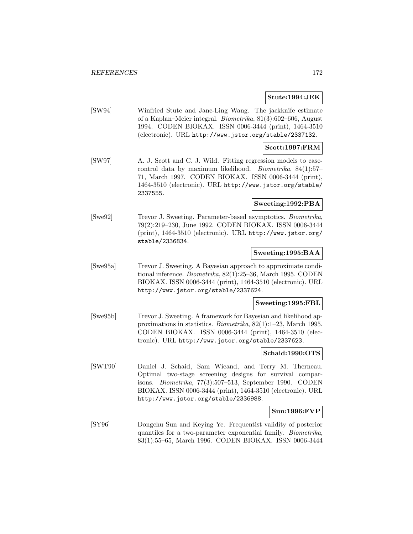#### **Stute:1994:JEK**

[SW94] Winfried Stute and Jane-Ling Wang. The jackknife estimate of a Kaplan–Meier integral. Biometrika, 81(3):602–606, August 1994. CODEN BIOKAX. ISSN 0006-3444 (print), 1464-3510 (electronic). URL http://www.jstor.org/stable/2337132.

## **Scott:1997:FRM**

[SW97] A. J. Scott and C. J. Wild. Fitting regression models to casecontrol data by maximum likelihood. Biometrika, 84(1):57– 71, March 1997. CODEN BIOKAX. ISSN 0006-3444 (print), 1464-3510 (electronic). URL http://www.jstor.org/stable/ 2337555.

# **Sweeting:1992:PBA**

[Swe92] Trevor J. Sweeting. Parameter-based asymptotics. Biometrika, 79(2):219–230, June 1992. CODEN BIOKAX. ISSN 0006-3444 (print), 1464-3510 (electronic). URL http://www.jstor.org/ stable/2336834.

## **Sweeting:1995:BAA**

[Swe95a] Trevor J. Sweeting. A Bayesian approach to approximate conditional inference. Biometrika, 82(1):25–36, March 1995. CODEN BIOKAX. ISSN 0006-3444 (print), 1464-3510 (electronic). URL http://www.jstor.org/stable/2337624.

# **Sweeting:1995:FBL**

[Swe95b] Trevor J. Sweeting. A framework for Bayesian and likelihood approximations in statistics. Biometrika, 82(1):1–23, March 1995. CODEN BIOKAX. ISSN 0006-3444 (print), 1464-3510 (electronic). URL http://www.jstor.org/stable/2337623.

#### **Schaid:1990:OTS**

[SWT90] Daniel J. Schaid, Sam Wieand, and Terry M. Therneau. Optimal two-stage screening designs for survival comparisons. Biometrika, 77(3):507–513, September 1990. CODEN BIOKAX. ISSN 0006-3444 (print), 1464-3510 (electronic). URL http://www.jstor.org/stable/2336988.

# **Sun:1996:FVP**

[SY96] Dongchu Sun and Keying Ye. Frequentist validity of posterior quantiles for a two-parameter exponential family. Biometrika, 83(1):55–65, March 1996. CODEN BIOKAX. ISSN 0006-3444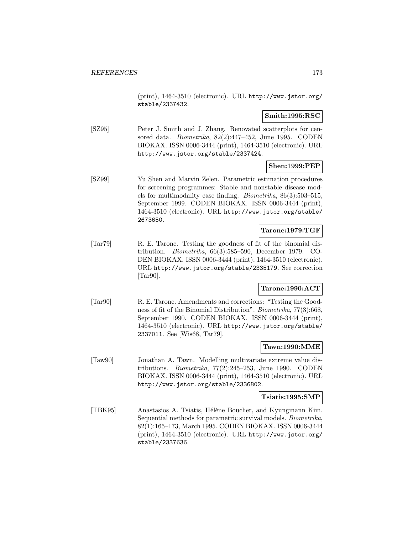(print), 1464-3510 (electronic). URL http://www.jstor.org/ stable/2337432.

# **Smith:1995:RSC**

[SZ95] Peter J. Smith and J. Zhang. Renovated scatterplots for censored data. Biometrika, 82(2):447–452, June 1995. CODEN BIOKAX. ISSN 0006-3444 (print), 1464-3510 (electronic). URL http://www.jstor.org/stable/2337424.

# **Shen:1999:PEP**

[SZ99] Yu Shen and Marvin Zelen. Parametric estimation procedures for screening programmes: Stable and nonstable disease models for multimodality case finding. Biometrika, 86(3):503–515, September 1999. CODEN BIOKAX. ISSN 0006-3444 (print), 1464-3510 (electronic). URL http://www.jstor.org/stable/ 2673650.

# **Tarone:1979:TGF**

[Tar79] R. E. Tarone. Testing the goodness of fit of the binomial distribution. Biometrika, 66(3):585–590, December 1979. CO-DEN BIOKAX. ISSN 0006-3444 (print), 1464-3510 (electronic). URL http://www.jstor.org/stable/2335179. See correction [Tar90].

# **Tarone:1990:ACT**

[Tar90] R. E. Tarone. Amendments and corrections: "Testing the Goodness of fit of the Binomial Distribution". Biometrika, 77(3):668, September 1990. CODEN BIOKAX. ISSN 0006-3444 (print), 1464-3510 (electronic). URL http://www.jstor.org/stable/ 2337011. See [Wis68, Tar79].

## **Tawn:1990:MME**

[Taw90] Jonathan A. Tawn. Modelling multivariate extreme value distributions. *Biometrika*,  $77(2):245-253$ , June 1990. CODEN BIOKAX. ISSN 0006-3444 (print), 1464-3510 (electronic). URL http://www.jstor.org/stable/2336802.

**Tsiatis:1995:SMP**

[TBK95] Anastasios A. Tsiatis, Hélène Boucher, and Kyungmann Kim. Sequential methods for parametric survival models. Biometrika, 82(1):165–173, March 1995. CODEN BIOKAX. ISSN 0006-3444 (print), 1464-3510 (electronic). URL http://www.jstor.org/ stable/2337636.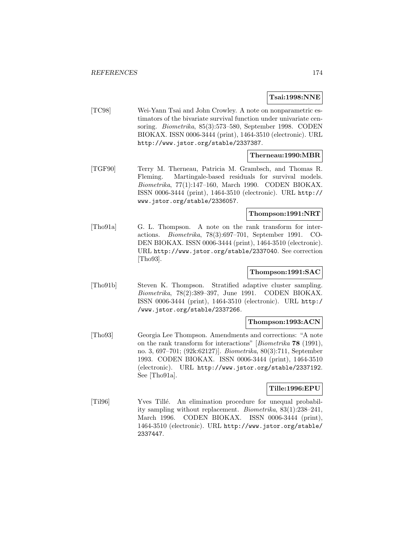## **Tsai:1998:NNE**

[TC98] Wei-Yann Tsai and John Crowley. A note on nonparametric estimators of the bivariate survival function under univariate censoring. Biometrika, 85(3):573–580, September 1998. CODEN BIOKAX. ISSN 0006-3444 (print), 1464-3510 (electronic). URL http://www.jstor.org/stable/2337387.

## **Therneau:1990:MBR**

[TGF90] Terry M. Therneau, Patricia M. Grambsch, and Thomas R. Fleming. Martingale-based residuals for survival models. Biometrika, 77(1):147–160, March 1990. CODEN BIOKAX. ISSN 0006-3444 (print), 1464-3510 (electronic). URL http:// www.jstor.org/stable/2336057.

## **Thompson:1991:NRT**

[Tho91a] G. L. Thompson. A note on the rank transform for interactions. Biometrika, 78(3):697–701, September 1991. CO-DEN BIOKAX. ISSN 0006-3444 (print), 1464-3510 (electronic). URL http://www.jstor.org/stable/2337040. See correction [Tho93].

# **Thompson:1991:SAC**

[Tho91b] Steven K. Thompson. Stratified adaptive cluster sampling. Biometrika, 78(2):389–397, June 1991. CODEN BIOKAX. ISSN 0006-3444 (print), 1464-3510 (electronic). URL http:/ /www.jstor.org/stable/2337266.

#### **Thompson:1993:ACN**

[Tho93] Georgia Lee Thompson. Amendments and corrections: "A note on the rank transform for interactions" [Biometrika **78** (1991), no. 3, 697–701; (92k:62127)]. Biometrika, 80(3):711, September 1993. CODEN BIOKAX. ISSN 0006-3444 (print), 1464-3510 (electronic). URL http://www.jstor.org/stable/2337192. See [Tho91a].

## **Tille:1996:EPU**

[Til96] Yves Tillé. An elimination procedure for unequal probability sampling without replacement. Biometrika, 83(1):238–241, March 1996. CODEN BIOKAX. ISSN 0006-3444 (print), 1464-3510 (electronic). URL http://www.jstor.org/stable/ 2337447.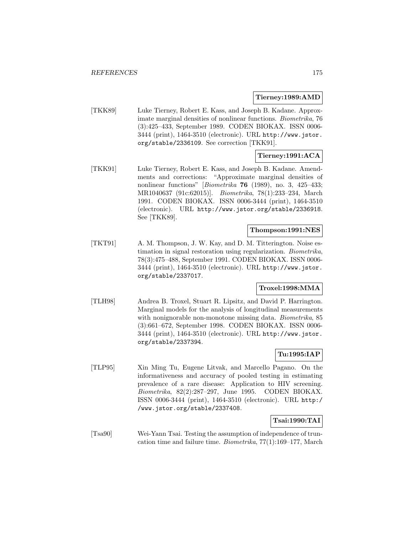### **Tierney:1989:AMD**

[TKK89] Luke Tierney, Robert E. Kass, and Joseph B. Kadane. Approximate marginal densities of nonlinear functions. Biometrika, 76 (3):425–433, September 1989. CODEN BIOKAX. ISSN 0006- 3444 (print), 1464-3510 (electronic). URL http://www.jstor. org/stable/2336109. See correction [TKK91].

# **Tierney:1991:ACA**

[TKK91] Luke Tierney, Robert E. Kass, and Joseph B. Kadane. Amendments and corrections: "Approximate marginal densities of nonlinear functions" [Biometrika **76** (1989), no. 3, 425–433; MR1040637 (91c:62015)]. Biometrika, 78(1):233–234, March 1991. CODEN BIOKAX. ISSN 0006-3444 (print), 1464-3510 (electronic). URL http://www.jstor.org/stable/2336918. See [TKK89].

# **Thompson:1991:NES**

[TKT91] A. M. Thompson, J. W. Kay, and D. M. Titterington. Noise estimation in signal restoration using regularization. Biometrika, 78(3):475–488, September 1991. CODEN BIOKAX. ISSN 0006- 3444 (print), 1464-3510 (electronic). URL http://www.jstor. org/stable/2337017.

# **Troxel:1998:MMA**

[TLH98] Andrea B. Troxel, Stuart R. Lipsitz, and David P. Harrington. Marginal models for the analysis of longitudinal measurements with nonignorable non-monotone missing data. Biometrika, 85 (3):661–672, September 1998. CODEN BIOKAX. ISSN 0006- 3444 (print), 1464-3510 (electronic). URL http://www.jstor. org/stable/2337394.

# **Tu:1995:IAP**

[TLP95] Xin Ming Tu, Eugene Litvak, and Marcello Pagano. On the informativeness and accuracy of pooled testing in estimating prevalence of a rare disease: Application to HIV screening. Biometrika, 82(2):287–297, June 1995. CODEN BIOKAX. ISSN 0006-3444 (print), 1464-3510 (electronic). URL http:/ /www.jstor.org/stable/2337408.

# **Tsai:1990:TAI**

[Tsa90] Wei-Yann Tsai. Testing the assumption of independence of truncation time and failure time. Biometrika, 77(1):169–177, March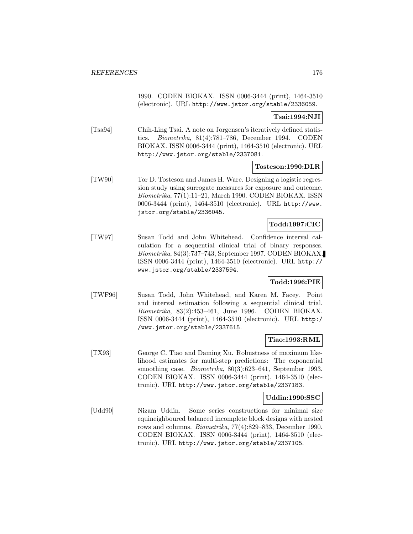1990. CODEN BIOKAX. ISSN 0006-3444 (print), 1464-3510 (electronic). URL http://www.jstor.org/stable/2336059.

## **Tsai:1994:NJI**

[Tsa94] Chih-Ling Tsai. A note on Jorgensen's iteratively defined statistics. Biometrika, 81(4):781–786, December 1994. CODEN BIOKAX. ISSN 0006-3444 (print), 1464-3510 (electronic). URL http://www.jstor.org/stable/2337081.

## **Tosteson:1990:DLR**

[TW90] Tor D. Tosteson and James H. Ware. Designing a logistic regression study using surrogate measures for exposure and outcome. Biometrika, 77(1):11–21, March 1990. CODEN BIOKAX. ISSN 0006-3444 (print), 1464-3510 (electronic). URL http://www. jstor.org/stable/2336045.

# **Todd:1997:CIC**

[TW97] Susan Todd and John Whitehead. Confidence interval calculation for a sequential clinical trial of binary responses. Biometrika, 84(3):737–743, September 1997. CODEN BIOKAX. ISSN 0006-3444 (print), 1464-3510 (electronic). URL http:// www.jstor.org/stable/2337594.

## **Todd:1996:PIE**

[TWF96] Susan Todd, John Whitehead, and Karen M. Facey. Point and interval estimation following a sequential clinical trial. Biometrika, 83(2):453–461, June 1996. CODEN BIOKAX. ISSN 0006-3444 (print), 1464-3510 (electronic). URL http:/ /www.jstor.org/stable/2337615.

## **Tiao:1993:RML**

[TX93] George C. Tiao and Daming Xu. Robustness of maximum likelihood estimates for multi-step predictions: The exponential smoothing case. *Biometrika*, 80(3):623-641, September 1993. CODEN BIOKAX. ISSN 0006-3444 (print), 1464-3510 (electronic). URL http://www.jstor.org/stable/2337183.

## **Uddin:1990:SSC**

[Udd90] Nizam Uddin. Some series constructions for minimal size equineighboured balanced incomplete block designs with nested rows and columns. Biometrika, 77(4):829–833, December 1990. CODEN BIOKAX. ISSN 0006-3444 (print), 1464-3510 (electronic). URL http://www.jstor.org/stable/2337105.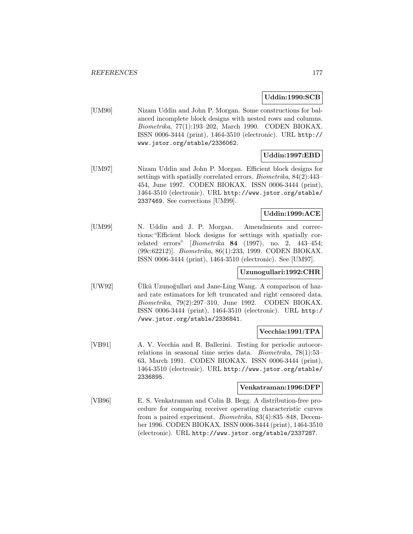# **Uddin:1990:SCB**

[UM90] Nizam Uddin and John P. Morgan. Some constructions for balanced incomplete block designs with nested rows and columns. Biometrika, 77(1):193–202, March 1990. CODEN BIOKAX. ISSN 0006-3444 (print), 1464-3510 (electronic). URL http:// www.jstor.org/stable/2336062.

# **Uddin:1997:EBD**

[UM97] Nizam Uddin and John P. Morgan. Efficient block designs for settings with spatially correlated errors. Biometrika, 84(2):443– 454, June 1997. CODEN BIOKAX. ISSN 0006-3444 (print), 1464-3510 (electronic). URL http://www.jstor.org/stable/ 2337469. See corrections [UM99].

# **Uddin:1999:ACE**

[UM99] N. Uddin and J. P. Morgan. Amendments and corrections:"Efficient block designs for settings with spatially correlated errors" [Biometrika **84** (1997), no. 2, 443–454; (99c:62212)]. Biometrika, 86(1):233, 1999. CODEN BIOKAX. ISSN 0006-3444 (print), 1464-3510 (electronic). See [UM97].

# **Uzunogullari:1992:CHR**

[UW92] Ulkü Uzunoğullari and Jane-Ling Wang. A comparison of hazard rate estimators for left truncated and right censored data. Biometrika, 79(2):297–310, June 1992. CODEN BIOKAX. ISSN 0006-3444 (print), 1464-3510 (electronic). URL http:/ /www.jstor.org/stable/2336841.

## **Vecchia:1991:TPA**

[VB91] A. V. Vecchia and R. Ballerini. Testing for periodic autocorrelations in seasonal time series data. Biometrika, 78(1):53– 63, March 1991. CODEN BIOKAX. ISSN 0006-3444 (print), 1464-3510 (electronic). URL http://www.jstor.org/stable/ 2336895.

#### **Venkatraman:1996:DFP**

[VB96] E. S. Venkatraman and Colin B. Begg. A distribution-free procedure for comparing receiver operating characteristic curves from a paired experiment. Biometrika, 83(4):835–848, December 1996. CODEN BIOKAX. ISSN 0006-3444 (print), 1464-3510 (electronic). URL http://www.jstor.org/stable/2337287.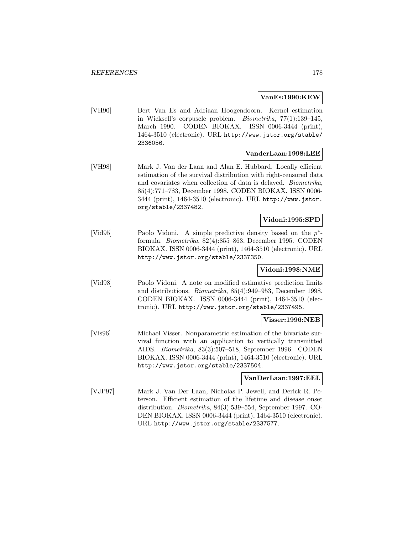### **VanEs:1990:KEW**

[VH90] Bert Van Es and Adriaan Hoogendoorn. Kernel estimation in Wicksell's corpuscle problem. Biometrika, 77(1):139–145, March 1990. CODEN BIOKAX. ISSN 0006-3444 (print), 1464-3510 (electronic). URL http://www.jstor.org/stable/ 2336056.

#### **VanderLaan:1998:LEE**

[VH98] Mark J. Van der Laan and Alan E. Hubbard. Locally efficient estimation of the survival distribution with right-censored data and covariates when collection of data is delayed. Biometrika, 85(4):771–783, December 1998. CODEN BIOKAX. ISSN 0006- 3444 (print), 1464-3510 (electronic). URL http://www.jstor. org/stable/2337482.

# **Vidoni:1995:SPD**

[Vid95] Paolo Vidoni. A simple predictive density based on the p∗ formula. Biometrika, 82(4):855–863, December 1995. CODEN BIOKAX. ISSN 0006-3444 (print), 1464-3510 (electronic). URL http://www.jstor.org/stable/2337350.

## **Vidoni:1998:NME**

[Vid98] Paolo Vidoni. A note on modified estimative prediction limits and distributions. Biometrika, 85(4):949–953, December 1998. CODEN BIOKAX. ISSN 0006-3444 (print), 1464-3510 (electronic). URL http://www.jstor.org/stable/2337495.

## **Visser:1996:NEB**

[Vis96] Michael Visser. Nonparametric estimation of the bivariate survival function with an application to vertically transmitted AIDS. Biometrika, 83(3):507–518, September 1996. CODEN BIOKAX. ISSN 0006-3444 (print), 1464-3510 (electronic). URL http://www.jstor.org/stable/2337504.

# **VanDerLaan:1997:EEL**

[VJP97] Mark J. Van Der Laan, Nicholas P. Jewell, and Derick R. Peterson. Efficient estimation of the lifetime and disease onset distribution. Biometrika, 84(3):539–554, September 1997. CO-DEN BIOKAX. ISSN 0006-3444 (print), 1464-3510 (electronic). URL http://www.jstor.org/stable/2337577.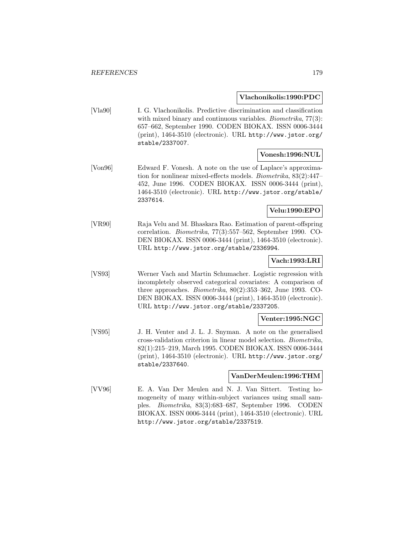#### **Vlachonikolis:1990:PDC**

[Vla90] I. G. Vlachonikolis. Predictive discrimination and classification with mixed binary and continuous variables. *Biometrika*, 77(3): 657–662, September 1990. CODEN BIOKAX. ISSN 0006-3444 (print), 1464-3510 (electronic). URL http://www.jstor.org/ stable/2337007.

#### **Vonesh:1996:NUL**

[Von96] Edward F. Vonesh. A note on the use of Laplace's approximation for nonlinear mixed-effects models. Biometrika, 83(2):447– 452, June 1996. CODEN BIOKAX. ISSN 0006-3444 (print), 1464-3510 (electronic). URL http://www.jstor.org/stable/ 2337614.

# **Velu:1990:EPO**

[VR90] Raja Velu and M. Bhaskara Rao. Estimation of parent-offspring correlation. Biometrika, 77(3):557–562, September 1990. CO-DEN BIOKAX. ISSN 0006-3444 (print), 1464-3510 (electronic). URL http://www.jstor.org/stable/2336994.

# **Vach:1993:LRI**

[VS93] Werner Vach and Martin Schumacher. Logistic regression with incompletely observed categorical covariates: A comparison of three approaches. Biometrika, 80(2):353–362, June 1993. CO-DEN BIOKAX. ISSN 0006-3444 (print), 1464-3510 (electronic). URL http://www.jstor.org/stable/2337205.

## **Venter:1995:NGC**

[VS95] J. H. Venter and J. L. J. Snyman. A note on the generalised cross-validation criterion in linear model selection. Biometrika, 82(1):215–219, March 1995. CODEN BIOKAX. ISSN 0006-3444 (print), 1464-3510 (electronic). URL http://www.jstor.org/ stable/2337640.

#### **VanDerMeulen:1996:THM**

[VV96] E. A. Van Der Meulen and N. J. Van Sittert. Testing homogeneity of many within-subject variances using small samples. Biometrika, 83(3):683–687, September 1996. CODEN BIOKAX. ISSN 0006-3444 (print), 1464-3510 (electronic). URL http://www.jstor.org/stable/2337519.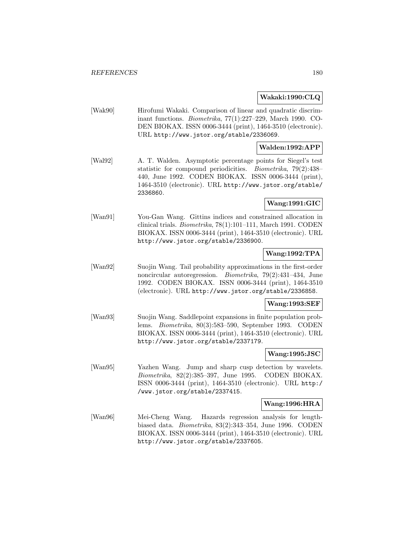### **Wakaki:1990:CLQ**

[Wak90] Hirofumi Wakaki. Comparison of linear and quadratic discriminant functions. Biometrika, 77(1):227–229, March 1990. CO-DEN BIOKAX. ISSN 0006-3444 (print), 1464-3510 (electronic). URL http://www.jstor.org/stable/2336069.

# **Walden:1992:APP**

[Wal92] A. T. Walden. Asymptotic percentage points for Siegel's test statistic for compound periodicities. Biometrika, 79(2):438– 440, June 1992. CODEN BIOKAX. ISSN 0006-3444 (print), 1464-3510 (electronic). URL http://www.jstor.org/stable/ 2336860.

# **Wang:1991:GIC**

[Wan91] You-Gan Wang. Gittins indices and constrained allocation in clinical trials. Biometrika, 78(1):101–111, March 1991. CODEN BIOKAX. ISSN 0006-3444 (print), 1464-3510 (electronic). URL http://www.jstor.org/stable/2336900.

## **Wang:1992:TPA**

[Wan92] Suojin Wang. Tail probability approximations in the first-order noncircular autoregression. Biometrika, 79(2):431–434, June 1992. CODEN BIOKAX. ISSN 0006-3444 (print), 1464-3510 (electronic). URL http://www.jstor.org/stable/2336858.

#### **Wang:1993:SEF**

[Wan93] Suojin Wang. Saddlepoint expansions in finite population problems. Biometrika, 80(3):583–590, September 1993. CODEN BIOKAX. ISSN 0006-3444 (print), 1464-3510 (electronic). URL http://www.jstor.org/stable/2337179.

## **Wang:1995:JSC**

[Wan95] Yazhen Wang. Jump and sharp cusp detection by wavelets. Biometrika, 82(2):385–397, June 1995. CODEN BIOKAX. ISSN 0006-3444 (print), 1464-3510 (electronic). URL http:/ /www.jstor.org/stable/2337415.

#### **Wang:1996:HRA**

[Wan96] Mei-Cheng Wang. Hazards regression analysis for lengthbiased data. Biometrika, 83(2):343–354, June 1996. CODEN BIOKAX. ISSN 0006-3444 (print), 1464-3510 (electronic). URL http://www.jstor.org/stable/2337605.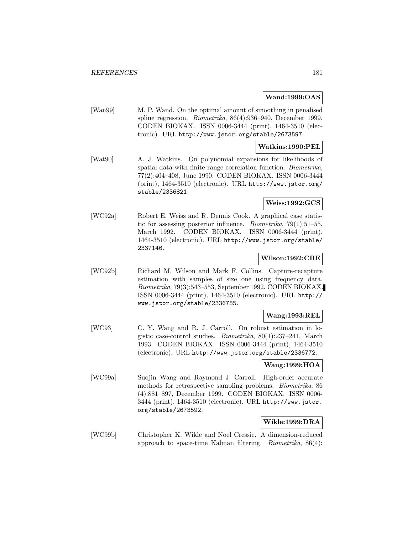## **Wand:1999:OAS**

[Wan99] M. P. Wand. On the optimal amount of smoothing in penalised spline regression. Biometrika, 86(4):936–940, December 1999. CODEN BIOKAX. ISSN 0006-3444 (print), 1464-3510 (electronic). URL http://www.jstor.org/stable/2673597.

## **Watkins:1990:PEL**

[Wat90] A. J. Watkins. On polynomial expansions for likelihoods of spatial data with finite range correlation function. Biometrika, 77(2):404–408, June 1990. CODEN BIOKAX. ISSN 0006-3444 (print), 1464-3510 (electronic). URL http://www.jstor.org/ stable/2336821.

# **Weiss:1992:GCS**

[WC92a] Robert E. Weiss and R. Dennis Cook. A graphical case statistic for assessing posterior influence. Biometrika, 79(1):51–55, March 1992. CODEN BIOKAX. ISSN 0006-3444 (print), 1464-3510 (electronic). URL http://www.jstor.org/stable/ 2337146.

# **Wilson:1992:CRE**

[WC92b] Richard M. Wilson and Mark F. Collins. Capture-recapture estimation with samples of size one using frequency data. Biometrika, 79(3):543–553, September 1992. CODEN BIOKAX. ISSN 0006-3444 (print), 1464-3510 (electronic). URL http:// www.jstor.org/stable/2336785.

## **Wang:1993:REL**

[WC93] C. Y. Wang and R. J. Carroll. On robust estimation in logistic case-control studies. Biometrika, 80(1):237–241, March 1993. CODEN BIOKAX. ISSN 0006-3444 (print), 1464-3510 (electronic). URL http://www.jstor.org/stable/2336772.

#### **Wang:1999:HOA**

[WC99a] Suojin Wang and Raymond J. Carroll. High-order accurate methods for retrospective sampling problems. Biometrika, 86 (4):881–897, December 1999. CODEN BIOKAX. ISSN 0006- 3444 (print), 1464-3510 (electronic). URL http://www.jstor. org/stable/2673592.

# **Wikle:1999:DRA**

[WC99b] Christopher K. Wikle and Noel Cressie. A dimension-reduced approach to space-time Kalman filtering. Biometrika, 86(4):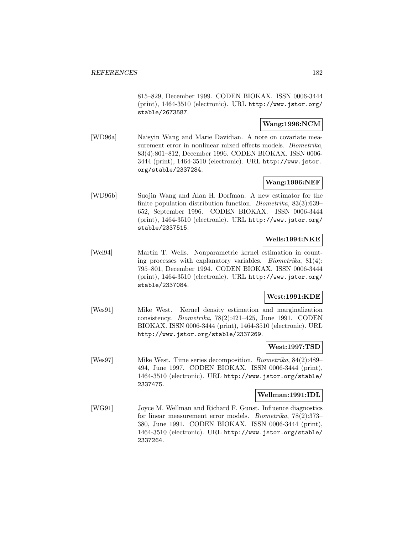815–829, December 1999. CODEN BIOKAX. ISSN 0006-3444 (print), 1464-3510 (electronic). URL http://www.jstor.org/ stable/2673587.

## **Wang:1996:NCM**

[WD96a] Naisyin Wang and Marie Davidian. A note on covariate measurement error in nonlinear mixed effects models. Biometrika, 83(4):801–812, December 1996. CODEN BIOKAX. ISSN 0006- 3444 (print), 1464-3510 (electronic). URL http://www.jstor. org/stable/2337284.

## **Wang:1996:NEF**

[WD96b] Suojin Wang and Alan H. Dorfman. A new estimator for the finite population distribution function. Biometrika, 83(3):639– 652, September 1996. CODEN BIOKAX. ISSN 0006-3444 (print), 1464-3510 (electronic). URL http://www.jstor.org/ stable/2337515.

## **Wells:1994:NKE**

[Wel94] Martin T. Wells. Nonparametric kernel estimation in counting processes with explanatory variables. Biometrika, 81(4): 795–801, December 1994. CODEN BIOKAX. ISSN 0006-3444 (print), 1464-3510 (electronic). URL http://www.jstor.org/ stable/2337084.

## **West:1991:KDE**

[Wes91] Mike West. Kernel density estimation and marginalization consistency. Biometrika, 78(2):421–425, June 1991. CODEN BIOKAX. ISSN 0006-3444 (print), 1464-3510 (electronic). URL http://www.jstor.org/stable/2337269.

## **West:1997:TSD**

[Wes97] Mike West. Time series decomposition. Biometrika, 84(2):489– 494, June 1997. CODEN BIOKAX. ISSN 0006-3444 (print), 1464-3510 (electronic). URL http://www.jstor.org/stable/ 2337475.

## **Wellman:1991:IDL**

[WG91] Joyce M. Wellman and Richard F. Gunst. Influence diagnostics for linear measurement error models. Biometrika, 78(2):373– 380, June 1991. CODEN BIOKAX. ISSN 0006-3444 (print), 1464-3510 (electronic). URL http://www.jstor.org/stable/ 2337264.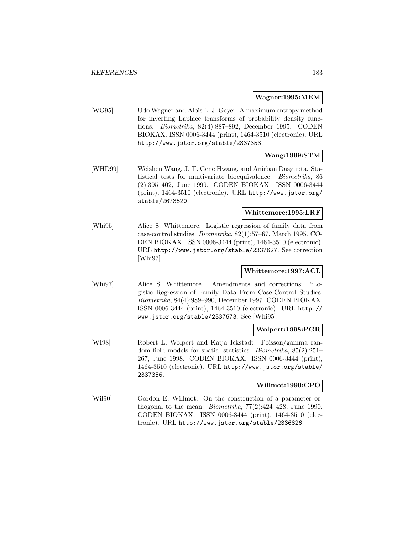#### **Wagner:1995:MEM**

[WG95] Udo Wagner and Alois L. J. Geyer. A maximum entropy method for inverting Laplace transforms of probability density functions. Biometrika, 82(4):887–892, December 1995. CODEN BIOKAX. ISSN 0006-3444 (print), 1464-3510 (electronic). URL http://www.jstor.org/stable/2337353.

# **Wang:1999:STM**

[WHD99] Weizhen Wang, J. T. Gene Hwang, and Anirban Dasgupta. Statistical tests for multivariate bioequivalence. Biometrika, 86 (2):395–402, June 1999. CODEN BIOKAX. ISSN 0006-3444 (print), 1464-3510 (electronic). URL http://www.jstor.org/ stable/2673520.

#### **Whittemore:1995:LRF**

[Whi95] Alice S. Whittemore. Logistic regression of family data from case-control studies. Biometrika, 82(1):57–67, March 1995. CO-DEN BIOKAX. ISSN 0006-3444 (print), 1464-3510 (electronic). URL http://www.jstor.org/stable/2337627. See correction [Whi97].

# **Whittemore:1997:ACL**

[Whi97] Alice S. Whittemore. Amendments and corrections: "Logistic Regression of Family Data From Case-Control Studies. Biometrika, 84(4):989–990, December 1997. CODEN BIOKAX. ISSN 0006-3444 (print), 1464-3510 (electronic). URL http:// www.jstor.org/stable/2337673. See [Whi95].

#### **Wolpert:1998:PGR**

[WI98] Robert L. Wolpert and Katja Ickstadt. Poisson/gamma random field models for spatial statistics. Biometrika, 85(2):251– 267, June 1998. CODEN BIOKAX. ISSN 0006-3444 (print), 1464-3510 (electronic). URL http://www.jstor.org/stable/ 2337356.

## **Willmot:1990:CPO**

[Wil90] Gordon E. Willmot. On the construction of a parameter orthogonal to the mean. *Biometrika*,  $77(2):424-428$ , June 1990. CODEN BIOKAX. ISSN 0006-3444 (print), 1464-3510 (electronic). URL http://www.jstor.org/stable/2336826.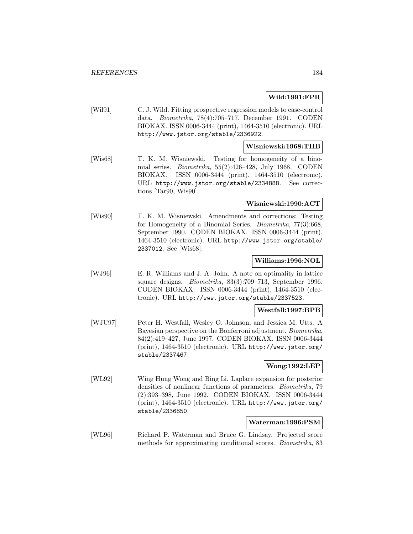## **Wild:1991:FPR**

[Wil91] C. J. Wild. Fitting prospective regression models to case-control data. Biometrika, 78(4):705–717, December 1991. CODEN BIOKAX. ISSN 0006-3444 (print), 1464-3510 (electronic). URL http://www.jstor.org/stable/2336922.

## **Wisniewski:1968:THB**

[Wis68] T. K. M. Wisniewski. Testing for homogeneity of a binomial series. Biometrika, 55(2):426–428, July 1968. CODEN BIOKAX. ISSN 0006-3444 (print), 1464-3510 (electronic). URL http://www.jstor.org/stable/2334888. See corrections [Tar90, Wis90].

## **Wisniewski:1990:ACT**

[Wis90] T. K. M. Wisniewski. Amendments and corrections: Testing for Homogeneity of a Binomial Series. Biometrika, 77(3):668, September 1990. CODEN BIOKAX. ISSN 0006-3444 (print), 1464-3510 (electronic). URL http://www.jstor.org/stable/ 2337012. See [Wis68].

## **Williams:1996:NOL**

[WJ96] E. R. Williams and J. A. John. A note on optimality in lattice square designs. Biometrika, 83(3):709–713, September 1996. CODEN BIOKAX. ISSN 0006-3444 (print), 1464-3510 (electronic). URL http://www.jstor.org/stable/2337523.

# **Westfall:1997:BPB**

[WJU97] Peter H. Westfall, Wesley O. Johnson, and Jessica M. Utts. A Bayesian perspective on the Bonferroni adjustment. Biometrika, 84(2):419–427, June 1997. CODEN BIOKAX. ISSN 0006-3444 (print), 1464-3510 (electronic). URL http://www.jstor.org/ stable/2337467.

## **Wong:1992:LEP**

[WL92] Wing Hung Wong and Bing Li. Laplace expansion for posterior densities of nonlinear functions of parameters. Biometrika, 79 (2):393–398, June 1992. CODEN BIOKAX. ISSN 0006-3444 (print), 1464-3510 (electronic). URL http://www.jstor.org/ stable/2336850.

#### **Waterman:1996:PSM**

[WL96] Richard P. Waterman and Bruce G. Lindsay. Projected score methods for approximating conditional scores. Biometrika, 83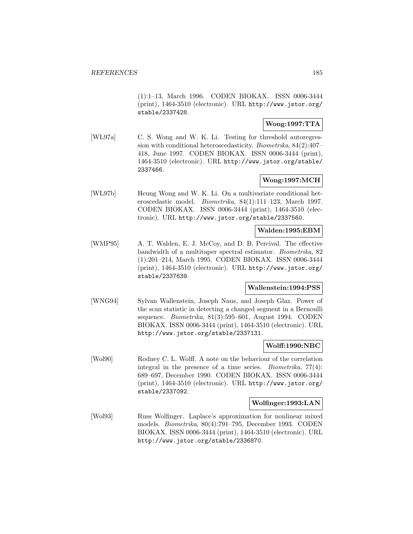(1):1–13, March 1996. CODEN BIOKAX. ISSN 0006-3444 (print), 1464-3510 (electronic). URL http://www.jstor.org/ stable/2337428.

# **Wong:1997:TTA**

[WL97a] C. S. Wong and W. K. Li. Testing for threshold autoregression with conditional heteroscedasticity. Biometrika, 84(2):407– 418, June 1997. CODEN BIOKAX. ISSN 0006-3444 (print), 1464-3510 (electronic). URL http://www.jstor.org/stable/ 2337466.

# **Wong:1997:MCH**

[WL97b] Heung Wong and W. K. Li. On a multivariate conditional heteroscedastic model. Biometrika, 84(1):111–123, March 1997. CODEN BIOKAX. ISSN 0006-3444 (print), 1464-3510 (electronic). URL http://www.jstor.org/stable/2337560.

#### **Walden:1995:EBM**

[WMP95] A. T. Walden, E. J. McCoy, and D. B. Percival. The effective bandwidth of a multitaper spectral estimator. Biometrika, 82 (1):201–214, March 1995. CODEN BIOKAX. ISSN 0006-3444 (print), 1464-3510 (electronic). URL http://www.jstor.org/ stable/2337639.

## **Wallenstein:1994:PSS**

[WNG94] Sylvan Wallenstein, Joseph Naus, and Joseph Glaz. Power of the scan statistic in detecting a changed segment in a Bernoulli sequence. Biometrika, 81(3):595–601, August 1994. CODEN BIOKAX. ISSN 0006-3444 (print), 1464-3510 (electronic). URL http://www.jstor.org/stable/2337131.

## **Wolff:1990:NBC**

[Wol90] Rodney C. L. Wolff. A note on the behaviour of the correlation integral in the presence of a time series. Biometrika, 77(4): 689–697, December 1990. CODEN BIOKAX. ISSN 0006-3444 (print), 1464-3510 (electronic). URL http://www.jstor.org/ stable/2337092.

## **Wolfinger:1993:LAN**

[Wol93] Russ Wolfinger. Laplace's approximation for nonlinear mixed models. Biometrika, 80(4):791–795, December 1993. CODEN BIOKAX. ISSN 0006-3444 (print), 1464-3510 (electronic). URL http://www.jstor.org/stable/2336870.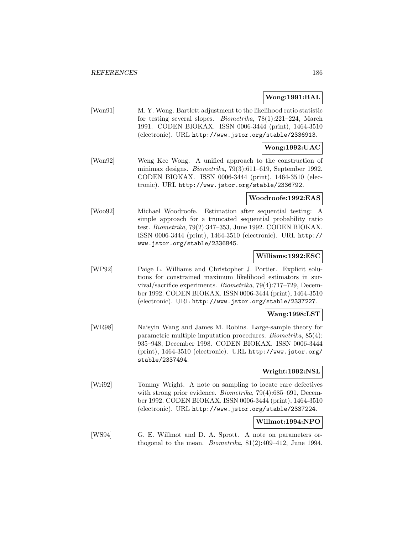## **Wong:1991:BAL**

[Won91] M. Y. Wong. Bartlett adjustment to the likelihood ratio statistic for testing several slopes. Biometrika, 78(1):221–224, March 1991. CODEN BIOKAX. ISSN 0006-3444 (print), 1464-3510 (electronic). URL http://www.jstor.org/stable/2336913.

## **Wong:1992:UAC**

[Won92] Weng Kee Wong. A unified approach to the construction of minimax designs. Biometrika, 79(3):611–619, September 1992. CODEN BIOKAX. ISSN 0006-3444 (print), 1464-3510 (electronic). URL http://www.jstor.org/stable/2336792.

## **Woodroofe:1992:EAS**

[Woo92] Michael Woodroofe. Estimation after sequential testing: A simple approach for a truncated sequential probability ratio test. Biometrika, 79(2):347–353, June 1992. CODEN BIOKAX. ISSN 0006-3444 (print), 1464-3510 (electronic). URL http:// www.jstor.org/stable/2336845.

#### **Williams:1992:ESC**

[WP92] Paige L. Williams and Christopher J. Portier. Explicit solutions for constrained maximum likelihood estimators in survival/sacrifice experiments. Biometrika, 79(4):717–729, December 1992. CODEN BIOKAX. ISSN 0006-3444 (print), 1464-3510 (electronic). URL http://www.jstor.org/stable/2337227.

## **Wang:1998:LST**

[WR98] Naisyin Wang and James M. Robins. Large-sample theory for parametric multiple imputation procedures. Biometrika, 85(4): 935–948, December 1998. CODEN BIOKAX. ISSN 0006-3444 (print), 1464-3510 (electronic). URL http://www.jstor.org/ stable/2337494.

#### **Wright:1992:NSL**

[Wri92] Tommy Wright. A note on sampling to locate rare defectives with strong prior evidence. *Biometrika*, 79(4):685–691, December 1992. CODEN BIOKAX. ISSN 0006-3444 (print), 1464-3510 (electronic). URL http://www.jstor.org/stable/2337224.

## **Willmot:1994:NPO**

[WS94] G. E. Willmot and D. A. Sprott. A note on parameters orthogonal to the mean. Biometrika, 81(2):409–412, June 1994.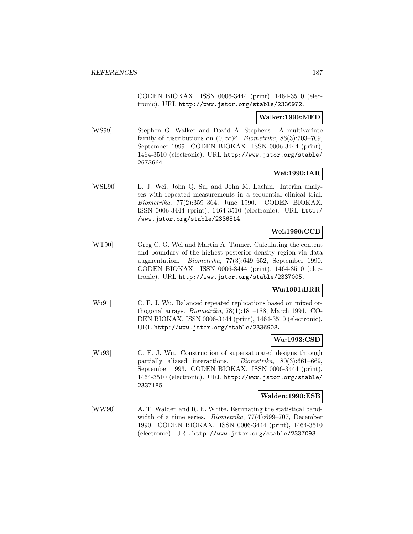CODEN BIOKAX. ISSN 0006-3444 (print), 1464-3510 (electronic). URL http://www.jstor.org/stable/2336972.

## **Walker:1999:MFD**

[WS99] Stephen G. Walker and David A. Stephens. A multivariate family of distributions on  $(0, \infty)^p$ . Biometrika, 86(3):703–709, September 1999. CODEN BIOKAX. ISSN 0006-3444 (print), 1464-3510 (electronic). URL http://www.jstor.org/stable/ 2673664.

# **Wei:1990:IAR**

[WSL90] L. J. Wei, John Q. Su, and John M. Lachin. Interim analyses with repeated measurements in a sequential clinical trial. Biometrika, 77(2):359–364, June 1990. CODEN BIOKAX. ISSN 0006-3444 (print), 1464-3510 (electronic). URL http:/ /www.jstor.org/stable/2336814.

# **Wei:1990:CCB**

[WT90] Greg C. G. Wei and Martin A. Tanner. Calculating the content and boundary of the highest posterior density region via data augmentation. Biometrika, 77(3):649–652, September 1990. CODEN BIOKAX. ISSN 0006-3444 (print), 1464-3510 (electronic). URL http://www.jstor.org/stable/2337005.

# **Wu:1991:BRR**

[Wu91] C. F. J. Wu. Balanced repeated replications based on mixed orthogonal arrays. Biometrika, 78(1):181–188, March 1991. CO-DEN BIOKAX. ISSN 0006-3444 (print), 1464-3510 (electronic). URL http://www.jstor.org/stable/2336908.

# **Wu:1993:CSD**

[Wu93] C. F. J. Wu. Construction of supersaturated designs through partially aliased interactions. Biometrika, 80(3):661–669, September 1993. CODEN BIOKAX. ISSN 0006-3444 (print), 1464-3510 (electronic). URL http://www.jstor.org/stable/ 2337185.

## **Walden:1990:ESB**

[WW90] A. T. Walden and R. E. White. Estimating the statistical bandwidth of a time series. Biometrika, 77(4):699–707, December 1990. CODEN BIOKAX. ISSN 0006-3444 (print), 1464-3510 (electronic). URL http://www.jstor.org/stable/2337093.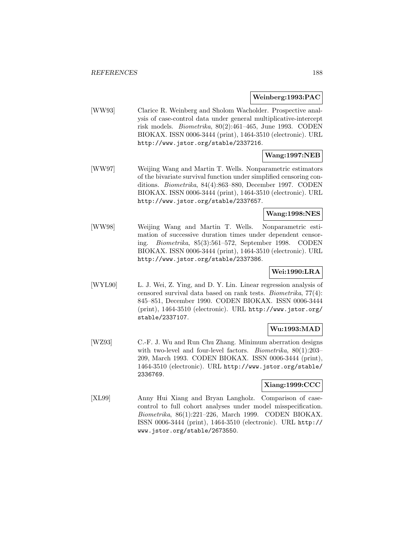#### **Weinberg:1993:PAC**

[WW93] Clarice R. Weinberg and Sholom Wacholder. Prospective analysis of case-control data under general multiplicative-intercept risk models. Biometrika, 80(2):461–465, June 1993. CODEN BIOKAX. ISSN 0006-3444 (print), 1464-3510 (electronic). URL http://www.jstor.org/stable/2337216.

# **Wang:1997:NEB**

[WW97] Weijing Wang and Martin T. Wells. Nonparametric estimators of the bivariate survival function under simplified censoring conditions. Biometrika, 84(4):863–880, December 1997. CODEN BIOKAX. ISSN 0006-3444 (print), 1464-3510 (electronic). URL http://www.jstor.org/stable/2337657.

## **Wang:1998:NES**

[WW98] Weijing Wang and Martin T. Wells. Nonparametric estimation of successive duration times under dependent censoring. Biometrika, 85(3):561–572, September 1998. CODEN BIOKAX. ISSN 0006-3444 (print), 1464-3510 (electronic). URL http://www.jstor.org/stable/2337386.

# **Wei:1990:LRA**

[WYL90] L. J. Wei, Z. Ying, and D. Y. Lin. Linear regression analysis of censored survival data based on rank tests. Biometrika, 77(4): 845–851, December 1990. CODEN BIOKAX. ISSN 0006-3444 (print), 1464-3510 (electronic). URL http://www.jstor.org/ stable/2337107.

# **Wu:1993:MAD**

[WZ93] C.-F. J. Wu and Run Chu Zhang. Minimum aberration designs with two-level and four-level factors. *Biometrika*, 80(1):203– 209, March 1993. CODEN BIOKAX. ISSN 0006-3444 (print), 1464-3510 (electronic). URL http://www.jstor.org/stable/ 2336769.

## **Xiang:1999:CCC**

[XL99] Anny Hui Xiang and Bryan Langholz. Comparison of casecontrol to full cohort analyses under model misspecification. Biometrika, 86(1):221–226, March 1999. CODEN BIOKAX. ISSN 0006-3444 (print), 1464-3510 (electronic). URL http:// www.jstor.org/stable/2673550.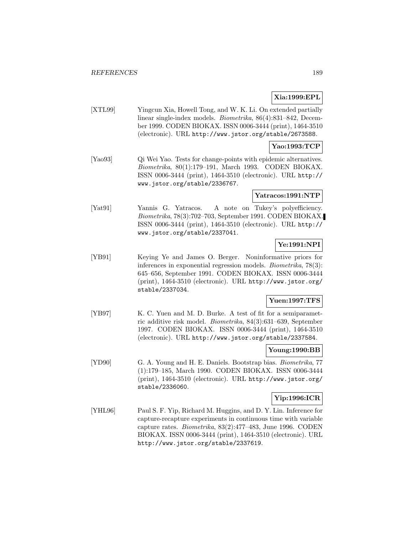# **Xia:1999:EPL**

[XTL99] Yingcun Xia, Howell Tong, and W. K. Li. On extended partially linear single-index models. Biometrika, 86(4):831–842, December 1999. CODEN BIOKAX. ISSN 0006-3444 (print), 1464-3510 (electronic). URL http://www.jstor.org/stable/2673588.

# **Yao:1993:TCP**

[Yao93] Qi Wei Yao. Tests for change-points with epidemic alternatives. Biometrika, 80(1):179–191, March 1993. CODEN BIOKAX. ISSN 0006-3444 (print), 1464-3510 (electronic). URL http:// www.jstor.org/stable/2336767.

# **Yatracos:1991:NTP**

[Yat91] Yannis G. Yatracos. A note on Tukey's polyefficiency. Biometrika, 78(3):702–703, September 1991. CODEN BIOKAX. ISSN 0006-3444 (print), 1464-3510 (electronic). URL http:// www.jstor.org/stable/2337041.

# **Ye:1991:NPI**

[YB91] Keying Ye and James O. Berger. Noninformative priors for inferences in exponential regression models. Biometrika, 78(3): 645–656, September 1991. CODEN BIOKAX. ISSN 0006-3444 (print), 1464-3510 (electronic). URL http://www.jstor.org/ stable/2337034.

# **Yuen:1997:TFS**

[YB97] K. C. Yuen and M. D. Burke. A test of fit for a semiparametric additive risk model. Biometrika, 84(3):631–639, September 1997. CODEN BIOKAX. ISSN 0006-3444 (print), 1464-3510 (electronic). URL http://www.jstor.org/stable/2337584.

# **Young:1990:BB**

[YD90] G. A. Young and H. E. Daniels. Bootstrap bias. Biometrika, 77 (1):179–185, March 1990. CODEN BIOKAX. ISSN 0006-3444 (print), 1464-3510 (electronic). URL http://www.jstor.org/ stable/2336060.

# **Yip:1996:ICR**

[YHL96] Paul S. F. Yip, Richard M. Huggins, and D. Y. Lin. Inference for capture-recapture experiments in continuous time with variable capture rates. Biometrika, 83(2):477–483, June 1996. CODEN BIOKAX. ISSN 0006-3444 (print), 1464-3510 (electronic). URL http://www.jstor.org/stable/2337619.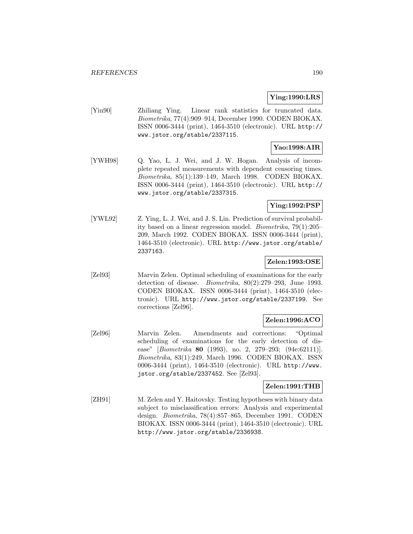# **Ying:1990:LRS**

[Yin90] Zhiliang Ying. Linear rank statistics for truncated data. Biometrika, 77(4):909–914, December 1990. CODEN BIOKAX. ISSN 0006-3444 (print), 1464-3510 (electronic). URL http:// www.jstor.org/stable/2337115.

# **Yao:1998:AIR**

[YWH98] Q. Yao, L. J. Wei, and J. W. Hogan. Analysis of incomplete repeated measurements with dependent censoring times. Biometrika, 85(1):139–149, March 1998. CODEN BIOKAX. ISSN 0006-3444 (print), 1464-3510 (electronic). URL http:// www.jstor.org/stable/2337315.

## **Ying:1992:PSP**

[YWL92] Z. Ying, L. J. Wei, and J. S. Lin. Prediction of survival probability based on a linear regression model. Biometrika, 79(1):205– 209, March 1992. CODEN BIOKAX. ISSN 0006-3444 (print), 1464-3510 (electronic). URL http://www.jstor.org/stable/ 2337163.

## **Zelen:1993:OSE**

[Zel93] Marvin Zelen. Optimal scheduling of examinations for the early detection of disease. Biometrika, 80(2):279–293, June 1993. CODEN BIOKAX. ISSN 0006-3444 (print), 1464-3510 (electronic). URL http://www.jstor.org/stable/2337199. See corrections [Zel96].

# **Zelen:1996:ACO**

[Zel96] Marvin Zelen. Amendments and corrections: "Optimal scheduling of examinations for the early detection of disease" [Biometrika **80** (1993), no. 2, 279–293; (94e:62111)]. Biometrika, 83(1):249, March 1996. CODEN BIOKAX. ISSN 0006-3444 (print), 1464-3510 (electronic). URL http://www. jstor.org/stable/2337452. See [Zel93].

## **Zelen:1991:THB**

[ZH91] M. Zelen and Y. Haitovsky. Testing hypotheses with binary data subject to misclassification errors: Analysis and experimental design. Biometrika, 78(4):857–865, December 1991. CODEN BIOKAX. ISSN 0006-3444 (print), 1464-3510 (electronic). URL http://www.jstor.org/stable/2336938.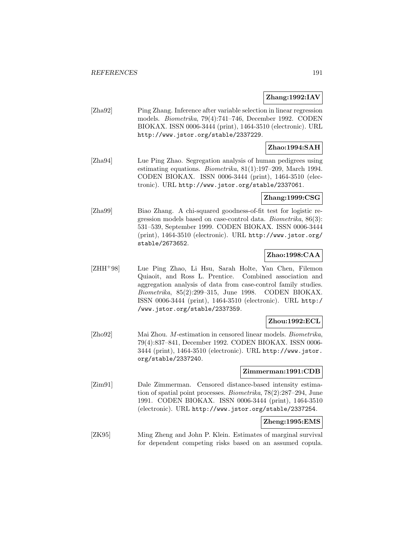## **Zhang:1992:IAV**

[Zha92] Ping Zhang. Inference after variable selection in linear regression models. Biometrika, 79(4):741–746, December 1992. CODEN BIOKAX. ISSN 0006-3444 (print), 1464-3510 (electronic). URL http://www.jstor.org/stable/2337229.

## **Zhao:1994:SAH**

[Zha94] Lue Ping Zhao. Segregation analysis of human pedigrees using estimating equations. Biometrika, 81(1):197–209, March 1994. CODEN BIOKAX. ISSN 0006-3444 (print), 1464-3510 (electronic). URL http://www.jstor.org/stable/2337061.

## **Zhang:1999:CSG**

[Zha99] Biao Zhang. A chi-squared goodness-of-fit test for logistic regression models based on case-control data. Biometrika, 86(3): 531–539, September 1999. CODEN BIOKAX. ISSN 0006-3444 (print), 1464-3510 (electronic). URL http://www.jstor.org/ stable/2673652.

# **Zhao:1998:CAA**

[ZHH<sup>+</sup>98] Lue Ping Zhao, Li Hsu, Sarah Holte, Yan Chen, Filemon Quiaoit, and Ross L. Prentice. Combined association and aggregation analysis of data from case-control family studies. Biometrika, 85(2):299–315, June 1998. CODEN BIOKAX. ISSN 0006-3444 (print), 1464-3510 (electronic). URL http:/ /www.jstor.org/stable/2337359.

## **Zhou:1992:ECL**

[Zho92] Mai Zhou. M-estimation in censored linear models. Biometrika, 79(4):837–841, December 1992. CODEN BIOKAX. ISSN 0006- 3444 (print), 1464-3510 (electronic). URL http://www.jstor. org/stable/2337240.

#### **Zimmerman:1991:CDB**

[Zim91] Dale Zimmerman. Censored distance-based intensity estimation of spatial point processes. Biometrika, 78(2):287–294, June 1991. CODEN BIOKAX. ISSN 0006-3444 (print), 1464-3510 (electronic). URL http://www.jstor.org/stable/2337254.

## **Zheng:1995:EMS**

[ZK95] Ming Zheng and John P. Klein. Estimates of marginal survival for dependent competing risks based on an assumed copula.